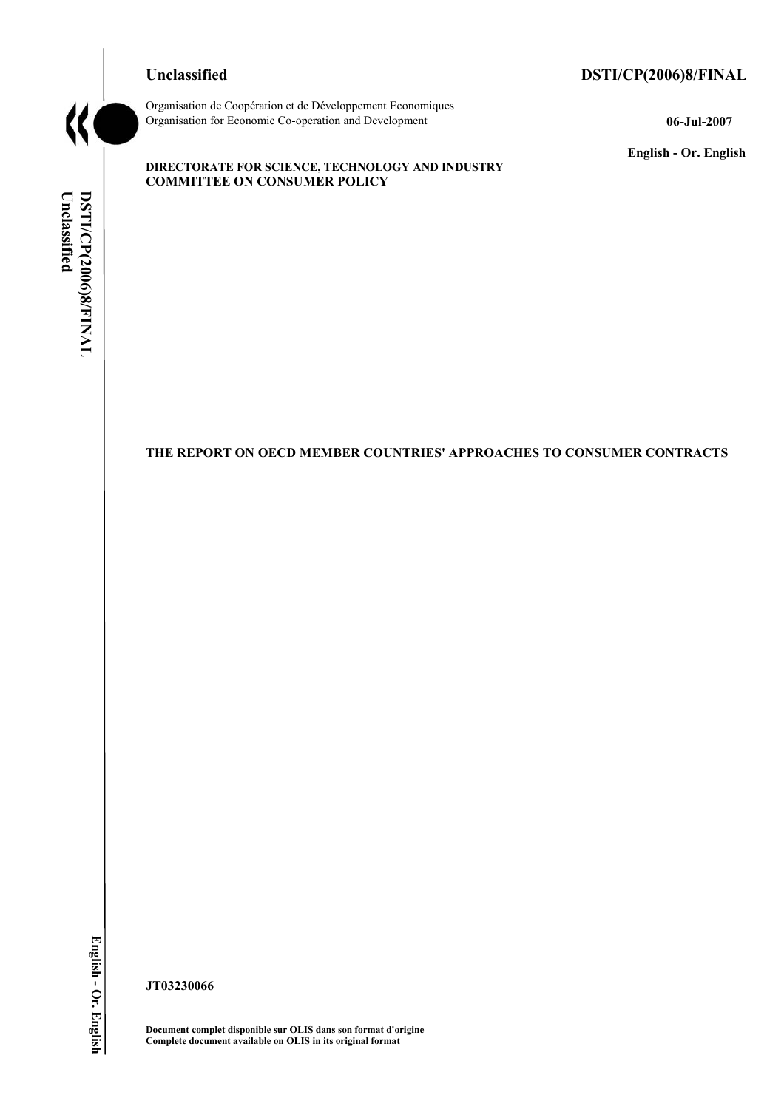# **Unclassified DSTI/CP(2006)8/FINAL**



Organisation de CoopÈration et de DÈveloppement Economiques Organisation for Economic Co-operation and Development **06-Jul-2007** 

**English - Or. English** 

#### **DIRECTORATE FOR SCIENCE, TECHNOLOGY AND INDUSTRY COMMITTEE ON CONSUMER POLICY**

**THE REPORT ON OECD MEMBER COUNTRIES' APPROACHES TO CONSUMER CONTRACTS** 

**JT03230066** 

**Document complet disponible sur OLIS dans son format d'origine Complete document available on OLIS in its original format**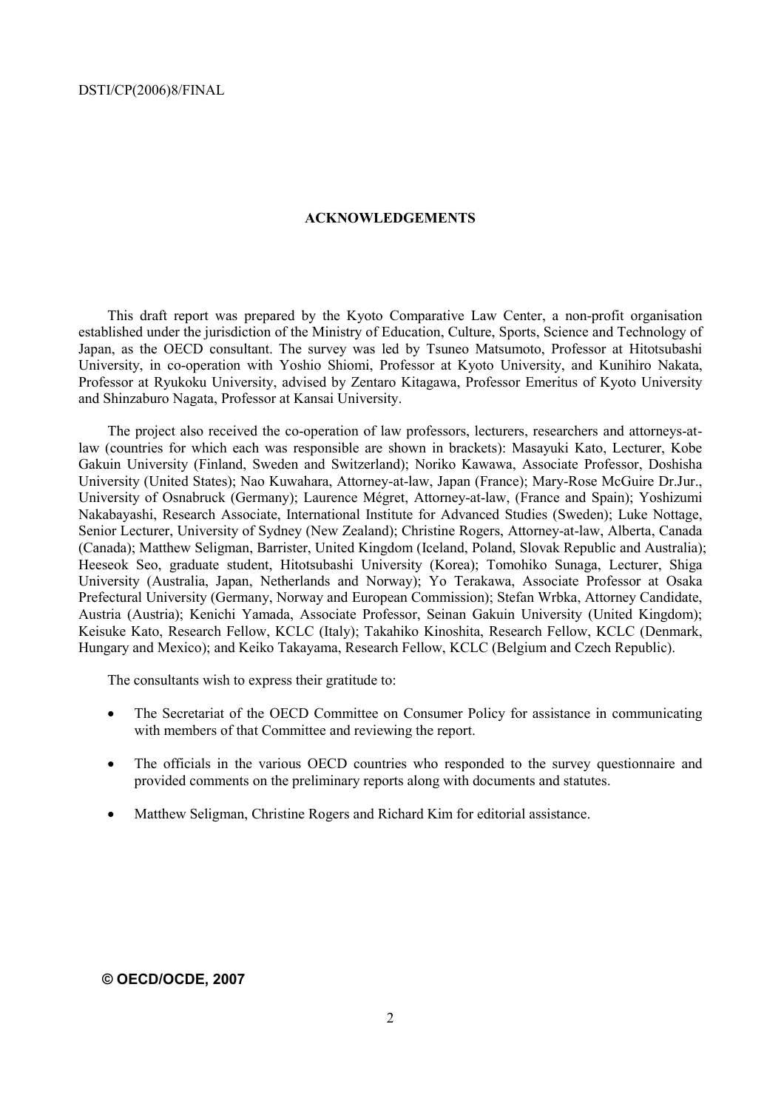#### **ACKNOWLEDGEMENTS**

This draft report was prepared by the Kyoto Comparative Law Center, a non-profit organisation established under the jurisdiction of the Ministry of Education, Culture, Sports, Science and Technology of Japan, as the OECD consultant. The survey was led by Tsuneo Matsumoto, Professor at Hitotsubashi University, in co-operation with Yoshio Shiomi, Professor at Kyoto University, and Kunihiro Nakata, Professor at Ryukoku University, advised by Zentaro Kitagawa, Professor Emeritus of Kyoto University and Shinzaburo Nagata, Professor at Kansai University.

The project also received the co-operation of law professors, lecturers, researchers and attorneys-atlaw (countries for which each was responsible are shown in brackets): Masayuki Kato, Lecturer, Kobe Gakuin University (Finland, Sweden and Switzerland); Noriko Kawawa, Associate Professor, Doshisha University (United States); Nao Kuwahara, Attorney-at-law, Japan (France); Mary-Rose McGuire Dr.Jur., University of Osnabruck (Germany); Laurence MÈgret, Attorney-at-law, (France and Spain); Yoshizumi Nakabayashi, Research Associate, International Institute for Advanced Studies (Sweden); Luke Nottage, Senior Lecturer, University of Sydney (New Zealand); Christine Rogers, Attorney-at-law, Alberta, Canada (Canada); Matthew Seligman, Barrister, United Kingdom (Iceland, Poland, Slovak Republic and Australia); Heeseok Seo, graduate student, Hitotsubashi University (Korea); Tomohiko Sunaga, Lecturer, Shiga University (Australia, Japan, Netherlands and Norway); Yo Terakawa, Associate Professor at Osaka Prefectural University (Germany, Norway and European Commission); Stefan Wrbka, Attorney Candidate, Austria (Austria); Kenichi Yamada, Associate Professor, Seinan Gakuin University (United Kingdom); Keisuke Kato, Research Fellow, KCLC (Italy); Takahiko Kinoshita, Research Fellow, KCLC (Denmark, Hungary and Mexico); and Keiko Takayama, Research Fellow, KCLC (Belgium and Czech Republic).

The consultants wish to express their gratitude to:

- The Secretariat of the OECD Committee on Consumer Policy for assistance in communicating with members of that Committee and reviewing the report.
- The officials in the various OECD countries who responded to the survey questionnaire and provided comments on the preliminary reports along with documents and statutes.
- Matthew Seligman, Christine Rogers and Richard Kim for editorial assistance.

#### **© OECD/OCDE, 2007**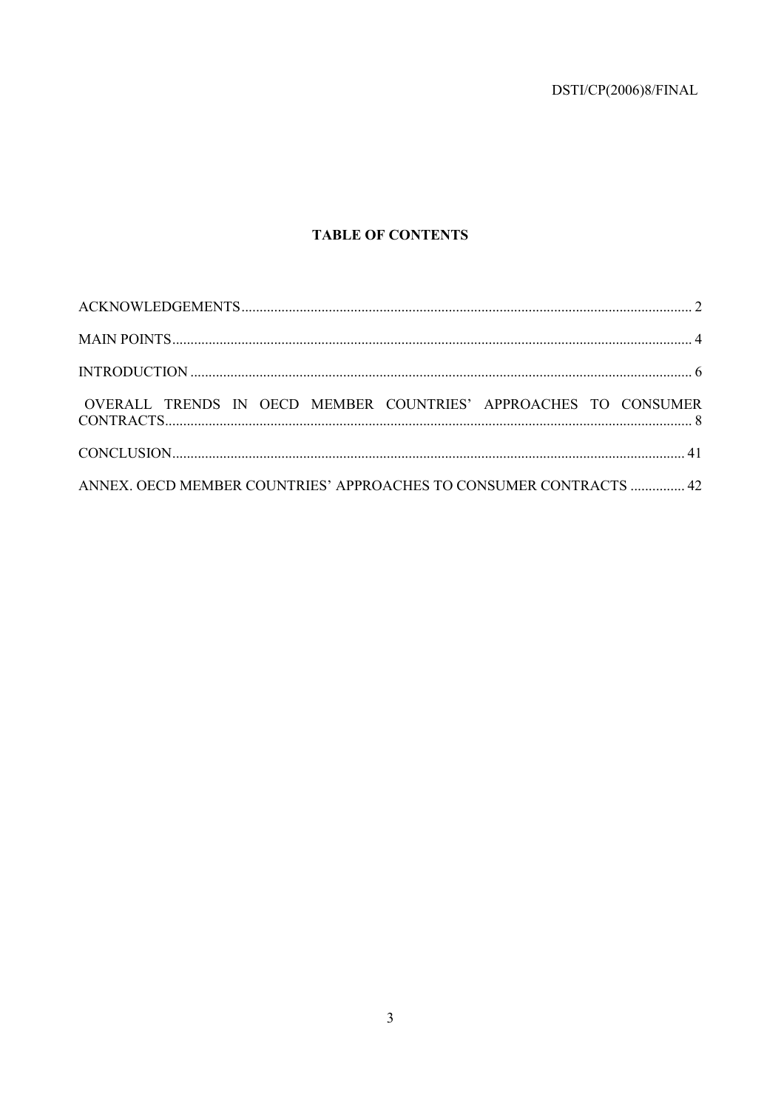DSTI/CP(2006)8/FINAL

# **TABLE OF CONTENTS**

| OVERALL TRENDS IN OECD MEMBER COUNTRIES' APPROACHES TO CONSUMER    |  |  |
|--------------------------------------------------------------------|--|--|
|                                                                    |  |  |
| ANNEX. OECD MEMBER COUNTRIES' APPROACHES TO CONSUMER CONTRACTS  42 |  |  |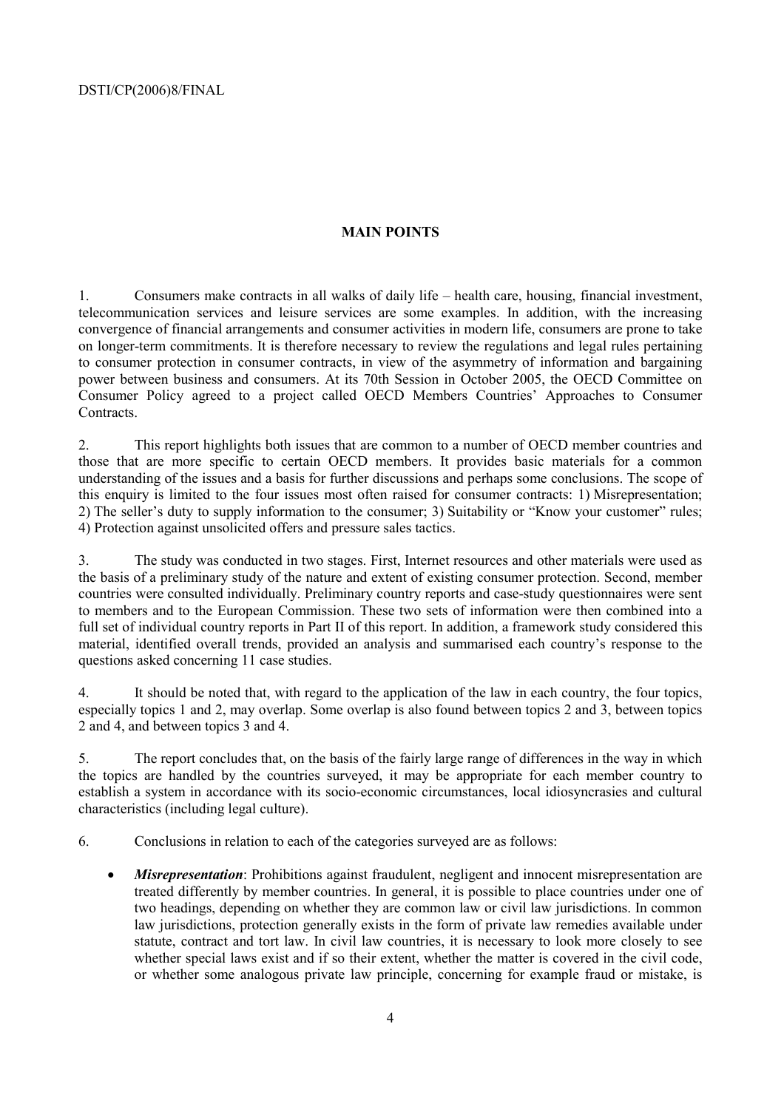# **MAIN POINTS**

1. Consumers make contracts in all walks of daily life – health care, housing, financial investment, telecommunication services and leisure services are some examples. In addition, with the increasing convergence of financial arrangements and consumer activities in modern life, consumers are prone to take on longer-term commitments. It is therefore necessary to review the regulations and legal rules pertaining to consumer protection in consumer contracts, in view of the asymmetry of information and bargaining power between business and consumers. At its 70th Session in October 2005, the OECD Committee on Consumer Policy agreed to a project called OECD Members Countries' Approaches to Consumer **Contracts** 

2. This report highlights both issues that are common to a number of OECD member countries and those that are more specific to certain OECD members. It provides basic materials for a common understanding of the issues and a basis for further discussions and perhaps some conclusions. The scope of this enquiry is limited to the four issues most often raised for consumer contracts: 1) Misrepresentation; 2) The seller's duty to supply information to the consumer; 3) Suitability or "Know your customer" rules; 4) Protection against unsolicited offers and pressure sales tactics.

3. The study was conducted in two stages. First, Internet resources and other materials were used as the basis of a preliminary study of the nature and extent of existing consumer protection. Second, member countries were consulted individually. Preliminary country reports and case-study questionnaires were sent to members and to the European Commission. These two sets of information were then combined into a full set of individual country reports in Part II of this report. In addition, a framework study considered this material, identified overall trends, provided an analysis and summarised each country's response to the questions asked concerning 11 case studies.

4. It should be noted that, with regard to the application of the law in each country, the four topics, especially topics 1 and 2, may overlap. Some overlap is also found between topics 2 and 3, between topics 2 and 4, and between topics 3 and 4.

5. The report concludes that, on the basis of the fairly large range of differences in the way in which the topics are handled by the countries surveyed, it may be appropriate for each member country to establish a system in accordance with its socio-economic circumstances, local idiosyncrasies and cultural characteristics (including legal culture).

6. Conclusions in relation to each of the categories surveyed are as follows:

• *Misrepresentation*: Prohibitions against fraudulent, negligent and innocent misrepresentation are treated differently by member countries. In general, it is possible to place countries under one of two headings, depending on whether they are common law or civil law jurisdictions. In common law jurisdictions, protection generally exists in the form of private law remedies available under statute, contract and tort law. In civil law countries, it is necessary to look more closely to see whether special laws exist and if so their extent, whether the matter is covered in the civil code, or whether some analogous private law principle, concerning for example fraud or mistake, is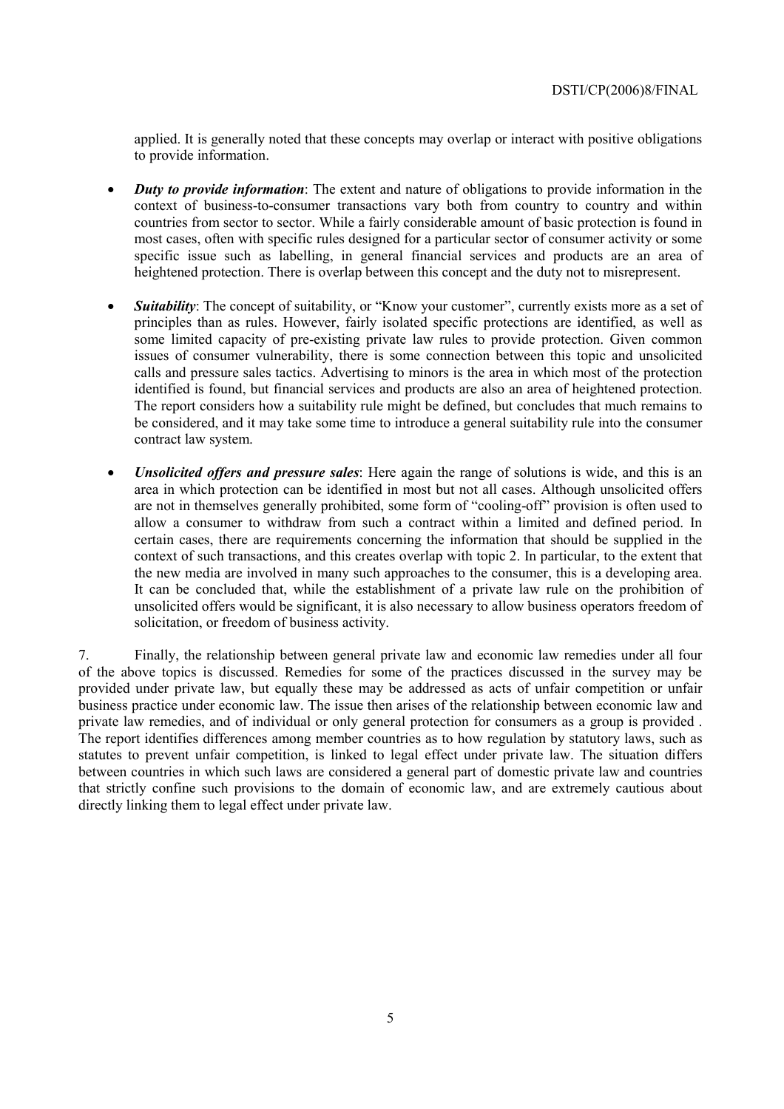applied. It is generally noted that these concepts may overlap or interact with positive obligations to provide information.

- *Duty to provide information*: The extent and nature of obligations to provide information in the context of business-to-consumer transactions vary both from country to country and within countries from sector to sector. While a fairly considerable amount of basic protection is found in most cases, often with specific rules designed for a particular sector of consumer activity or some specific issue such as labelling, in general financial services and products are an area of heightened protection. There is overlap between this concept and the duty not to misrepresent.
- **Suitability**: The concept of suitability, or "Know your customer", currently exists more as a set of principles than as rules. However, fairly isolated specific protections are identified, as well as some limited capacity of pre-existing private law rules to provide protection. Given common issues of consumer vulnerability, there is some connection between this topic and unsolicited calls and pressure sales tactics. Advertising to minors is the area in which most of the protection identified is found, but financial services and products are also an area of heightened protection. The report considers how a suitability rule might be defined, but concludes that much remains to be considered, and it may take some time to introduce a general suitability rule into the consumer contract law system.
- *Unsolicited offers and pressure sales*: Here again the range of solutions is wide, and this is an area in which protection can be identified in most but not all cases. Although unsolicited offers are not in themselves generally prohibited, some form of "cooling-off" provision is often used to allow a consumer to withdraw from such a contract within a limited and defined period. In certain cases, there are requirements concerning the information that should be supplied in the context of such transactions, and this creates overlap with topic 2. In particular, to the extent that the new media are involved in many such approaches to the consumer, this is a developing area. It can be concluded that, while the establishment of a private law rule on the prohibition of unsolicited offers would be significant, it is also necessary to allow business operators freedom of solicitation, or freedom of business activity.

7. Finally, the relationship between general private law and economic law remedies under all four of the above topics is discussed. Remedies for some of the practices discussed in the survey may be provided under private law, but equally these may be addressed as acts of unfair competition or unfair business practice under economic law. The issue then arises of the relationship between economic law and private law remedies, and of individual or only general protection for consumers as a group is provided . The report identifies differences among member countries as to how regulation by statutory laws, such as statutes to prevent unfair competition, is linked to legal effect under private law. The situation differs between countries in which such laws are considered a general part of domestic private law and countries that strictly confine such provisions to the domain of economic law, and are extremely cautious about directly linking them to legal effect under private law.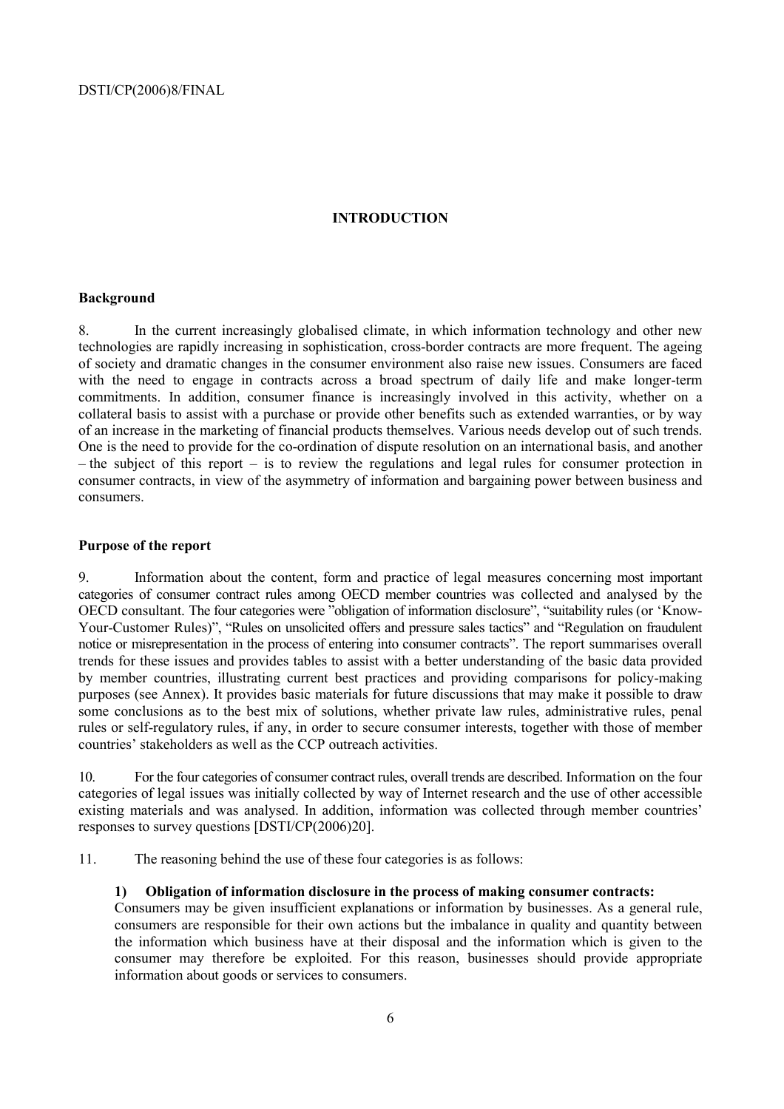# **INTRODUCTION**

# **Background**

8. In the current increasingly globalised climate, in which information technology and other new technologies are rapidly increasing in sophistication, cross-border contracts are more frequent. The ageing of society and dramatic changes in the consumer environment also raise new issues. Consumers are faced with the need to engage in contracts across a broad spectrum of daily life and make longer-term commitments. In addition, consumer finance is increasingly involved in this activity, whether on a collateral basis to assist with a purchase or provide other benefits such as extended warranties, or by way of an increase in the marketing of financial products themselves. Various needs develop out of such trends. One is the need to provide for the co-ordination of dispute resolution on an international basis, and another  $h$  - the subject of this report – is to review the regulations and legal rules for consumer protection in consumer contracts, in view of the asymmetry of information and bargaining power between business and consumers.

#### **Purpose of the report**

9. Information about the content, form and practice of legal measures concerning most important categories of consumer contract rules among OECD member countries was collected and analysed by the OECD consultant. The four categories were "obligation of information disclosure", "suitability rules (or 'Know-Your-Customer Rules)", "Rules on unsolicited offers and pressure sales tactics" and "Regulation on fraudulent notice or misrepresentation in the process of entering into consumer contracts". The report summarises overall trends for these issues and provides tables to assist with a better understanding of the basic data provided by member countries, illustrating current best practices and providing comparisons for policy-making purposes (see Annex). It provides basic materials for future discussions that may make it possible to draw some conclusions as to the best mix of solutions, whether private law rules, administrative rules, penal rules or self-regulatory rules, if any, in order to secure consumer interests, together with those of member countries' stakeholders as well as the CCP outreach activities.

10. For the four categories of consumer contract rules, overall trends are described. Information on the four categories of legal issues was initially collected by way of Internet research and the use of other accessible existing materials and was analysed. In addition, information was collected through member countries<sup>7</sup> responses to survey questions [DSTI/CP(2006)20].

11. The reasoning behind the use of these four categories is as follows:

#### **1) Obligation of information disclosure in the process of making consumer contracts:**

Consumers may be given insufficient explanations or information by businesses. As a general rule, consumers are responsible for their own actions but the imbalance in quality and quantity between the information which business have at their disposal and the information which is given to the consumer may therefore be exploited. For this reason, businesses should provide appropriate information about goods or services to consumers.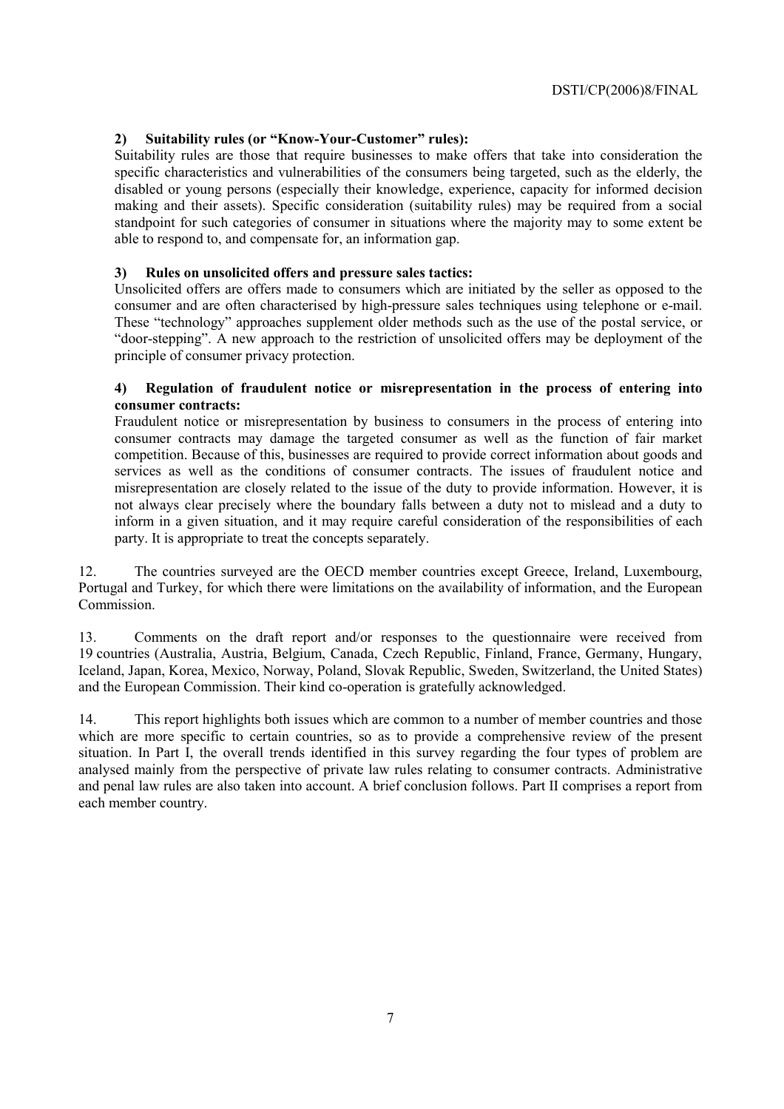# 2) **Suitability rules (or "Know-Your-Customer" rules):**

Suitability rules are those that require businesses to make offers that take into consideration the specific characteristics and vulnerabilities of the consumers being targeted, such as the elderly, the disabled or young persons (especially their knowledge, experience, capacity for informed decision making and their assets). Specific consideration (suitability rules) may be required from a social standpoint for such categories of consumer in situations where the majority may to some extent be able to respond to, and compensate for, an information gap.

# **3) Rules on unsolicited offers and pressure sales tactics:**

Unsolicited offers are offers made to consumers which are initiated by the seller as opposed to the consumer and are often characterised by high-pressure sales techniques using telephone or e-mail. These "technology" approaches supplement older methods such as the use of the postal service, or ìdoor-steppingî. A new approach to the restriction of unsolicited offers may be deployment of the principle of consumer privacy protection.

#### **4) Regulation of fraudulent notice or misrepresentation in the process of entering into consumer contracts:**

Fraudulent notice or misrepresentation by business to consumers in the process of entering into consumer contracts may damage the targeted consumer as well as the function of fair market competition. Because of this, businesses are required to provide correct information about goods and services as well as the conditions of consumer contracts. The issues of fraudulent notice and misrepresentation are closely related to the issue of the duty to provide information. However, it is not always clear precisely where the boundary falls between a duty not to mislead and a duty to inform in a given situation, and it may require careful consideration of the responsibilities of each party. It is appropriate to treat the concepts separately.

12. The countries surveyed are the OECD member countries except Greece, Ireland, Luxembourg, Portugal and Turkey, for which there were limitations on the availability of information, and the European Commission.

13. Comments on the draft report and/or responses to the questionnaire were received from 19 countries (Australia, Austria, Belgium, Canada, Czech Republic, Finland, France, Germany, Hungary, Iceland, Japan, Korea, Mexico, Norway, Poland, Slovak Republic, Sweden, Switzerland, the United States) and the European Commission. Their kind co-operation is gratefully acknowledged.

14. This report highlights both issues which are common to a number of member countries and those which are more specific to certain countries, so as to provide a comprehensive review of the present situation. In Part I, the overall trends identified in this survey regarding the four types of problem are analysed mainly from the perspective of private law rules relating to consumer contracts. Administrative and penal law rules are also taken into account. A brief conclusion follows. Part II comprises a report from each member country.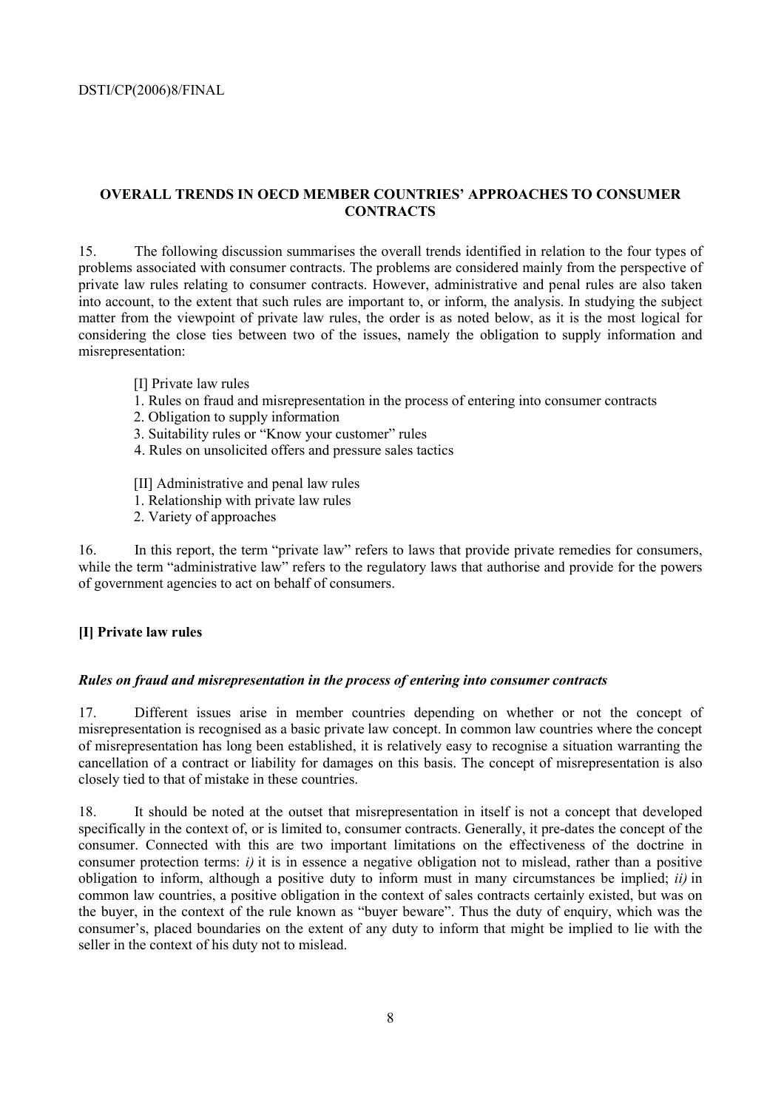# **OVERALL TRENDS IN OECD MEMBER COUNTRIES' APPROACHES TO CONSUMER CONTRACTS**

15. The following discussion summarises the overall trends identified in relation to the four types of problems associated with consumer contracts. The problems are considered mainly from the perspective of private law rules relating to consumer contracts. However, administrative and penal rules are also taken into account, to the extent that such rules are important to, or inform, the analysis. In studying the subject matter from the viewpoint of private law rules, the order is as noted below, as it is the most logical for considering the close ties between two of the issues, namely the obligation to supply information and misrepresentation:

- [I] Private law rules
- 1. Rules on fraud and misrepresentation in the process of entering into consumer contracts
- 2. Obligation to supply information
- 3. Suitability rules or "Know your customer" rules
- 4. Rules on unsolicited offers and pressure sales tactics
- [II] Administrative and penal law rules
- 1. Relationship with private law rules
- 2. Variety of approaches

16. In this report, the term "private law" refers to laws that provide private remedies for consumers, while the term "administrative law" refers to the regulatory laws that authorise and provide for the powers of government agencies to act on behalf of consumers.

#### **[I] Private law rules**

#### *Rules on fraud and misrepresentation in the process of entering into consumer contracts*

17. Different issues arise in member countries depending on whether or not the concept of misrepresentation is recognised as a basic private law concept. In common law countries where the concept of misrepresentation has long been established, it is relatively easy to recognise a situation warranting the cancellation of a contract or liability for damages on this basis. The concept of misrepresentation is also closely tied to that of mistake in these countries.

18. It should be noted at the outset that misrepresentation in itself is not a concept that developed specifically in the context of, or is limited to, consumer contracts. Generally, it pre-dates the concept of the consumer. Connected with this are two important limitations on the effectiveness of the doctrine in consumer protection terms: *i)* it is in essence a negative obligation not to mislead, rather than a positive obligation to inform, although a positive duty to inform must in many circumstances be implied; *ii)* in common law countries, a positive obligation in the context of sales contracts certainly existed, but was on the buyer, in the context of the rule known as "buyer beware". Thus the duty of enquiry, which was the consumer's, placed boundaries on the extent of any duty to inform that might be implied to lie with the seller in the context of his duty not to mislead.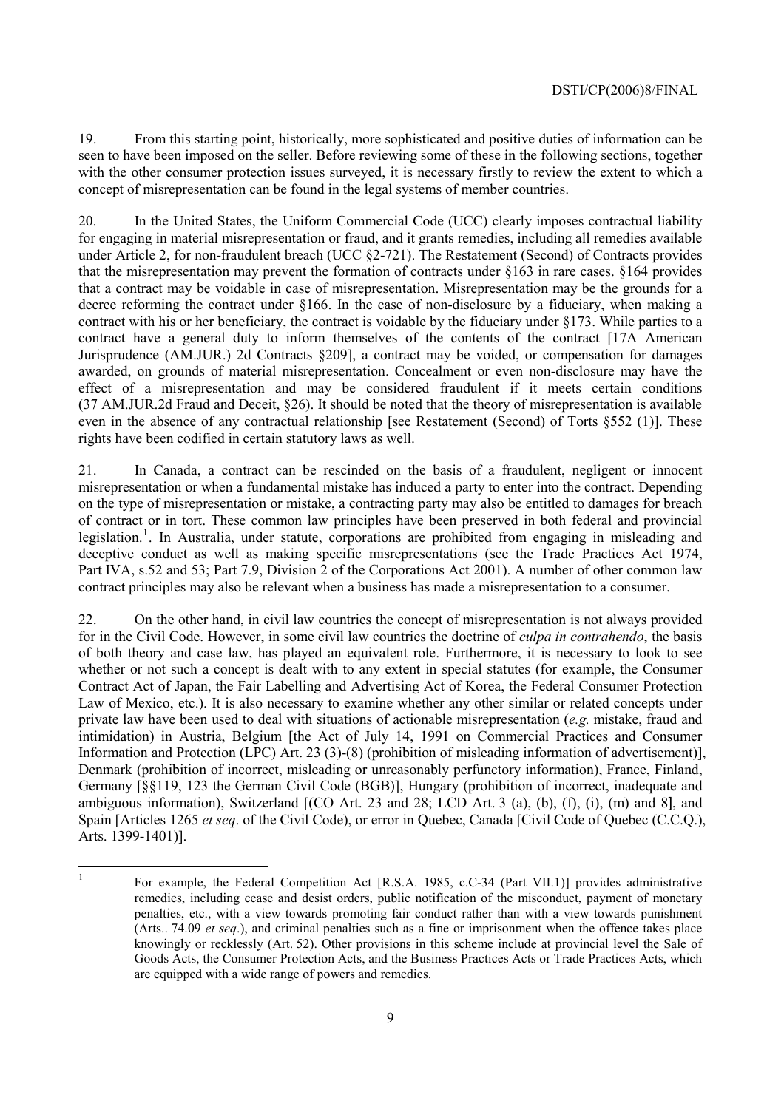19. From this starting point, historically, more sophisticated and positive duties of information can be seen to have been imposed on the seller. Before reviewing some of these in the following sections, together with the other consumer protection issues surveyed, it is necessary firstly to review the extent to which a concept of misrepresentation can be found in the legal systems of member countries.

20. In the United States, the Uniform Commercial Code (UCC) clearly imposes contractual liability for engaging in material misrepresentation or fraud, and it grants remedies, including all remedies available under Article 2, for non-fraudulent breach (UCC ß2-721). The Restatement (Second) of Contracts provides that the misrepresentation may prevent the formation of contracts under  $§163$  in rare cases.  $§164$  provides that a contract may be voidable in case of misrepresentation. Misrepresentation may be the grounds for a decree reforming the contract under ß166. In the case of non-disclosure by a fiduciary, when making a contract with his or her beneficiary, the contract is voidable by the fiduciary under ß173. While parties to a contract have a general duty to inform themselves of the contents of the contract [17A American Jurisprudence (AM.JUR.) 2d Contracts §209], a contract may be voided, or compensation for damages awarded, on grounds of material misrepresentation. Concealment or even non-disclosure may have the effect of a misrepresentation and may be considered fraudulent if it meets certain conditions (37 AM.JUR.2d Fraud and Deceit, ß26). It should be noted that the theory of misrepresentation is available even in the absence of any contractual relationship [see Restatement (Second) of Torts §552 (1)]. These rights have been codified in certain statutory laws as well.

21. In Canada, a contract can be rescinded on the basis of a fraudulent, negligent or innocent misrepresentation or when a fundamental mistake has induced a party to enter into the contract. Depending on the type of misrepresentation or mistake, a contracting party may also be entitled to damages for breach of contract or in tort. These common law principles have been preserved in both federal and provincial legislation.<sup>1</sup>. In Australia, under statute, corporations are prohibited from engaging in misleading and deceptive conduct as well as making specific misrepresentations (see the Trade Practices Act 1974, Part IVA, s.52 and 53; Part 7.9, Division 2 of the Corporations Act 2001). A number of other common law contract principles may also be relevant when a business has made a misrepresentation to a consumer.

22. On the other hand, in civil law countries the concept of misrepresentation is not always provided for in the Civil Code. However, in some civil law countries the doctrine of *culpa in contrahendo*, the basis of both theory and case law, has played an equivalent role. Furthermore, it is necessary to look to see whether or not such a concept is dealt with to any extent in special statutes (for example, the Consumer Contract Act of Japan, the Fair Labelling and Advertising Act of Korea, the Federal Consumer Protection Law of Mexico, etc.). It is also necessary to examine whether any other similar or related concepts under private law have been used to deal with situations of actionable misrepresentation (*e.g.* mistake, fraud and intimidation) in Austria, Belgium [the Act of July 14, 1991 on Commercial Practices and Consumer Information and Protection (LPC) Art. 23 (3)-(8) (prohibition of misleading information of advertisement)], Denmark (prohibition of incorrect, misleading or unreasonably perfunctory information), France, Finland, Germany [ßß119, 123 the German Civil Code (BGB)], Hungary (prohibition of incorrect, inadequate and ambiguous information), Switzerland [(CO Art. 23 and 28; LCD Art. 3 (a), (b), (f), (i), (m) and 8], and Spain [Articles 1265 *et seq*. of the Civil Code), or error in Quebec, Canada [Civil Code of Quebec (C.C.Q.), Arts. 1399-1401)].

 $\frac{1}{1}$  For example, the Federal Competition Act [R.S.A. 1985, c.C-34 (Part VII.1)] provides administrative remedies, including cease and desist orders, public notification of the misconduct, payment of monetary penalties, etc., with a view towards promoting fair conduct rather than with a view towards punishment (Arts.. 74.09 *et seq*.), and criminal penalties such as a fine or imprisonment when the offence takes place knowingly or recklessly (Art. 52). Other provisions in this scheme include at provincial level the Sale of Goods Acts, the Consumer Protection Acts, and the Business Practices Acts or Trade Practices Acts, which are equipped with a wide range of powers and remedies.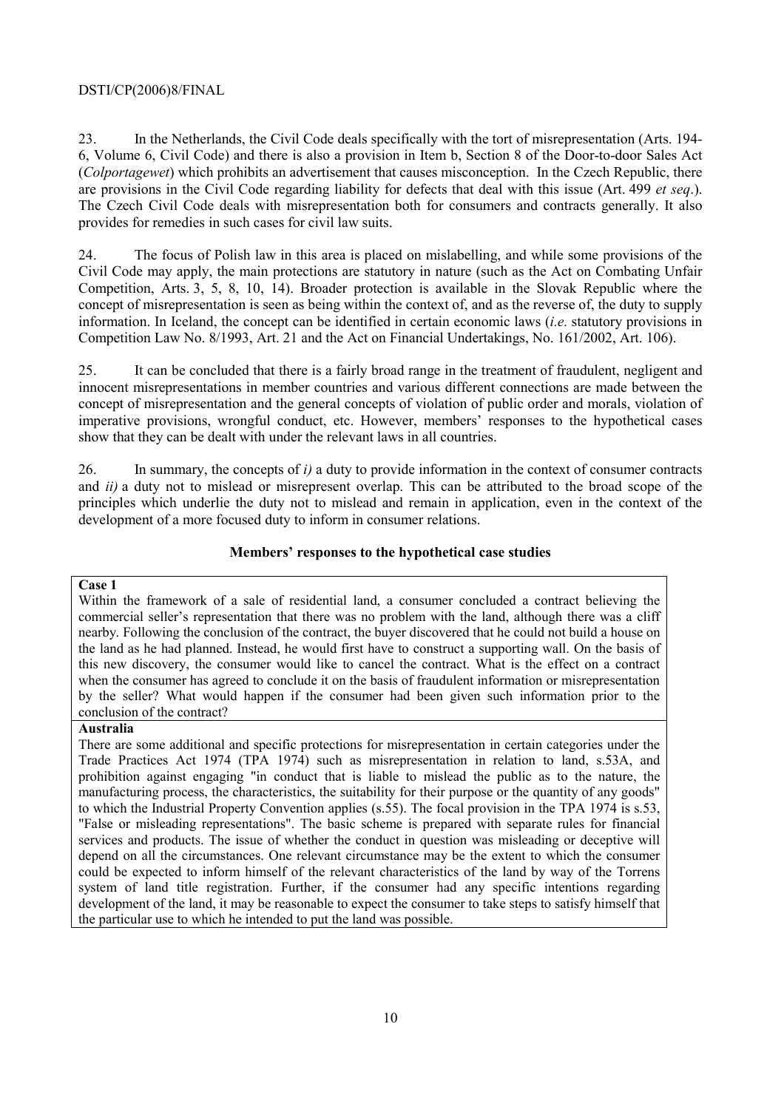# DSTI/CP(2006)8/FINAL

23. In the Netherlands, the Civil Code deals specifically with the tort of misrepresentation (Arts. 194- 6, Volume 6, Civil Code) and there is also a provision in Item b, Section 8 of the Door-to-door Sales Act (*Colportagewet*) which prohibits an advertisement that causes misconception. In the Czech Republic, there are provisions in the Civil Code regarding liability for defects that deal with this issue (Art. 499 *et seq*.). The Czech Civil Code deals with misrepresentation both for consumers and contracts generally. It also provides for remedies in such cases for civil law suits.

24. The focus of Polish law in this area is placed on mislabelling, and while some provisions of the Civil Code may apply, the main protections are statutory in nature (such as the Act on Combating Unfair Competition, Arts. 3, 5, 8, 10, 14). Broader protection is available in the Slovak Republic where the concept of misrepresentation is seen as being within the context of, and as the reverse of, the duty to supply information. In Iceland, the concept can be identified in certain economic laws (*i.e.* statutory provisions in Competition Law No. 8/1993, Art. 21 and the Act on Financial Undertakings, No. 161/2002, Art. 106).

25. It can be concluded that there is a fairly broad range in the treatment of fraudulent, negligent and innocent misrepresentations in member countries and various different connections are made between the concept of misrepresentation and the general concepts of violation of public order and morals, violation of imperative provisions, wrongful conduct, etc. However, members' responses to the hypothetical cases show that they can be dealt with under the relevant laws in all countries.

26. In summary, the concepts of *i)* a duty to provide information in the context of consumer contracts and *ii)* a duty not to mislead or misrepresent overlap. This can be attributed to the broad scope of the principles which underlie the duty not to mislead and remain in application, even in the context of the development of a more focused duty to inform in consumer relations.

# **Membersí responses to the hypothetical case studies**

# **Case 1**

Within the framework of a sale of residential land, a consumer concluded a contract believing the commercial seller's representation that there was no problem with the land, although there was a cliff nearby. Following the conclusion of the contract, the buyer discovered that he could not build a house on the land as he had planned. Instead, he would first have to construct a supporting wall. On the basis of this new discovery, the consumer would like to cancel the contract. What is the effect on a contract when the consumer has agreed to conclude it on the basis of fraudulent information or misrepresentation by the seller? What would happen if the consumer had been given such information prior to the conclusion of the contract?

# **Australia**

There are some additional and specific protections for misrepresentation in certain categories under the Trade Practices Act 1974 (TPA 1974) such as misrepresentation in relation to land, s.53A, and prohibition against engaging "in conduct that is liable to mislead the public as to the nature, the manufacturing process, the characteristics, the suitability for their purpose or the quantity of any goods" to which the Industrial Property Convention applies (s.55). The focal provision in the TPA 1974 is s.53, "False or misleading representations". The basic scheme is prepared with separate rules for financial services and products. The issue of whether the conduct in question was misleading or deceptive will depend on all the circumstances. One relevant circumstance may be the extent to which the consumer could be expected to inform himself of the relevant characteristics of the land by way of the Torrens system of land title registration. Further, if the consumer had any specific intentions regarding development of the land, it may be reasonable to expect the consumer to take steps to satisfy himself that the particular use to which he intended to put the land was possible.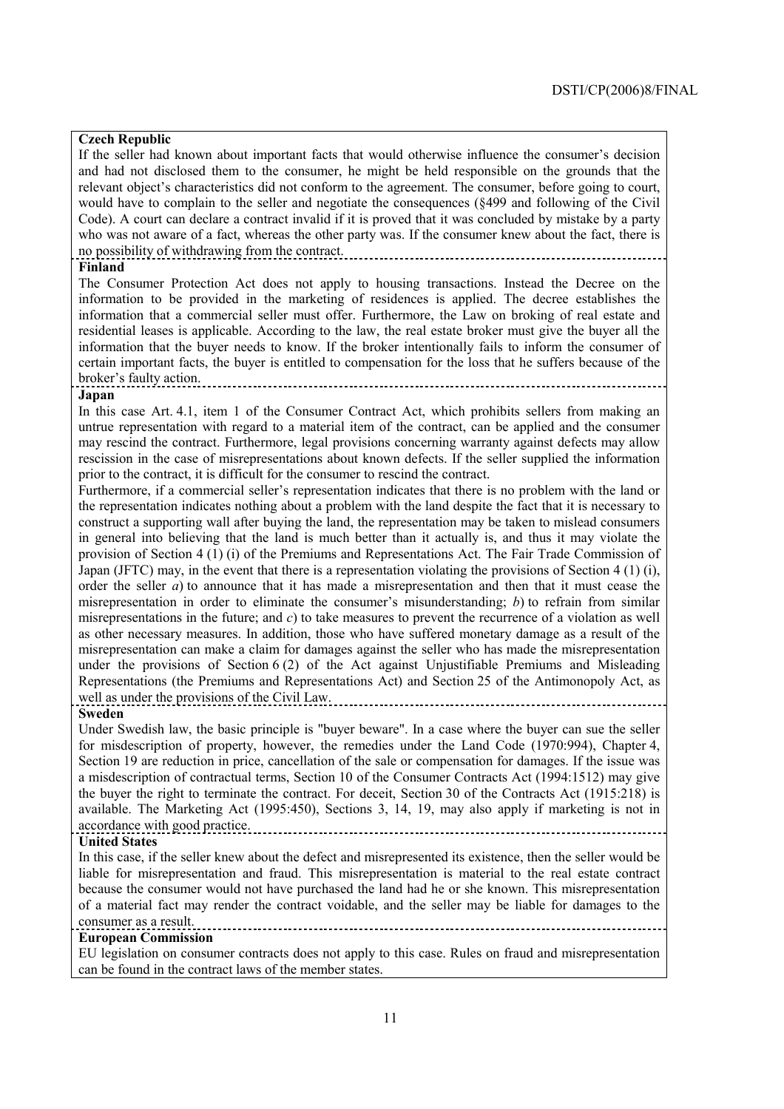# **Czech Republic**

If the seller had known about important facts that would otherwise influence the consumer's decision and had not disclosed them to the consumer, he might be held responsible on the grounds that the relevant object's characteristics did not conform to the agreement. The consumer, before going to court, would have to complain to the seller and negotiate the consequences (ß499 and following of the Civil Code). A court can declare a contract invalid if it is proved that it was concluded by mistake by a party who was not aware of a fact, whereas the other party was. If the consumer knew about the fact, there is no possibility of withdrawing from the contract.

#### **Finland**

The Consumer Protection Act does not apply to housing transactions. Instead the Decree on the information to be provided in the marketing of residences is applied. The decree establishes the information that a commercial seller must offer. Furthermore, the Law on broking of real estate and residential leases is applicable. According to the law, the real estate broker must give the buyer all the information that the buyer needs to know. If the broker intentionally fails to inform the consumer of certain important facts, the buyer is entitled to compensation for the loss that he suffers because of the brokerís faulty action.

#### **Japan**

In this case Art. 4.1, item 1 of the Consumer Contract Act, which prohibits sellers from making an untrue representation with regard to a material item of the contract, can be applied and the consumer may rescind the contract. Furthermore, legal provisions concerning warranty against defects may allow rescission in the case of misrepresentations about known defects. If the seller supplied the information prior to the contract, it is difficult for the consumer to rescind the contract.

Furthermore, if a commercial seller's representation indicates that there is no problem with the land or the representation indicates nothing about a problem with the land despite the fact that it is necessary to construct a supporting wall after buying the land, the representation may be taken to mislead consumers in general into believing that the land is much better than it actually is, and thus it may violate the provision of Section 4 (1) (i) of the Premiums and Representations Act. The Fair Trade Commission of Japan (JFTC) may, in the event that there is a representation violating the provisions of Section 4 (1) (i), order the seller *a*) to announce that it has made a misrepresentation and then that it must cease the misrepresentation in order to eliminate the consumer's misunderstanding; *b*) to refrain from similar misrepresentations in the future; and *c*) to take measures to prevent the recurrence of a violation as well as other necessary measures. In addition, those who have suffered monetary damage as a result of the misrepresentation can make a claim for damages against the seller who has made the misrepresentation under the provisions of Section 6 (2) of the Act against Unjustifiable Premiums and Misleading Representations (the Premiums and Representations Act) and Section 25 of the Antimonopoly Act, as well as under the provisions of the Civil Law.

#### **Sweden**

Under Swedish law, the basic principle is "buyer beware". In a case where the buyer can sue the seller for misdescription of property, however, the remedies under the Land Code (1970:994), Chapter 4, Section 19 are reduction in price, cancellation of the sale or compensation for damages. If the issue was a misdescription of contractual terms, Section 10 of the Consumer Contracts Act (1994:1512) may give the buyer the right to terminate the contract. For deceit, Section 30 of the Contracts Act (1915:218) is available. The Marketing Act (1995:450), Sections 3, 14, 19, may also apply if marketing is not in accordance with good practice.

#### **United States**

In this case, if the seller knew about the defect and misrepresented its existence, then the seller would be liable for misrepresentation and fraud. This misrepresentation is material to the real estate contract because the consumer would not have purchased the land had he or she known. This misrepresentation of a material fact may render the contract voidable, and the seller may be liable for damages to the consumer as a result. 

#### **European Commission**

EU legislation on consumer contracts does not apply to this case. Rules on fraud and misrepresentation can be found in the contract laws of the member states.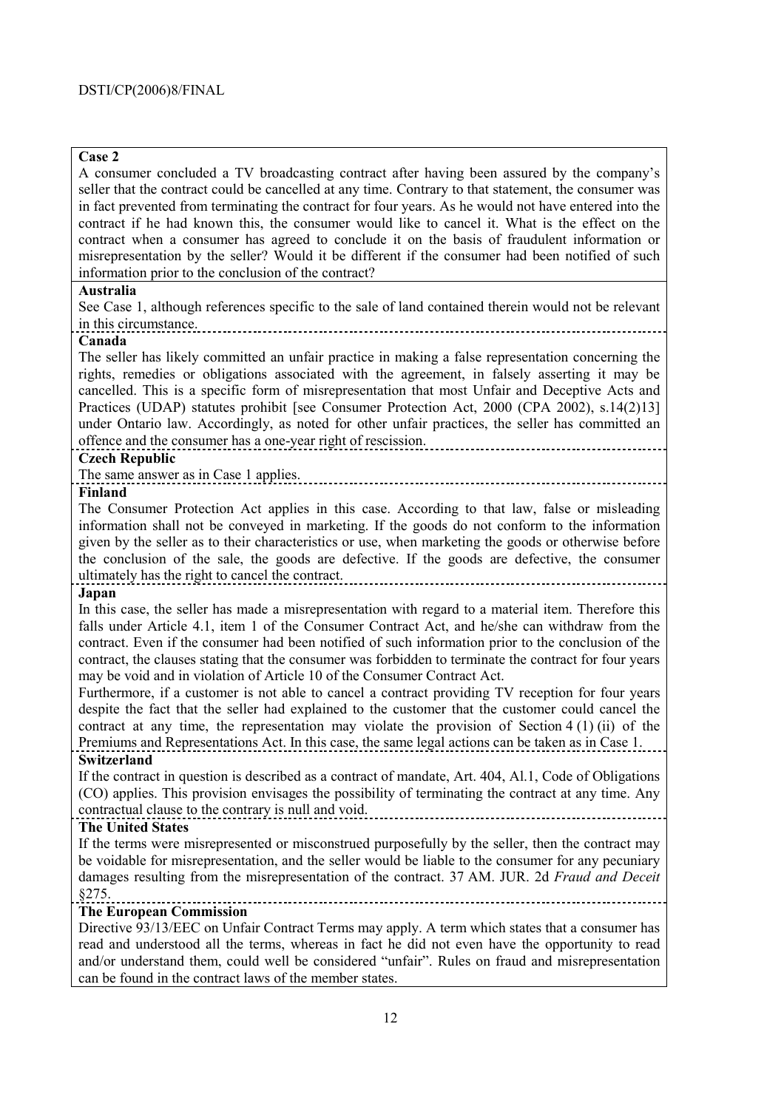# **Case 2**

A consumer concluded a TV broadcasting contract after having been assured by the companyís seller that the contract could be cancelled at any time. Contrary to that statement, the consumer was in fact prevented from terminating the contract for four years. As he would not have entered into the contract if he had known this, the consumer would like to cancel it. What is the effect on the contract when a consumer has agreed to conclude it on the basis of fraudulent information or misrepresentation by the seller? Would it be different if the consumer had been notified of such information prior to the conclusion of the contract? **Australia** See Case 1, although references specific to the sale of land contained therein would not be relevant in this circumstance. **Canada**  The seller has likely committed an unfair practice in making a false representation concerning the rights, remedies or obligations associated with the agreement, in falsely asserting it may be cancelled. This is a specific form of misrepresentation that most Unfair and Deceptive Acts and Practices (UDAP) statutes prohibit [see Consumer Protection Act, 2000 (CPA 2002), s.14(2)13] under Ontario law. Accordingly, as noted for other unfair practices, the seller has committed an offence and the consumer has a one-year right of rescission. **Czech Republic**  The same answer as in Case 1 applies. **Finland** The Consumer Protection Act applies in this case. According to that law, false or misleading information shall not be conveyed in marketing. If the goods do not conform to the information given by the seller as to their characteristics or use, when marketing the goods or otherwise before the conclusion of the sale, the goods are defective. If the goods are defective, the consumer ultimately has the right to cancel the contract. **Japan**  In this case, the seller has made a misrepresentation with regard to a material item. Therefore this falls under Article 4.1, item 1 of the Consumer Contract Act, and he/she can withdraw from the contract. Even if the consumer had been notified of such information prior to the conclusion of the contract, the clauses stating that the consumer was forbidden to terminate the contract for four years may be void and in violation of Article 10 of the Consumer Contract Act. Furthermore, if a customer is not able to cancel a contract providing TV reception for four years despite the fact that the seller had explained to the customer that the customer could cancel the contract at any time, the representation may violate the provision of Section 4 (1) (ii) of the Premiums and Representations Act. In this case, the same legal actions can be taken as in Case 1. **Switzerland**  If the contract in question is described as a contract of mandate, Art. 404, Al.1, Code of Obligations (CO) applies. This provision envisages the possibility of terminating the contract at any time. Any contractual clause to the contrary is null and void. **The United States**  If the terms were misrepresented or misconstrued purposefully by the seller, then the contract may be voidable for misrepresentation, and the seller would be liable to the consumer for any pecuniary

#### damages resulting from the misrepresentation of the contract. 37 AM. JUR. 2d *Fraud and Deceit*  ß275.

# **The European Commission**

Directive 93/13/EEC on Unfair Contract Terms may apply. A term which states that a consumer has read and understood all the terms, whereas in fact he did not even have the opportunity to read and/or understand them, could well be considered "unfair". Rules on fraud and misrepresentation can be found in the contract laws of the member states.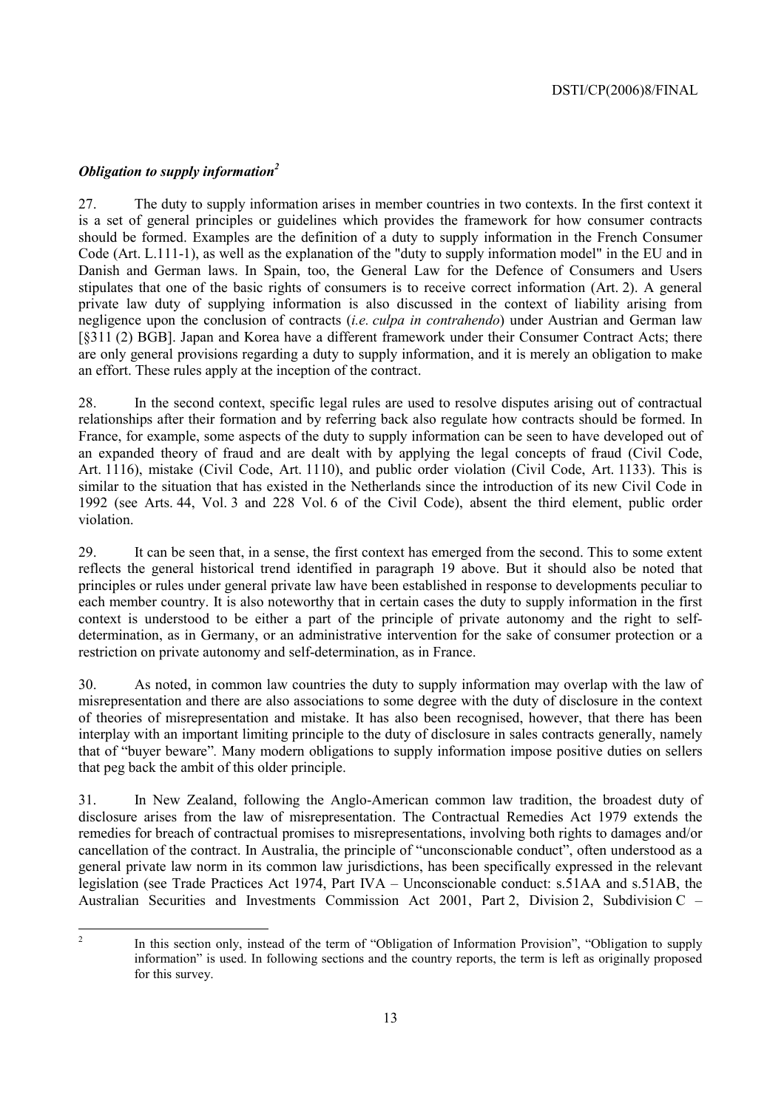# *Obligation to supply information*<sup>2</sup>

27. The duty to supply information arises in member countries in two contexts. In the first context it is a set of general principles or guidelines which provides the framework for how consumer contracts should be formed. Examples are the definition of a duty to supply information in the French Consumer Code (Art. L.111-1), as well as the explanation of the "duty to supply information model" in the EU and in Danish and German laws. In Spain, too, the General Law for the Defence of Consumers and Users stipulates that one of the basic rights of consumers is to receive correct information (Art. 2). A general private law duty of supplying information is also discussed in the context of liability arising from negligence upon the conclusion of contracts (*i.e. culpa in contrahendo*) under Austrian and German law [ß311 (2) BGB]. Japan and Korea have a different framework under their Consumer Contract Acts; there are only general provisions regarding a duty to supply information, and it is merely an obligation to make an effort. These rules apply at the inception of the contract.

28. In the second context, specific legal rules are used to resolve disputes arising out of contractual relationships after their formation and by referring back also regulate how contracts should be formed. In France, for example, some aspects of the duty to supply information can be seen to have developed out of an expanded theory of fraud and are dealt with by applying the legal concepts of fraud (Civil Code, Art. 1116), mistake (Civil Code, Art. 1110), and public order violation (Civil Code, Art. 1133). This is similar to the situation that has existed in the Netherlands since the introduction of its new Civil Code in 1992 (see Arts. 44, Vol. 3 and 228 Vol. 6 of the Civil Code), absent the third element, public order violation.

29. It can be seen that, in a sense, the first context has emerged from the second. This to some extent reflects the general historical trend identified in paragraph 19 above. But it should also be noted that principles or rules under general private law have been established in response to developments peculiar to each member country. It is also noteworthy that in certain cases the duty to supply information in the first context is understood to be either a part of the principle of private autonomy and the right to selfdetermination, as in Germany, or an administrative intervention for the sake of consumer protection or a restriction on private autonomy and self-determination, as in France.

30. As noted, in common law countries the duty to supply information may overlap with the law of misrepresentation and there are also associations to some degree with the duty of disclosure in the context of theories of misrepresentation and mistake. It has also been recognised, however, that there has been interplay with an important limiting principle to the duty of disclosure in sales contracts generally, namely that of "buyer beware". Many modern obligations to supply information impose positive duties on sellers that peg back the ambit of this older principle.

31. In New Zealand, following the Anglo-American common law tradition, the broadest duty of disclosure arises from the law of misrepresentation. The Contractual Remedies Act 1979 extends the remedies for breach of contractual promises to misrepresentations, involving both rights to damages and/or cancellation of the contract. In Australia, the principle of "unconscionable conduct", often understood as a general private law norm in its common law jurisdictions, has been specifically expressed in the relevant legislation (see Trade Practices Act 1974, Part IVA – Unconscionable conduct: s.51AA and s.51AB, the Australian Securities and Investments Commission Act 2001, Part 2, Division 2, Subdivision C  $-$ 

 $\frac{1}{2}$ 

In this section only, instead of the term of "Obligation of Information Provision", "Obligation to supply information" is used. In following sections and the country reports, the term is left as originally proposed for this survey.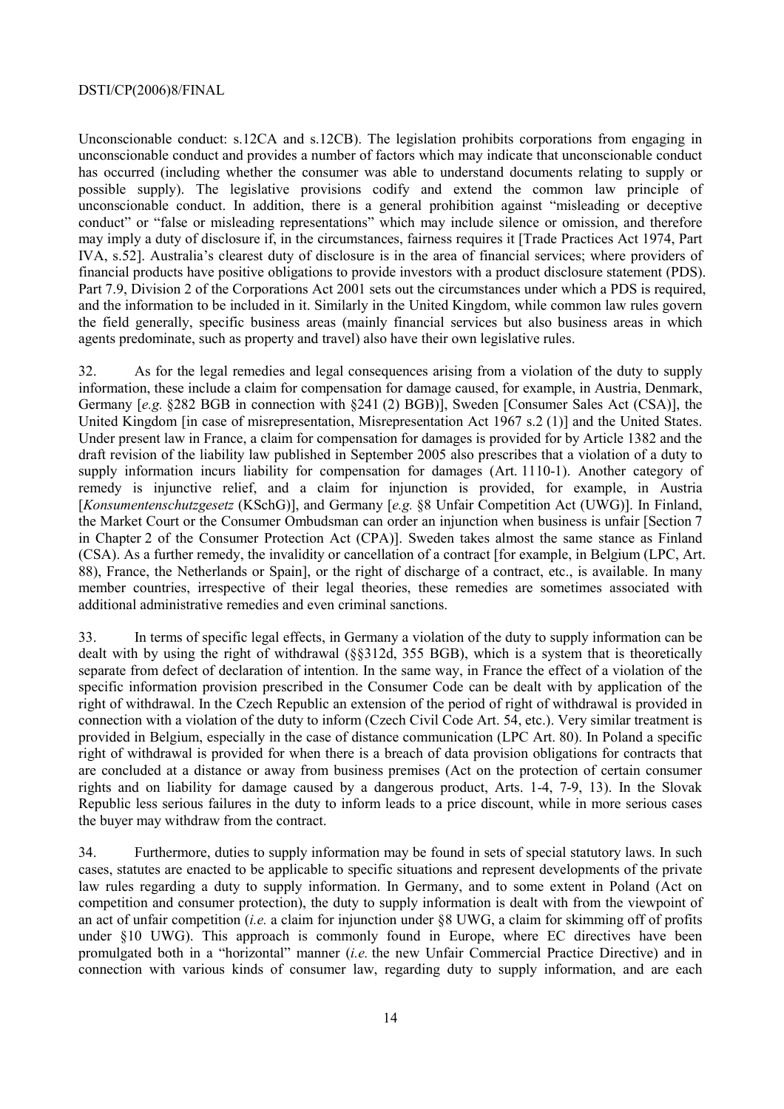#### DSTI/CP(2006)8/FINAL

Unconscionable conduct: s.12CA and s.12CB). The legislation prohibits corporations from engaging in unconscionable conduct and provides a number of factors which may indicate that unconscionable conduct has occurred (including whether the consumer was able to understand documents relating to supply or possible supply). The legislative provisions codify and extend the common law principle of unconscionable conduct. In addition, there is a general prohibition against "misleading or deceptive conduct" or "false or misleading representations" which may include silence or omission, and therefore may imply a duty of disclosure if, in the circumstances, fairness requires it [Trade Practices Act 1974, Part IVA, s.52]. Australia's clearest duty of disclosure is in the area of financial services; where providers of financial products have positive obligations to provide investors with a product disclosure statement (PDS). Part 7.9, Division 2 of the Corporations Act 2001 sets out the circumstances under which a PDS is required, and the information to be included in it. Similarly in the United Kingdom, while common law rules govern the field generally, specific business areas (mainly financial services but also business areas in which agents predominate, such as property and travel) also have their own legislative rules.

32. As for the legal remedies and legal consequences arising from a violation of the duty to supply information, these include a claim for compensation for damage caused, for example, in Austria, Denmark, Germany [e.g.  $$282$  BGB in connection with  $$241$  (2) BGB)], Sweden [Consumer Sales Act (CSA)], the United Kingdom [in case of misrepresentation, Misrepresentation Act 1967 s.2 (1)] and the United States. Under present law in France, a claim for compensation for damages is provided for by Article 1382 and the draft revision of the liability law published in September 2005 also prescribes that a violation of a duty to supply information incurs liability for compensation for damages (Art. 1110-1). Another category of remedy is injunctive relief, and a claim for injunction is provided, for example, in Austria [*Konsumentenschutzgesetz* (KSchG)], and Germany [e.g. §8 Unfair Competition Act (UWG)]. In Finland, the Market Court or the Consumer Ombudsman can order an injunction when business is unfair [Section 7 in Chapter 2 of the Consumer Protection Act (CPA)]. Sweden takes almost the same stance as Finland (CSA). As a further remedy, the invalidity or cancellation of a contract [for example, in Belgium (LPC, Art. 88), France, the Netherlands or Spain], or the right of discharge of a contract, etc., is available. In many member countries, irrespective of their legal theories, these remedies are sometimes associated with additional administrative remedies and even criminal sanctions.

33. In terms of specific legal effects, in Germany a violation of the duty to supply information can be dealt with by using the right of withdrawal (ßß312d, 355 BGB), which is a system that is theoretically separate from defect of declaration of intention. In the same way, in France the effect of a violation of the specific information provision prescribed in the Consumer Code can be dealt with by application of the right of withdrawal. In the Czech Republic an extension of the period of right of withdrawal is provided in connection with a violation of the duty to inform (Czech Civil Code Art. 54, etc.). Very similar treatment is provided in Belgium, especially in the case of distance communication (LPC Art. 80). In Poland a specific right of withdrawal is provided for when there is a breach of data provision obligations for contracts that are concluded at a distance or away from business premises (Act on the protection of certain consumer rights and on liability for damage caused by a dangerous product, Arts. 1-4, 7-9, 13). In the Slovak Republic less serious failures in the duty to inform leads to a price discount, while in more serious cases the buyer may withdraw from the contract.

34. Furthermore, duties to supply information may be found in sets of special statutory laws. In such cases, statutes are enacted to be applicable to specific situations and represent developments of the private law rules regarding a duty to supply information. In Germany, and to some extent in Poland (Act on competition and consumer protection), the duty to supply information is dealt with from the viewpoint of an act of unfair competition (*i.e.* a claim for injunction under ß8 UWG, a claim for skimming off of profits under ß10 UWG). This approach is commonly found in Europe, where EC directives have been promulgated both in a "horizontal" manner (*i.e.* the new Unfair Commercial Practice Directive) and in connection with various kinds of consumer law, regarding duty to supply information, and are each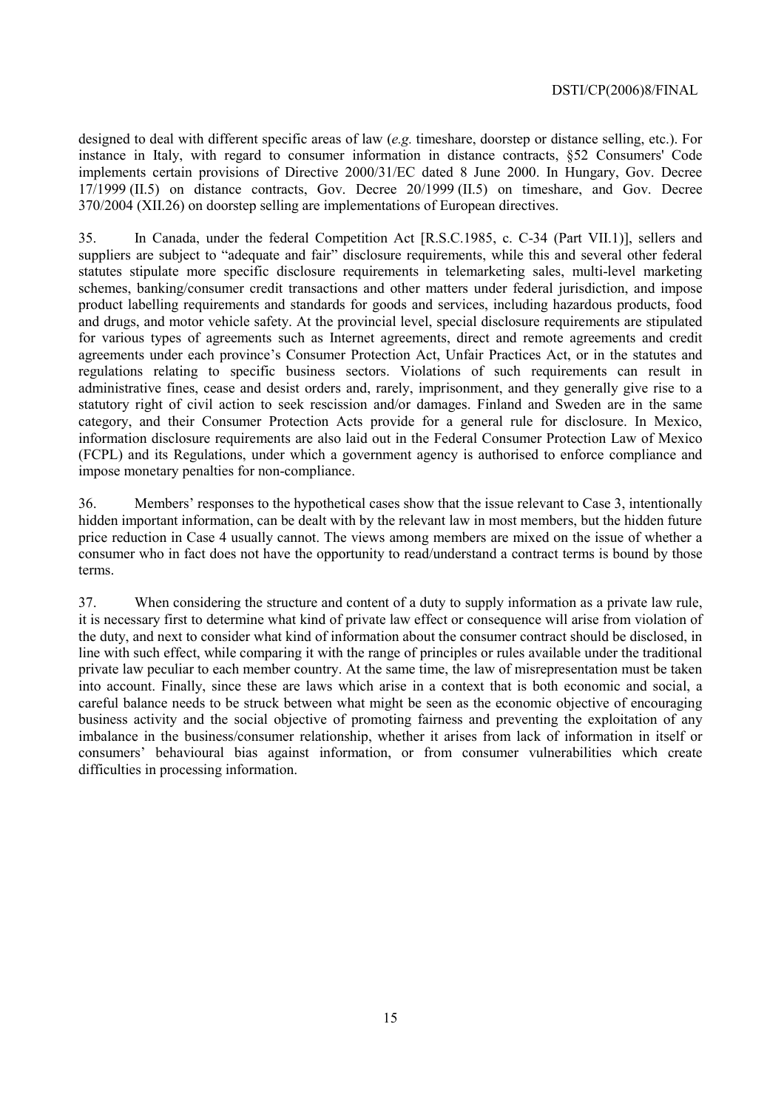designed to deal with different specific areas of law (*e.g.* timeshare, doorstep or distance selling, etc.). For instance in Italy, with regard to consumer information in distance contracts, ß52 Consumers' Code implements certain provisions of Directive 2000/31/EC dated 8 June 2000. In Hungary, Gov. Decree 17/1999 (II.5) on distance contracts, Gov. Decree 20/1999 (II.5) on timeshare, and Gov. Decree 370/2004 (XII.26) on doorstep selling are implementations of European directives.

35. In Canada, under the federal Competition Act [R.S.C.1985, c. C-34 (Part VII.1)], sellers and suppliers are subject to "adequate and fair" disclosure requirements, while this and several other federal statutes stipulate more specific disclosure requirements in telemarketing sales, multi-level marketing schemes, banking/consumer credit transactions and other matters under federal jurisdiction, and impose product labelling requirements and standards for goods and services, including hazardous products, food and drugs, and motor vehicle safety. At the provincial level, special disclosure requirements are stipulated for various types of agreements such as Internet agreements, direct and remote agreements and credit agreements under each province's Consumer Protection Act, Unfair Practices Act, or in the statutes and regulations relating to specific business sectors. Violations of such requirements can result in administrative fines, cease and desist orders and, rarely, imprisonment, and they generally give rise to a statutory right of civil action to seek rescission and/or damages. Finland and Sweden are in the same category, and their Consumer Protection Acts provide for a general rule for disclosure. In Mexico, information disclosure requirements are also laid out in the Federal Consumer Protection Law of Mexico (FCPL) and its Regulations, under which a government agency is authorised to enforce compliance and impose monetary penalties for non-compliance.

36. Membersí responses to the hypothetical cases show that the issue relevant to Case 3, intentionally hidden important information, can be dealt with by the relevant law in most members, but the hidden future price reduction in Case 4 usually cannot. The views among members are mixed on the issue of whether a consumer who in fact does not have the opportunity to read/understand a contract terms is bound by those terms.

37. When considering the structure and content of a duty to supply information as a private law rule, it is necessary first to determine what kind of private law effect or consequence will arise from violation of the duty, and next to consider what kind of information about the consumer contract should be disclosed, in line with such effect, while comparing it with the range of principles or rules available under the traditional private law peculiar to each member country. At the same time, the law of misrepresentation must be taken into account. Finally, since these are laws which arise in a context that is both economic and social, a careful balance needs to be struck between what might be seen as the economic objective of encouraging business activity and the social objective of promoting fairness and preventing the exploitation of any imbalance in the business/consumer relationship, whether it arises from lack of information in itself or consumers' behavioural bias against information, or from consumer vulnerabilities which create difficulties in processing information.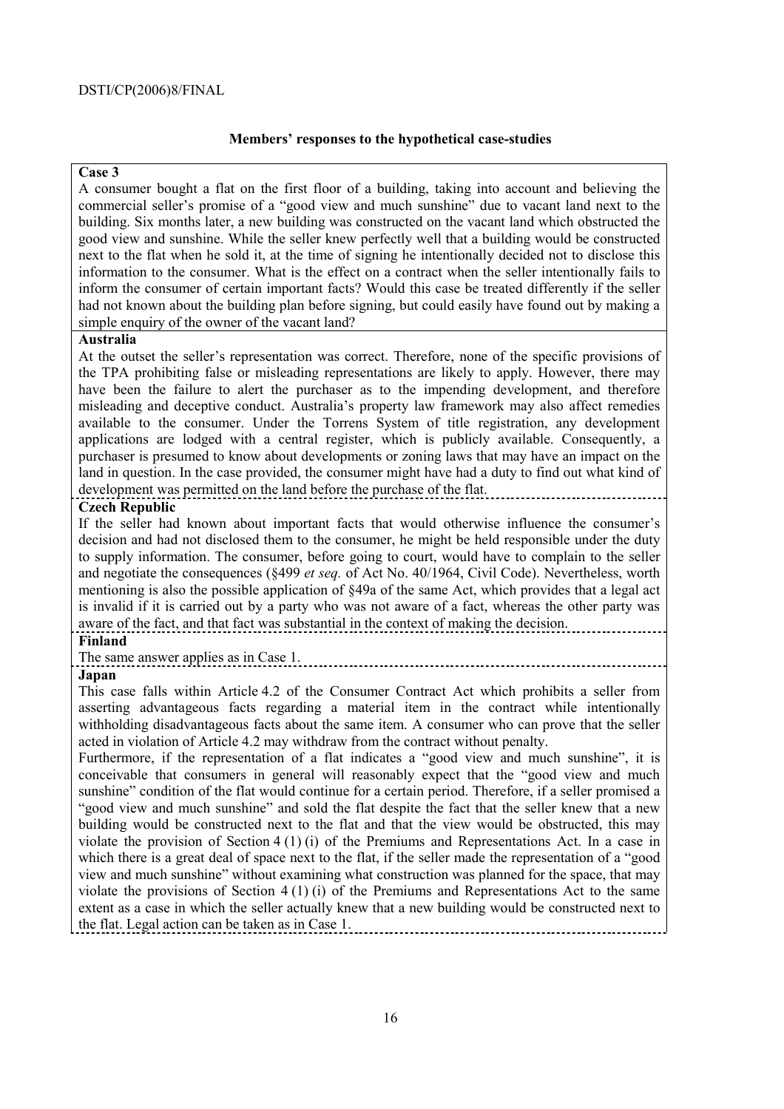# **Membersí responses to the hypothetical case-studies**

# **Case 3**

A consumer bought a flat on the first floor of a building, taking into account and believing the commercial seller's promise of a "good view and much sunshine" due to vacant land next to the building. Six months later, a new building was constructed on the vacant land which obstructed the good view and sunshine. While the seller knew perfectly well that a building would be constructed next to the flat when he sold it, at the time of signing he intentionally decided not to disclose this information to the consumer. What is the effect on a contract when the seller intentionally fails to inform the consumer of certain important facts? Would this case be treated differently if the seller had not known about the building plan before signing, but could easily have found out by making a simple enquiry of the owner of the vacant land?

# **Australia**

At the outset the seller's representation was correct. Therefore, none of the specific provisions of the TPA prohibiting false or misleading representations are likely to apply. However, there may have been the failure to alert the purchaser as to the impending development, and therefore misleading and deceptive conduct. Australia's property law framework may also affect remedies available to the consumer. Under the Torrens System of title registration, any development applications are lodged with a central register, which is publicly available. Consequently, a purchaser is presumed to know about developments or zoning laws that may have an impact on the land in question. In the case provided, the consumer might have had a duty to find out what kind of development was permitted on the land before the purchase of the flat.

# **Czech Republic**

If the seller had known about important facts that would otherwise influence the consumer's decision and had not disclosed them to the consumer, he might be held responsible under the duty to supply information. The consumer, before going to court, would have to complain to the seller and negotiate the consequences (ß499 *et seq.* of Act No. 40/1964, Civil Code). Nevertheless, worth mentioning is also the possible application of ß49a of the same Act, which provides that a legal act is invalid if it is carried out by a party who was not aware of a fact, whereas the other party was aware of the fact, and that fact was substantial in the context of making the decision.

# **Finland**

The same answer applies as in Case 1.

# **Japan**

This case falls within Article 4.2 of the Consumer Contract Act which prohibits a seller from asserting advantageous facts regarding a material item in the contract while intentionally withholding disadvantageous facts about the same item. A consumer who can prove that the seller acted in violation of Article 4.2 may withdraw from the contract without penalty.

Furthermore, if the representation of a flat indicates a "good view and much sunshine", it is conceivable that consumers in general will reasonably expect that the "good view and much sunshine" condition of the flat would continue for a certain period. Therefore, if a seller promised a "good view and much sunshine" and sold the flat despite the fact that the seller knew that a new building would be constructed next to the flat and that the view would be obstructed, this may violate the provision of Section 4 (1) (i) of the Premiums and Representations Act. In a case in which there is a great deal of space next to the flat, if the seller made the representation of a "good" view and much sunshine" without examining what construction was planned for the space, that may violate the provisions of Section  $4(1)(i)$  of the Premiums and Representations Act to the same extent as a case in which the seller actually knew that a new building would be constructed next to the flat. Legal action can be taken as in Case 1.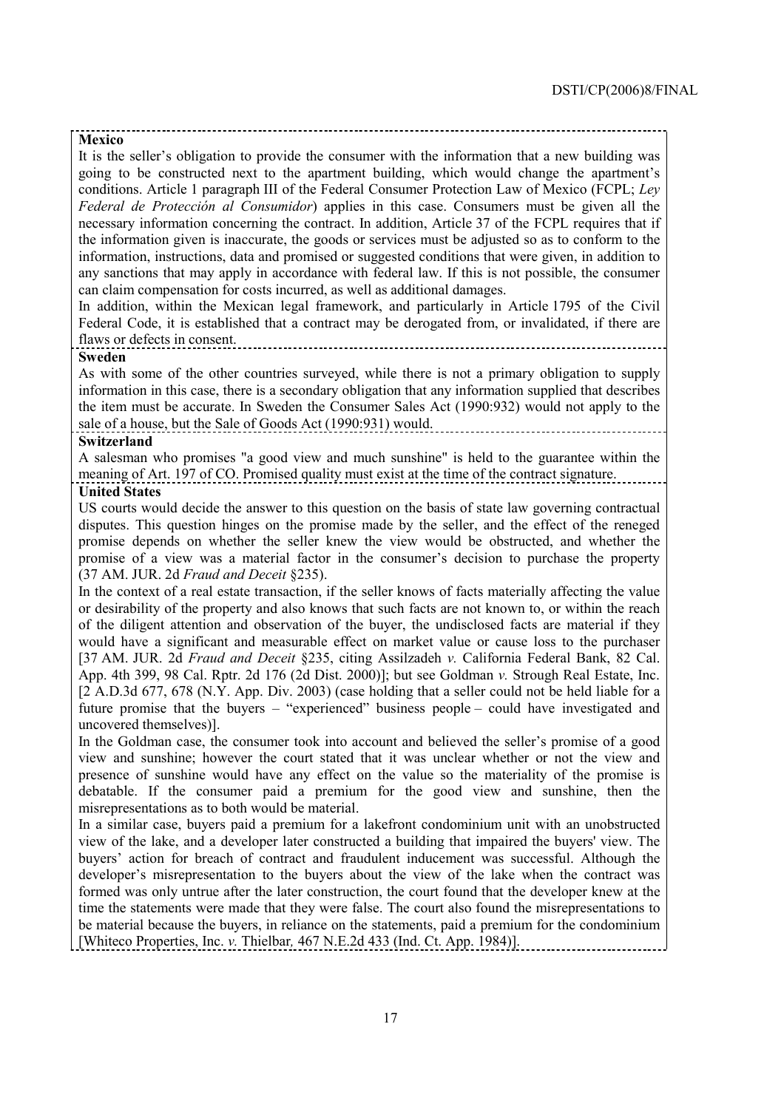#### **Mexico**

It is the seller's obligation to provide the consumer with the information that a new building was going to be constructed next to the apartment building, which would change the apartment's conditions. Article 1 paragraph III of the Federal Consumer Protection Law of Mexico (FCPL; *Ley Federal de Protección al Consumidor*) applies in this case. Consumers must be given all the necessary information concerning the contract. In addition, Article 37 of the FCPL requires that if the information given is inaccurate, the goods or services must be adjusted so as to conform to the information, instructions, data and promised or suggested conditions that were given, in addition to any sanctions that may apply in accordance with federal law. If this is not possible, the consumer can claim compensation for costs incurred, as well as additional damages.

In addition, within the Mexican legal framework, and particularly in Article 1795 of the Civil Federal Code, it is established that a contract may be derogated from, or invalidated, if there are flaws or defects in consent.

#### **Sweden**

As with some of the other countries surveyed, while there is not a primary obligation to supply information in this case, there is a secondary obligation that any information supplied that describes the item must be accurate. In Sweden the Consumer Sales Act (1990:932) would not apply to the sale of a house, but the Sale of Goods Act (1990:931) would.

#### **Switzerland**

A salesman who promises "a good view and much sunshine" is held to the guarantee within the meaning of Art. 197 of CO. Promised quality must exist at the time of the contract signature. **United States** 

US courts would decide the answer to this question on the basis of state law governing contractual disputes. This question hinges on the promise made by the seller, and the effect of the reneged promise depends on whether the seller knew the view would be obstructed, and whether the promise of a view was a material factor in the consumer's decision to purchase the property (37 AM. JUR. 2d *Fraud and Deceit* ß235).

In the context of a real estate transaction, if the seller knows of facts materially affecting the value or desirability of the property and also knows that such facts are not known to, or within the reach of the diligent attention and observation of the buyer, the undisclosed facts are material if they would have a significant and measurable effect on market value or cause loss to the purchaser [37 AM. JUR. 2d *Fraud and Deceit* ß235, citing Assilzadeh *v.* California Federal Bank, 82 Cal. App. 4th 399, 98 Cal. Rptr. 2d 176 (2d Dist. 2000)]; but see Goldman *v.* Strough Real Estate, Inc. [2 A.D.3d 677, 678 (N.Y. App. Div. 2003) (case holding that a seller could not be held liable for a future promise that the buyers  $-$  "experienced" business people  $-$  could have investigated and uncovered themselves)].

In the Goldman case, the consumer took into account and believed the seller's promise of a good view and sunshine; however the court stated that it was unclear whether or not the view and presence of sunshine would have any effect on the value so the materiality of the promise is debatable. If the consumer paid a premium for the good view and sunshine, then the misrepresentations as to both would be material.

In a similar case, buyers paid a premium for a lakefront condominium unit with an unobstructed view of the lake, and a developer later constructed a building that impaired the buyers' view. The buyers' action for breach of contract and fraudulent inducement was successful. Although the developer's misrepresentation to the buyers about the view of the lake when the contract was formed was only untrue after the later construction, the court found that the developer knew at the time the statements were made that they were false. The court also found the misrepresentations to be material because the buyers, in reliance on the statements, paid a premium for the condominium [Whiteco Properties, Inc. *v.* Thielbar*,* 467 N.E.2d 433 (Ind. Ct. App. 1984)].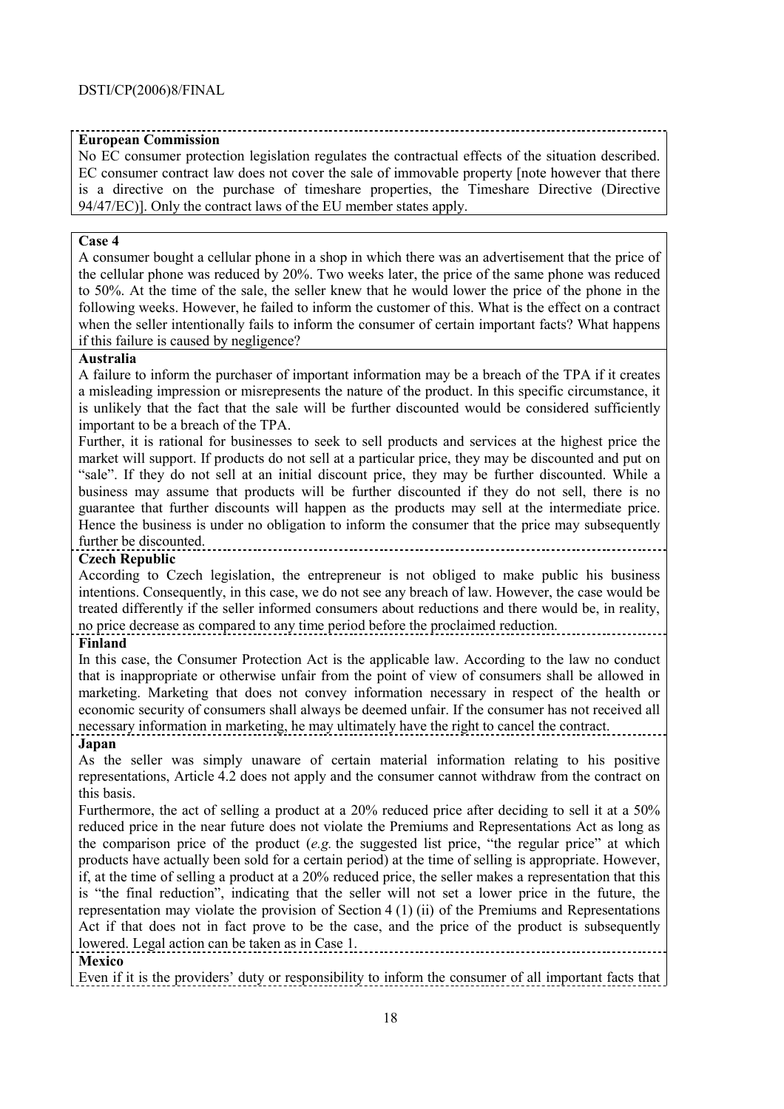# **European Commission**

No EC consumer protection legislation regulates the contractual effects of the situation described. EC consumer contract law does not cover the sale of immovable property [note however that there is a directive on the purchase of timeshare properties, the Timeshare Directive (Directive 94/47/EC)]. Only the contract laws of the EU member states apply.

# **Case 4**

A consumer bought a cellular phone in a shop in which there was an advertisement that the price of the cellular phone was reduced by 20%. Two weeks later, the price of the same phone was reduced to 50%. At the time of the sale, the seller knew that he would lower the price of the phone in the following weeks. However, he failed to inform the customer of this. What is the effect on a contract when the seller intentionally fails to inform the consumer of certain important facts? What happens if this failure is caused by negligence?

# **Australia**

A failure to inform the purchaser of important information may be a breach of the TPA if it creates a misleading impression or misrepresents the nature of the product. In this specific circumstance, it is unlikely that the fact that the sale will be further discounted would be considered sufficiently important to be a breach of the TPA.

Further, it is rational for businesses to seek to sell products and services at the highest price the market will support. If products do not sell at a particular price, they may be discounted and put on ìsaleî. If they do not sell at an initial discount price, they may be further discounted. While a business may assume that products will be further discounted if they do not sell, there is no guarantee that further discounts will happen as the products may sell at the intermediate price. Hence the business is under no obligation to inform the consumer that the price may subsequently further be discounted.

# **Czech Republic**

According to Czech legislation, the entrepreneur is not obliged to make public his business intentions. Consequently, in this case, we do not see any breach of law. However, the case would be treated differently if the seller informed consumers about reductions and there would be, in reality, no price decrease as compared to any time period before the proclaimed reduction.

# **Finland**

In this case, the Consumer Protection Act is the applicable law. According to the law no conduct that is inappropriate or otherwise unfair from the point of view of consumers shall be allowed in marketing. Marketing that does not convey information necessary in respect of the health or economic security of consumers shall always be deemed unfair. If the consumer has not received all necessary information in marketing, he may ultimately have the right to cancel the contract.

# **Japan**

As the seller was simply unaware of certain material information relating to his positive representations, Article 4.2 does not apply and the consumer cannot withdraw from the contract on this basis.

Furthermore, the act of selling a product at a 20% reduced price after deciding to sell it at a 50% reduced price in the near future does not violate the Premiums and Representations Act as long as the comparison price of the product (e.g. the suggested list price, "the regular price" at which products have actually been sold for a certain period) at the time of selling is appropriate. However, if, at the time of selling a product at a 20% reduced price, the seller makes a representation that this is "the final reduction", indicating that the seller will not set a lower price in the future, the representation may violate the provision of Section 4 (1) (ii) of the Premiums and Representations Act if that does not in fact prove to be the case, and the price of the product is subsequently lowered. Legal action can be taken as in Case 1.

# **Mexico**

Even if it is the providers' duty or responsibility to inform the consumer of all important facts that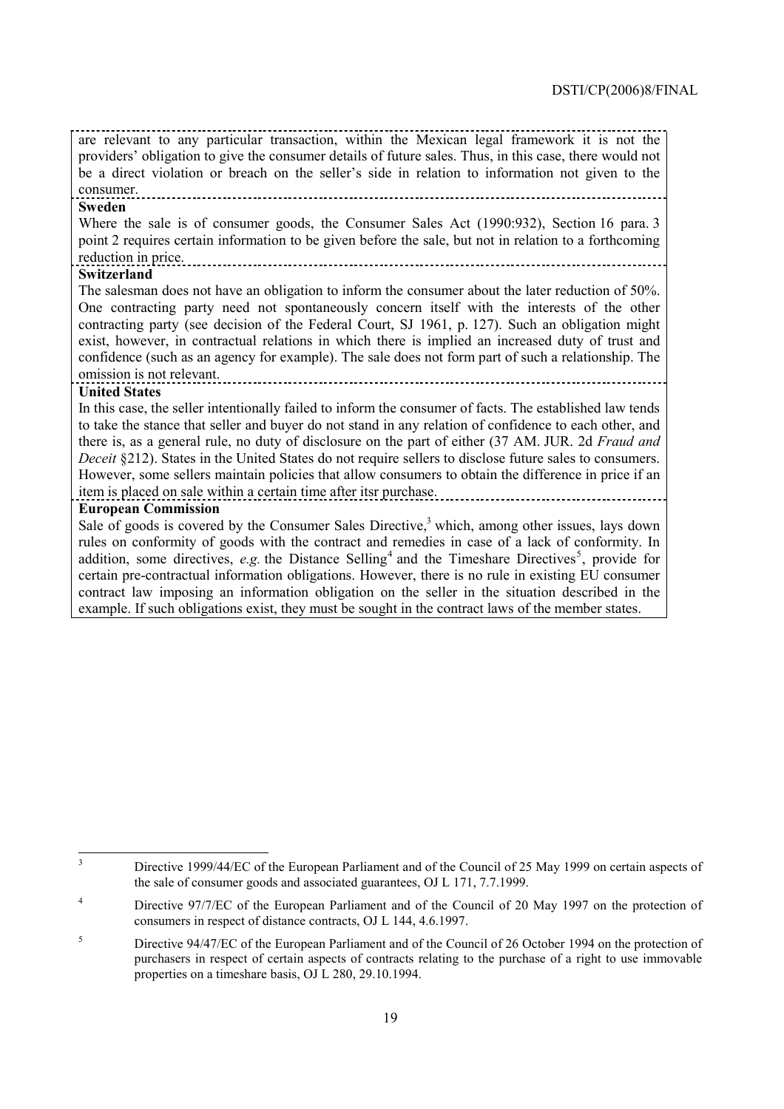are relevant to any particular transaction, within the Mexican legal framework it is not the providers' obligation to give the consumer details of future sales. Thus, in this case, there would not be a direct violation or breach on the seller's side in relation to information not given to the consumer. 

#### **Sweden**

Where the sale is of consumer goods, the Consumer Sales Act (1990:932), Section 16 para. 3 point 2 requires certain information to be given before the sale, but not in relation to a forthcoming reduction in price.

**Switzerland** 

The salesman does not have an obligation to inform the consumer about the later reduction of 50%. One contracting party need not spontaneously concern itself with the interests of the other contracting party (see decision of the Federal Court, SJ 1961, p. 127). Such an obligation might exist, however, in contractual relations in which there is implied an increased duty of trust and confidence (such as an agency for example). The sale does not form part of such a relationship. The omission is not relevant.

#### **United States**

In this case, the seller intentionally failed to inform the consumer of facts. The established law tends to take the stance that seller and buyer do not stand in any relation of confidence to each other, and there is, as a general rule, no duty of disclosure on the part of either (37 AM. JUR. 2d *Fraud and Deceit* §212). States in the United States do not require sellers to disclose future sales to consumers. However, some sellers maintain policies that allow consumers to obtain the difference in price if an item is placed on sale within a certain time after itsr purchase.

#### **European Commission**

Sale of goods is covered by the Consumer Sales Directive,<sup>3</sup> which, among other issues, lays down rules on conformity of goods with the contract and remedies in case of a lack of conformity. In addition, some directives, *e.g.* the Distance Selling<sup>4</sup> and the Timeshare Directives<sup>5</sup>, provide for certain pre-contractual information obligations. However, there is no rule in existing EU consumer contract law imposing an information obligation on the seller in the situation described in the example. If such obligations exist, they must be sought in the contract laws of the member states.

 3 Directive 1999/44/EC of the European Parliament and of the Council of 25 May 1999 on certain aspects of the sale of consumer goods and associated guarantees, OJ L 171, 7.7.1999.

<sup>4</sup> Directive 97/7/EC of the European Parliament and of the Council of 20 May 1997 on the protection of consumers in respect of distance contracts, OJ L 144, 4.6.1997.

<sup>5</sup> Directive 94/47/EC of the European Parliament and of the Council of 26 October 1994 on the protection of purchasers in respect of certain aspects of contracts relating to the purchase of a right to use immovable properties on a timeshare basis, OJ L 280, 29.10.1994.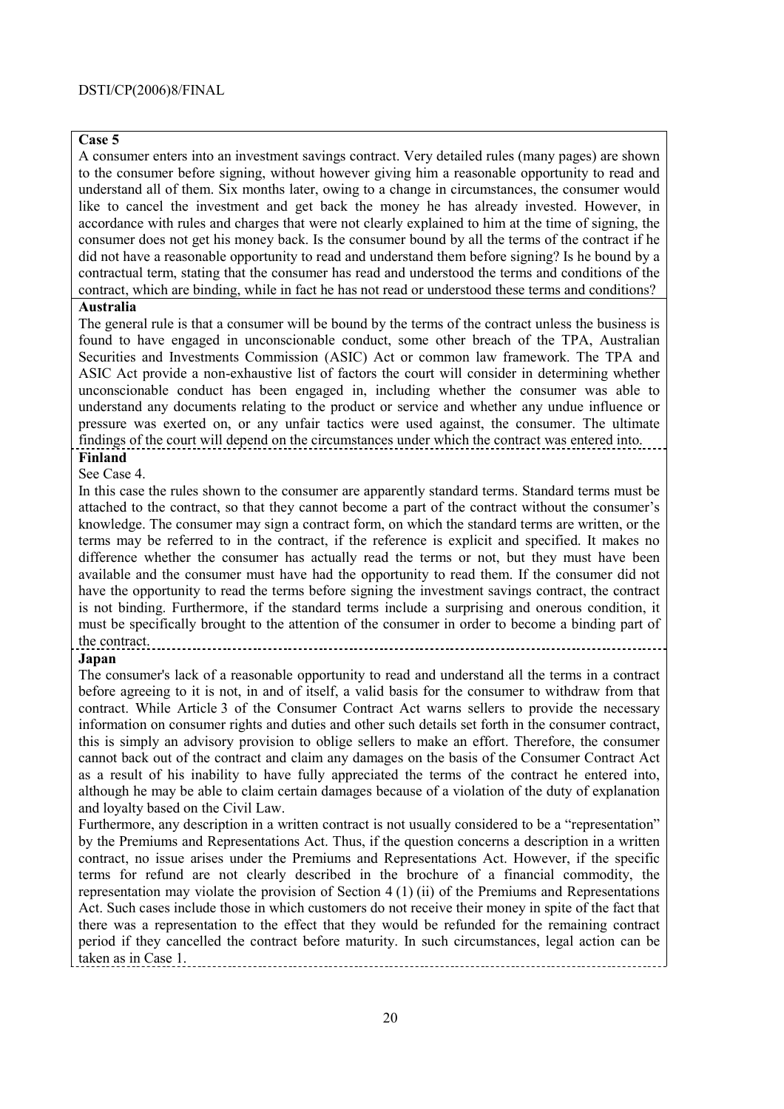# **Case 5**

A consumer enters into an investment savings contract. Very detailed rules (many pages) are shown to the consumer before signing, without however giving him a reasonable opportunity to read and understand all of them. Six months later, owing to a change in circumstances, the consumer would like to cancel the investment and get back the money he has already invested. However, in accordance with rules and charges that were not clearly explained to him at the time of signing, the consumer does not get his money back. Is the consumer bound by all the terms of the contract if he did not have a reasonable opportunity to read and understand them before signing? Is he bound by a contractual term, stating that the consumer has read and understood the terms and conditions of the contract, which are binding, while in fact he has not read or understood these terms and conditions?

#### **Australia**

The general rule is that a consumer will be bound by the terms of the contract unless the business is found to have engaged in unconscionable conduct, some other breach of the TPA, Australian Securities and Investments Commission (ASIC) Act or common law framework. The TPA and ASIC Act provide a non-exhaustive list of factors the court will consider in determining whether unconscionable conduct has been engaged in, including whether the consumer was able to understand any documents relating to the product or service and whether any undue influence or pressure was exerted on, or any unfair tactics were used against, the consumer. The ultimate findings of the court will depend on the circumstances under which the contract was entered into. **Finland** 

# See Case 4.

In this case the rules shown to the consumer are apparently standard terms. Standard terms must be attached to the contract, so that they cannot become a part of the contract without the consumer's knowledge. The consumer may sign a contract form, on which the standard terms are written, or the terms may be referred to in the contract, if the reference is explicit and specified. It makes no difference whether the consumer has actually read the terms or not, but they must have been available and the consumer must have had the opportunity to read them. If the consumer did not have the opportunity to read the terms before signing the investment savings contract, the contract is not binding. Furthermore, if the standard terms include a surprising and onerous condition, it must be specifically brought to the attention of the consumer in order to become a binding part of the contract.

# **Japan**

The consumer's lack of a reasonable opportunity to read and understand all the terms in a contract before agreeing to it is not, in and of itself, a valid basis for the consumer to withdraw from that contract. While Article 3 of the Consumer Contract Act warns sellers to provide the necessary information on consumer rights and duties and other such details set forth in the consumer contract, this is simply an advisory provision to oblige sellers to make an effort. Therefore, the consumer cannot back out of the contract and claim any damages on the basis of the Consumer Contract Act as a result of his inability to have fully appreciated the terms of the contract he entered into, although he may be able to claim certain damages because of a violation of the duty of explanation and loyalty based on the Civil Law.

Furthermore, any description in a written contract is not usually considered to be a "representation" by the Premiums and Representations Act. Thus, if the question concerns a description in a written contract, no issue arises under the Premiums and Representations Act. However, if the specific terms for refund are not clearly described in the brochure of a financial commodity, the representation may violate the provision of Section 4 (1) (ii) of the Premiums and Representations Act. Such cases include those in which customers do not receive their money in spite of the fact that there was a representation to the effect that they would be refunded for the remaining contract period if they cancelled the contract before maturity. In such circumstances, legal action can be taken as in Case 1.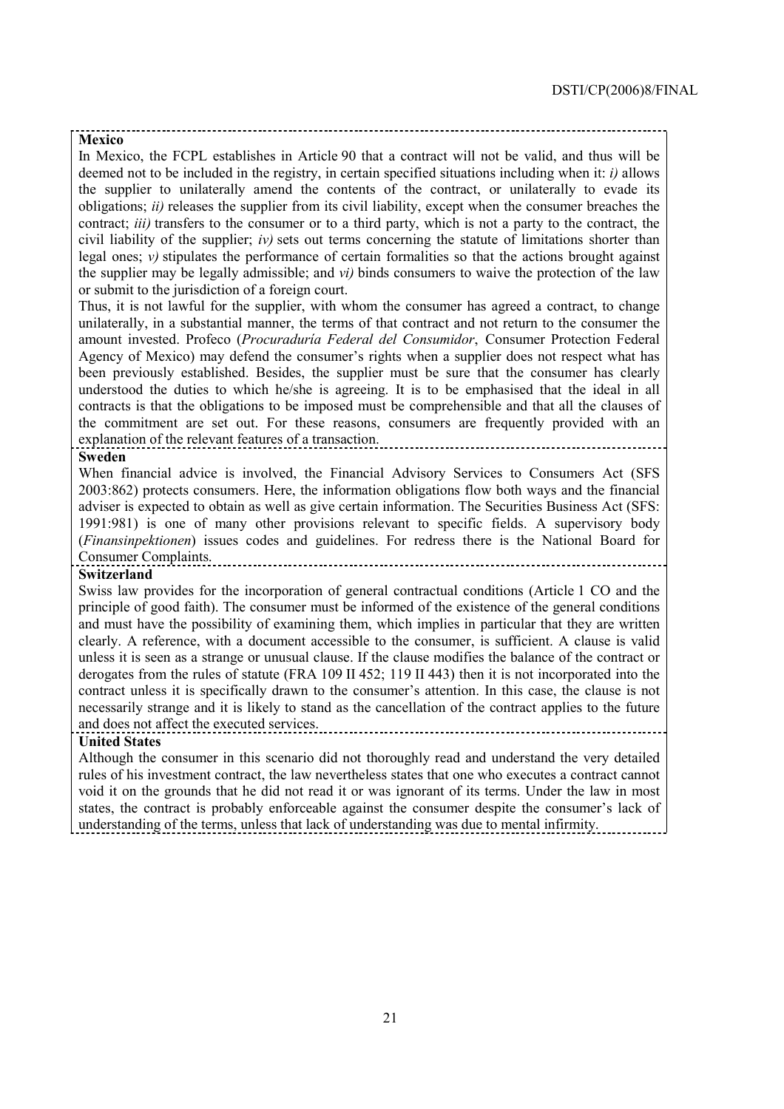#### **Mexico**

In Mexico, the FCPL establishes in Article 90 that a contract will not be valid, and thus will be deemed not to be included in the registry, in certain specified situations including when it: *i)* allows the supplier to unilaterally amend the contents of the contract, or unilaterally to evade its obligations; *ii)* releases the supplier from its civil liability, except when the consumer breaches the contract; *iii)* transfers to the consumer or to a third party, which is not a party to the contract, the civil liability of the supplier; *iv*) sets out terms concerning the statute of limitations shorter than legal ones;  $\nu$ ) stipulates the performance of certain formalities so that the actions brought against the supplier may be legally admissible; and *vi)* binds consumers to waive the protection of the law or submit to the jurisdiction of a foreign court.

Thus, it is not lawful for the supplier, with whom the consumer has agreed a contract, to change unilaterally, in a substantial manner, the terms of that contract and not return to the consumer the amount invested. Profeco (*ProcuradurÌa Federal del Consumidor*, Consumer Protection Federal Agency of Mexico) may defend the consumer's rights when a supplier does not respect what has been previously established. Besides, the supplier must be sure that the consumer has clearly understood the duties to which he/she is agreeing. It is to be emphasised that the ideal in all contracts is that the obligations to be imposed must be comprehensible and that all the clauses of the commitment are set out. For these reasons, consumers are frequently provided with an explanation of the relevant features of a transaction.

#### **Sweden**

When financial advice is involved, the Financial Advisory Services to Consumers Act (SFS 2003:862) protects consumers. Here, the information obligations flow both ways and the financial adviser is expected to obtain as well as give certain information. The Securities Business Act (SFS: 1991:981) is one of many other provisions relevant to specific fields. A supervisory body (*Finansinpektionen*) issues codes and guidelines. For redress there is the National Board for Consumer Complaints.

#### **Switzerland**

Swiss law provides for the incorporation of general contractual conditions (Article 1 CO and the principle of good faith). The consumer must be informed of the existence of the general conditions and must have the possibility of examining them, which implies in particular that they are written clearly. A reference, with a document accessible to the consumer, is sufficient. A clause is valid unless it is seen as a strange or unusual clause. If the clause modifies the balance of the contract or derogates from the rules of statute (FRA 109 II 452; 119 II 443) then it is not incorporated into the contract unless it is specifically drawn to the consumer's attention. In this case, the clause is not necessarily strange and it is likely to stand as the cancellation of the contract applies to the future and does not affect the executed services.

# **United States**

Although the consumer in this scenario did not thoroughly read and understand the very detailed rules of his investment contract, the law nevertheless states that one who executes a contract cannot void it on the grounds that he did not read it or was ignorant of its terms. Under the law in most states, the contract is probably enforceable against the consumer despite the consumer's lack of understanding of the terms, unless that lack of understanding was due to mental infirmity.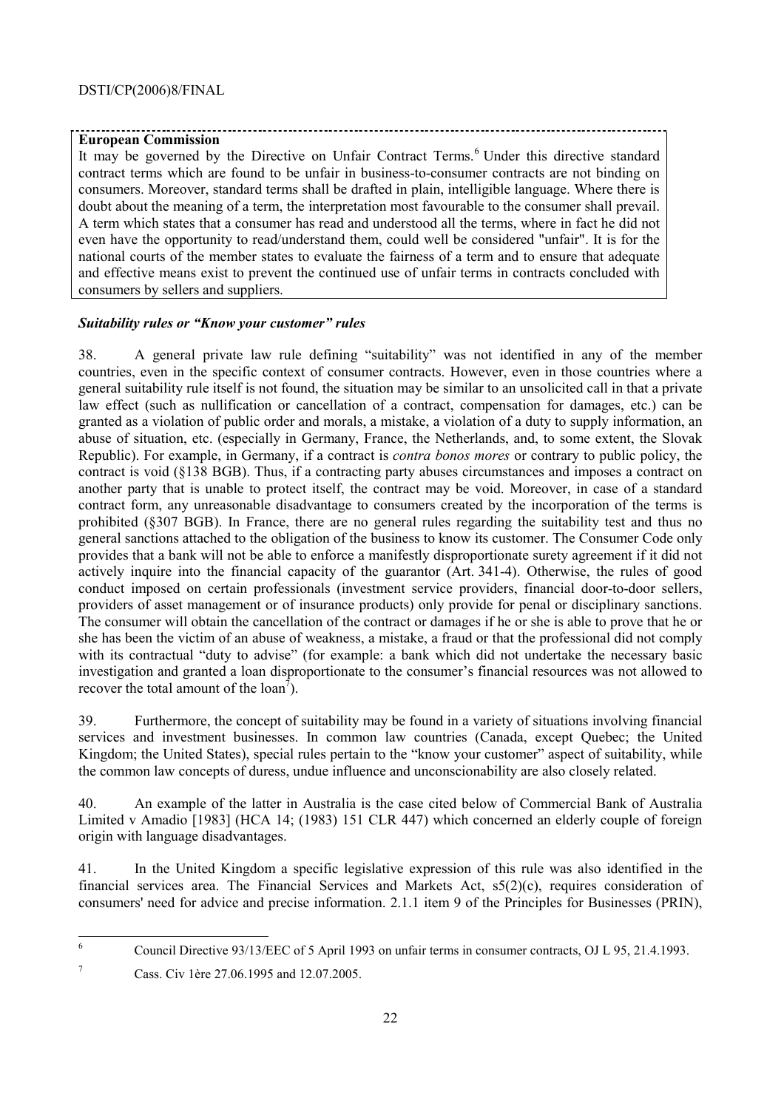# **European Commission**

It may be governed by the Directive on Unfair Contract Terms.<sup>6</sup> Under this directive standard contract terms which are found to be unfair in business-to-consumer contracts are not binding on consumers. Moreover, standard terms shall be drafted in plain, intelligible language. Where there is doubt about the meaning of a term, the interpretation most favourable to the consumer shall prevail. A term which states that a consumer has read and understood all the terms, where in fact he did not even have the opportunity to read/understand them, could well be considered "unfair". It is for the national courts of the member states to evaluate the fairness of a term and to ensure that adequate and effective means exist to prevent the continued use of unfair terms in contracts concluded with consumers by sellers and suppliers.

## **Suitability rules or "Know your customer" rules**

38. A general private law rule defining "suitability" was not identified in any of the member countries, even in the specific context of consumer contracts. However, even in those countries where a general suitability rule itself is not found, the situation may be similar to an unsolicited call in that a private law effect (such as nullification or cancellation of a contract, compensation for damages, etc.) can be granted as a violation of public order and morals, a mistake, a violation of a duty to supply information, an abuse of situation, etc. (especially in Germany, France, the Netherlands, and, to some extent, the Slovak Republic). For example, in Germany, if a contract is *contra bonos mores* or contrary to public policy, the contract is void (ß138 BGB). Thus, if a contracting party abuses circumstances and imposes a contract on another party that is unable to protect itself, the contract may be void. Moreover, in case of a standard contract form, any unreasonable disadvantage to consumers created by the incorporation of the terms is prohibited (ß307 BGB). In France, there are no general rules regarding the suitability test and thus no general sanctions attached to the obligation of the business to know its customer. The Consumer Code only provides that a bank will not be able to enforce a manifestly disproportionate surety agreement if it did not actively inquire into the financial capacity of the guarantor (Art. 341-4). Otherwise, the rules of good conduct imposed on certain professionals (investment service providers, financial door-to-door sellers, providers of asset management or of insurance products) only provide for penal or disciplinary sanctions. The consumer will obtain the cancellation of the contract or damages if he or she is able to prove that he or she has been the victim of an abuse of weakness, a mistake, a fraud or that the professional did not comply with its contractual "duty to advise" (for example: a bank which did not undertake the necessary basic investigation and granted a loan disproportionate to the consumer's financial resources was not allowed to recover the total amount of the  $\text{loan}^7$ ).

39. Furthermore, the concept of suitability may be found in a variety of situations involving financial services and investment businesses. In common law countries (Canada, except Quebec; the United Kingdom; the United States), special rules pertain to the "know your customer" aspect of suitability, while the common law concepts of duress, undue influence and unconscionability are also closely related.

40. An example of the latter in Australia is the case cited below of Commercial Bank of Australia Limited v Amadio [1983] (HCA 14; (1983) 151 CLR 447) which concerned an elderly couple of foreign origin with language disadvantages.

41. In the United Kingdom a specific legislative expression of this rule was also identified in the financial services area. The Financial Services and Markets Act, s5(2)(c), requires consideration of consumers' need for advice and precise information. 2.1.1 item 9 of the Principles for Businesses (PRIN),

 6 Council Directive 93/13/EEC of 5 April 1993 on unfair terms in consumer contracts, OJ L 95, 21.4.1993.

<sup>7</sup> Cass. Civ 1ère 27.06.1995 and 12.07.2005.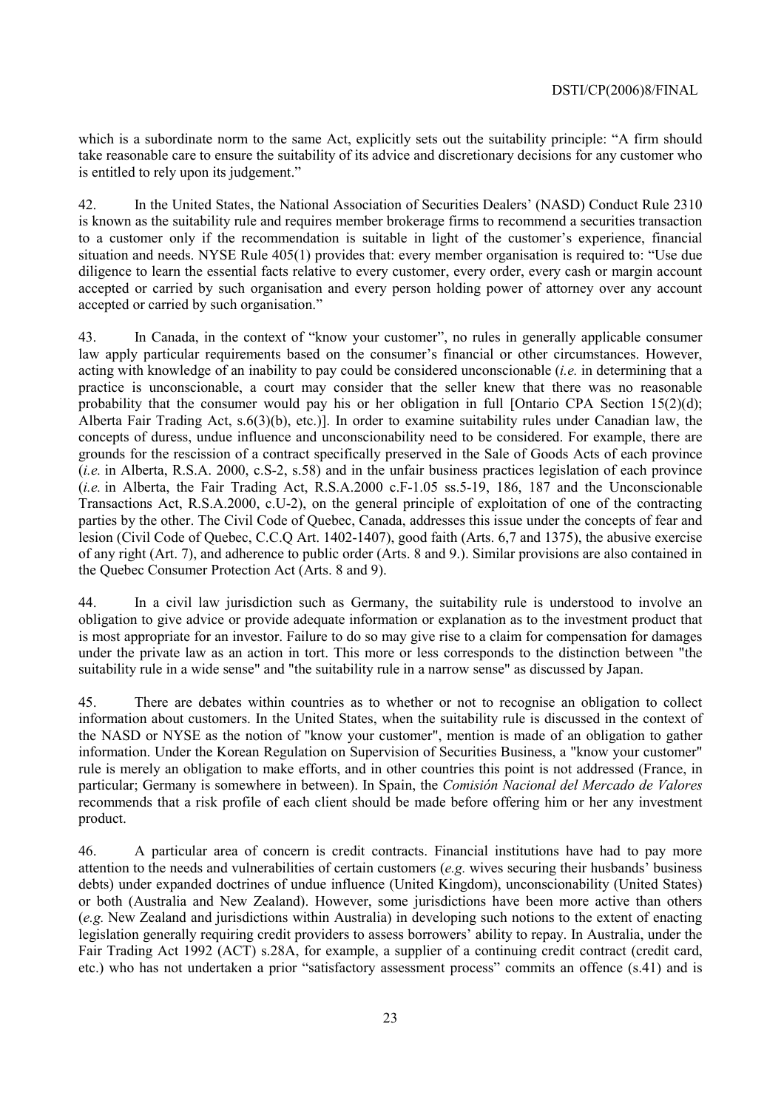which is a subordinate norm to the same Act, explicitly sets out the suitability principle: "A firm should take reasonable care to ensure the suitability of its advice and discretionary decisions for any customer who is entitled to rely upon its judgement.<sup>"</sup>

42. In the United States, the National Association of Securities Dealers' (NASD) Conduct Rule 2310 is known as the suitability rule and requires member brokerage firms to recommend a securities transaction to a customer only if the recommendation is suitable in light of the customer's experience, financial situation and needs. NYSE Rule 405(1) provides that: every member organisation is required to: "Use due diligence to learn the essential facts relative to every customer, every order, every cash or margin account accepted or carried by such organisation and every person holding power of attorney over any account accepted or carried by such organisation."

43. In Canada, in the context of "know your customer", no rules in generally applicable consumer law apply particular requirements based on the consumer's financial or other circumstances. However, acting with knowledge of an inability to pay could be considered unconscionable (*i.e.* in determining that a practice is unconscionable, a court may consider that the seller knew that there was no reasonable probability that the consumer would pay his or her obligation in full [Ontario CPA Section 15(2)(d); Alberta Fair Trading Act, s.6(3)(b), etc.)]. In order to examine suitability rules under Canadian law, the concepts of duress, undue influence and unconscionability need to be considered. For example, there are grounds for the rescission of a contract specifically preserved in the Sale of Goods Acts of each province (*i.e.* in Alberta, R.S.A. 2000, c.S-2, s.58) and in the unfair business practices legislation of each province (*i.e.* in Alberta, the Fair Trading Act, R.S.A.2000 c.F-1.05 ss.5-19, 186, 187 and the Unconscionable Transactions Act, R.S.A.2000, c.U-2), on the general principle of exploitation of one of the contracting parties by the other. The Civil Code of Quebec, Canada, addresses this issue under the concepts of fear and lesion (Civil Code of Quebec, C.C.Q Art. 1402-1407), good faith (Arts. 6,7 and 1375), the abusive exercise of any right (Art. 7), and adherence to public order (Arts. 8 and 9.). Similar provisions are also contained in the Quebec Consumer Protection Act (Arts. 8 and 9).

44. In a civil law jurisdiction such as Germany, the suitability rule is understood to involve an obligation to give advice or provide adequate information or explanation as to the investment product that is most appropriate for an investor. Failure to do so may give rise to a claim for compensation for damages under the private law as an action in tort. This more or less corresponds to the distinction between "the suitability rule in a wide sense" and "the suitability rule in a narrow sense" as discussed by Japan.

45. There are debates within countries as to whether or not to recognise an obligation to collect information about customers. In the United States, when the suitability rule is discussed in the context of the NASD or NYSE as the notion of "know your customer", mention is made of an obligation to gather information. Under the Korean Regulation on Supervision of Securities Business, a "know your customer" rule is merely an obligation to make efforts, and in other countries this point is not addressed (France, in particular; Germany is somewhere in between). In Spain, the *Comisión Nacional del Mercado de Valores* recommends that a risk profile of each client should be made before offering him or her any investment product.

46. A particular area of concern is credit contracts. Financial institutions have had to pay more attention to the needs and vulnerabilities of certain customers (*e.g. wives securing their husbands* business debts) under expanded doctrines of undue influence (United Kingdom), unconscionability (United States) or both (Australia and New Zealand). However, some jurisdictions have been more active than others (*e.g.* New Zealand and jurisdictions within Australia) in developing such notions to the extent of enacting legislation generally requiring credit providers to assess borrowers' ability to repay. In Australia, under the Fair Trading Act 1992 (ACT) s.28A, for example, a supplier of a continuing credit contract (credit card, etc.) who has not undertaken a prior "satisfactory assessment process" commits an offence (s.41) and is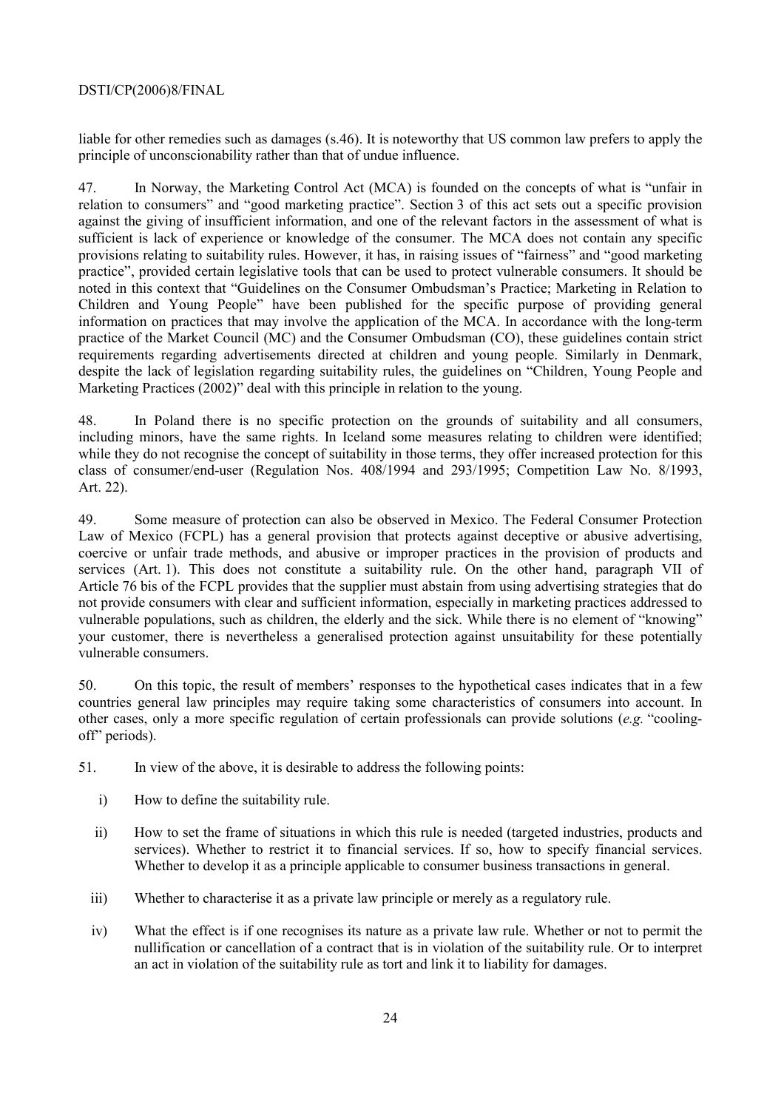# DSTI/CP(2006)8/FINAL

liable for other remedies such as damages (s.46). It is noteworthy that US common law prefers to apply the principle of unconscionability rather than that of undue influence.

47. In Norway, the Marketing Control Act (MCA) is founded on the concepts of what is "unfair in relation to consumers" and "good marketing practice". Section 3 of this act sets out a specific provision against the giving of insufficient information, and one of the relevant factors in the assessment of what is sufficient is lack of experience or knowledge of the consumer. The MCA does not contain any specific provisions relating to suitability rules. However, it has, in raising issues of "fairness" and "good marketing practiceî, provided certain legislative tools that can be used to protect vulnerable consumers. It should be noted in this context that "Guidelines on the Consumer Ombudsman's Practice; Marketing in Relation to Children and Young People" have been published for the specific purpose of providing general information on practices that may involve the application of the MCA. In accordance with the long-term practice of the Market Council (MC) and the Consumer Ombudsman (CO), these guidelines contain strict requirements regarding advertisements directed at children and young people. Similarly in Denmark, despite the lack of legislation regarding suitability rules, the guidelines on "Children, Young People and Marketing Practices  $(2002)$ <sup>"</sup> deal with this principle in relation to the young.

48. In Poland there is no specific protection on the grounds of suitability and all consumers, including minors, have the same rights. In Iceland some measures relating to children were identified; while they do not recognise the concept of suitability in those terms, they offer increased protection for this class of consumer/end-user (Regulation Nos. 408/1994 and 293/1995; Competition Law No. 8/1993, Art. 22).

49. Some measure of protection can also be observed in Mexico. The Federal Consumer Protection Law of Mexico (FCPL) has a general provision that protects against deceptive or abusive advertising, coercive or unfair trade methods, and abusive or improper practices in the provision of products and services (Art. 1). This does not constitute a suitability rule. On the other hand, paragraph VII of Article 76 bis of the FCPL provides that the supplier must abstain from using advertising strategies that do not provide consumers with clear and sufficient information, especially in marketing practices addressed to vulnerable populations, such as children, the elderly and the sick. While there is no element of "knowing" your customer, there is nevertheless a generalised protection against unsuitability for these potentially vulnerable consumers.

50. On this topic, the result of members' responses to the hypothetical cases indicates that in a few countries general law principles may require taking some characteristics of consumers into account. In other cases, only a more specific regulation of certain professionals can provide solutions (*e.g.* "coolingoff" periods).

51. In view of the above, it is desirable to address the following points:

- i) How to define the suitability rule.
- ii) How to set the frame of situations in which this rule is needed (targeted industries, products and services). Whether to restrict it to financial services. If so, how to specify financial services. Whether to develop it as a principle applicable to consumer business transactions in general.
- iii) Whether to characterise it as a private law principle or merely as a regulatory rule.
- iv) What the effect is if one recognises its nature as a private law rule. Whether or not to permit the nullification or cancellation of a contract that is in violation of the suitability rule. Or to interpret an act in violation of the suitability rule as tort and link it to liability for damages.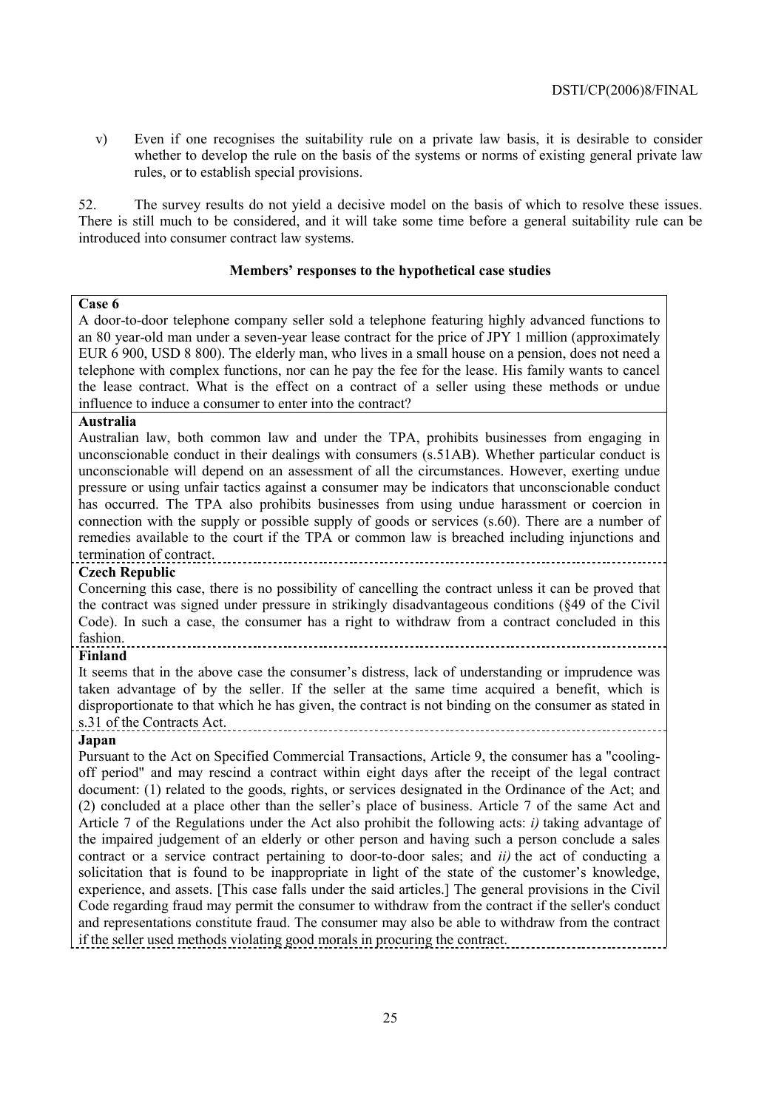v) Even if one recognises the suitability rule on a private law basis, it is desirable to consider whether to develop the rule on the basis of the systems or norms of existing general private law rules, or to establish special provisions.

52. The survey results do not yield a decisive model on the basis of which to resolve these issues. There is still much to be considered, and it will take some time before a general suitability rule can be introduced into consumer contract law systems.

# **Membersí responses to the hypothetical case studies**

# **Case 6**

A door-to-door telephone company seller sold a telephone featuring highly advanced functions to an 80 year-old man under a seven-year lease contract for the price of JPY 1 million (approximately EUR 6 900, USD 8 800). The elderly man, who lives in a small house on a pension, does not need a telephone with complex functions, nor can he pay the fee for the lease. His family wants to cancel the lease contract. What is the effect on a contract of a seller using these methods or undue influence to induce a consumer to enter into the contract?

#### **Australia**

Australian law, both common law and under the TPA, prohibits businesses from engaging in unconscionable conduct in their dealings with consumers (s.51AB). Whether particular conduct is unconscionable will depend on an assessment of all the circumstances. However, exerting undue pressure or using unfair tactics against a consumer may be indicators that unconscionable conduct has occurred. The TPA also prohibits businesses from using undue harassment or coercion in connection with the supply or possible supply of goods or services (s.60). There are a number of remedies available to the court if the TPA or common law is breached including injunctions and termination of contract.

# **Czech Republic**

Concerning this case, there is no possibility of cancelling the contract unless it can be proved that the contract was signed under pressure in strikingly disadvantageous conditions (ß49 of the Civil Code). In such a case, the consumer has a right to withdraw from a contract concluded in this fashion. 

#### **Finland**

It seems that in the above case the consumer's distress, lack of understanding or imprudence was taken advantage of by the seller. If the seller at the same time acquired a benefit, which is disproportionate to that which he has given, the contract is not binding on the consumer as stated in s.31 of the Contracts Act.

# **Japan**

Pursuant to the Act on Specified Commercial Transactions, Article 9, the consumer has a "coolingoff period" and may rescind a contract within eight days after the receipt of the legal contract document: (1) related to the goods, rights, or services designated in the Ordinance of the Act; and  $(2)$  concluded at a place other than the seller's place of business. Article 7 of the same Act and Article 7 of the Regulations under the Act also prohibit the following acts: *i)* taking advantage of the impaired judgement of an elderly or other person and having such a person conclude a sales contract or a service contract pertaining to door-to-door sales; and *ii)* the act of conducting a solicitation that is found to be inappropriate in light of the state of the customer's knowledge, experience, and assets. [This case falls under the said articles.] The general provisions in the Civil Code regarding fraud may permit the consumer to withdraw from the contract if the seller's conduct and representations constitute fraud. The consumer may also be able to withdraw from the contract if the seller used methods violating good morals in procuring the contract.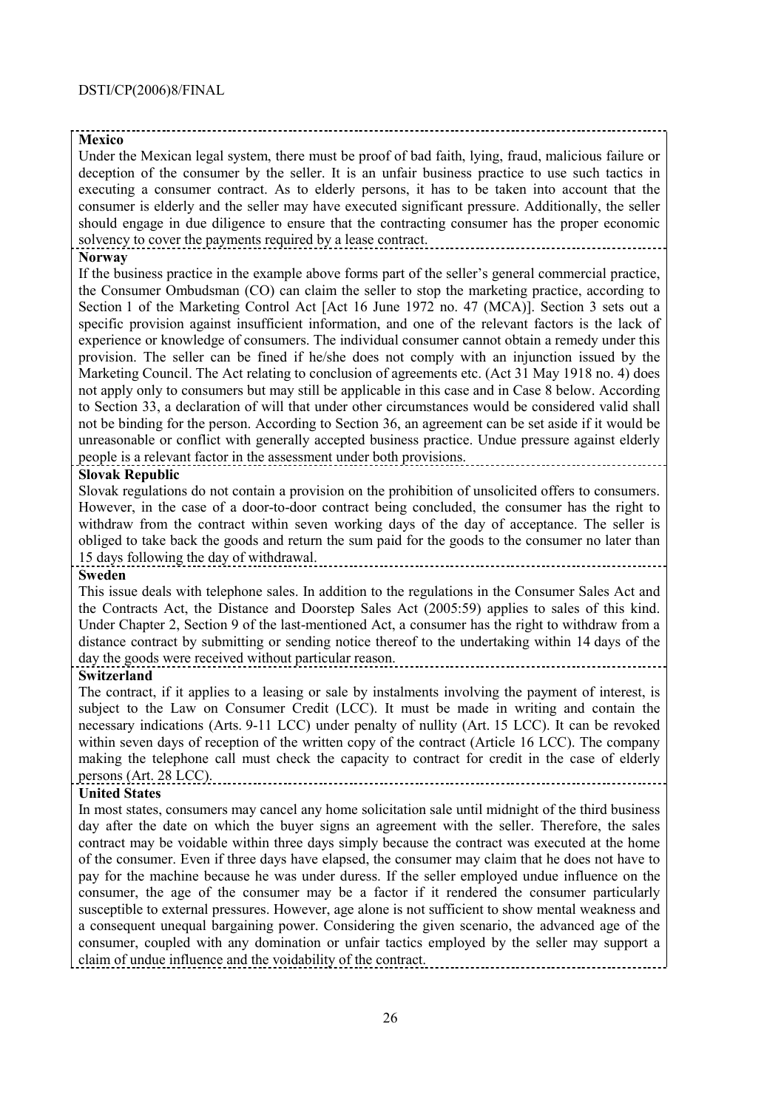# **Mexico**

Under the Mexican legal system, there must be proof of bad faith, lying, fraud, malicious failure or deception of the consumer by the seller. It is an unfair business practice to use such tactics in executing a consumer contract. As to elderly persons, it has to be taken into account that the consumer is elderly and the seller may have executed significant pressure. Additionally, the seller should engage in due diligence to ensure that the contracting consumer has the proper economic solvency to cover the payments required by a lease contract.

### **Norway**

If the business practice in the example above forms part of the seller's general commercial practice, the Consumer Ombudsman (CO) can claim the seller to stop the marketing practice, according to Section 1 of the Marketing Control Act [Act 16 June 1972 no. 47 (MCA)]. Section 3 sets out a specific provision against insufficient information, and one of the relevant factors is the lack of experience or knowledge of consumers. The individual consumer cannot obtain a remedy under this provision. The seller can be fined if he/she does not comply with an injunction issued by the Marketing Council. The Act relating to conclusion of agreements etc. (Act 31 May 1918 no. 4) does not apply only to consumers but may still be applicable in this case and in Case 8 below. According to Section 33, a declaration of will that under other circumstances would be considered valid shall not be binding for the person. According to Section 36, an agreement can be set aside if it would be unreasonable or conflict with generally accepted business practice. Undue pressure against elderly people is a relevant factor in the assessment under both provisions.

#### **Slovak Republic**

Slovak regulations do not contain a provision on the prohibition of unsolicited offers to consumers. However, in the case of a door-to-door contract being concluded, the consumer has the right to withdraw from the contract within seven working days of the day of acceptance. The seller is obliged to take back the goods and return the sum paid for the goods to the consumer no later than 15 days following the day of withdrawal.

## **Sweden**

This issue deals with telephone sales. In addition to the regulations in the Consumer Sales Act and the Contracts Act, the Distance and Doorstep Sales Act (2005:59) applies to sales of this kind. Under Chapter 2, Section 9 of the last-mentioned Act, a consumer has the right to withdraw from a distance contract by submitting or sending notice thereof to the undertaking within 14 days of the day the goods were received without particular reason.

# **Switzerland**

The contract, if it applies to a leasing or sale by instalments involving the payment of interest, is subject to the Law on Consumer Credit (LCC). It must be made in writing and contain the necessary indications (Arts. 9-11 LCC) under penalty of nullity (Art. 15 LCC). It can be revoked within seven days of reception of the written copy of the contract (Article 16 LCC). The company making the telephone call must check the capacity to contract for credit in the case of elderly persons (Art. 28 LCC).

# **United States**

In most states, consumers may cancel any home solicitation sale until midnight of the third business day after the date on which the buyer signs an agreement with the seller. Therefore, the sales contract may be voidable within three days simply because the contract was executed at the home of the consumer. Even if three days have elapsed, the consumer may claim that he does not have to pay for the machine because he was under duress. If the seller employed undue influence on the consumer, the age of the consumer may be a factor if it rendered the consumer particularly susceptible to external pressures. However, age alone is not sufficient to show mental weakness and a consequent unequal bargaining power. Considering the given scenario, the advanced age of the consumer, coupled with any domination or unfair tactics employed by the seller may support a claim of undue influence and the voidability of the contract.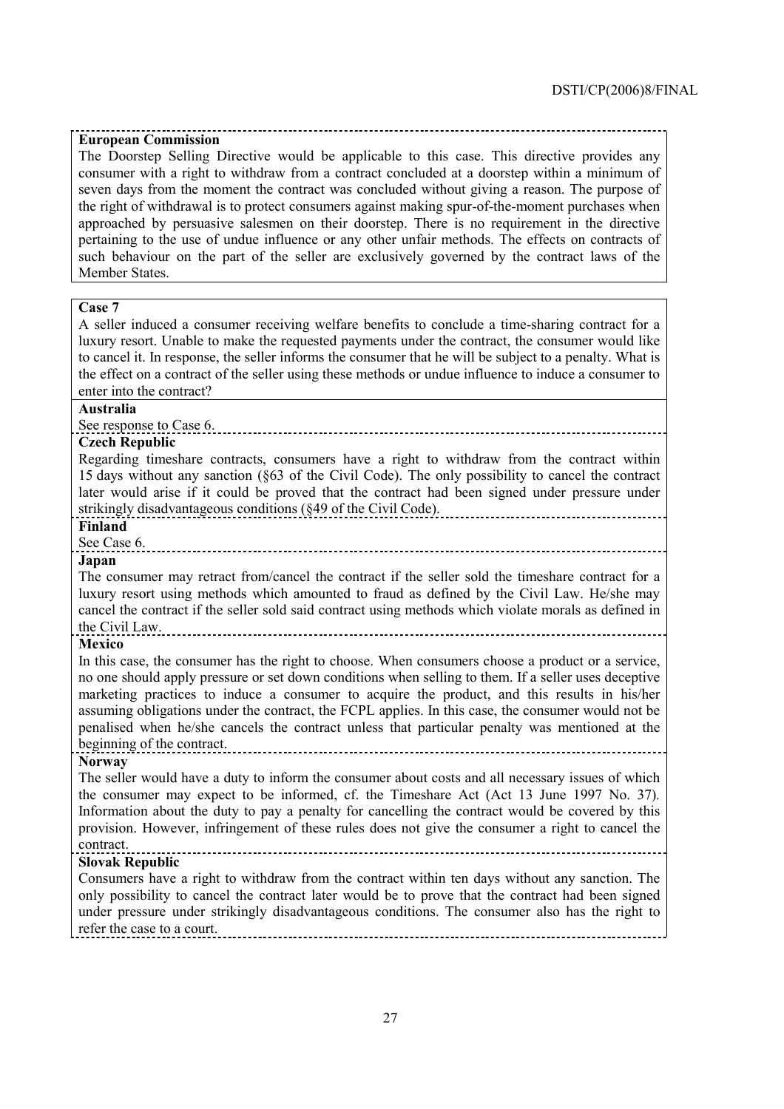#### **European Commission**

The Doorstep Selling Directive would be applicable to this case. This directive provides any consumer with a right to withdraw from a contract concluded at a doorstep within a minimum of seven days from the moment the contract was concluded without giving a reason. The purpose of the right of withdrawal is to protect consumers against making spur-of-the-moment purchases when approached by persuasive salesmen on their doorstep. There is no requirement in the directive pertaining to the use of undue influence or any other unfair methods. The effects on contracts of such behaviour on the part of the seller are exclusively governed by the contract laws of the Member States.

# **Case 7**

A seller induced a consumer receiving welfare benefits to conclude a time-sharing contract for a luxury resort. Unable to make the requested payments under the contract, the consumer would like to cancel it. In response, the seller informs the consumer that he will be subject to a penalty. What is the effect on a contract of the seller using these methods or undue influence to induce a consumer to enter into the contract?

#### **Australia**

See response to Case 6.

# **Czech Republic**

Regarding timeshare contracts, consumers have a right to withdraw from the contract within 15 days without any sanction (ß63 of the Civil Code). The only possibility to cancel the contract later would arise if it could be proved that the contract had been signed under pressure under strikingly disadvantageous conditions (ß49 of the Civil Code).

#### **Finland**

See Case 6.

#### **Japan**

The consumer may retract from/cancel the contract if the seller sold the timeshare contract for a luxury resort using methods which amounted to fraud as defined by the Civil Law. He/she may cancel the contract if the seller sold said contract using methods which violate morals as defined in the Civil Law.

#### **Mexico**

In this case, the consumer has the right to choose. When consumers choose a product or a service, no one should apply pressure or set down conditions when selling to them. If a seller uses deceptive marketing practices to induce a consumer to acquire the product, and this results in his/her assuming obligations under the contract, the FCPL applies. In this case, the consumer would not be penalised when he/she cancels the contract unless that particular penalty was mentioned at the beginning of the contract.

#### **Norway**

The seller would have a duty to inform the consumer about costs and all necessary issues of which the consumer may expect to be informed, cf. the Timeshare Act (Act 13 June 1997 No. 37)*.* Information about the duty to pay a penalty for cancelling the contract would be covered by this provision. However, infringement of these rules does not give the consumer a right to cancel the contract.

#### **Slovak Republic**

Consumers have a right to withdraw from the contract within ten days without any sanction. The only possibility to cancel the contract later would be to prove that the contract had been signed under pressure under strikingly disadvantageous conditions. The consumer also has the right to refer the case to a court.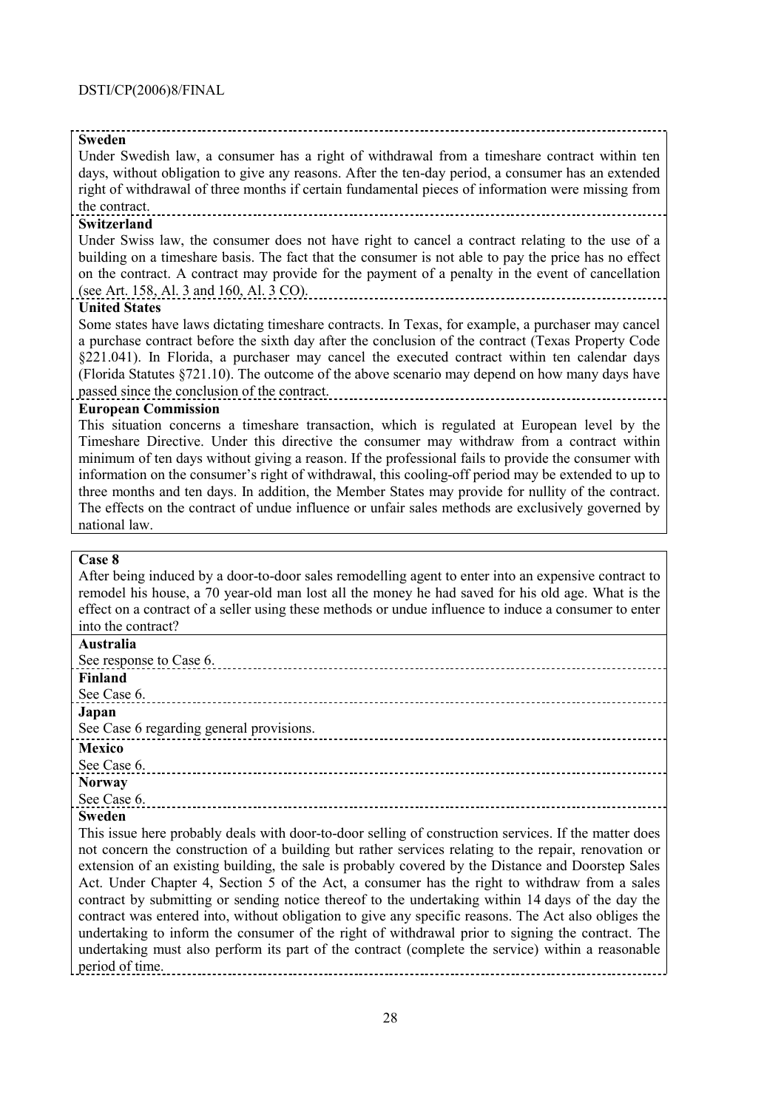### **Sweden**

Under Swedish law, a consumer has a right of withdrawal from a timeshare contract within ten days, without obligation to give any reasons. After the ten-day period, a consumer has an extended right of withdrawal of three months if certain fundamental pieces of information were missing from the contract.

# **Switzerland**

Under Swiss law, the consumer does not have right to cancel a contract relating to the use of a building on a timeshare basis. The fact that the consumer is not able to pay the price has no effect on the contract. A contract may provide for the payment of a penalty in the event of cancellation (see Art. 158, Al. 3 and 160, Al. 3 CO).

#### **United States**

Some states have laws dictating timeshare contracts. In Texas, for example, a purchaser may cancel a purchase contract before the sixth day after the conclusion of the contract (Texas Property Code ß221.041). In Florida, a purchaser may cancel the executed contract within ten calendar days (Florida Statutes ß721.10). The outcome of the above scenario may depend on how many days have passed since the conclusion of the contract.

#### **European Commission**

This situation concerns a timeshare transaction, which is regulated at European level by the Timeshare Directive. Under this directive the consumer may withdraw from a contract within minimum of ten days without giving a reason. If the professional fails to provide the consumer with information on the consumer's right of withdrawal, this cooling-off period may be extended to up to three months and ten days. In addition, the Member States may provide for nullity of the contract. The effects on the contract of undue influence or unfair sales methods are exclusively governed by national law.

# **Case 8**

After being induced by a door-to-door sales remodelling agent to enter into an expensive contract to remodel his house, a 70 year-old man lost all the money he had saved for his old age. What is the effect on a contract of a seller using these methods or undue influence to induce a consumer to enter into the contract?

| <b>Australia</b>                                                                                      |
|-------------------------------------------------------------------------------------------------------|
| See response to Case 6.                                                                               |
| <b>Finland</b>                                                                                        |
| See Case 6.                                                                                           |
| Japan                                                                                                 |
| See Case 6 regarding general provisions.                                                              |
| <b>Mexico</b>                                                                                         |
| See Case 6.                                                                                           |
| <b>Norway</b>                                                                                         |
| See Case 6.                                                                                           |
| <b>Sweden</b>                                                                                         |
| This issue here probably deals with door-to-door selling of construction services. If the matter does |
| not concern the construction of a building but rather services relating to the repair, renovation or  |
| extension of an existing building, the sale is probably covered by the Distance and Doorstep Sales    |
| Act. Under Chapter 4, Section 5 of the Act, a consumer has the right to withdraw from a sales         |
| contract by submitting or sending notice thereof to the undertaking within 14 days of the day the     |
| contract was entered into, without obligation to give any specific reasons. The Act also obliges the  |
| undertaking to inform the consumer of the right of withdrawal prior to signing the contract. The      |
| undertaking must also perform its part of the contract (complete the service) within a reasonable     |
| period of time.                                                                                       |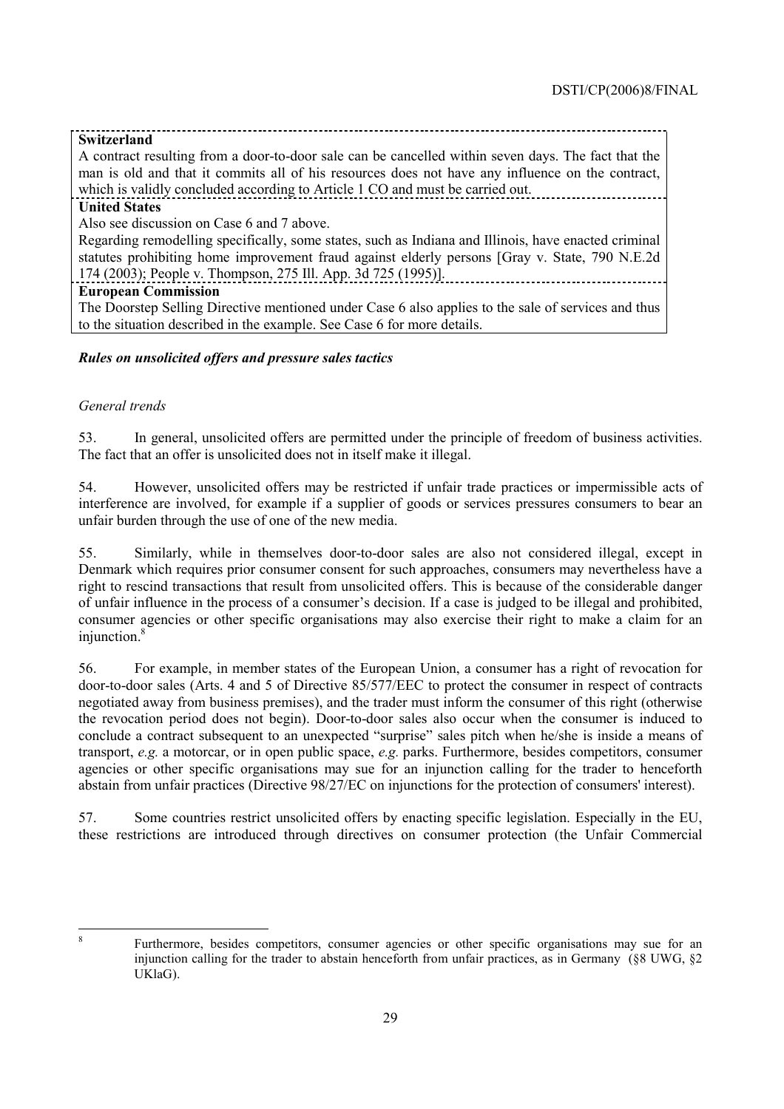# **Switzerland**

A contract resulting from a door-to-door sale can be cancelled within seven days. The fact that the man is old and that it commits all of his resources does not have any influence on the contract, which is validly concluded according to Article 1 CO and must be carried out. **United States**

Also see discussion on Case 6 and 7 above.

Regarding remodelling specifically, some states, such as Indiana and Illinois, have enacted criminal statutes prohibiting home improvement fraud against elderly persons [Gray v. State, 790 N.E.2d 174 (2003); People v. Thompson, 275 Ill. App. 3d 725 (1995)].

# **European Commission**

The Doorstep Selling Directive mentioned under Case 6 also applies to the sale of services and thus to the situation described in the example. See Case 6 for more details.

# *Rules on unsolicited offers and pressure sales tactics*

# *General trends*

53. In general, unsolicited offers are permitted under the principle of freedom of business activities. The fact that an offer is unsolicited does not in itself make it illegal.

54. However, unsolicited offers may be restricted if unfair trade practices or impermissible acts of interference are involved, for example if a supplier of goods or services pressures consumers to bear an unfair burden through the use of one of the new media.

55. Similarly, while in themselves door-to-door sales are also not considered illegal, except in Denmark which requires prior consumer consent for such approaches, consumers may nevertheless have a right to rescind transactions that result from unsolicited offers. This is because of the considerable danger of unfair influence in the process of a consumer's decision. If a case is judged to be illegal and prohibited, consumer agencies or other specific organisations may also exercise their right to make a claim for an injunction.<sup>8</sup>

56. For example, in member states of the European Union, a consumer has a right of revocation for door-to-door sales (Arts. 4 and 5 of Directive 85/577/EEC to protect the consumer in respect of contracts negotiated away from business premises), and the trader must inform the consumer of this right (otherwise the revocation period does not begin). Door-to-door sales also occur when the consumer is induced to conclude a contract subsequent to an unexpected "surprise" sales pitch when he/she is inside a means of transport, *e.g.* a motorcar, or in open public space, *e.g.* parks. Furthermore, besides competitors, consumer agencies or other specific organisations may sue for an injunction calling for the trader to henceforth abstain from unfair practices (Directive 98/27/EC on injunctions for the protection of consumers' interest).

57. Some countries restrict unsolicited offers by enacting specific legislation. Especially in the EU, these restrictions are introduced through directives on consumer protection (the Unfair Commercial

 $\overline{a}$ 8

Furthermore, besides competitors, consumer agencies or other specific organisations may sue for an injunction calling for the trader to abstain henceforth from unfair practices, as in Germany (ß8 UWG, ß2 UKlaG).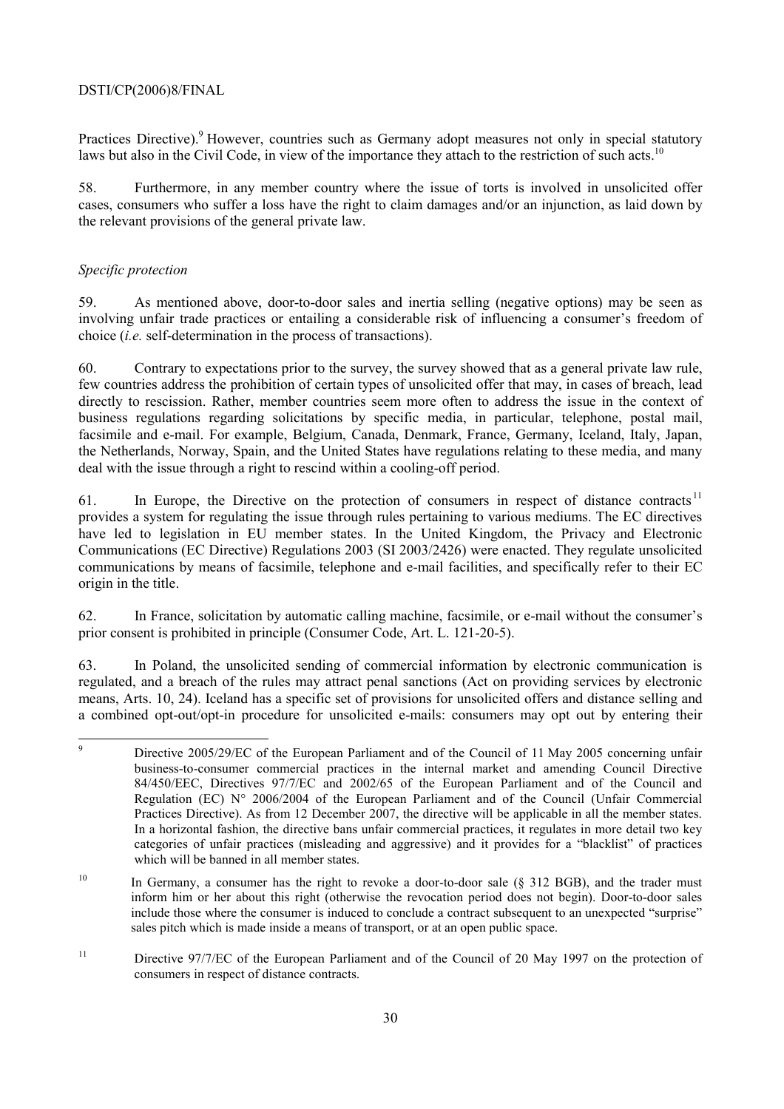# DSTI/CP(2006)8/FINAL

Practices Directive).<sup>9</sup> However, countries such as Germany adopt measures not only in special statutory laws but also in the Civil Code, in view of the importance they attach to the restriction of such acts.<sup>10</sup>

58. Furthermore, in any member country where the issue of torts is involved in unsolicited offer cases, consumers who suffer a loss have the right to claim damages and/or an injunction, as laid down by the relevant provisions of the general private law.

# *Specific protection*

59. As mentioned above, door-to-door sales and inertia selling (negative options) may be seen as involving unfair trade practices or entailing a considerable risk of influencing a consumer's freedom of choice (*i.e.* self-determination in the process of transactions).

60. Contrary to expectations prior to the survey, the survey showed that as a general private law rule, few countries address the prohibition of certain types of unsolicited offer that may, in cases of breach, lead directly to rescission. Rather, member countries seem more often to address the issue in the context of business regulations regarding solicitations by specific media, in particular, telephone, postal mail, facsimile and e-mail. For example, Belgium, Canada, Denmark, France, Germany, Iceland, Italy, Japan, the Netherlands, Norway, Spain, and the United States have regulations relating to these media, and many deal with the issue through a right to rescind within a cooling-off period.

61. In Europe, the Directive on the protection of consumers in respect of distance contracts<sup>11</sup> provides a system for regulating the issue through rules pertaining to various mediums. The EC directives have led to legislation in EU member states. In the United Kingdom, the Privacy and Electronic Communications (EC Directive) Regulations 2003 (SI 2003/2426) were enacted. They regulate unsolicited communications by means of facsimile, telephone and e-mail facilities, and specifically refer to their EC origin in the title.

62. In France, solicitation by automatic calling machine, facsimile, or e-mail without the consumerís prior consent is prohibited in principle (Consumer Code, Art. L. 121-20-5).

63. In Poland, the unsolicited sending of commercial information by electronic communication is regulated, and a breach of the rules may attract penal sanctions (Act on providing services by electronic means, Arts. 10, 24). Iceland has a specific set of provisions for unsolicited offers and distance selling and a combined opt-out/opt-in procedure for unsolicited e-mails: consumers may opt out by entering their

<sup>-&</sup>lt;br>9 Directive 2005/29/EC of the European Parliament and of the Council of 11 May 2005 concerning unfair business-to-consumer commercial practices in the internal market and amending Council Directive 84/450/EEC, Directives 97/7/EC and 2002/65 of the European Parliament and of the Council and Regulation (EC) N° 2006/2004 of the European Parliament and of the Council (Unfair Commercial Practices Directive). As from 12 December 2007, the directive will be applicable in all the member states. In a horizontal fashion, the directive bans unfair commercial practices, it regulates in more detail two key categories of unfair practices (misleading and aggressive) and it provides for a "blacklist" of practices which will be banned in all member states.

<sup>&</sup>lt;sup>10</sup> In Germany, a consumer has the right to revoke a door-to-door sale ( $§$  312 BGB), and the trader must inform him or her about this right (otherwise the revocation period does not begin). Door-to-door sales include those where the consumer is induced to conclude a contract subsequent to an unexpected "surprise" sales pitch which is made inside a means of transport, or at an open public space.

<sup>&</sup>lt;sup>11</sup> Directive 97/7/EC of the European Parliament and of the Council of 20 May 1997 on the protection of consumers in respect of distance contracts.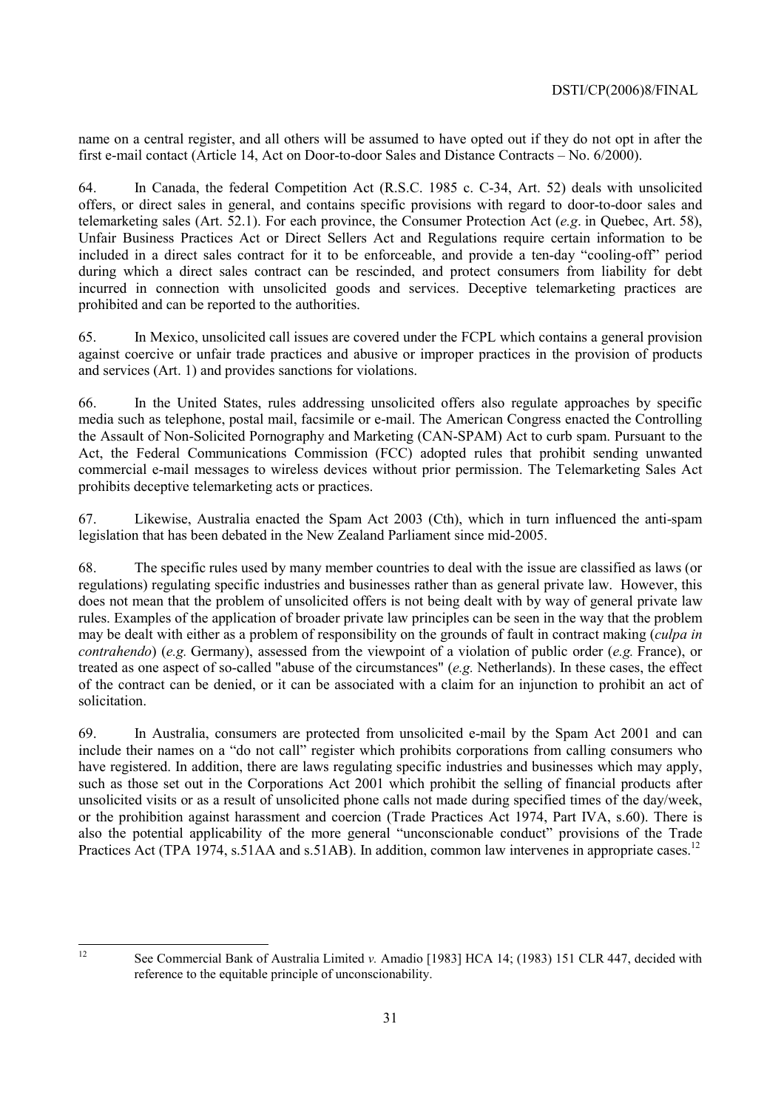name on a central register, and all others will be assumed to have opted out if they do not opt in after the first e-mail contact (Article 14, Act on Door-to-door Sales and Distance Contracts  $-$  No. 6/2000).

64. In Canada, the federal Competition Act (R.S.C. 1985 c. C-34, Art. 52) deals with unsolicited offers, or direct sales in general, and contains specific provisions with regard to door-to-door sales and telemarketing sales (Art. 52.1). For each province, the Consumer Protection Act (*e.g*. in Quebec, Art. 58), Unfair Business Practices Act or Direct Sellers Act and Regulations require certain information to be included in a direct sales contract for it to be enforceable, and provide a ten-day "cooling-off" period during which a direct sales contract can be rescinded, and protect consumers from liability for debt incurred in connection with unsolicited goods and services. Deceptive telemarketing practices are prohibited and can be reported to the authorities.

65. In Mexico, unsolicited call issues are covered under the FCPL which contains a general provision against coercive or unfair trade practices and abusive or improper practices in the provision of products and services (Art. 1) and provides sanctions for violations.

66. In the United States, rules addressing unsolicited offers also regulate approaches by specific media such as telephone, postal mail, facsimile or e-mail. The American Congress enacted the Controlling the Assault of Non-Solicited Pornography and Marketing (CAN-SPAM) Act to curb spam. Pursuant to the Act, the Federal Communications Commission (FCC) adopted rules that prohibit sending unwanted commercial e-mail messages to wireless devices without prior permission. The Telemarketing Sales Act prohibits deceptive telemarketing acts or practices.

67. Likewise, Australia enacted the Spam Act 2003 (Cth), which in turn influenced the anti-spam legislation that has been debated in the New Zealand Parliament since mid-2005.

68. The specific rules used by many member countries to deal with the issue are classified as laws (or regulations) regulating specific industries and businesses rather than as general private law. However, this does not mean that the problem of unsolicited offers is not being dealt with by way of general private law rules. Examples of the application of broader private law principles can be seen in the way that the problem may be dealt with either as a problem of responsibility on the grounds of fault in contract making (*culpa in contrahendo*) (*e.g.* Germany), assessed from the viewpoint of a violation of public order (*e.g.* France), or treated as one aspect of so-called "abuse of the circumstances" (*e.g.* Netherlands). In these cases, the effect of the contract can be denied, or it can be associated with a claim for an injunction to prohibit an act of solicitation.

69. In Australia, consumers are protected from unsolicited e-mail by the Spam Act 2001 and can include their names on a "do not call" register which prohibits corporations from calling consumers who have registered. In addition, there are laws regulating specific industries and businesses which may apply, such as those set out in the Corporations Act 2001 which prohibit the selling of financial products after unsolicited visits or as a result of unsolicited phone calls not made during specified times of the day/week, or the prohibition against harassment and coercion (Trade Practices Act 1974, Part IVA, s.60). There is also the potential applicability of the more general "unconscionable conduct" provisions of the Trade Practices Act (TPA 1974, s.51AA and s.51AB). In addition, common law intervenes in appropriate cases.<sup>12</sup>

 $12$ 

<sup>12</sup> See Commercial Bank of Australia Limited *v.* Amadio [1983] HCA 14; (1983) 151 CLR 447, decided with reference to the equitable principle of unconscionability.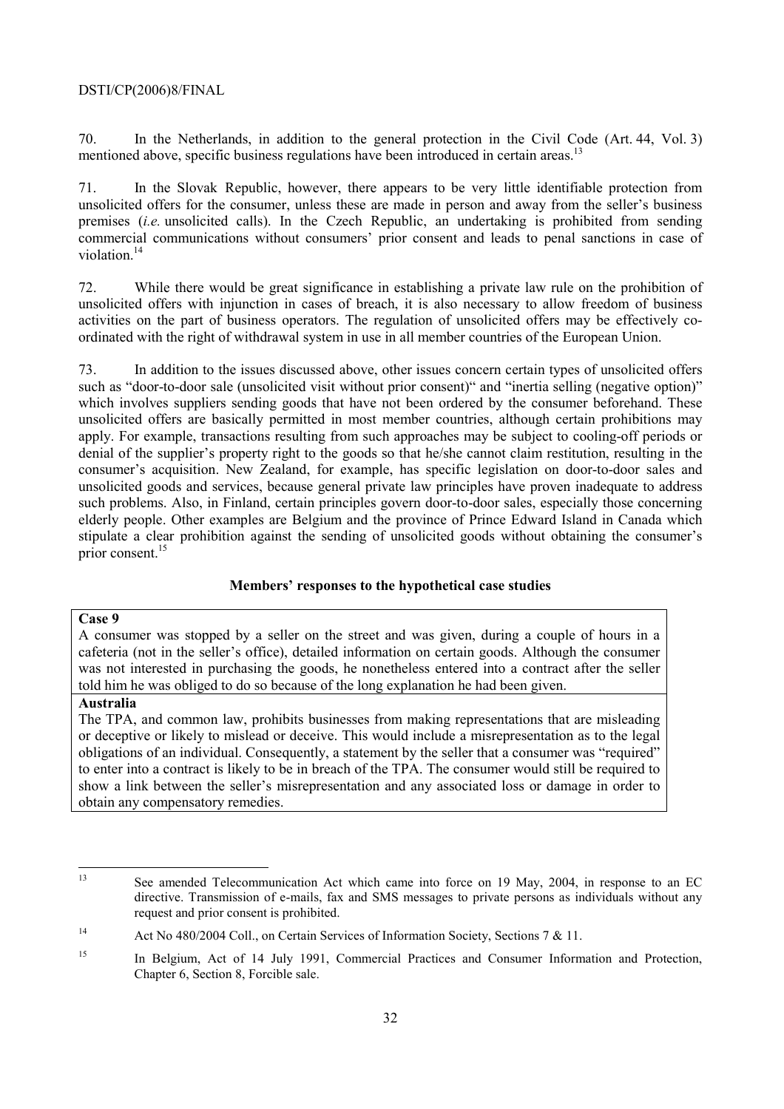## DSTI/CP(2006)8/FINAL

70. In the Netherlands, in addition to the general protection in the Civil Code (Art. 44, Vol. 3) mentioned above, specific business regulations have been introduced in certain areas.<sup>13</sup>

71. In the Slovak Republic, however, there appears to be very little identifiable protection from unsolicited offers for the consumer, unless these are made in person and away from the seller's business premises (*i.e.* unsolicited calls). In the Czech Republic, an undertaking is prohibited from sending commercial communications without consumers' prior consent and leads to penal sanctions in case of violation.<sup>14</sup>

72. While there would be great significance in establishing a private law rule on the prohibition of unsolicited offers with injunction in cases of breach, it is also necessary to allow freedom of business activities on the part of business operators. The regulation of unsolicited offers may be effectively coordinated with the right of withdrawal system in use in all member countries of the European Union.

73. In addition to the issues discussed above, other issues concern certain types of unsolicited offers such as "door-to-door sale (unsolicited visit without prior consent)" and "inertia selling (negative option)" which involves suppliers sending goods that have not been ordered by the consumer beforehand. These unsolicited offers are basically permitted in most member countries, although certain prohibitions may apply. For example, transactions resulting from such approaches may be subject to cooling-off periods or denial of the supplier's property right to the goods so that he/she cannot claim restitution, resulting in the consumerís acquisition. New Zealand, for example, has specific legislation on door-to-door sales and unsolicited goods and services, because general private law principles have proven inadequate to address such problems. Also, in Finland, certain principles govern door-to-door sales, especially those concerning elderly people. Other examples are Belgium and the province of Prince Edward Island in Canada which stipulate a clear prohibition against the sending of unsolicited goods without obtaining the consumer's prior consent.<sup>15</sup>

# **Membersí responses to the hypothetical case studies**

## **Case 9**

A consumer was stopped by a seller on the street and was given, during a couple of hours in a cafeteria (not in the seller's office), detailed information on certain goods. Although the consumer was not interested in purchasing the goods, he nonetheless entered into a contract after the seller told him he was obliged to do so because of the long explanation he had been given.

#### **Australia**

The TPA, and common law, prohibits businesses from making representations that are misleading or deceptive or likely to mislead or deceive. This would include a misrepresentation as to the legal obligations of an individual. Consequently, a statement by the seller that a consumer was "required" to enter into a contract is likely to be in breach of the TPA. The consumer would still be required to show a link between the seller's misrepresentation and any associated loss or damage in order to obtain any compensatory remedies.

 $13$ 13 See amended Telecommunication Act which came into force on 19 May, 2004, in response to an EC directive. Transmission of e-mails, fax and SMS messages to private persons as individuals without any request and prior consent is prohibited.

<sup>&</sup>lt;sup>14</sup> Act No 480/2004 Coll., on Certain Services of Information Society, Sections 7 & 11.

<sup>&</sup>lt;sup>15</sup> In Belgium, Act of 14 July 1991, Commercial Practices and Consumer Information and Protection, Chapter 6, Section 8, Forcible sale.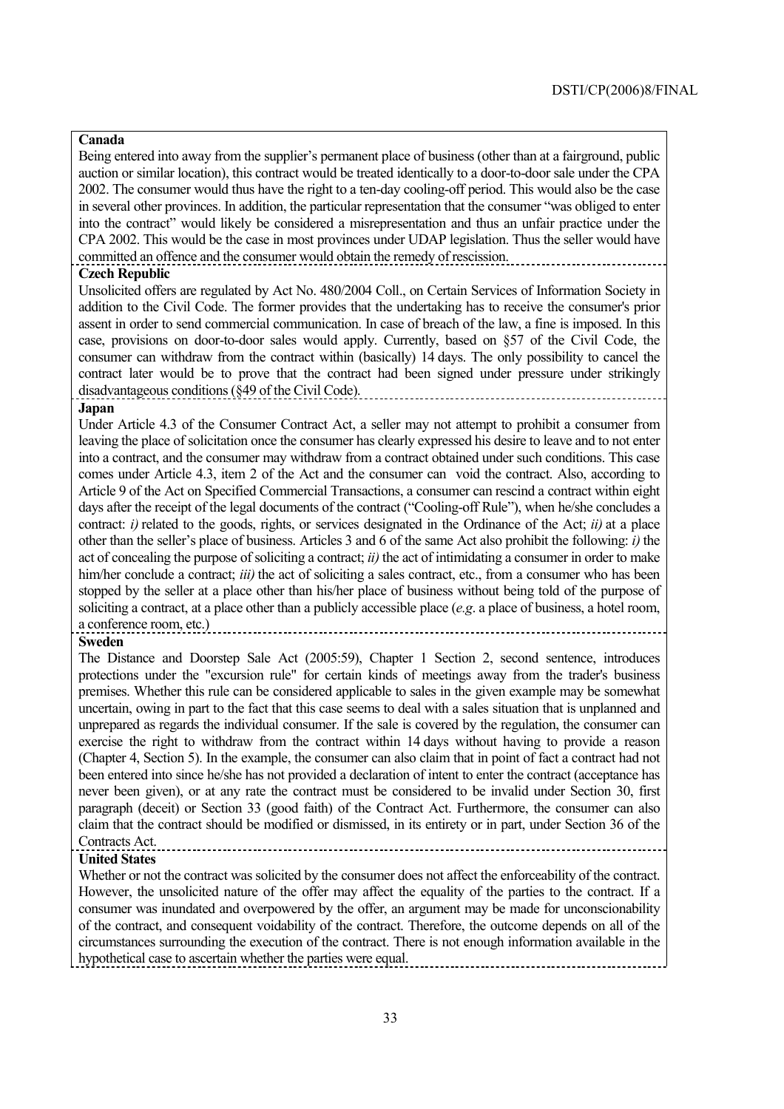# **Canada**

Being entered into away from the supplier's permanent place of business (other than at a fairground, public auction or similar location), this contract would be treated identically to a door-to-door sale under the CPA 2002. The consumer would thus have the right to a ten-day cooling-off period. This would also be the case in several other provinces. In addition, the particular representation that the consumer "was obliged to enter into the contract" would likely be considered a misrepresentation and thus an unfair practice under the CPA 2002. This would be the case in most provinces under UDAP legislation. Thus the seller would have committed an offence and the consumer would obtain the remedy of rescission.

#### **Czech Republic**

Unsolicited offers are regulated by Act No. 480/2004 Coll., on Certain Services of Information Society in addition to the Civil Code. The former provides that the undertaking has to receive the consumer's prior assent in order to send commercial communication. In case of breach of the law, a fine is imposed. In this case, provisions on door-to-door sales would apply. Currently, based on ß57 of the Civil Code, the consumer can withdraw from the contract within (basically) 14 days. The only possibility to cancel the contract later would be to prove that the contract had been signed under pressure under strikingly disadvantageous conditions (ß49 of the Civil Code).

#### **Japan**

Under Article 4.3 of the Consumer Contract Act, a seller may not attempt to prohibit a consumer from leaving the place of solicitation once the consumer has clearly expressed his desire to leave and to not enter into a contract, and the consumer may withdraw from a contract obtained under such conditions. This case comes under Article 4.3, item 2 of the Act and the consumer can void the contract. Also, according to Article 9 of the Act on Specified Commercial Transactions, a consumer can rescind a contract within eight days after the receipt of the legal documents of the contract ("Cooling-off Rule"), when he/she concludes a contract: *i*) related to the goods, rights, or services designated in the Ordinance of the Act; *ii*) at a place other than the seller's place of business. Articles 3 and 6 of the same Act also prohibit the following: *i*) the act of concealing the purpose of soliciting a contract; *ii)* the act of intimidating a consumer in order to make him/her conclude a contract; *iii*) the act of soliciting a sales contract, etc., from a consumer who has been stopped by the seller at a place other than his/her place of business without being told of the purpose of soliciting a contract, at a place other than a publicly accessible place (*e.g*. a place of business, a hotel room, a conference room, etc.)

#### **Sweden**

The Distance and Doorstep Sale Act (2005:59), Chapter 1 Section 2, second sentence, introduces protections under the "excursion rule" for certain kinds of meetings away from the trader's business premises. Whether this rule can be considered applicable to sales in the given example may be somewhat uncertain, owing in part to the fact that this case seems to deal with a sales situation that is unplanned and unprepared as regards the individual consumer. If the sale is covered by the regulation, the consumer can exercise the right to withdraw from the contract within 14 days without having to provide a reason (Chapter 4, Section 5). In the example, the consumer can also claim that in point of fact a contract had not been entered into since he/she has not provided a declaration of intent to enter the contract (acceptance has never been given), or at any rate the contract must be considered to be invalid under Section 30, first paragraph (deceit) or Section 33 (good faith) of the Contract Act. Furthermore, the consumer can also claim that the contract should be modified or dismissed, in its entirety or in part, under Section 36 of the Contracts Act.

#### **United States**

Whether or not the contract was solicited by the consumer does not affect the enforceability of the contract. However, the unsolicited nature of the offer may affect the equality of the parties to the contract. If a consumer was inundated and overpowered by the offer, an argument may be made for unconscionability of the contract, and consequent voidability of the contract. Therefore, the outcome depends on all of the circumstances surrounding the execution of the contract. There is not enough information available in the hypothetical case to ascertain whether the parties were equal.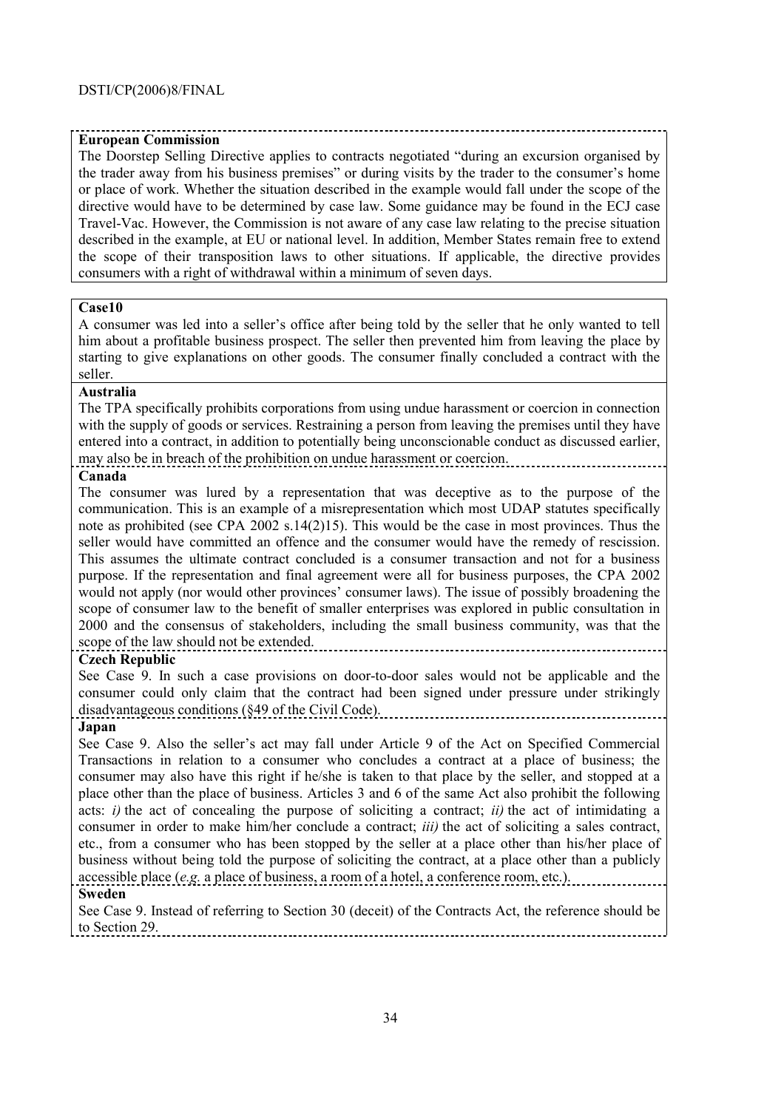# **European Commission**

The Doorstep Selling Directive applies to contracts negotiated "during an excursion organised by the trader away from his business premises" or during visits by the trader to the consumer's home or place of work. Whether the situation described in the example would fall under the scope of the directive would have to be determined by case law. Some guidance may be found in the ECJ case Travel-Vac. However, the Commission is not aware of any case law relating to the precise situation described in the example, at EU or national level. In addition, Member States remain free to extend the scope of their transposition laws to other situations. If applicable, the directive provides consumers with a right of withdrawal within a minimum of seven days.

# **Case10**

A consumer was led into a seller's office after being told by the seller that he only wanted to tell him about a profitable business prospect. The seller then prevented him from leaving the place by starting to give explanations on other goods. The consumer finally concluded a contract with the seller.

#### **Australia**

The TPA specifically prohibits corporations from using undue harassment or coercion in connection with the supply of goods or services. Restraining a person from leaving the premises until they have entered into a contract, in addition to potentially being unconscionable conduct as discussed earlier, may also be in breach of the prohibition on undue harassment or coercion.

# **Canada**

The consumer was lured by a representation that was deceptive as to the purpose of the communication. This is an example of a misrepresentation which most UDAP statutes specifically note as prohibited (see CPA 2002 s.14(2)15). This would be the case in most provinces. Thus the seller would have committed an offence and the consumer would have the remedy of rescission. This assumes the ultimate contract concluded is a consumer transaction and not for a business purpose. If the representation and final agreement were all for business purposes, the CPA 2002 would not apply (nor would other provinces' consumer laws). The issue of possibly broadening the scope of consumer law to the benefit of smaller enterprises was explored in public consultation in 2000 and the consensus of stakeholders, including the small business community, was that the scope of the law should not be extended.

# **Czech Republic**

See Case 9. In such a case provisions on door-to-door sales would not be applicable and the consumer could only claim that the contract had been signed under pressure under strikingly disadvantageous conditions (ß49 of the Civil Code).

# **Japan**

See Case 9. Also the seller's act may fall under Article 9 of the Act on Specified Commercial Transactions in relation to a consumer who concludes a contract at a place of business; the consumer may also have this right if he/she is taken to that place by the seller, and stopped at a place other than the place of business. Articles 3 and 6 of the same Act also prohibit the following acts: *i*) the act of concealing the purpose of soliciting a contract; *ii*) the act of intimidating a consumer in order to make him/her conclude a contract; *iii)* the act of soliciting a sales contract, etc., from a consumer who has been stopped by the seller at a place other than his/her place of business without being told the purpose of soliciting the contract, at a place other than a publicly accessible place (*e.g.* a place of business, a room of a hotel, a conference room, etc.).

# **Sweden**

See Case 9. Instead of referring to Section 30 (deceit) of the Contracts Act, the reference should be to Section 29.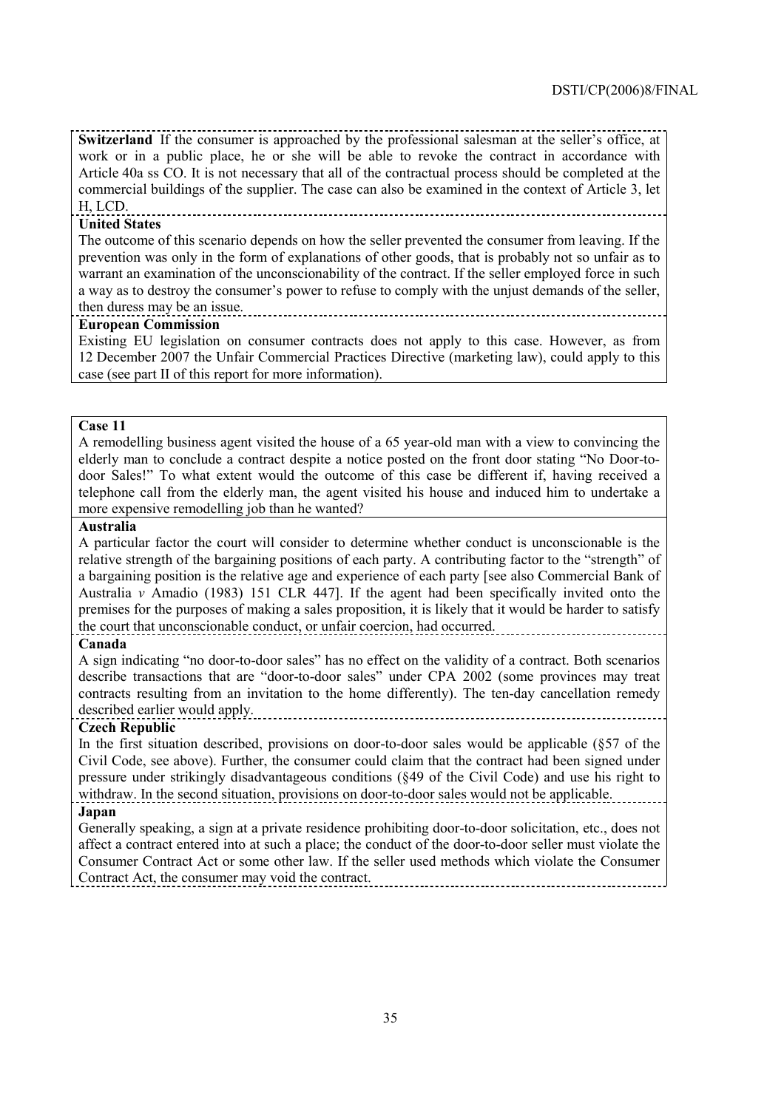**Switzerland** If the consumer is approached by the professional salesman at the seller's office, at work or in a public place, he or she will be able to revoke the contract in accordance with Article 40a ss CO. It is not necessary that all of the contractual process should be completed at the commercial buildings of the supplier. The case can also be examined in the context of Article 3, let

#### H, LCD. **United States**

The outcome of this scenario depends on how the seller prevented the consumer from leaving. If the prevention was only in the form of explanations of other goods, that is probably not so unfair as to warrant an examination of the unconscionability of the contract. If the seller employed force in such a way as to destroy the consumer's power to refuse to comply with the unjust demands of the seller, then duress may be an issue.

# **European Commission**

Existing EU legislation on consumer contracts does not apply to this case. However, as from 12 December 2007 the Unfair Commercial Practices Directive (marketing law), could apply to this case (see part II of this report for more information).

#### **Case 11**

A remodelling business agent visited the house of a 65 year-old man with a view to convincing the elderly man to conclude a contract despite a notice posted on the front door stating "No Door-todoor Sales!" To what extent would the outcome of this case be different if, having received a telephone call from the elderly man, the agent visited his house and induced him to undertake a more expensive remodelling job than he wanted?

# **Australia**

A particular factor the court will consider to determine whether conduct is unconscionable is the relative strength of the bargaining positions of each party. A contributing factor to the "strength" of a bargaining position is the relative age and experience of each party [see also Commercial Bank of Australia *v* Amadio (1983) 151 CLR 447]. If the agent had been specifically invited onto the premises for the purposes of making a sales proposition, it is likely that it would be harder to satisfy the court that unconscionable conduct, or unfair coercion, had occurred.

# **Canada**

A sign indicating "no door-to-door sales" has no effect on the validity of a contract. Both scenarios describe transactions that are "door-to-door sales" under CPA 2002 (some provinces may treat contracts resulting from an invitation to the home differently). The ten-day cancellation remedy described earlier would apply.

# **Czech Republic**

In the first situation described, provisions on door-to-door sales would be applicable (ß57 of the Civil Code, see above). Further, the consumer could claim that the contract had been signed under pressure under strikingly disadvantageous conditions (ß49 of the Civil Code) and use his right to withdraw. In the second situation, provisions on door-to-door sales would not be applicable. **Japan**

Generally speaking, a sign at a private residence prohibiting door-to-door solicitation, etc., does not affect a contract entered into at such a place; the conduct of the door-to-door seller must violate the Consumer Contract Act or some other law. If the seller used methods which violate the Consumer Contract Act, the consumer may void the contract.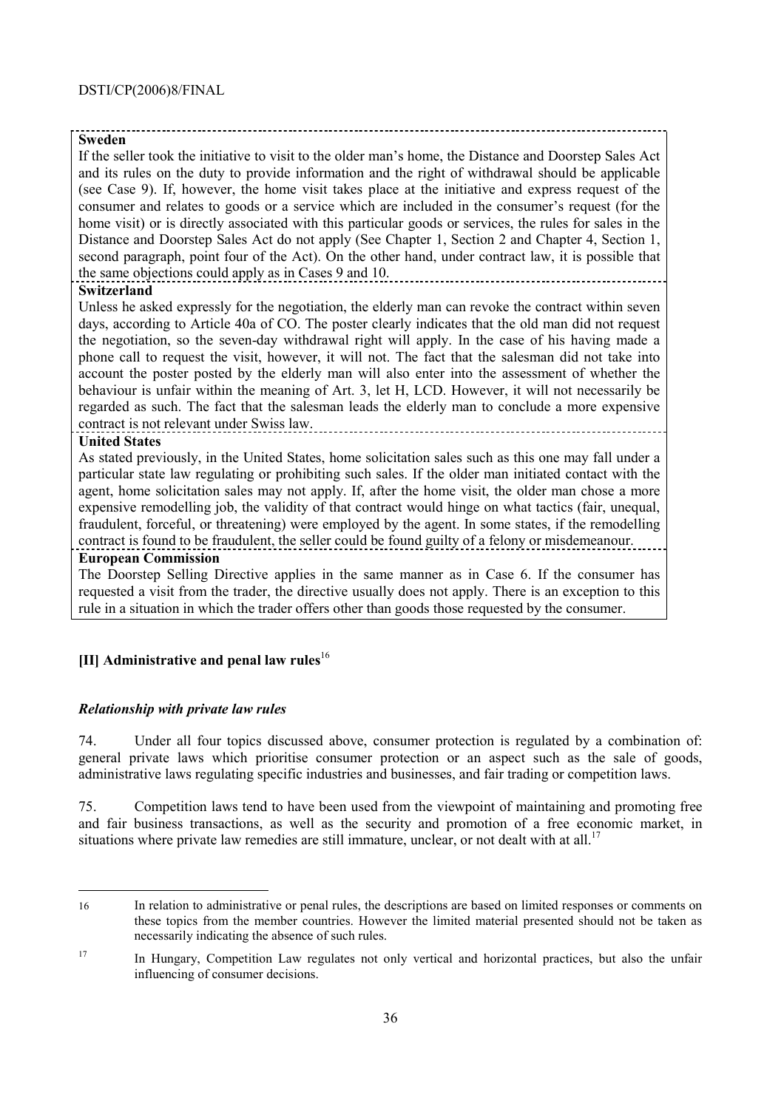#### **Sweden**

If the seller took the initiative to visit to the older manís home, the Distance and Doorstep Sales Act and its rules on the duty to provide information and the right of withdrawal should be applicable (see Case 9). If, however, the home visit takes place at the initiative and express request of the consumer and relates to goods or a service which are included in the consumer's request (for the home visit) or is directly associated with this particular goods or services, the rules for sales in the Distance and Doorstep Sales Act do not apply (See Chapter 1, Section 2 and Chapter 4, Section 1, second paragraph, point four of the Act). On the other hand, under contract law, it is possible that the same objections could apply as in Cases 9 and 10.

# **Switzerland**

Unless he asked expressly for the negotiation, the elderly man can revoke the contract within seven days, according to Article 40a of CO. The poster clearly indicates that the old man did not request the negotiation, so the seven-day withdrawal right will apply. In the case of his having made a phone call to request the visit, however, it will not. The fact that the salesman did not take into account the poster posted by the elderly man will also enter into the assessment of whether the behaviour is unfair within the meaning of Art. 3, let H, LCD. However, it will not necessarily be regarded as such. The fact that the salesman leads the elderly man to conclude a more expensive contract is not relevant under Swiss law.

#### **United States**

As stated previously, in the United States, home solicitation sales such as this one may fall under a particular state law regulating or prohibiting such sales. If the older man initiated contact with the agent, home solicitation sales may not apply. If, after the home visit, the older man chose a more expensive remodelling job, the validity of that contract would hinge on what tactics (fair, unequal, fraudulent, forceful, or threatening) were employed by the agent. In some states, if the remodelling contract is found to be fraudulent, the seller could be found guilty of a felony or misdemeanour. **European Commission** 

The Doorstep Selling Directive applies in the same manner as in Case 6. If the consumer has requested a visit from the trader, the directive usually does not apply. There is an exception to this rule in a situation in which the trader offers other than goods those requested by the consumer.

# **[II] Administrative and penal law rules**<sup>16</sup>

# *Relationship with private law rules*

74. Under all four topics discussed above, consumer protection is regulated by a combination of: general private laws which prioritise consumer protection or an aspect such as the sale of goods, administrative laws regulating specific industries and businesses, and fair trading or competition laws.

75. Competition laws tend to have been used from the viewpoint of maintaining and promoting free and fair business transactions, as well as the security and promotion of a free economic market, in situations where private law remedies are still immature, unclear, or not dealt with at all.<sup>17</sup>

 16 In relation to administrative or penal rules, the descriptions are based on limited responses or comments on these topics from the member countries. However the limited material presented should not be taken as necessarily indicating the absence of such rules.

<sup>&</sup>lt;sup>17</sup> In Hungary, Competition Law regulates not only vertical and horizontal practices, but also the unfair influencing of consumer decisions.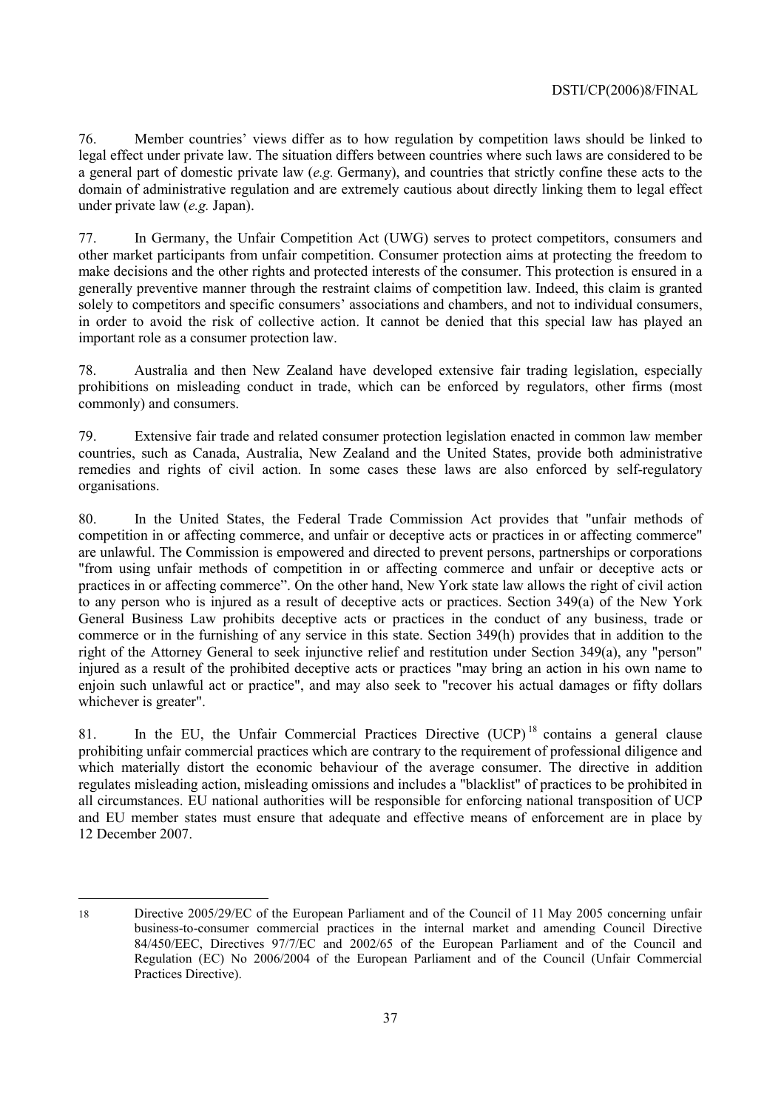76. Member countriesí views differ as to how regulation by competition laws should be linked to legal effect under private law. The situation differs between countries where such laws are considered to be a general part of domestic private law (*e.g.* Germany), and countries that strictly confine these acts to the domain of administrative regulation and are extremely cautious about directly linking them to legal effect under private law (*e.g.* Japan).

77. In Germany, the Unfair Competition Act (UWG) serves to protect competitors, consumers and other market participants from unfair competition. Consumer protection aims at protecting the freedom to make decisions and the other rights and protected interests of the consumer. This protection is ensured in a generally preventive manner through the restraint claims of competition law. Indeed, this claim is granted solely to competitors and specific consumers' associations and chambers, and not to individual consumers, in order to avoid the risk of collective action. It cannot be denied that this special law has played an important role as a consumer protection law.

78. Australia and then New Zealand have developed extensive fair trading legislation, especially prohibitions on misleading conduct in trade, which can be enforced by regulators, other firms (most commonly) and consumers.

79. Extensive fair trade and related consumer protection legislation enacted in common law member countries, such as Canada, Australia, New Zealand and the United States, provide both administrative remedies and rights of civil action. In some cases these laws are also enforced by self-regulatory organisations.

80. In the United States, the Federal Trade Commission Act provides that "unfair methods of competition in or affecting commerce, and unfair or deceptive acts or practices in or affecting commerce" are unlawful. The Commission is empowered and directed to prevent persons, partnerships or corporations "from using unfair methods of competition in or affecting commerce and unfair or deceptive acts or practices in or affecting commerce". On the other hand, New York state law allows the right of civil action to any person who is injured as a result of deceptive acts or practices. Section 349(a) of the New York General Business Law prohibits deceptive acts or practices in the conduct of any business, trade or commerce or in the furnishing of any service in this state. Section 349(h) provides that in addition to the right of the Attorney General to seek injunctive relief and restitution under Section 349(a), any "person" injured as a result of the prohibited deceptive acts or practices "may bring an action in his own name to enjoin such unlawful act or practice", and may also seek to "recover his actual damages or fifty dollars whichever is greater".

81. In the EU, the Unfair Commercial Practices Directive  $(UCP)^{18}$  contains a general clause prohibiting unfair commercial practices which are contrary to the requirement of professional diligence and which materially distort the economic behaviour of the average consumer. The directive in addition regulates misleading action, misleading omissions and includes a "blacklist" of practices to be prohibited in all circumstances. EU national authorities will be responsible for enforcing national transposition of UCP and EU member states must ensure that adequate and effective means of enforcement are in place by 12 December 2007.

<sup>18</sup> Directive 2005/29/EC of the European Parliament and of the Council of 11 May 2005 concerning unfair business-to-consumer commercial practices in the internal market and amending Council Directive 84/450/EEC, Directives 97/7/EC and 2002/65 of the European Parliament and of the Council and Regulation (EC) No 2006/2004 of the European Parliament and of the Council (Unfair Commercial Practices Directive).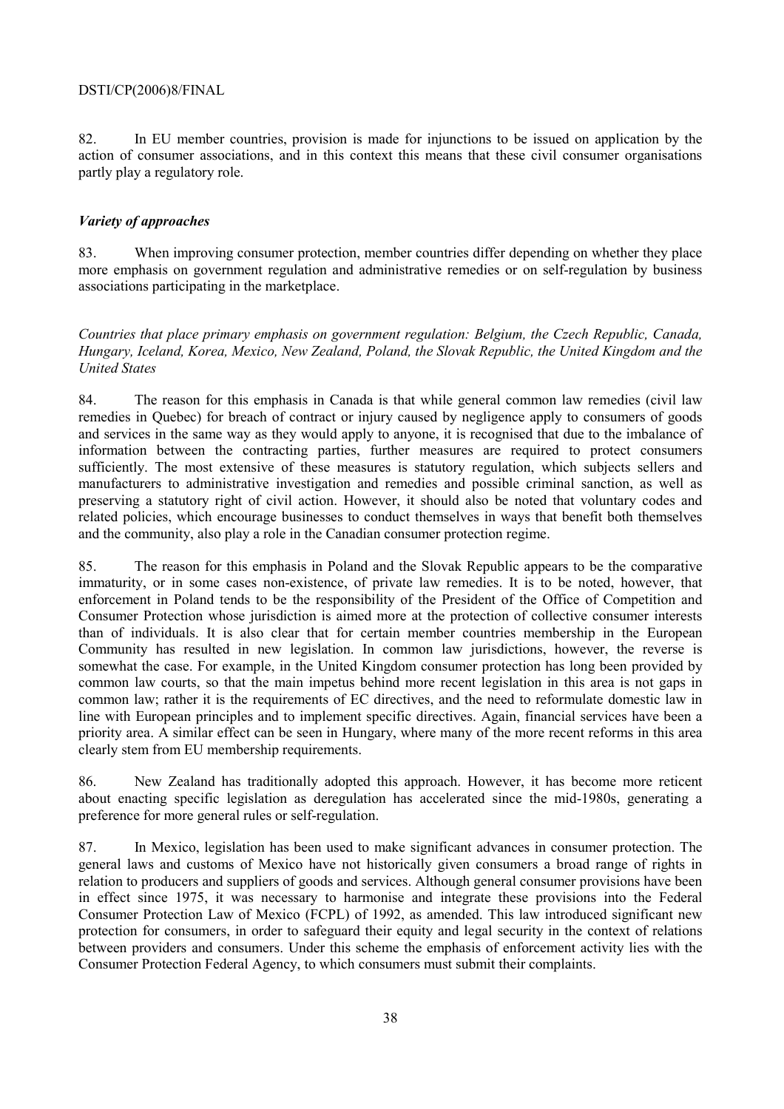82. In EU member countries, provision is made for injunctions to be issued on application by the action of consumer associations, and in this context this means that these civil consumer organisations partly play a regulatory role.

#### *Variety of approaches*

83. When improving consumer protection, member countries differ depending on whether they place more emphasis on government regulation and administrative remedies or on self-regulation by business associations participating in the marketplace.

*Countries that place primary emphasis on government regulation: Belgium, the Czech Republic, Canada, Hungary, Iceland, Korea, Mexico, New Zealand, Poland, the Slovak Republic, the United Kingdom and the United States* 

84. The reason for this emphasis in Canada is that while general common law remedies (civil law remedies in Quebec) for breach of contract or injury caused by negligence apply to consumers of goods and services in the same way as they would apply to anyone, it is recognised that due to the imbalance of information between the contracting parties, further measures are required to protect consumers sufficiently. The most extensive of these measures is statutory regulation, which subjects sellers and manufacturers to administrative investigation and remedies and possible criminal sanction, as well as preserving a statutory right of civil action. However, it should also be noted that voluntary codes and related policies, which encourage businesses to conduct themselves in ways that benefit both themselves and the community, also play a role in the Canadian consumer protection regime.

85. The reason for this emphasis in Poland and the Slovak Republic appears to be the comparative immaturity, or in some cases non-existence, of private law remedies. It is to be noted, however, that enforcement in Poland tends to be the responsibility of the President of the Office of Competition and Consumer Protection whose jurisdiction is aimed more at the protection of collective consumer interests than of individuals. It is also clear that for certain member countries membership in the European Community has resulted in new legislation. In common law jurisdictions, however, the reverse is somewhat the case. For example, in the United Kingdom consumer protection has long been provided by common law courts, so that the main impetus behind more recent legislation in this area is not gaps in common law; rather it is the requirements of EC directives, and the need to reformulate domestic law in line with European principles and to implement specific directives. Again, financial services have been a priority area. A similar effect can be seen in Hungary, where many of the more recent reforms in this area clearly stem from EU membership requirements.

86. New Zealand has traditionally adopted this approach. However, it has become more reticent about enacting specific legislation as deregulation has accelerated since the mid-1980s, generating a preference for more general rules or self-regulation.

87. In Mexico, legislation has been used to make significant advances in consumer protection. The general laws and customs of Mexico have not historically given consumers a broad range of rights in relation to producers and suppliers of goods and services. Although general consumer provisions have been in effect since 1975, it was necessary to harmonise and integrate these provisions into the Federal Consumer Protection Law of Mexico (FCPL) of 1992, as amended. This law introduced significant new protection for consumers, in order to safeguard their equity and legal security in the context of relations between providers and consumers. Under this scheme the emphasis of enforcement activity lies with the Consumer Protection Federal Agency, to which consumers must submit their complaints.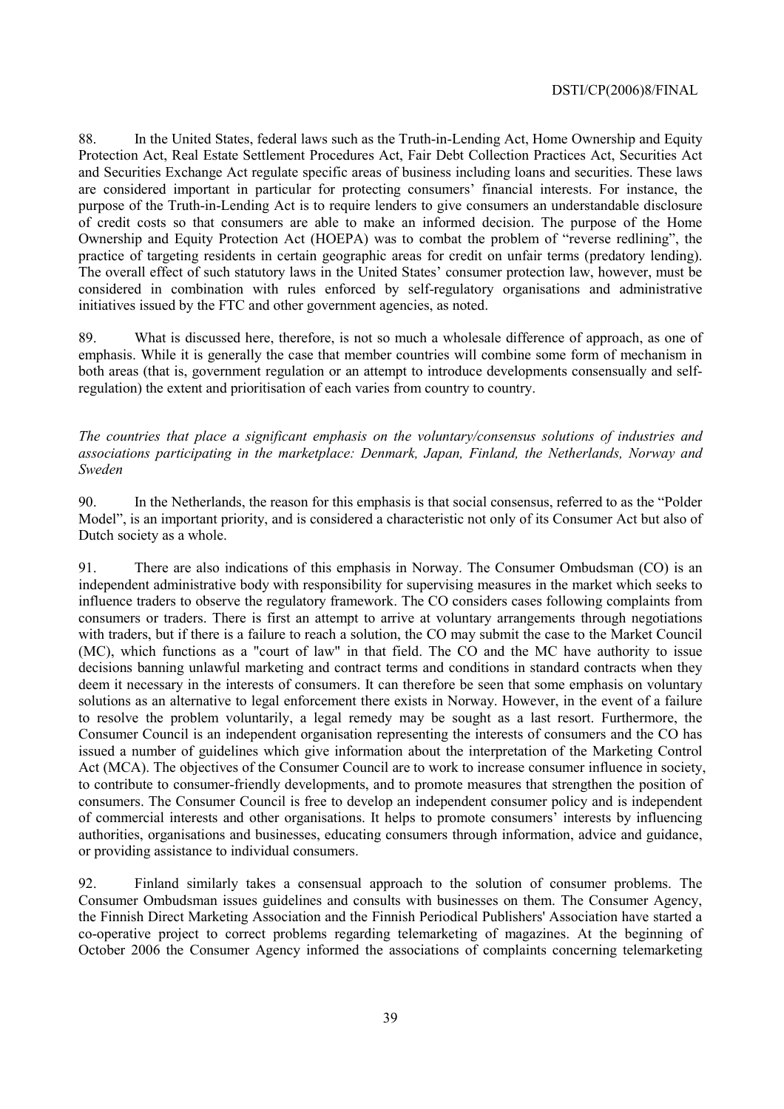88. In the United States, federal laws such as the Truth-in-Lending Act, Home Ownership and Equity Protection Act, Real Estate Settlement Procedures Act, Fair Debt Collection Practices Act, Securities Act and Securities Exchange Act regulate specific areas of business including loans and securities. These laws are considered important in particular for protecting consumers' financial interests. For instance, the purpose of the Truth-in-Lending Act is to require lenders to give consumers an understandable disclosure of credit costs so that consumers are able to make an informed decision. The purpose of the Home Ownership and Equity Protection Act (HOEPA) was to combat the problem of "reverse redlining", the practice of targeting residents in certain geographic areas for credit on unfair terms (predatory lending). The overall effect of such statutory laws in the United States' consumer protection law, however, must be considered in combination with rules enforced by self-regulatory organisations and administrative initiatives issued by the FTC and other government agencies, as noted.

89. What is discussed here, therefore, is not so much a wholesale difference of approach, as one of emphasis. While it is generally the case that member countries will combine some form of mechanism in both areas (that is, government regulation or an attempt to introduce developments consensually and selfregulation) the extent and prioritisation of each varies from country to country.

*The countries that place a significant emphasis on the voluntary/consensus solutions of industries and associations participating in the marketplace: Denmark, Japan, Finland, the Netherlands, Norway and Sweden* 

90. In the Netherlands, the reason for this emphasis is that social consensus, referred to as the "Polder" Model", is an important priority, and is considered a characteristic not only of its Consumer Act but also of Dutch society as a whole.

91. There are also indications of this emphasis in Norway. The Consumer Ombudsman (CO) is an independent administrative body with responsibility for supervising measures in the market which seeks to influence traders to observe the regulatory framework. The CO considers cases following complaints from consumers or traders. There is first an attempt to arrive at voluntary arrangements through negotiations with traders, but if there is a failure to reach a solution, the CO may submit the case to the Market Council (MC), which functions as a "court of law" in that field. The CO and the MC have authority to issue decisions banning unlawful marketing and contract terms and conditions in standard contracts when they deem it necessary in the interests of consumers. It can therefore be seen that some emphasis on voluntary solutions as an alternative to legal enforcement there exists in Norway. However, in the event of a failure to resolve the problem voluntarily, a legal remedy may be sought as a last resort. Furthermore, the Consumer Council is an independent organisation representing the interests of consumers and the CO has issued a number of guidelines which give information about the interpretation of the Marketing Control Act (MCA). The objectives of the Consumer Council are to work to increase consumer influence in society, to contribute to consumer-friendly developments, and to promote measures that strengthen the position of consumers. The Consumer Council is free to develop an independent consumer policy and is independent of commercial interests and other organisations. It helps to promote consumers' interests by influencing authorities, organisations and businesses, educating consumers through information, advice and guidance, or providing assistance to individual consumers.

92. Finland similarly takes a consensual approach to the solution of consumer problems. The Consumer Ombudsman issues guidelines and consults with businesses on them. The Consumer Agency, the Finnish Direct Marketing Association and the Finnish Periodical Publishers' Association have started a co-operative project to correct problems regarding telemarketing of magazines. At the beginning of October 2006 the Consumer Agency informed the associations of complaints concerning telemarketing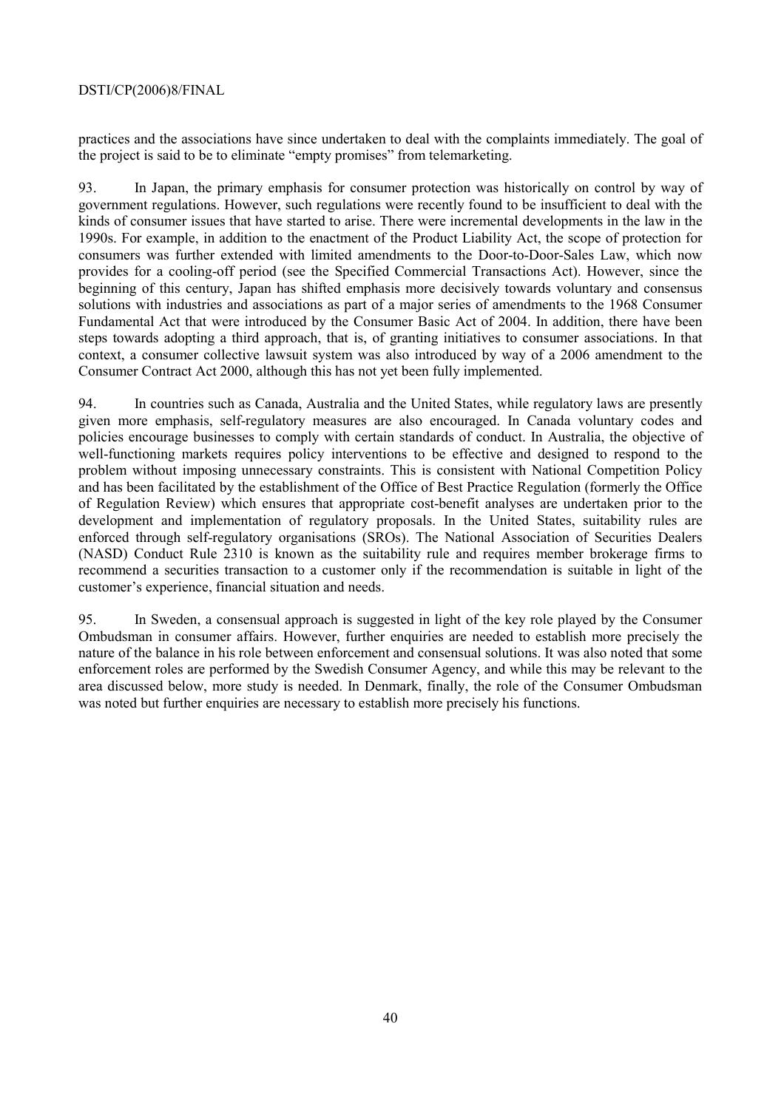practices and the associations have since undertaken to deal with the complaints immediately. The goal of the project is said to be to eliminate "empty promises" from telemarketing.

93. In Japan, the primary emphasis for consumer protection was historically on control by way of government regulations. However, such regulations were recently found to be insufficient to deal with the kinds of consumer issues that have started to arise. There were incremental developments in the law in the 1990s. For example, in addition to the enactment of the Product Liability Act, the scope of protection for consumers was further extended with limited amendments to the Door-to-Door-Sales Law, which now provides for a cooling-off period (see the Specified Commercial Transactions Act). However, since the beginning of this century, Japan has shifted emphasis more decisively towards voluntary and consensus solutions with industries and associations as part of a major series of amendments to the 1968 Consumer Fundamental Act that were introduced by the Consumer Basic Act of 2004. In addition, there have been steps towards adopting a third approach, that is, of granting initiatives to consumer associations. In that context, a consumer collective lawsuit system was also introduced by way of a 2006 amendment to the Consumer Contract Act 2000, although this has not yet been fully implemented.

94. In countries such as Canada, Australia and the United States, while regulatory laws are presently given more emphasis, self-regulatory measures are also encouraged. In Canada voluntary codes and policies encourage businesses to comply with certain standards of conduct. In Australia, the objective of well-functioning markets requires policy interventions to be effective and designed to respond to the problem without imposing unnecessary constraints. This is consistent with National Competition Policy and has been facilitated by the establishment of the Office of Best Practice Regulation (formerly the Office of Regulation Review) which ensures that appropriate cost-benefit analyses are undertaken prior to the development and implementation of regulatory proposals. In the United States, suitability rules are enforced through self-regulatory organisations (SROs). The National Association of Securities Dealers (NASD) Conduct Rule 2310 is known as the suitability rule and requires member brokerage firms to recommend a securities transaction to a customer only if the recommendation is suitable in light of the customer's experience, financial situation and needs.

95. In Sweden, a consensual approach is suggested in light of the key role played by the Consumer Ombudsman in consumer affairs. However, further enquiries are needed to establish more precisely the nature of the balance in his role between enforcement and consensual solutions. It was also noted that some enforcement roles are performed by the Swedish Consumer Agency, and while this may be relevant to the area discussed below, more study is needed. In Denmark, finally, the role of the Consumer Ombudsman was noted but further enquiries are necessary to establish more precisely his functions.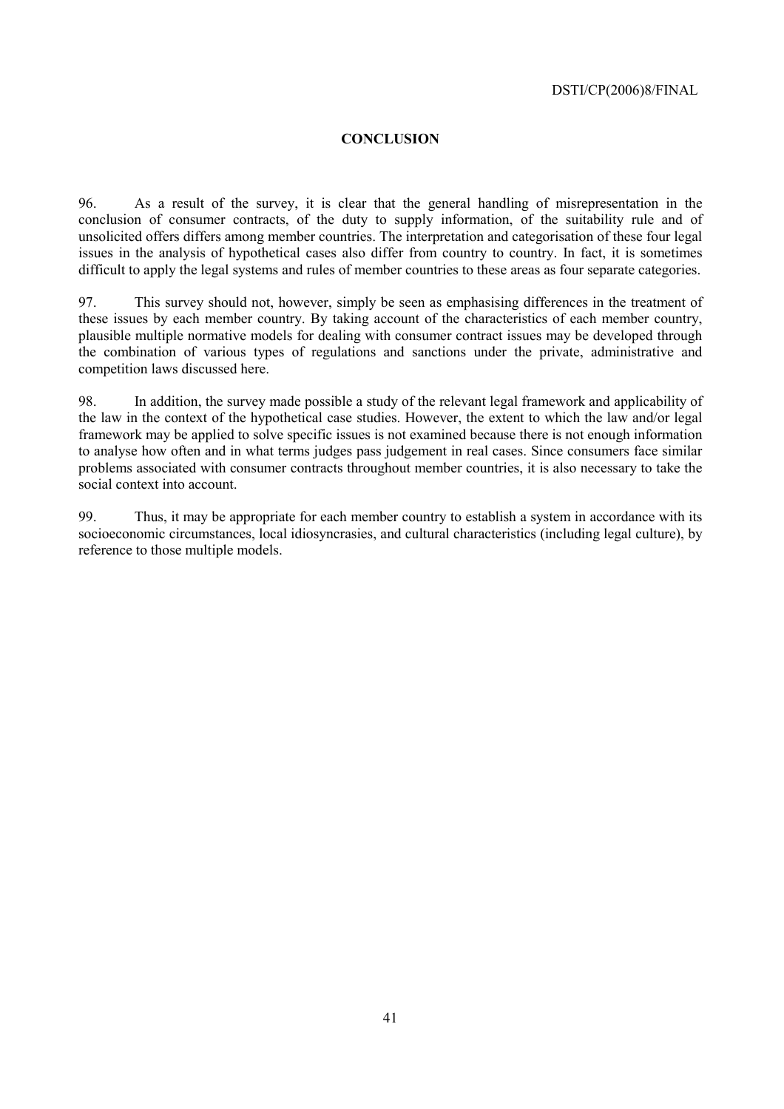#### **CONCLUSION**

96. As a result of the survey, it is clear that the general handling of misrepresentation in the conclusion of consumer contracts, of the duty to supply information, of the suitability rule and of unsolicited offers differs among member countries. The interpretation and categorisation of these four legal issues in the analysis of hypothetical cases also differ from country to country. In fact, it is sometimes difficult to apply the legal systems and rules of member countries to these areas as four separate categories.

97. This survey should not, however, simply be seen as emphasising differences in the treatment of these issues by each member country. By taking account of the characteristics of each member country, plausible multiple normative models for dealing with consumer contract issues may be developed through the combination of various types of regulations and sanctions under the private, administrative and competition laws discussed here.

98. In addition, the survey made possible a study of the relevant legal framework and applicability of the law in the context of the hypothetical case studies. However, the extent to which the law and/or legal framework may be applied to solve specific issues is not examined because there is not enough information to analyse how often and in what terms judges pass judgement in real cases. Since consumers face similar problems associated with consumer contracts throughout member countries, it is also necessary to take the social context into account.

99. Thus, it may be appropriate for each member country to establish a system in accordance with its socioeconomic circumstances, local idiosyncrasies, and cultural characteristics (including legal culture), by reference to those multiple models.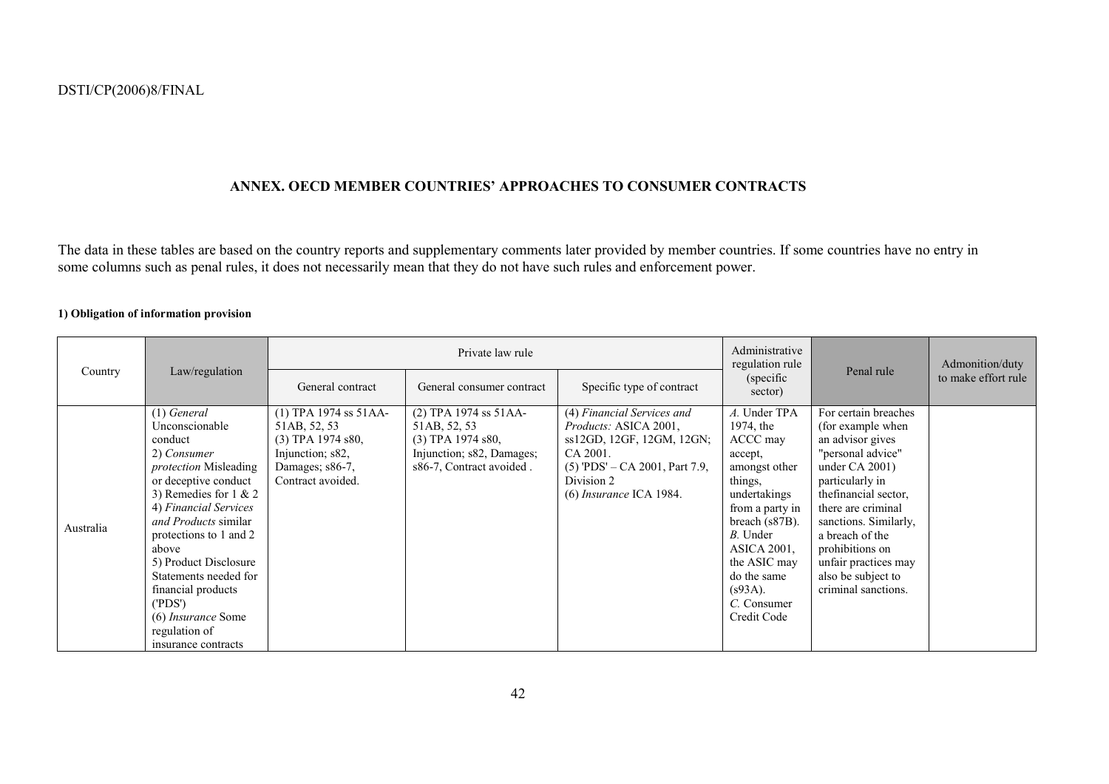#### **ANNEX. OECD MEMBER COUNTRIESí APPROACHES TO CONSUMER CONTRACTS**

The data in these tables are based on the country reports and supplementary comments later provided by member countries. If some countries have no entry in some columns such as penal rules, it does not necessarily mean that they do not have such rules and enforcement power.

#### **1) Obligation of information provision**

| Country   | Law/regulation                                                                                                                                                                                                                                                                                                                                                                          | Private law rule                                                                                                           |                                                                                                                         |                                                                                                                                                                                    | Administrative<br>regulation rule                                                                                                                                                                                                                      | Penal rule                                                                                                                                                                                                                                                                                                    | Admonition/duty     |
|-----------|-----------------------------------------------------------------------------------------------------------------------------------------------------------------------------------------------------------------------------------------------------------------------------------------------------------------------------------------------------------------------------------------|----------------------------------------------------------------------------------------------------------------------------|-------------------------------------------------------------------------------------------------------------------------|------------------------------------------------------------------------------------------------------------------------------------------------------------------------------------|--------------------------------------------------------------------------------------------------------------------------------------------------------------------------------------------------------------------------------------------------------|---------------------------------------------------------------------------------------------------------------------------------------------------------------------------------------------------------------------------------------------------------------------------------------------------------------|---------------------|
|           |                                                                                                                                                                                                                                                                                                                                                                                         | General contract                                                                                                           | General consumer contract                                                                                               | Specific type of contract                                                                                                                                                          | (specific)<br>sector)                                                                                                                                                                                                                                  |                                                                                                                                                                                                                                                                                                               | to make effort rule |
| Australia | $(1)$ General<br>Unconscionable<br>conduct<br>2) Consumer<br><i>protection</i> Misleading<br>or deceptive conduct<br>3) Remedies for $1 & 2$<br>4) Financial Services<br>and Products similar<br>protections to 1 and 2<br>above<br>5) Product Disclosure<br>Statements needed for<br>financial products<br>(PDS')<br>(6) <i>Insurance</i> Some<br>regulation of<br>insurance contracts | $(1)$ TPA 1974 ss 51AA-<br>51AB, 52, 53<br>$(3)$ TPA 1974 s80,<br>Injunction; s82,<br>Damages; s86-7,<br>Contract avoided. | $(2)$ TPA 1974 ss 51AA-<br>51AB, 52, 53<br>$(3)$ TPA 1974 s80,<br>Injunction; s82, Damages;<br>s86-7, Contract avoided. | (4) Financial Services and<br><i>Products:</i> ASICA 2001,<br>ss12GD, 12GF, 12GM, 12GN;<br>CA 2001.<br>$(5)$ 'PDS' – CA 2001, Part 7.9,<br>Division 2<br>$(6)$ Insurance ICA 1984. | A. Under TPA<br>1974, the<br>ACCC may<br>accept,<br>amongst other<br>things,<br>undertakings<br>from a party in<br>breach (s87B).<br><i>B</i> . Under<br><b>ASICA 2001.</b><br>the ASIC may<br>do the same<br>$(s93A)$ .<br>C. Consumer<br>Credit Code | For certain breaches<br>(for example when<br>an advisor gives<br>"personal advice"<br>under $CA 2001$ )<br>particularly in<br>the financial sector,<br>there are criminal<br>sanctions. Similarly,<br>a breach of the<br>prohibitions on<br>unfair practices may<br>also be subject to<br>criminal sanctions. |                     |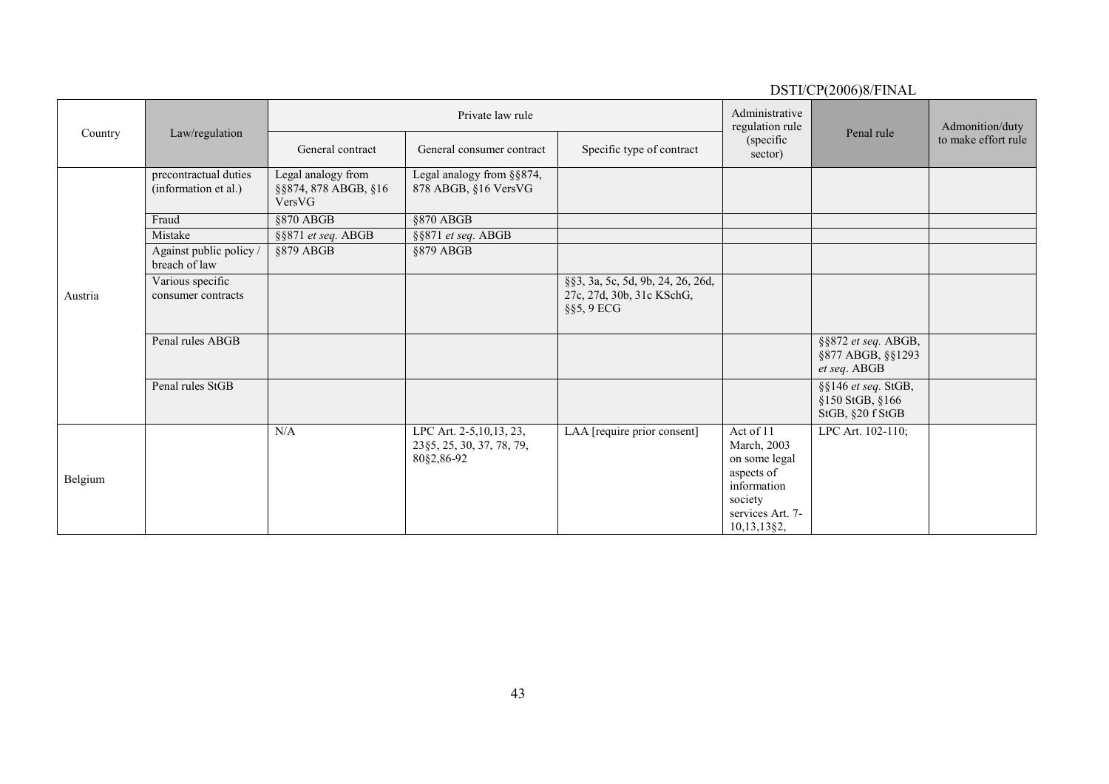|         |                                               |                                                      |                                                                      |                                                                                  |                                                                                                                      | DSTI/CP(2006)8/FINAL                                           |                                        |
|---------|-----------------------------------------------|------------------------------------------------------|----------------------------------------------------------------------|----------------------------------------------------------------------------------|----------------------------------------------------------------------------------------------------------------------|----------------------------------------------------------------|----------------------------------------|
|         |                                               |                                                      | Private law rule                                                     |                                                                                  | Administrative<br>regulation rule                                                                                    | Penal rule                                                     | Admonition/duty<br>to make effort rule |
| Country | Law/regulation                                | General contract                                     | General consumer contract                                            | Specific type of contract                                                        | (specific<br>sector)                                                                                                 |                                                                |                                        |
|         | precontractual duties<br>(information et al.) | Legal analogy from<br>§§874, 878 ABGB, §16<br>VersVG | Legal analogy from §§874,<br>878 ABGB, §16 VersVG                    |                                                                                  |                                                                                                                      |                                                                |                                        |
|         | Fraud                                         | §870 ABGB                                            | $§870$ ABGB                                                          |                                                                                  |                                                                                                                      |                                                                |                                        |
|         | Mistake                                       | §§871 et seq. ABGB                                   | §§871 et seq. ABGB                                                   |                                                                                  |                                                                                                                      |                                                                |                                        |
|         | Against public policy /<br>breach of law      | §879 ABGB                                            | $$879$ ABGB                                                          |                                                                                  |                                                                                                                      |                                                                |                                        |
| Austria | Various specific<br>consumer contracts        |                                                      |                                                                      | §§3, 3a, 5c, 5d, 9b, 24, 26, 26d,<br>27c, 27d, 30b, 31c KSchG,<br>$\S$ §5, 9 ECG |                                                                                                                      |                                                                |                                        |
|         | Penal rules ABGB                              |                                                      |                                                                      |                                                                                  |                                                                                                                      | §§872 et seq. ABGB,<br>§877 ABGB, §§1293<br>et seq. ABGB       |                                        |
|         | Penal rules StGB                              |                                                      |                                                                      |                                                                                  |                                                                                                                      | $\S$ §146 et seq. StGB,<br>§150 StGB, §166<br>StGB, §20 f StGB |                                        |
| Belgium |                                               | N/A                                                  | LPC Art. 2-5, 10, 13, 23,<br>23§5, 25, 30, 37, 78, 79,<br>80§2,86-92 | LAA [require prior consent]                                                      | Act of 11<br>March, 2003<br>on some legal<br>aspects of<br>information<br>society<br>services Art. 7-<br>10,13,13§2, | LPC Art. 102-110;                                              |                                        |

43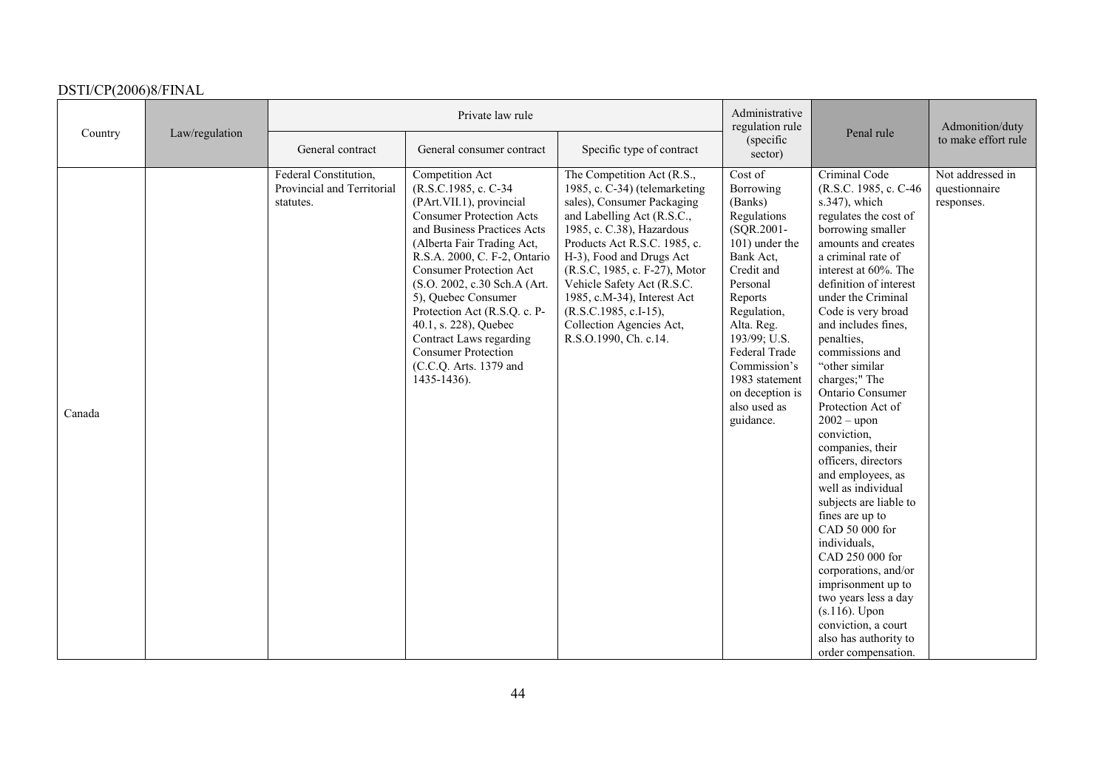|         |                |                                                                  | Private law rule                                                                                                                                                                                                                                                                                                                                                                                                                                         |                                                                                                                                                                                                                                                                                                                                                                                              | Administrative<br>regulation rule                                                                                                                                                                                                                                                |                                                                                                                                                                                                                                                                                                                                                                                                                                                                                                                                                                                                                                                                                                                                                                                       | Admonition/duty                                 |
|---------|----------------|------------------------------------------------------------------|----------------------------------------------------------------------------------------------------------------------------------------------------------------------------------------------------------------------------------------------------------------------------------------------------------------------------------------------------------------------------------------------------------------------------------------------------------|----------------------------------------------------------------------------------------------------------------------------------------------------------------------------------------------------------------------------------------------------------------------------------------------------------------------------------------------------------------------------------------------|----------------------------------------------------------------------------------------------------------------------------------------------------------------------------------------------------------------------------------------------------------------------------------|---------------------------------------------------------------------------------------------------------------------------------------------------------------------------------------------------------------------------------------------------------------------------------------------------------------------------------------------------------------------------------------------------------------------------------------------------------------------------------------------------------------------------------------------------------------------------------------------------------------------------------------------------------------------------------------------------------------------------------------------------------------------------------------|-------------------------------------------------|
| Country | Law/regulation | General contract                                                 | General consumer contract                                                                                                                                                                                                                                                                                                                                                                                                                                | Specific type of contract                                                                                                                                                                                                                                                                                                                                                                    | (specific<br>sector)                                                                                                                                                                                                                                                             | Penal rule                                                                                                                                                                                                                                                                                                                                                                                                                                                                                                                                                                                                                                                                                                                                                                            | to make effort rule                             |
| Canada  |                | Federal Constitution,<br>Provincial and Territorial<br>statutes. | Competition Act<br>(R.S.C.1985, c. C-34)<br>(PArt.VII.1), provincial<br><b>Consumer Protection Acts</b><br>and Business Practices Acts<br>(Alberta Fair Trading Act,<br>R.S.A. 2000, C. F-2, Ontario<br><b>Consumer Protection Act</b><br>(S.O. 2002, c.30 Sch.A (Art.<br>5), Quebec Consumer<br>Protection Act (R.S.Q. c. P-<br>40.1, s. 228), Quebec<br>Contract Laws regarding<br><b>Consumer Protection</b><br>(C.C.Q. Arts. 1379 and<br>1435-1436). | The Competition Act (R.S.,<br>1985, c. C-34) (telemarketing<br>sales), Consumer Packaging<br>and Labelling Act (R.S.C.,<br>1985, c. C.38), Hazardous<br>Products Act R.S.C. 1985, c.<br>H-3), Food and Drugs Act<br>(R.S.C, 1985, c. F-27), Motor<br>Vehicle Safety Act (R.S.C.<br>1985, c.M-34), Interest Act<br>(R.S.C.1985, c.I-15),<br>Collection Agencies Act,<br>R.S.O.1990, Ch. c.14. | Cost of<br>Borrowing<br>(Banks)<br>Regulations<br>(SQR.2001-<br>101) under the<br>Bank Act,<br>Credit and<br>Personal<br>Reports<br>Regulation,<br>Alta. Reg.<br>193/99; U.S.<br>Federal Trade<br>Commission's<br>1983 statement<br>on deception is<br>also used as<br>guidance. | Criminal Code<br>(R.S.C. 1985, c. C-46)<br>s.347), which<br>regulates the cost of<br>borrowing smaller<br>amounts and creates<br>a criminal rate of<br>interest at 60%. The<br>definition of interest<br>under the Criminal<br>Code is very broad<br>and includes fines,<br>penalties,<br>commissions and<br>"other similar<br>charges;" The<br><b>Ontario Consumer</b><br>Protection Act of<br>$2002 -$ upon<br>conviction,<br>companies, their<br>officers, directors<br>and employees, as<br>well as individual<br>subjects are liable to<br>fines are up to<br>CAD 50 000 for<br>individuals,<br>CAD 250 000 for<br>corporations, and/or<br>imprisonment up to<br>two years less a day<br>$(s.116)$ . Upon<br>conviction, a court<br>also has authority to<br>order compensation. | Not addressed in<br>questionnaire<br>responses. |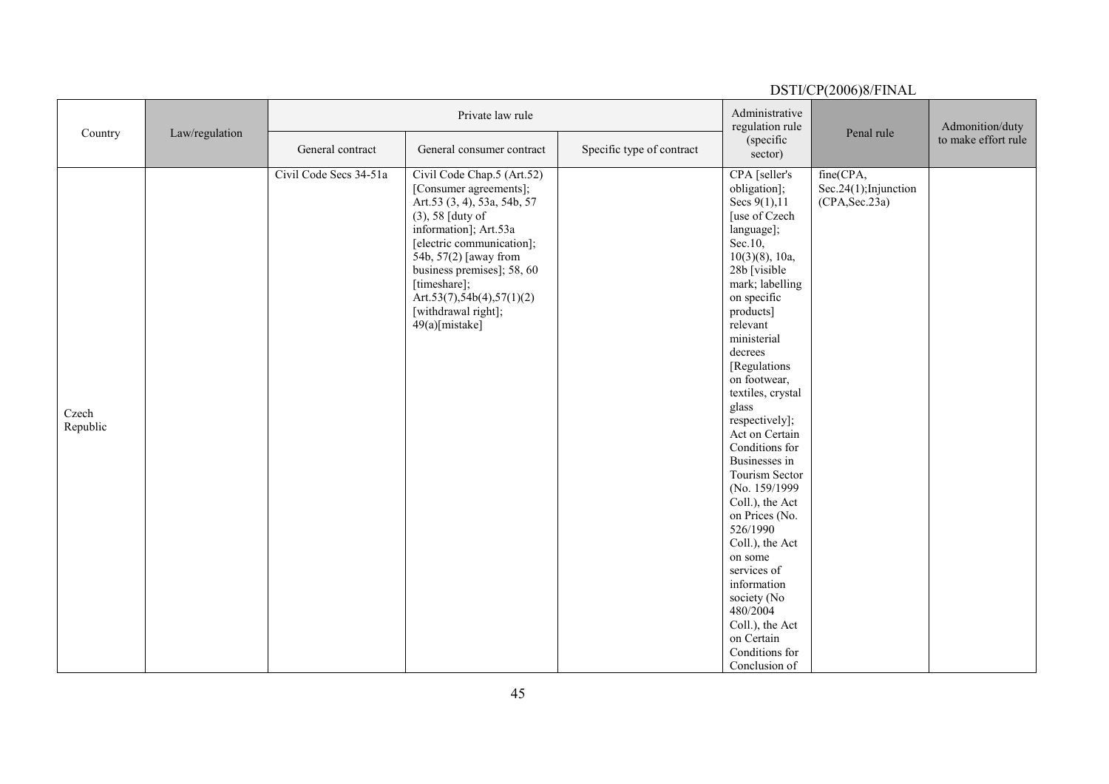| Country           |                |                        | Private law rule                                                                                                                                                                                                                                                                                           |                           | Administrative<br>regulation rule                                                                                                                                                                                                                                                                                                                                                                                                                                                                                                                                                                             |                                                           | Admonition/duty     |
|-------------------|----------------|------------------------|------------------------------------------------------------------------------------------------------------------------------------------------------------------------------------------------------------------------------------------------------------------------------------------------------------|---------------------------|---------------------------------------------------------------------------------------------------------------------------------------------------------------------------------------------------------------------------------------------------------------------------------------------------------------------------------------------------------------------------------------------------------------------------------------------------------------------------------------------------------------------------------------------------------------------------------------------------------------|-----------------------------------------------------------|---------------------|
|                   | Law/regulation | General contract       | General consumer contract                                                                                                                                                                                                                                                                                  | Specific type of contract | (specific<br>sector)                                                                                                                                                                                                                                                                                                                                                                                                                                                                                                                                                                                          | Penal rule                                                | to make effort rule |
| Czech<br>Republic |                | Civil Code Secs 34-51a | Civil Code Chap.5 (Art.52)<br>[Consumer agreements];<br>Art.53 (3, 4), 53a, 54b, 57<br>(3), 58 [duty of<br>information]; Art.53a<br>[electric communication];<br>54b, 57(2) [away from<br>business premises]; 58, 60<br>[timeshare];<br>Art.53(7),54b(4),57(1)(2)<br>[withdrawal right];<br>49(a)[mistake] |                           | CPA [seller's<br>obligation];<br>Secs $9(1), 11$<br>[use of Czech<br>language];<br>$Sec.10$ ,<br>$10(3)(8)$ , 10a,<br>28b [visible<br>mark; labelling<br>on specific<br>products]<br>relevant<br>ministerial<br>decrees<br>[Regulations]<br>on footwear,<br>textiles, crystal<br>glass<br>respectively];<br>Act on Certain<br>Conditions for<br>Businesses in<br>Tourism Sector<br>(No. 159/1999)<br>Coll.), the Act<br>on Prices (No.<br>526/1990<br>Coll.), the Act<br>on some<br>services of<br>information<br>society (No<br>480/2004<br>Coll.), the Act<br>on Certain<br>Conditions for<br>Conclusion of | fine(CPA,<br>Sec. $24(1)$ ; Injunction<br>(CPA, Sec. 23a) |                     |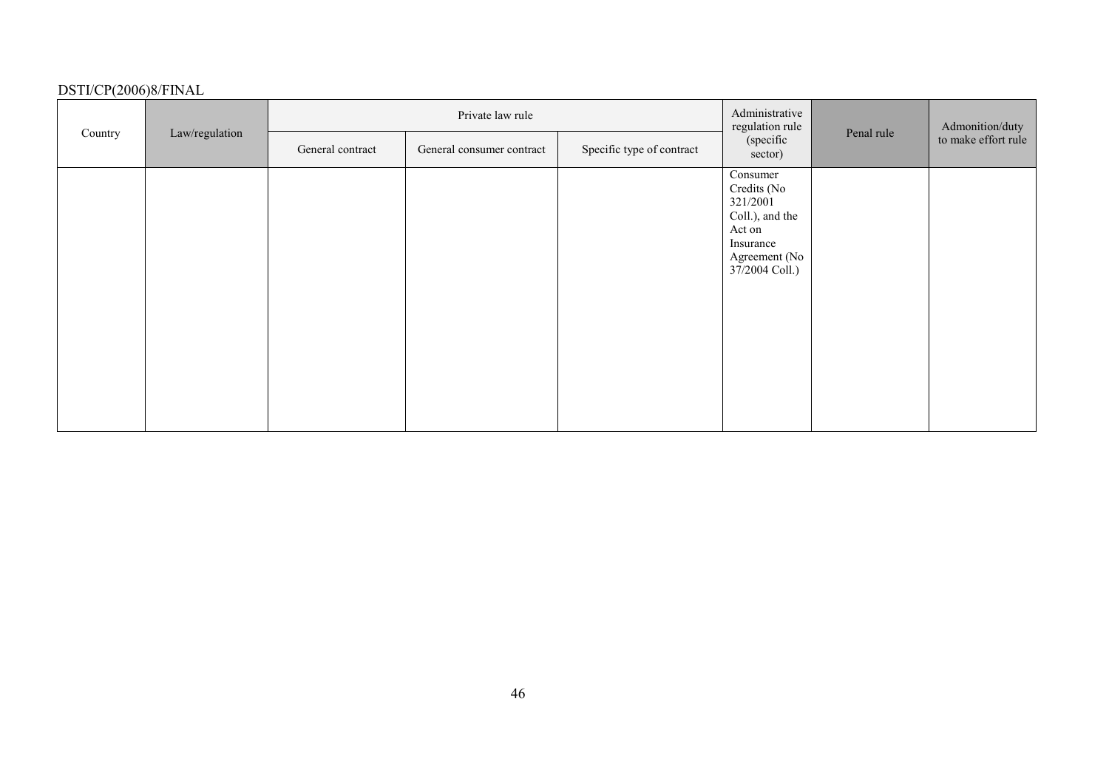|         |                | Private law rule |                           |                           | Administrative<br>regulation rule                                                                                |            | Admonition/duty     |
|---------|----------------|------------------|---------------------------|---------------------------|------------------------------------------------------------------------------------------------------------------|------------|---------------------|
| Country | Law/regulation | General contract | General consumer contract | Specific type of contract | (specific<br>sector)                                                                                             | Penal rule | to make effort rule |
|         |                |                  |                           |                           | Consumer<br>Credits (No<br>321/2001<br>Coll.), and the<br>Act on<br>Insurance<br>Agreement (No<br>37/2004 Coll.) |            |                     |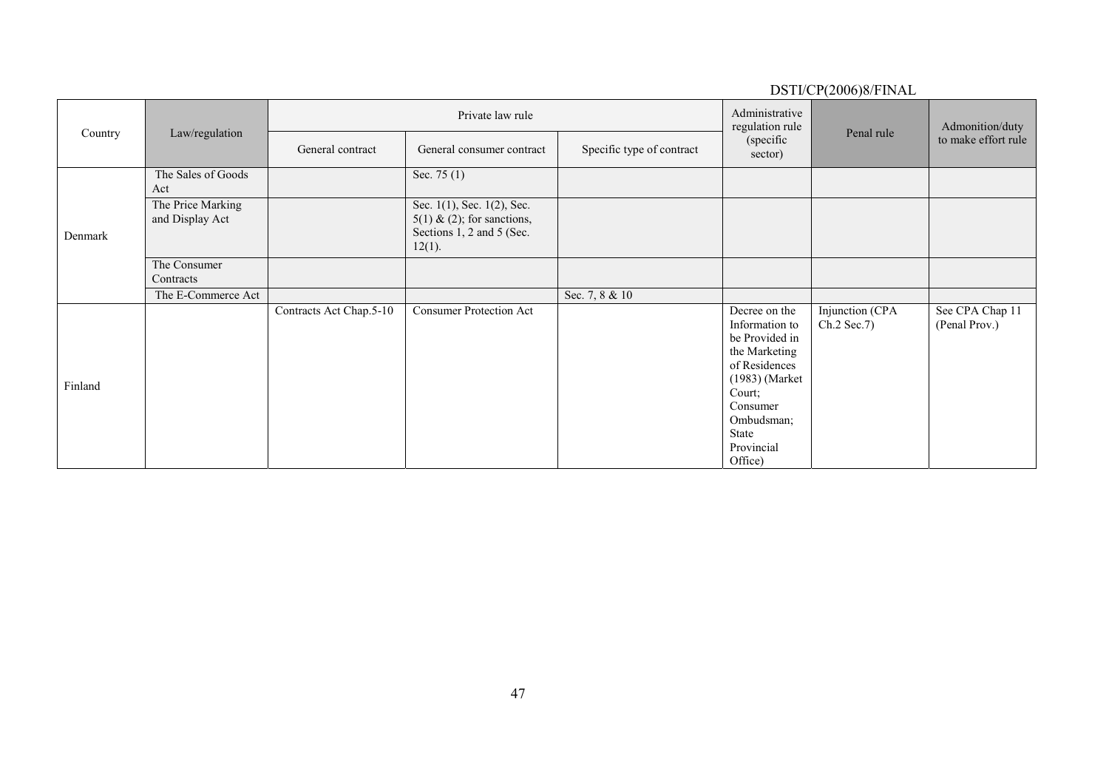| Country | Law/regulation                       |                         | Private law rule                                                                                     |                           |                                                                                                                                                                             | Penal rule                     | Admonition/duty                  |
|---------|--------------------------------------|-------------------------|------------------------------------------------------------------------------------------------------|---------------------------|-----------------------------------------------------------------------------------------------------------------------------------------------------------------------------|--------------------------------|----------------------------------|
|         |                                      | General contract        | General consumer contract                                                                            | Specific type of contract | (specific<br>sector)                                                                                                                                                        |                                | to make effort rule              |
| Denmark | The Sales of Goods<br>Act            |                         | Sec. $75(1)$                                                                                         |                           |                                                                                                                                                                             |                                |                                  |
|         | The Price Marking<br>and Display Act |                         | Sec. 1(1), Sec. 1(2), Sec.<br>$5(1)$ & (2); for sanctions,<br>Sections 1, 2 and 5 (Sec.<br>$12(1)$ . |                           |                                                                                                                                                                             |                                |                                  |
|         | The Consumer<br>Contracts            |                         |                                                                                                      |                           |                                                                                                                                                                             |                                |                                  |
|         | The E-Commerce Act                   |                         |                                                                                                      | Sec. 7, 8 & 10            |                                                                                                                                                                             |                                |                                  |
| Finland |                                      | Contracts Act Chap.5-10 | <b>Consumer Protection Act</b>                                                                       |                           | Decree on the<br>Information to<br>be Provided in<br>the Marketing<br>of Residences<br>(1983) (Market<br>Court;<br>Consumer<br>Ombudsman;<br>State<br>Provincial<br>Office) | Injunction (CPA<br>Ch.2 Sec.7) | See CPA Chap 11<br>(Penal Prov.) |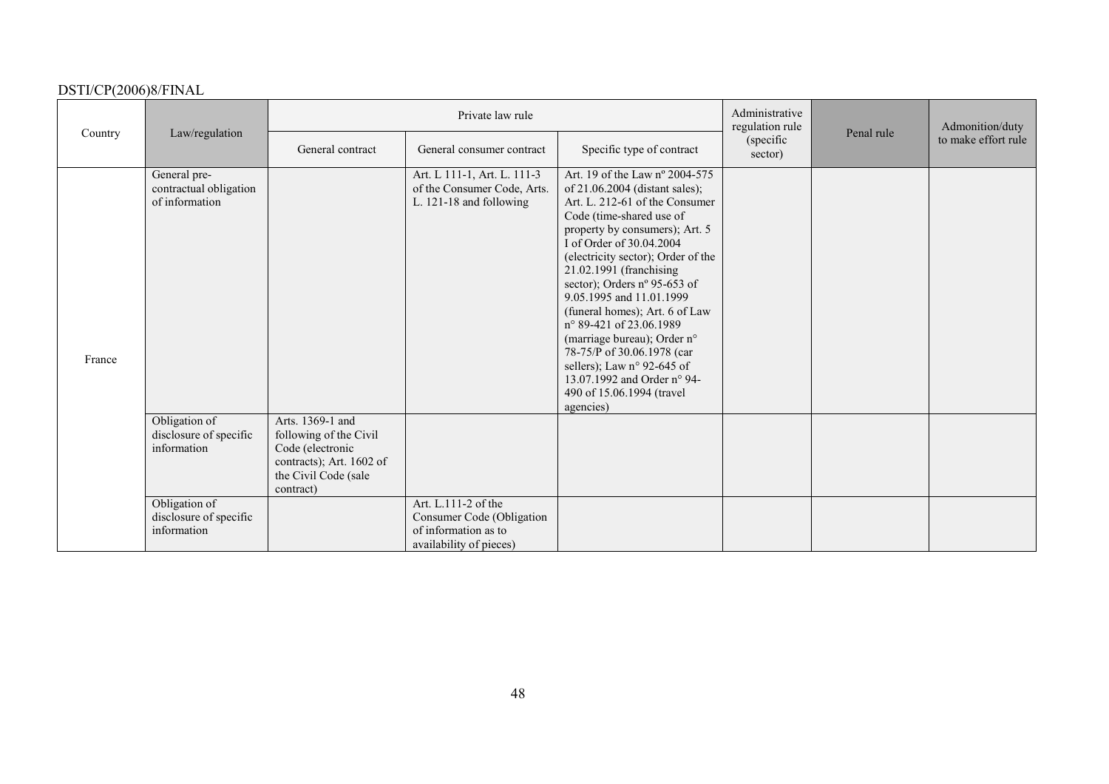| Country |                                                          | Private law rule                                                                                                                |                                                                                                     |                                                                                                                                                                                                                                                                                                                                                                                                                                                                                                                                                                     | Administrative<br>regulation rule |            | Admonition/duty     |
|---------|----------------------------------------------------------|---------------------------------------------------------------------------------------------------------------------------------|-----------------------------------------------------------------------------------------------------|---------------------------------------------------------------------------------------------------------------------------------------------------------------------------------------------------------------------------------------------------------------------------------------------------------------------------------------------------------------------------------------------------------------------------------------------------------------------------------------------------------------------------------------------------------------------|-----------------------------------|------------|---------------------|
|         | Law/regulation                                           | General contract                                                                                                                | General consumer contract                                                                           | Specific type of contract                                                                                                                                                                                                                                                                                                                                                                                                                                                                                                                                           | (specific)<br>sector)             | Penal rule | to make effort rule |
| France  | General pre-<br>contractual obligation<br>of information |                                                                                                                                 | Art. L 111-1, Art. L. 111-3<br>of the Consumer Code, Arts.<br>L. 121-18 and following               | Art. 19 of the Law nº 2004-575<br>of 21.06.2004 (distant sales);<br>Art. L. 212-61 of the Consumer<br>Code (time-shared use of<br>property by consumers); Art. 5<br>I of Order of 30.04.2004<br>(electricity sector); Order of the<br>21.02.1991 (franchising<br>sector); Orders nº 95-653 of<br>9.05.1995 and 11.01.1999<br>(funeral homes); Art. 6 of Law<br>n° 89-421 of 23.06.1989<br>(marriage bureau); Order n°<br>78-75/P of 30.06.1978 (car<br>sellers); Law $n^{\circ}$ 92-645 of<br>13.07.1992 and Order n° 94-<br>490 of 15.06.1994 (travel<br>agencies) |                                   |            |                     |
|         | Obligation of<br>disclosure of specific<br>information   | Arts. 1369-1 and<br>following of the Civil<br>Code (electronic<br>contracts); Art. 1602 of<br>the Civil Code (sale<br>contract) |                                                                                                     |                                                                                                                                                                                                                                                                                                                                                                                                                                                                                                                                                                     |                                   |            |                     |
|         | Obligation of<br>disclosure of specific<br>information   |                                                                                                                                 | Art. L.111-2 of the<br>Consumer Code (Obligation<br>of information as to<br>availability of pieces) |                                                                                                                                                                                                                                                                                                                                                                                                                                                                                                                                                                     |                                   |            |                     |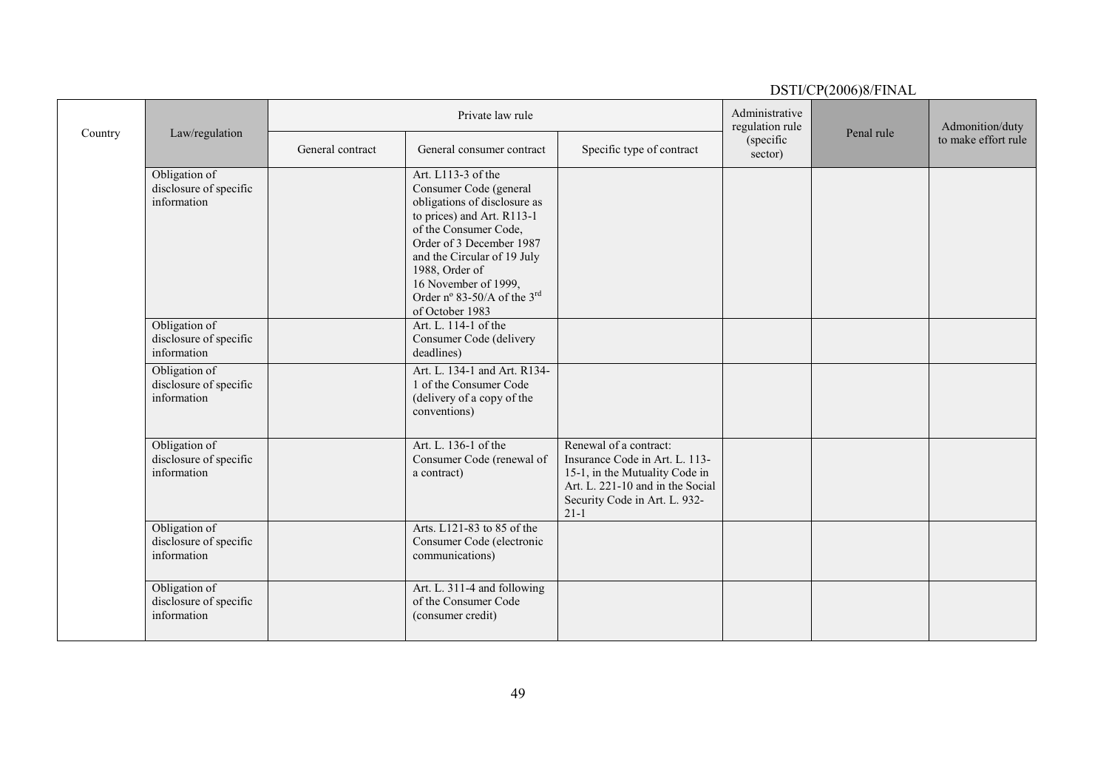|         |                                                        |                  |                                                                                                                                                                                                                                                                                            |                                                                                                                                                                             |                                   | $D \cup I \cup C I$ (2000) $0/I$ IIV/ID |                     |
|---------|--------------------------------------------------------|------------------|--------------------------------------------------------------------------------------------------------------------------------------------------------------------------------------------------------------------------------------------------------------------------------------------|-----------------------------------------------------------------------------------------------------------------------------------------------------------------------------|-----------------------------------|-----------------------------------------|---------------------|
|         |                                                        |                  | Private law rule                                                                                                                                                                                                                                                                           |                                                                                                                                                                             | Administrative<br>regulation rule |                                         | Admonition/duty     |
| Country | Law/regulation                                         | General contract | General consumer contract                                                                                                                                                                                                                                                                  | Specific type of contract                                                                                                                                                   | (specific<br>sector)              | Penal rule                              | to make effort rule |
|         | Obligation of<br>disclosure of specific<br>information |                  | Art. L113-3 of the<br>Consumer Code (general<br>obligations of disclosure as<br>to prices) and Art. R113-1<br>of the Consumer Code,<br>Order of 3 December 1987<br>and the Circular of 19 July<br>1988, Order of<br>16 November of 1999,<br>Order nº 83-50/A of the 3rd<br>of October 1983 |                                                                                                                                                                             |                                   |                                         |                     |
|         | Obligation of<br>disclosure of specific<br>information |                  | Art. L. 114-1 of the<br>Consumer Code (delivery<br>deadlines)                                                                                                                                                                                                                              |                                                                                                                                                                             |                                   |                                         |                     |
|         | Obligation of<br>disclosure of specific<br>information |                  | Art. L. 134-1 and Art. R134-<br>1 of the Consumer Code<br>(delivery of a copy of the<br>conventions)                                                                                                                                                                                       |                                                                                                                                                                             |                                   |                                         |                     |
|         | Obligation of<br>disclosure of specific<br>information |                  | Art. L. 136-1 of the<br>Consumer Code (renewal of<br>a contract)                                                                                                                                                                                                                           | Renewal of a contract:<br>Insurance Code in Art. L. 113-<br>15-1, in the Mutuality Code in<br>Art. L. 221-10 and in the Social<br>Security Code in Art. L. 932-<br>$21 - 1$ |                                   |                                         |                     |
|         | Obligation of<br>disclosure of specific<br>information |                  | Arts. L121-83 to 85 of the<br>Consumer Code (electronic<br>communications)                                                                                                                                                                                                                 |                                                                                                                                                                             |                                   |                                         |                     |
|         | Obligation of<br>disclosure of specific<br>information |                  | Art. L. 311-4 and following<br>of the Consumer Code<br>(consumer credit)                                                                                                                                                                                                                   |                                                                                                                                                                             |                                   |                                         |                     |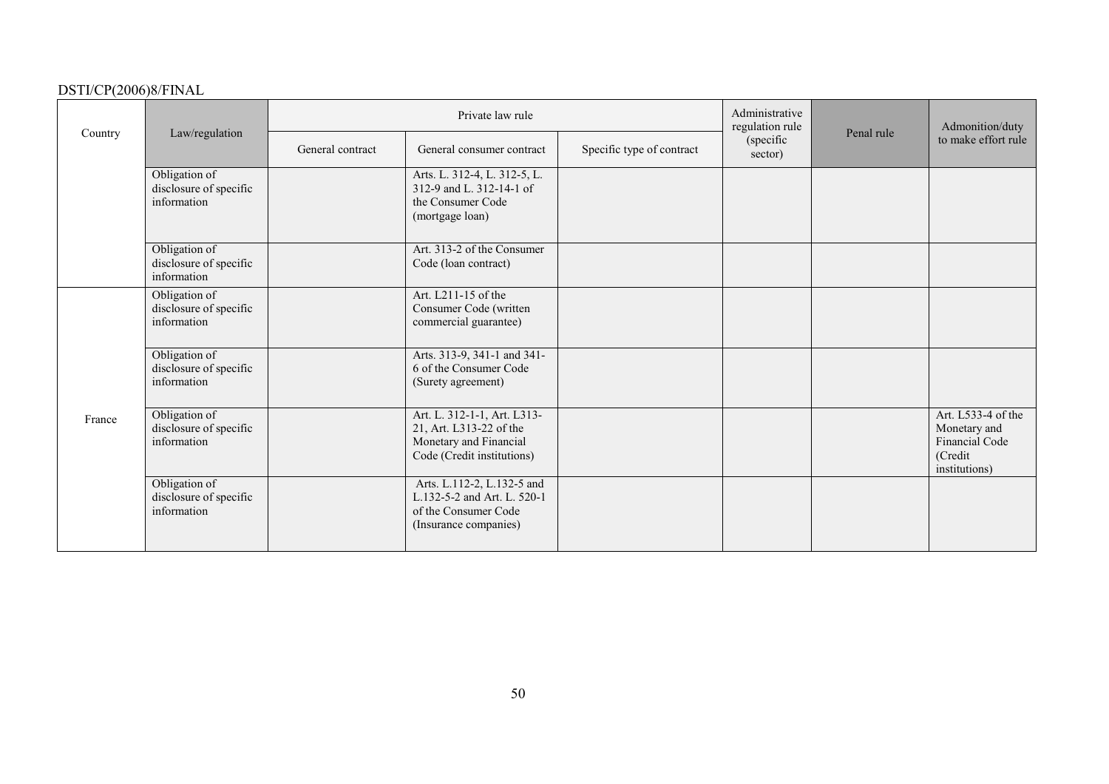|         |                                                        | Private law rule |                                                                                                                |                           | Administrative<br>regulation rule |            | Admonition/duty                                                                  |
|---------|--------------------------------------------------------|------------------|----------------------------------------------------------------------------------------------------------------|---------------------------|-----------------------------------|------------|----------------------------------------------------------------------------------|
| Country | Law/regulation                                         | General contract | General consumer contract                                                                                      | Specific type of contract | (specific<br>sector)              | Penal rule | to make effort rule                                                              |
|         | Obligation of<br>disclosure of specific<br>information |                  | Arts. L. 312-4, L. 312-5, L.<br>312-9 and L. 312-14-1 of<br>the Consumer Code<br>(mortgage loan)               |                           |                                   |            |                                                                                  |
|         | Obligation of<br>disclosure of specific<br>information |                  | Art. 313-2 of the Consumer<br>Code (loan contract)                                                             |                           |                                   |            |                                                                                  |
|         | Obligation of<br>disclosure of specific<br>information |                  | Art. L211-15 of the<br>Consumer Code (written<br>commercial guarantee)                                         |                           |                                   |            |                                                                                  |
|         | Obligation of<br>disclosure of specific<br>information |                  | Arts. 313-9, 341-1 and 341-<br>6 of the Consumer Code<br>(Surety agreement)                                    |                           |                                   |            |                                                                                  |
| France  | Obligation of<br>disclosure of specific<br>information |                  | Art. L. 312-1-1, Art. L313-<br>21, Art. L313-22 of the<br>Monetary and Financial<br>Code (Credit institutions) |                           |                                   |            | Art. L533-4 of the<br>Monetary and<br>Financial Code<br>(Credit<br>institutions) |
|         | Obligation of<br>disclosure of specific<br>information |                  | Arts. L.112-2, L.132-5 and<br>L.132-5-2 and Art. L. 520-1<br>of the Consumer Code<br>(Insurance companies)     |                           |                                   |            |                                                                                  |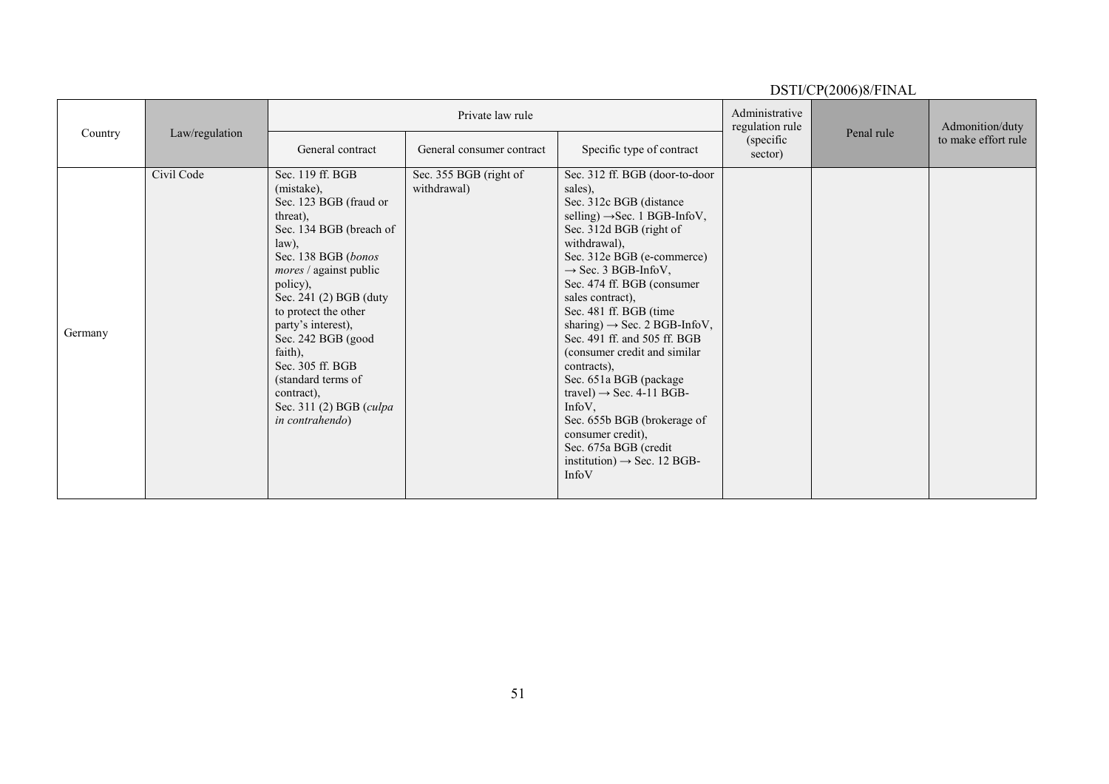| Country | Law/regulation |                                                                                                                                                                                                                                                                                                                                                                                      | Private law rule                      |                                                                                                                                                                                                                                                                                                                                                                                                                                                                                                                                                                                                                                                      |                      | Penal rule | Admonition/duty     |
|---------|----------------|--------------------------------------------------------------------------------------------------------------------------------------------------------------------------------------------------------------------------------------------------------------------------------------------------------------------------------------------------------------------------------------|---------------------------------------|------------------------------------------------------------------------------------------------------------------------------------------------------------------------------------------------------------------------------------------------------------------------------------------------------------------------------------------------------------------------------------------------------------------------------------------------------------------------------------------------------------------------------------------------------------------------------------------------------------------------------------------------------|----------------------|------------|---------------------|
|         |                | General contract                                                                                                                                                                                                                                                                                                                                                                     | General consumer contract             | Specific type of contract                                                                                                                                                                                                                                                                                                                                                                                                                                                                                                                                                                                                                            | (specific<br>sector) |            | to make effort rule |
| Germany | Civil Code     | Sec. 119 ff. BGB<br>(mistake),<br>Sec. 123 BGB (fraud or<br>threat).<br>Sec. 134 BGB (breach of<br>law),<br>Sec. 138 BGB (bonos<br>mores / against public<br>policy),<br>Sec. 241 (2) BGB (duty<br>to protect the other<br>party's interest),<br>Sec. 242 BGB (good<br>faith),<br>Sec. 305 ff. BGB<br>(standard terms of<br>contract),<br>Sec. 311 (2) BGB (culpa<br>in contrahendo) | Sec. 355 BGB (right of<br>withdrawal) | Sec. 312 ff. BGB (door-to-door<br>sales),<br>Sec. 312c BGB (distance<br>selling) $\rightarrow$ Sec. 1 BGB-InfoV,<br>Sec. 312d BGB (right of<br>withdrawal),<br>Sec. 312e BGB (e-commerce)<br>$\rightarrow$ Sec. 3 BGB-InfoV,<br>Sec. 474 ff. BGB (consumer<br>sales contract),<br>Sec. 481 ff. BGB (time<br>sharing) $\rightarrow$ Sec. 2 BGB-InfoV,<br>Sec. 491 ff. and 505 ff. BGB<br>(consumer credit and similar)<br>contracts),<br>Sec. 651a BGB (package<br>travel) $\rightarrow$ Sec. 4-11 BGB-<br>$InfoV$ ,<br>Sec. 655b BGB (brokerage of<br>consumer credit),<br>Sec. 675a BGB (credit<br>institution) $\rightarrow$ Sec. 12 BGB-<br>InfoV |                      |            |                     |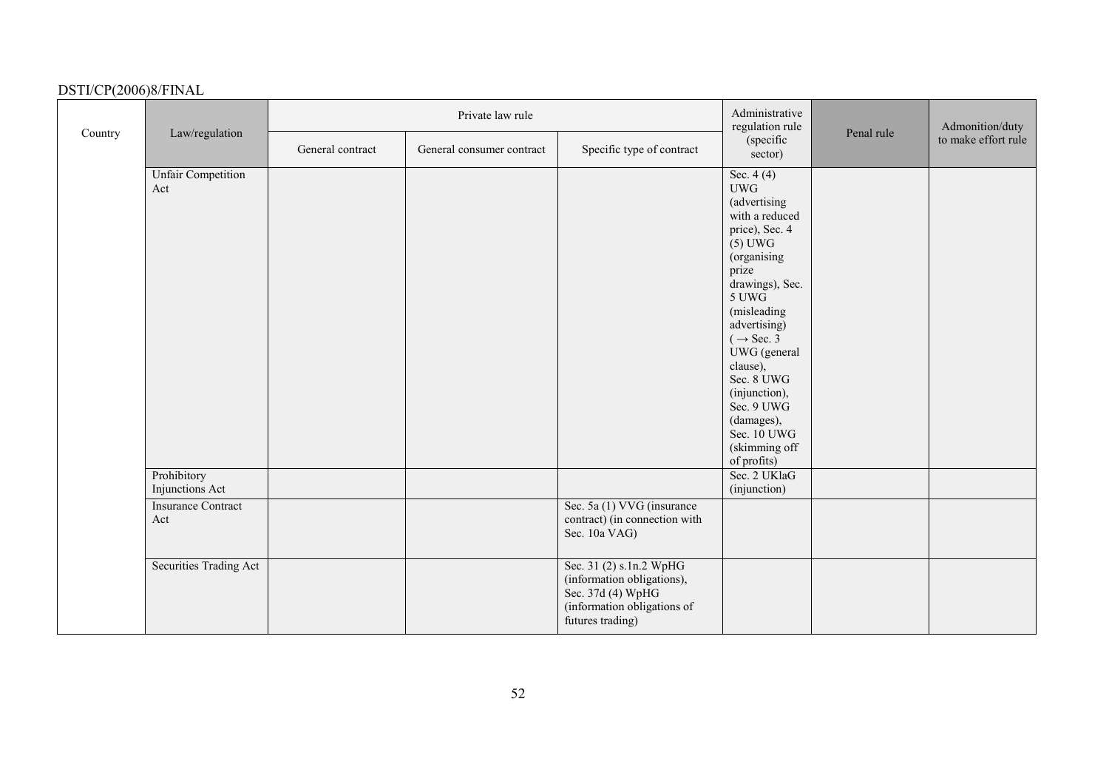|         |                                  |                  | Private law rule          |                                                                                                                               | Administrative<br>regulation rule                                                                                                                                                                                                                                                                                                                     |            | Admonition/duty     |
|---------|----------------------------------|------------------|---------------------------|-------------------------------------------------------------------------------------------------------------------------------|-------------------------------------------------------------------------------------------------------------------------------------------------------------------------------------------------------------------------------------------------------------------------------------------------------------------------------------------------------|------------|---------------------|
| Country | Law/regulation                   | General contract | General consumer contract | Specific type of contract                                                                                                     | (specific<br>sector)                                                                                                                                                                                                                                                                                                                                  | Penal rule | to make effort rule |
|         | <b>Unfair Competition</b><br>Act |                  |                           |                                                                                                                               | Sec. $4(4)$<br><b>UWG</b><br>(advertising<br>with a reduced<br>price), Sec. 4<br>$(5)$ UWG<br>(organising<br>prize<br>drawings), Sec.<br>5 UWG<br>(misleading<br>advertising)<br>$(\rightarrow \text{Sec. } 3)$<br>UWG (general<br>clause),<br>Sec. 8 UWG<br>(injunction),<br>Sec. 9 UWG<br>(damages),<br>Sec. 10 UWG<br>(skimming off<br>of profits) |            |                     |
|         | Prohibitory<br>Injunctions Act   |                  |                           |                                                                                                                               | Sec. 2 UKlaG<br>(injunction)                                                                                                                                                                                                                                                                                                                          |            |                     |
|         | <b>Insurance Contract</b><br>Act |                  |                           | Sec. 5a (1) VVG (insurance<br>contract) (in connection with<br>Sec. 10a VAG)                                                  |                                                                                                                                                                                                                                                                                                                                                       |            |                     |
|         | <b>Securities Trading Act</b>    |                  |                           | Sec. 31 (2) s.1n.2 WpHG<br>(information obligations),<br>Sec. 37d (4) WpHG<br>(information obligations of<br>futures trading) |                                                                                                                                                                                                                                                                                                                                                       |            |                     |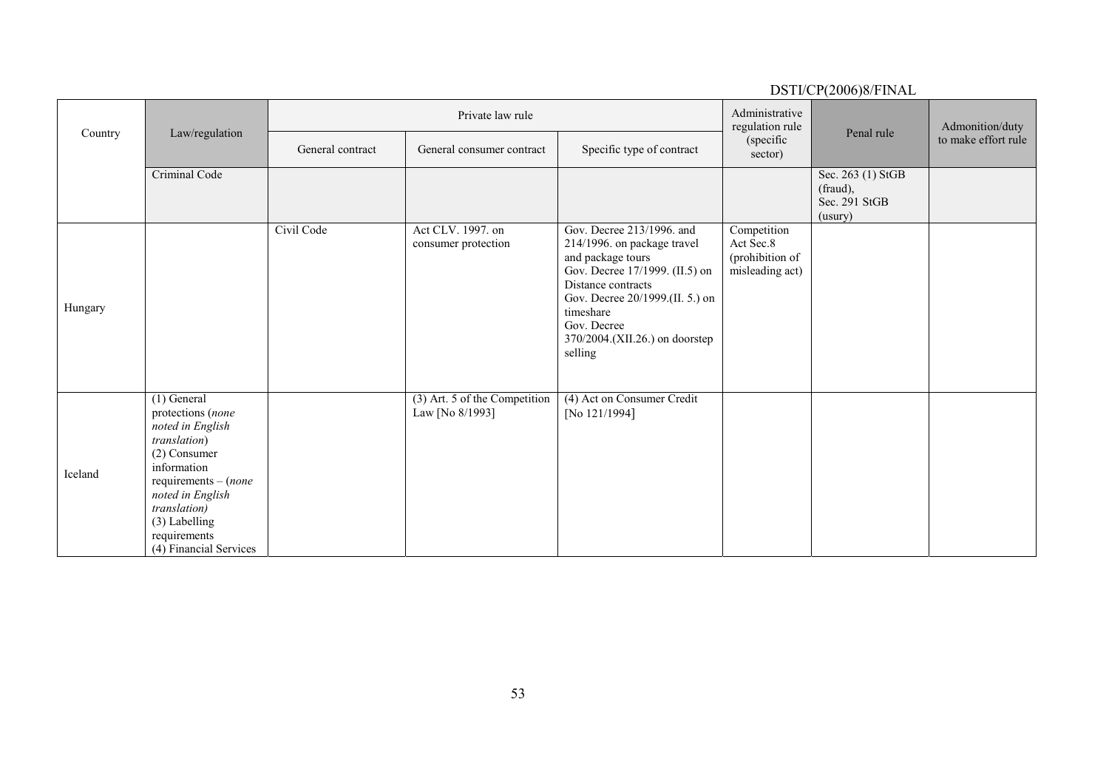|         |                                                                                                                                                                                                                                 |                  |                                                  |                                                                                                                                                                                                                                                   |                                                                | DSTI/CP(2006)8/FINAL                                      |                     |
|---------|---------------------------------------------------------------------------------------------------------------------------------------------------------------------------------------------------------------------------------|------------------|--------------------------------------------------|---------------------------------------------------------------------------------------------------------------------------------------------------------------------------------------------------------------------------------------------------|----------------------------------------------------------------|-----------------------------------------------------------|---------------------|
| Country |                                                                                                                                                                                                                                 |                  | Private law rule                                 |                                                                                                                                                                                                                                                   | Administrative<br>regulation rule                              | Penal rule                                                | Admonition/duty     |
|         | Law/regulation                                                                                                                                                                                                                  | General contract | General consumer contract                        | Specific type of contract                                                                                                                                                                                                                         | (specific<br>sector)                                           |                                                           | to make effort rule |
|         | Criminal Code                                                                                                                                                                                                                   |                  |                                                  |                                                                                                                                                                                                                                                   |                                                                | Sec. 263 (1) StGB<br>(fraud),<br>Sec. 291 StGB<br>(usury) |                     |
| Hungary |                                                                                                                                                                                                                                 | Civil Code       | Act CLV. 1997. on<br>consumer protection         | Gov. Decree 213/1996. and<br>214/1996. on package travel<br>and package tours<br>Gov. Decree 17/1999. (II.5) on<br>Distance contracts<br>Gov. Decree 20/1999.(II. 5.) on<br>timeshare<br>Gov. Decree<br>370/2004.(XII.26.) on doorstep<br>selling | Competition<br>Act Sec.8<br>(prohibition of<br>misleading act) |                                                           |                     |
| Iceland | $(1)$ General<br>protections (none<br>noted in English<br>translation)<br>(2) Consumer<br>information<br>$requirements - (none)$<br>noted in English<br>translation)<br>(3) Labelling<br>requirements<br>(4) Financial Services |                  | (3) Art. 5 of the Competition<br>Law [No 8/1993] | (4) Act on Consumer Credit<br>[No 121/1994]                                                                                                                                                                                                       |                                                                |                                                           |                     |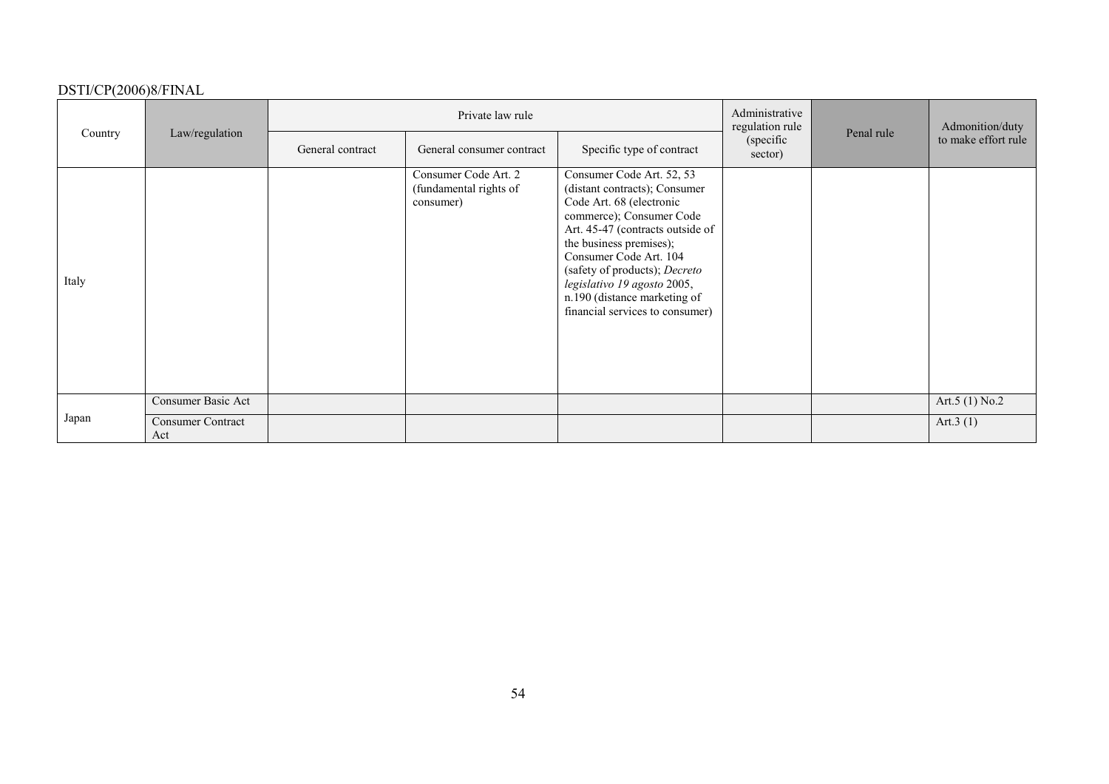|         |                                 |                  | Private law rule                                            |                                                                                                                                                                                                                                                                                                                                                |                                         |            | Admonition/duty     |  |
|---------|---------------------------------|------------------|-------------------------------------------------------------|------------------------------------------------------------------------------------------------------------------------------------------------------------------------------------------------------------------------------------------------------------------------------------------------------------------------------------------------|-----------------------------------------|------------|---------------------|--|
| Country | Law/regulation                  | General contract | General consumer contract                                   | Specific type of contract                                                                                                                                                                                                                                                                                                                      | regulation rule<br>(specific<br>sector) | Penal rule | to make effort rule |  |
| Italy   |                                 |                  | Consumer Code Art. 2<br>(fundamental rights of<br>consumer) | Consumer Code Art. 52, 53<br>(distant contracts); Consumer<br>Code Art. 68 (electronic<br>commerce); Consumer Code<br>Art. 45-47 (contracts outside of<br>the business premises);<br>Consumer Code Art. 104<br>(safety of products); Decreto<br>legislativo 19 agosto 2005,<br>n.190 (distance marketing of<br>financial services to consumer) |                                         |            |                     |  |
| Japan   | Consumer Basic Act              |                  |                                                             |                                                                                                                                                                                                                                                                                                                                                |                                         |            | Art.5 $(1)$ No.2    |  |
|         | <b>Consumer Contract</b><br>Act |                  |                                                             |                                                                                                                                                                                                                                                                                                                                                |                                         |            | Art. $3(1)$         |  |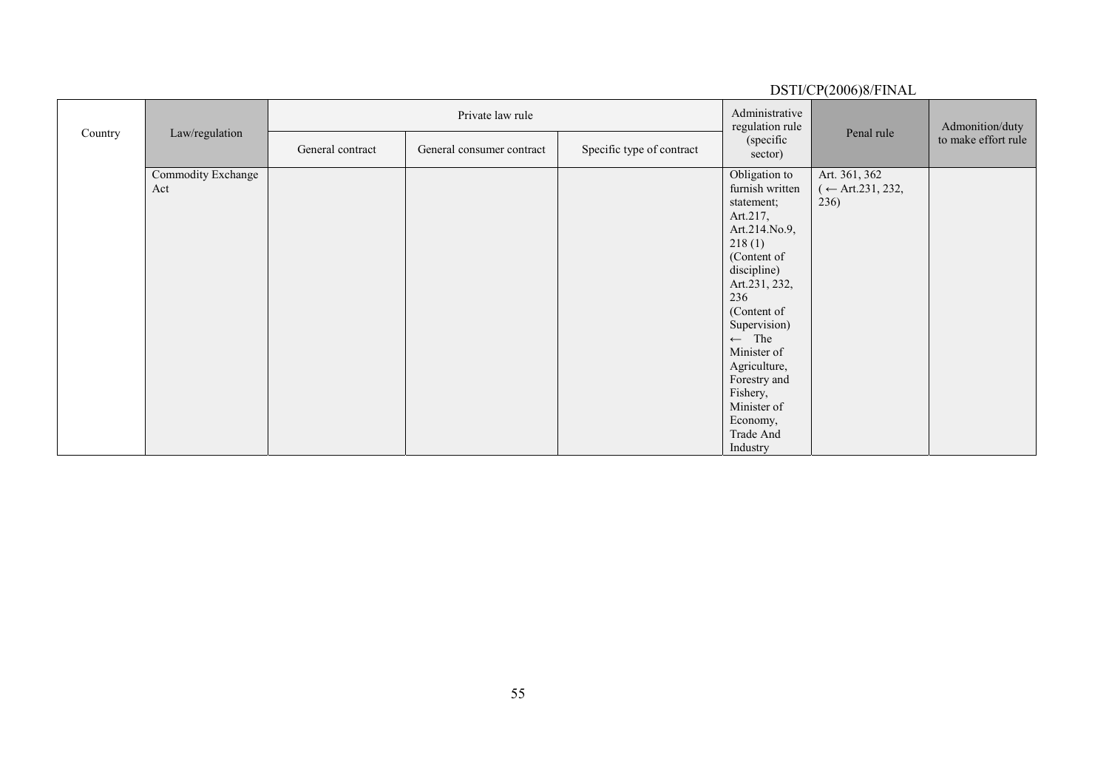|         |                           |                  | Private law rule          |                           | Administrative<br>regulation rule                                                                                                                                                                                                                                                                             |                                                                          | Admonition/duty     |
|---------|---------------------------|------------------|---------------------------|---------------------------|---------------------------------------------------------------------------------------------------------------------------------------------------------------------------------------------------------------------------------------------------------------------------------------------------------------|--------------------------------------------------------------------------|---------------------|
| Country | Law/regulation            | General contract | General consumer contract | Specific type of contract | (specific<br>sector)                                                                                                                                                                                                                                                                                          | Penal rule                                                               | to make effort rule |
|         | Commodity Exchange<br>Act |                  |                           |                           | Obligation to<br>furnish written<br>statement;<br>Art.217,<br>Art.214.No.9,<br>218(1)<br>(Content of<br>discipline)<br>Art.231, 232,<br>236<br>(Content of<br>Supervision)<br>$\leftarrow$ The<br>Minister of<br>Agriculture,<br>Forestry and<br>Fishery,<br>Minister of<br>Economy,<br>Trade And<br>Industry | Art. 361, 362<br>$\left(\leftarrow \text{Art.231}, 232, \right)$<br>236) |                     |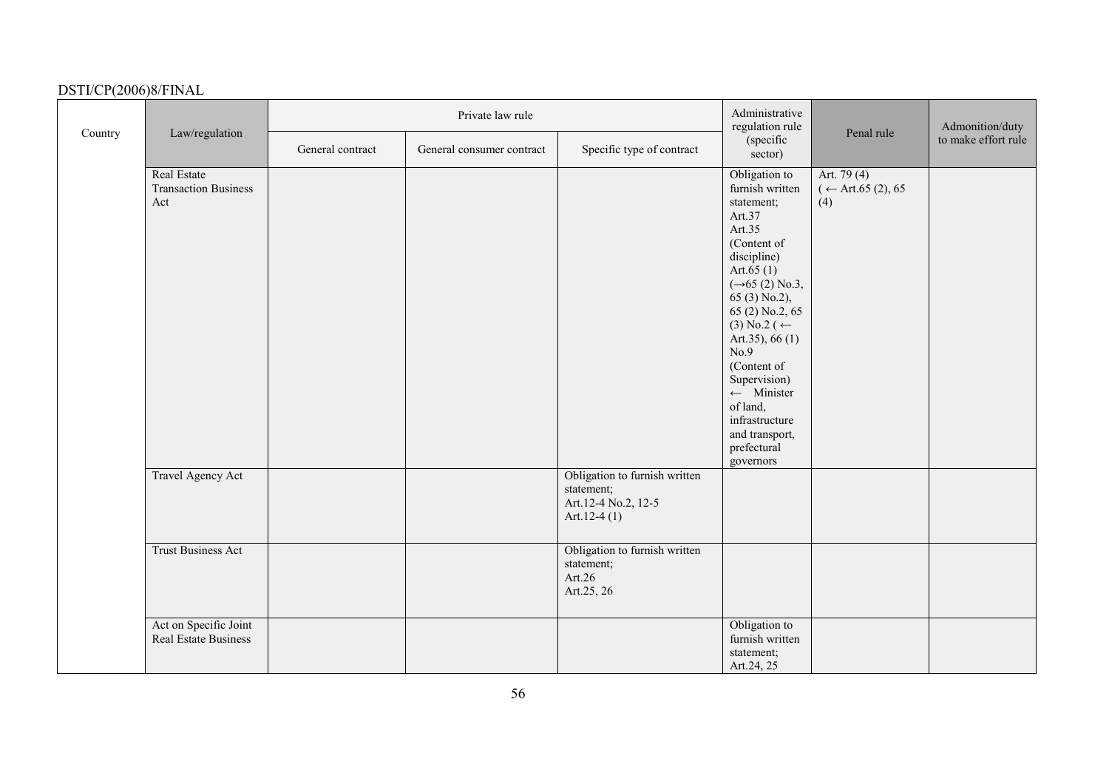|         |                                                   |                  | Private law rule          |                                                                                      | Administrative<br>regulation rule                                                                                                                                                                                                                                                                                                                                               |                                            | Admonition/duty     |
|---------|---------------------------------------------------|------------------|---------------------------|--------------------------------------------------------------------------------------|---------------------------------------------------------------------------------------------------------------------------------------------------------------------------------------------------------------------------------------------------------------------------------------------------------------------------------------------------------------------------------|--------------------------------------------|---------------------|
| Country | Law/regulation                                    | General contract | General consumer contract | Specific type of contract                                                            | (specific<br>sector)                                                                                                                                                                                                                                                                                                                                                            | Penal rule                                 | to make effort rule |
|         | Real Estate<br><b>Transaction Business</b><br>Act |                  |                           |                                                                                      | Obligation to<br>furnish written<br>statement;<br>Art.37<br>Art.35<br>(Content of<br>discipline)<br>Art.65 $(1)$<br>$(\rightarrow 65(2)$ No.3,<br>65 (3) No.2),<br>65 (2) No.2, 65<br>$(3)$ No.2 ( $\leftarrow$<br>Art.35), $66(1)$<br>No.9<br>(Content of<br>Supervision)<br>$\leftarrow$ Minister<br>of land,<br>infrastructure<br>and transport,<br>prefectural<br>governors | Art. 79 (4)<br>$($ ← Art.65 (2), 65<br>(4) |                     |
|         | <b>Travel Agency Act</b>                          |                  |                           | Obligation to furnish written<br>statement;<br>Art.12-4 No.2, 12-5<br>Art.12-4 $(1)$ |                                                                                                                                                                                                                                                                                                                                                                                 |                                            |                     |
|         | <b>Trust Business Act</b>                         |                  |                           | Obligation to furnish written<br>statement;<br>Art.26<br>Art.25, 26                  |                                                                                                                                                                                                                                                                                                                                                                                 |                                            |                     |
|         | Act on Specific Joint<br>Real Estate Business     |                  |                           |                                                                                      | Obligation to<br>furnish written<br>statement;<br>Art.24, 25                                                                                                                                                                                                                                                                                                                    |                                            |                     |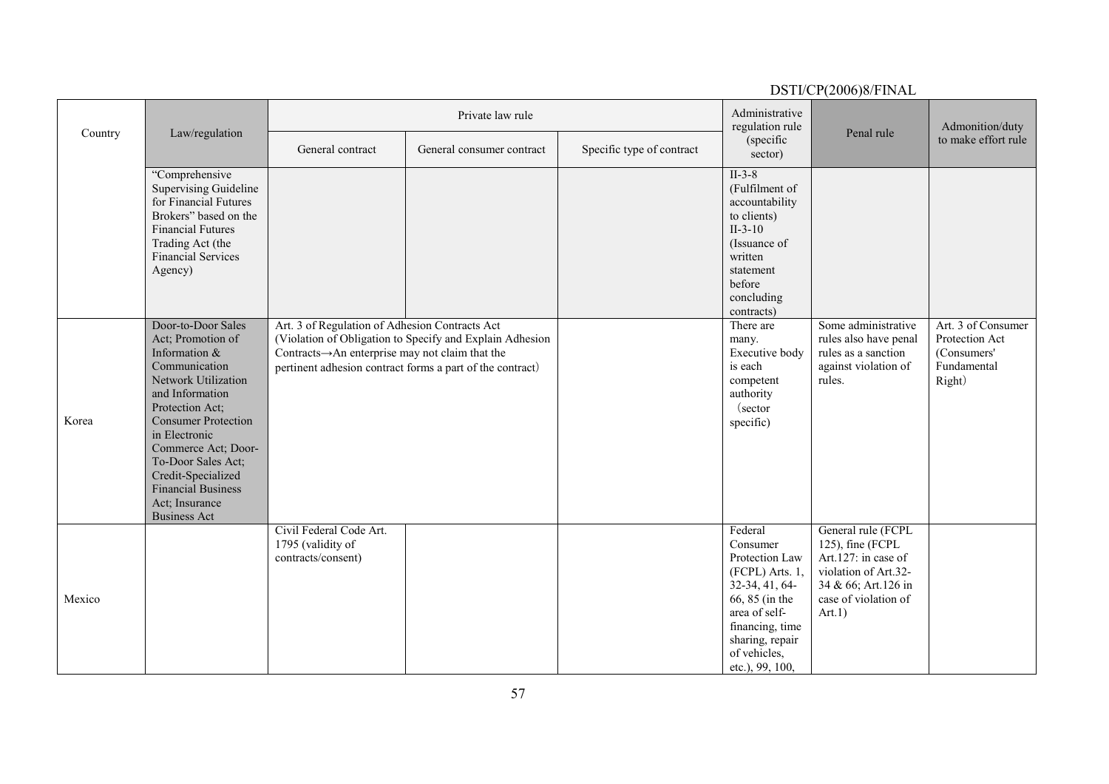|         |                                                                                                                                                                                                                                                                                                                                |                                                                                                  |                                                                                                                       |                           |                                                                                                                                                                                          | DSTI/CP(2006)8/FINAL                                                                                                                           |                                                                              |
|---------|--------------------------------------------------------------------------------------------------------------------------------------------------------------------------------------------------------------------------------------------------------------------------------------------------------------------------------|--------------------------------------------------------------------------------------------------|-----------------------------------------------------------------------------------------------------------------------|---------------------------|------------------------------------------------------------------------------------------------------------------------------------------------------------------------------------------|------------------------------------------------------------------------------------------------------------------------------------------------|------------------------------------------------------------------------------|
| Country | Law/regulation                                                                                                                                                                                                                                                                                                                 |                                                                                                  | Private law rule                                                                                                      |                           | Administrative<br>regulation rule                                                                                                                                                        | Penal rule                                                                                                                                     | Admonition/duty                                                              |
|         |                                                                                                                                                                                                                                                                                                                                | General contract                                                                                 | General consumer contract                                                                                             | Specific type of contract | (specific<br>sector)                                                                                                                                                                     |                                                                                                                                                | to make effort rule                                                          |
|         | "Comprehensive<br><b>Supervising Guideline</b><br>for Financial Futures<br>Brokers" based on the<br><b>Financial Futures</b><br>Trading Act (the<br><b>Financial Services</b><br>Agency)                                                                                                                                       |                                                                                                  |                                                                                                                       |                           | $II-3-8$<br>(Fulfilment of<br>accountability<br>to clients)<br>$II-3-10$<br>(Issuance of<br>written<br>statement<br>before<br>concluding<br>contracts)                                   |                                                                                                                                                |                                                                              |
| Korea   | Door-to-Door Sales<br>Act; Promotion of<br>Information &<br>Communication<br>Network Utilization<br>and Information<br>Protection Act;<br><b>Consumer Protection</b><br>in Electronic<br>Commerce Act; Door-<br>To-Door Sales Act;<br>Credit-Specialized<br><b>Financial Business</b><br>Act; Insurance<br><b>Business Act</b> | Art. 3 of Regulation of Adhesion Contracts Act<br>Contracts→An enterprise may not claim that the | (Violation of Obligation to Specify and Explain Adhesion<br>pertinent adhesion contract forms a part of the contract) |                           | There are<br>many.<br>Executive body<br>is each<br>competent<br>authority<br>(sector<br>specific)                                                                                        | Some administrative<br>rules also have penal<br>rules as a sanction<br>against violation of<br>rules.                                          | Art. 3 of Consumer<br>Protection Act<br>(Consumers'<br>Fundamental<br>Right) |
| Mexico  |                                                                                                                                                                                                                                                                                                                                | Civil Federal Code Art.<br>1795 (validity of<br>contracts/consent)                               |                                                                                                                       |                           | Federal<br>Consumer<br>Protection Law<br>$(FCPL)$ Arts. 1,<br>32-34, 41, 64-<br>66, 85 (in the<br>area of self-<br>financing, time<br>sharing, repair<br>of vehicles,<br>etc.), 99, 100, | General rule (FCPL<br>125), fine (FCPL<br>Art.127: in case of<br>violation of Art.32-<br>34 & 66; Art.126 in<br>case of violation of<br>Art.1) |                                                                              |

57

ти в село в 1572 година в 1572 година в 1572 година в 1572 година в 1573 година в 1573 година в 1573 година в <br>В 1574 година в 1574 година в 1574 година в 1574 година в 1574 година в 1574 година в 1574 година в 1574 годин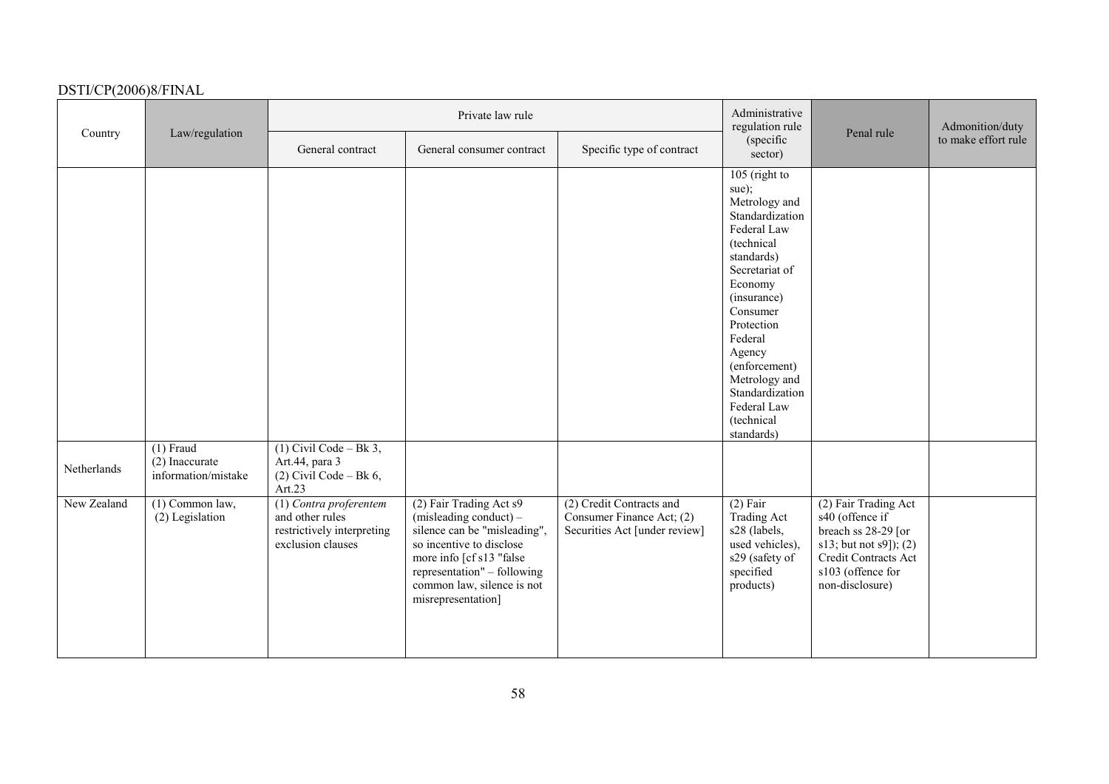|             |                                                      |                                                                                              | Private law rule                                                                                                                                                                                                             |                                                                                        | Administrative<br>regulation rule                                                                                                                                                                                                                                                                  |                                                                                                                                                          | Admonition/duty     |
|-------------|------------------------------------------------------|----------------------------------------------------------------------------------------------|------------------------------------------------------------------------------------------------------------------------------------------------------------------------------------------------------------------------------|----------------------------------------------------------------------------------------|----------------------------------------------------------------------------------------------------------------------------------------------------------------------------------------------------------------------------------------------------------------------------------------------------|----------------------------------------------------------------------------------------------------------------------------------------------------------|---------------------|
| Country     | Law/regulation                                       | General contract                                                                             | General consumer contract                                                                                                                                                                                                    | Specific type of contract                                                              | (specific<br>sector)                                                                                                                                                                                                                                                                               | Penal rule                                                                                                                                               | to make effort rule |
|             |                                                      |                                                                                              |                                                                                                                                                                                                                              |                                                                                        | $105$ (right to<br>sue);<br>Metrology and<br>Standardization<br>Federal Law<br>(technical<br>standards)<br>Secretariat of<br>Economy<br>(insurance)<br>Consumer<br>Protection<br>Federal<br>Agency<br>(enforcement)<br>Metrology and<br>Standardization<br>Federal Law<br>(technical<br>standards) |                                                                                                                                                          |                     |
| Netherlands | $(1)$ Fraud<br>(2) Inaccurate<br>information/mistake | $(1)$ Civil Code – Bk 3,<br>Art.44, para 3<br>$(2)$ Civil Code – Bk 6,<br>Art.23             |                                                                                                                                                                                                                              |                                                                                        |                                                                                                                                                                                                                                                                                                    |                                                                                                                                                          |                     |
| New Zealand | $(1)$ Common law,<br>(2) Legislation                 | (1) Contra proferentem<br>and other rules<br>restrictively interpreting<br>exclusion clauses | (2) Fair Trading Act s9<br>(misleading conduct) -<br>silence can be "misleading",<br>so incentive to disclose<br>more info [cf s13 "false<br>representation" - following<br>common law, silence is not<br>misrepresentation] | (2) Credit Contracts and<br>Consumer Finance Act; (2)<br>Securities Act [under review] | $(2)$ Fair<br><b>Trading Act</b><br>s28 (labels,<br>used vehicles),<br>s29 (safety of<br>specified<br>products)                                                                                                                                                                                    | (2) Fair Trading Act<br>s40 (offence if<br>breach ss 28-29 [or<br>s13; but not s9]); (2)<br>Credit Contracts Act<br>s103 (offence for<br>non-disclosure) |                     |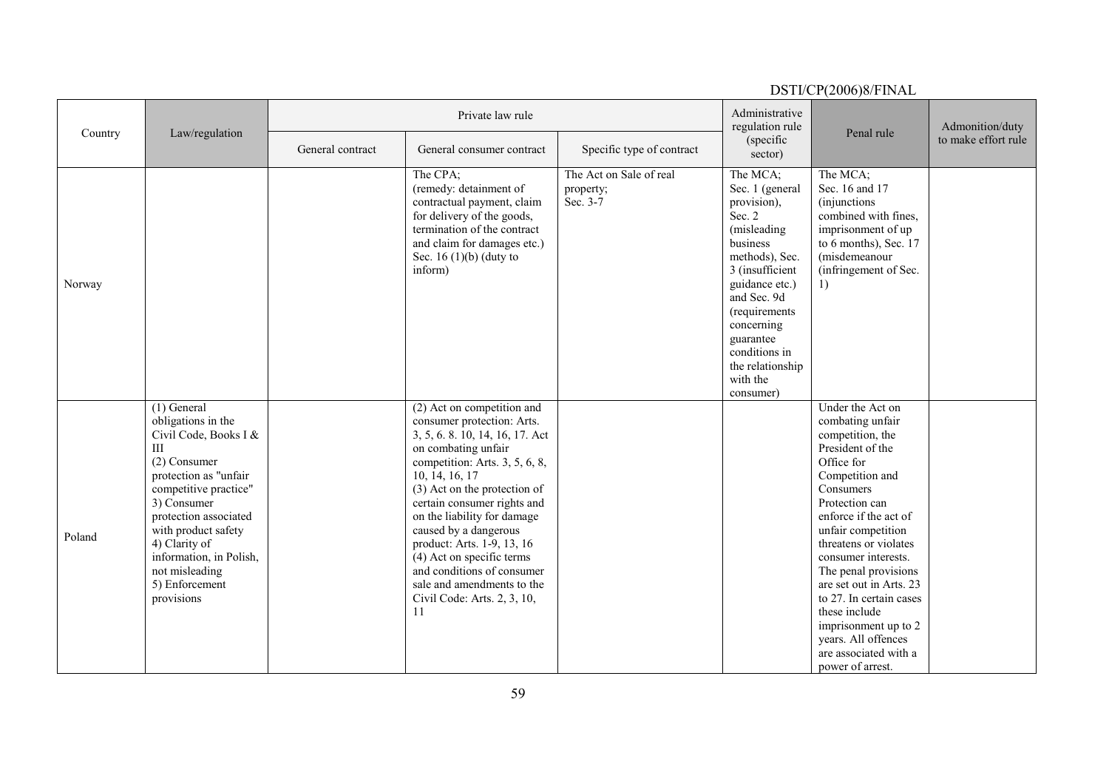|         |                                                                                                                                                                                                                                                                                                          |                  |                                                                                                                                                                                                                                                                                                                                                                                                                                                           |                                                  |                                                                                                                                                                                                                                                                 | D911/C1\200010/1 II\/1L                                                                                                                                                                                                                                                                                                                                                                                                                |                     |
|---------|----------------------------------------------------------------------------------------------------------------------------------------------------------------------------------------------------------------------------------------------------------------------------------------------------------|------------------|-----------------------------------------------------------------------------------------------------------------------------------------------------------------------------------------------------------------------------------------------------------------------------------------------------------------------------------------------------------------------------------------------------------------------------------------------------------|--------------------------------------------------|-----------------------------------------------------------------------------------------------------------------------------------------------------------------------------------------------------------------------------------------------------------------|----------------------------------------------------------------------------------------------------------------------------------------------------------------------------------------------------------------------------------------------------------------------------------------------------------------------------------------------------------------------------------------------------------------------------------------|---------------------|
| Country | Law/regulation                                                                                                                                                                                                                                                                                           |                  | Private law rule                                                                                                                                                                                                                                                                                                                                                                                                                                          |                                                  | Administrative<br>regulation rule                                                                                                                                                                                                                               | Penal rule                                                                                                                                                                                                                                                                                                                                                                                                                             | Admonition/duty     |
|         |                                                                                                                                                                                                                                                                                                          | General contract | General consumer contract                                                                                                                                                                                                                                                                                                                                                                                                                                 | Specific type of contract                        | (specific)<br>sector)                                                                                                                                                                                                                                           |                                                                                                                                                                                                                                                                                                                                                                                                                                        | to make effort rule |
| Norway  |                                                                                                                                                                                                                                                                                                          |                  | The CPA;<br>(remedy: detainment of<br>contractual payment, claim<br>for delivery of the goods,<br>termination of the contract<br>and claim for damages etc.)<br>Sec. 16 $(1)(b)$ (duty to<br>inform)                                                                                                                                                                                                                                                      | The Act on Sale of real<br>property;<br>Sec. 3-7 | The MCA;<br>Sec. 1 (general<br>provision),<br>Sec. 2<br>(misleading<br>business<br>methods), Sec.<br>3 (insufficient<br>guidance etc.)<br>and Sec. 9d<br>(requirements<br>concerning<br>guarantee<br>conditions in<br>the relationship<br>with the<br>consumer) | The MCA;<br>Sec. 16 and 17<br>(injunctions)<br>combined with fines,<br>imprisonment of up<br>to 6 months), Sec. 17<br>(misdemeanour<br>(infringement of Sec.<br>1)                                                                                                                                                                                                                                                                     |                     |
| Poland  | $(1)$ General<br>obligations in the<br>Civil Code, Books I &<br>$\rm III$<br>(2) Consumer<br>protection as "unfair<br>competitive practice"<br>3) Consumer<br>protection associated<br>with product safety<br>4) Clarity of<br>information, in Polish,<br>not misleading<br>5) Enforcement<br>provisions |                  | (2) Act on competition and<br>consumer protection: Arts.<br>3, 5, 6. 8. 10, 14, 16, 17. Act<br>on combating unfair<br>competition: Arts. 3, 5, 6, 8,<br>10, 14, 16, 17<br>(3) Act on the protection of<br>certain consumer rights and<br>on the liability for damage<br>caused by a dangerous<br>product: Arts. 1-9, 13, 16<br>(4) Act on specific terms<br>and conditions of consumer<br>sale and amendments to the<br>Civil Code: Arts. 2, 3, 10,<br>11 |                                                  |                                                                                                                                                                                                                                                                 | Under the Act on<br>combating unfair<br>competition, the<br>President of the<br>Office for<br>Competition and<br>Consumers<br>Protection can<br>enforce if the act of<br>unfair competition<br>threatens or violates<br>consumer interests.<br>The penal provisions<br>are set out in Arts. 23<br>to 27. In certain cases<br>these include<br>imprisonment up to 2<br>years. All offences<br>are associated with a<br>power of arrest. |                     |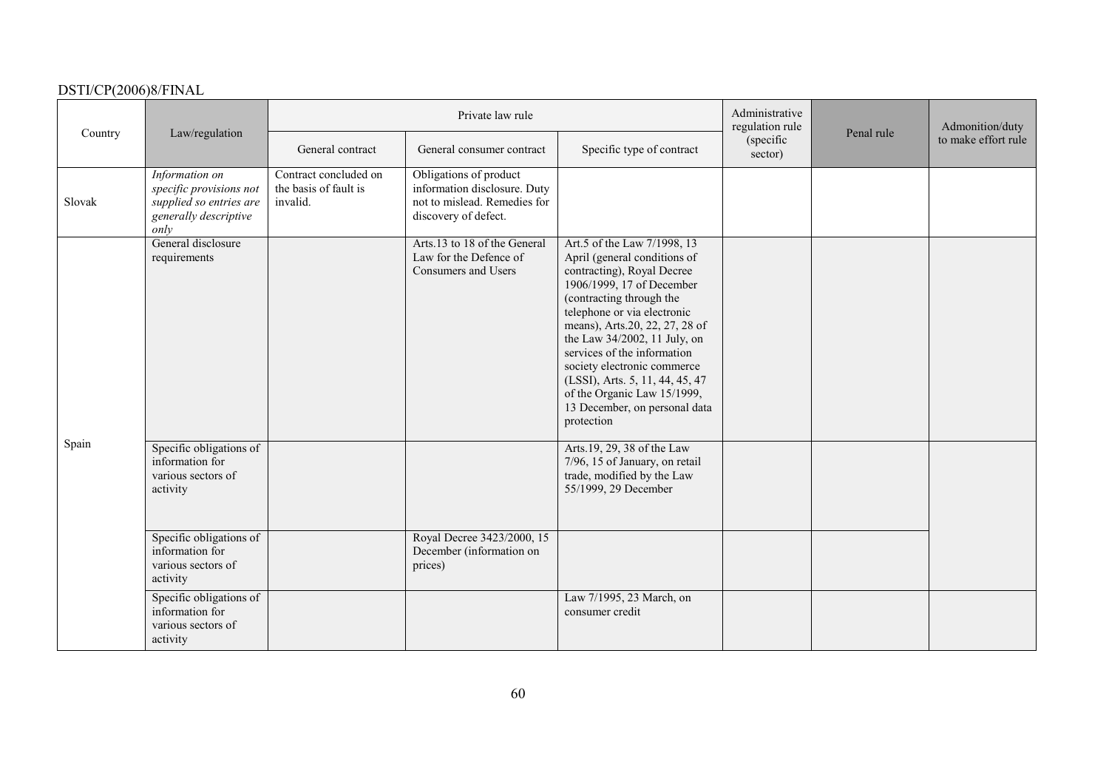|         |                                                                                                         |                                                            | Private law rule                                                                                               |                                                                                                                                                                                                                                                                                                                                                                                                                                    | Administrative<br>regulation rule |            | Admonition/duty     |
|---------|---------------------------------------------------------------------------------------------------------|------------------------------------------------------------|----------------------------------------------------------------------------------------------------------------|------------------------------------------------------------------------------------------------------------------------------------------------------------------------------------------------------------------------------------------------------------------------------------------------------------------------------------------------------------------------------------------------------------------------------------|-----------------------------------|------------|---------------------|
| Country | Law/regulation                                                                                          | General contract                                           | General consumer contract                                                                                      | Specific type of contract                                                                                                                                                                                                                                                                                                                                                                                                          | (specific)<br>sector)             | Penal rule | to make effort rule |
| Slovak  | Information on<br>specific provisions not<br>supplied so entries are<br>generally descriptive<br>only   | Contract concluded on<br>the basis of fault is<br>invalid. | Obligations of product<br>information disclosure. Duty<br>not to mislead. Remedies for<br>discovery of defect. |                                                                                                                                                                                                                                                                                                                                                                                                                                    |                                   |            |                     |
|         | General disclosure<br>requirements                                                                      |                                                            | Arts.13 to 18 of the General<br>Law for the Defence of<br>Consumers and Users                                  | Art.5 of the Law 7/1998, 13<br>April (general conditions of<br>contracting), Royal Decree<br>1906/1999, 17 of December<br>(contracting through the<br>telephone or via electronic<br>means), Arts.20, 22, 27, 28 of<br>the Law 34/2002, 11 July, on<br>services of the information<br>society electronic commerce<br>(LSSI), Arts. 5, 11, 44, 45, 47<br>of the Organic Law 15/1999,<br>13 December, on personal data<br>protection |                                   |            |                     |
| Spain   | Specific obligations of<br>information for<br>various sectors of<br>activity<br>Specific obligations of |                                                            | Royal Decree 3423/2000, 15                                                                                     | Arts.19, 29, 38 of the Law<br>7/96, 15 of January, on retail<br>trade, modified by the Law<br>55/1999, 29 December                                                                                                                                                                                                                                                                                                                 |                                   |            |                     |
|         | information for<br>various sectors of<br>activity                                                       |                                                            | December (information on<br>prices)                                                                            |                                                                                                                                                                                                                                                                                                                                                                                                                                    |                                   |            |                     |
|         | Specific obligations of<br>information for<br>various sectors of<br>activity                            |                                                            |                                                                                                                | Law 7/1995, 23 March, on<br>consumer credit                                                                                                                                                                                                                                                                                                                                                                                        |                                   |            |                     |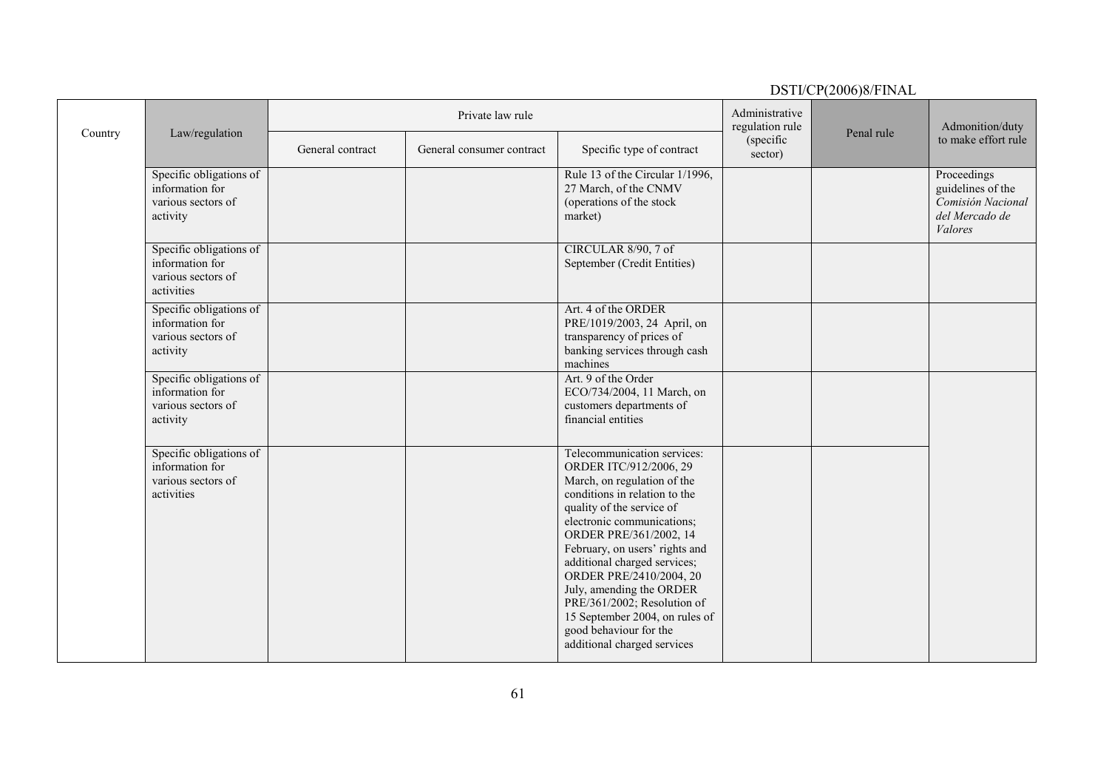|         |                                                                                |                  |                           |                                                                                                                                                                                                                                                                                                                                                                                                                                                               |                                   | $D \cup I \cup I \cup I \cup \{2000\}$ |                                                                                    |
|---------|--------------------------------------------------------------------------------|------------------|---------------------------|---------------------------------------------------------------------------------------------------------------------------------------------------------------------------------------------------------------------------------------------------------------------------------------------------------------------------------------------------------------------------------------------------------------------------------------------------------------|-----------------------------------|----------------------------------------|------------------------------------------------------------------------------------|
| Country | Law/regulation                                                                 |                  | Private law rule          |                                                                                                                                                                                                                                                                                                                                                                                                                                                               | Administrative<br>regulation rule | Penal rule                             | Admonition/duty                                                                    |
|         |                                                                                | General contract | General consumer contract | Specific type of contract                                                                                                                                                                                                                                                                                                                                                                                                                                     | (specific<br>sector)              |                                        | to make effort rule                                                                |
|         | Specific obligations of<br>information for<br>various sectors of<br>activity   |                  |                           | Rule 13 of the Circular 1/1996,<br>27 March, of the CNMV<br>(operations of the stock<br>market)                                                                                                                                                                                                                                                                                                                                                               |                                   |                                        | Proceedings<br>guidelines of the<br>Comisión Nacional<br>del Mercado de<br>Valores |
|         | Specific obligations of<br>information for<br>various sectors of<br>activities |                  |                           | CIRCULAR 8/90, 7 of<br>September (Credit Entities)                                                                                                                                                                                                                                                                                                                                                                                                            |                                   |                                        |                                                                                    |
|         | Specific obligations of<br>information for<br>various sectors of<br>activity   |                  |                           | Art. 4 of the ORDER<br>PRE/1019/2003, 24 April, on<br>transparency of prices of<br>banking services through cash<br>machines                                                                                                                                                                                                                                                                                                                                  |                                   |                                        |                                                                                    |
|         | Specific obligations of<br>information for<br>various sectors of<br>activity   |                  |                           | Art. 9 of the Order<br>ECO/734/2004, 11 March, on<br>customers departments of<br>financial entities                                                                                                                                                                                                                                                                                                                                                           |                                   |                                        |                                                                                    |
|         | Specific obligations of<br>information for<br>various sectors of<br>activities |                  |                           | Telecommunication services:<br>ORDER ITC/912/2006, 29<br>March, on regulation of the<br>conditions in relation to the<br>quality of the service of<br>electronic communications;<br>ORDER PRE/361/2002, 14<br>February, on users' rights and<br>additional charged services;<br>ORDER PRE/2410/2004, 20<br>July, amending the ORDER<br>PRE/361/2002; Resolution of<br>15 September 2004, on rules of<br>good behaviour for the<br>additional charged services |                                   |                                        |                                                                                    |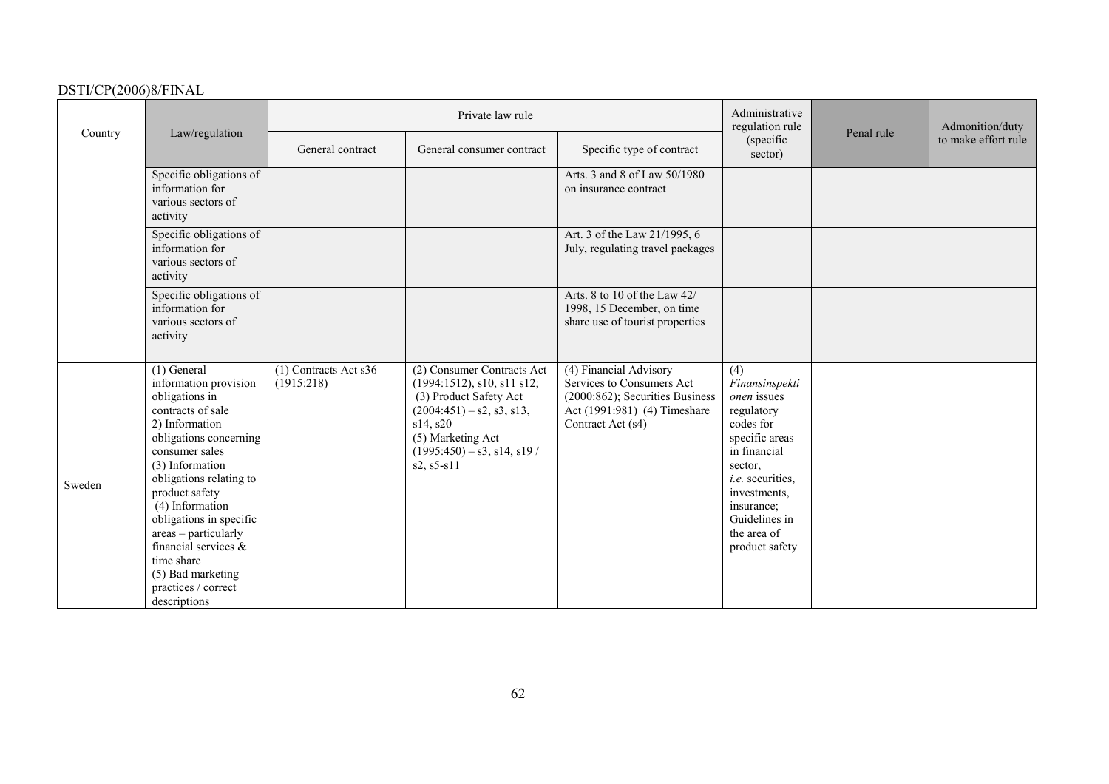|         |                                                                                                                                                                                                                                                                                                                                                                                        |                                       | Private law rule                                                                                                                                                                                         |                                                                                                                                             | Administrative<br>regulation rule                                                                                                                                                                                             |            | Admonition/duty     |
|---------|----------------------------------------------------------------------------------------------------------------------------------------------------------------------------------------------------------------------------------------------------------------------------------------------------------------------------------------------------------------------------------------|---------------------------------------|----------------------------------------------------------------------------------------------------------------------------------------------------------------------------------------------------------|---------------------------------------------------------------------------------------------------------------------------------------------|-------------------------------------------------------------------------------------------------------------------------------------------------------------------------------------------------------------------------------|------------|---------------------|
| Country | Law/regulation                                                                                                                                                                                                                                                                                                                                                                         | General contract                      | General consumer contract                                                                                                                                                                                | Specific type of contract                                                                                                                   | (specific<br>sector)                                                                                                                                                                                                          | Penal rule | to make effort rule |
|         | Specific obligations of<br>information for<br>various sectors of<br>activity                                                                                                                                                                                                                                                                                                           |                                       |                                                                                                                                                                                                          | Arts. 3 and 8 of Law 50/1980<br>on insurance contract                                                                                       |                                                                                                                                                                                                                               |            |                     |
|         | Specific obligations of<br>information for<br>various sectors of<br>activity                                                                                                                                                                                                                                                                                                           |                                       |                                                                                                                                                                                                          | Art. 3 of the Law 21/1995, 6<br>July, regulating travel packages                                                                            |                                                                                                                                                                                                                               |            |                     |
|         | Specific obligations of<br>information for<br>various sectors of<br>activity                                                                                                                                                                                                                                                                                                           |                                       |                                                                                                                                                                                                          | Arts. 8 to 10 of the Law 42/<br>1998, 15 December, on time<br>share use of tourist properties                                               |                                                                                                                                                                                                                               |            |                     |
| Sweden  | $(1)$ General<br>information provision<br>obligations in<br>contracts of sale<br>2) Information<br>obligations concerning<br>consumer sales<br>(3) Information<br>obligations relating to<br>product safety<br>(4) Information<br>obligations in specific<br>areas - particularly<br>financial services $\&$<br>time share<br>(5) Bad marketing<br>practices / correct<br>descriptions | $(1)$ Contracts Act s36<br>(1915:218) | (2) Consumer Contracts Act<br>$(1994:1512)$ , s10, s11 s12;<br>(3) Product Safety Act<br>$(2004:451) - s2$ , s3, s13,<br>s14, s20<br>(5) Marketing Act<br>$(1995:450) - s3$ , s14, s19 /<br>$s2, s5-s11$ | (4) Financial Advisory<br>Services to Consumers Act<br>(2000:862); Securities Business<br>Act (1991:981) (4) Timeshare<br>Contract Act (s4) | $\overline{(4)}$<br>Finansinspekti<br>onen issues<br>regulatory<br>codes for<br>specific areas<br>in financial<br>sector,<br>i.e. securities,<br>investments,<br>insurance;<br>Guidelines in<br>the area of<br>product safety |            |                     |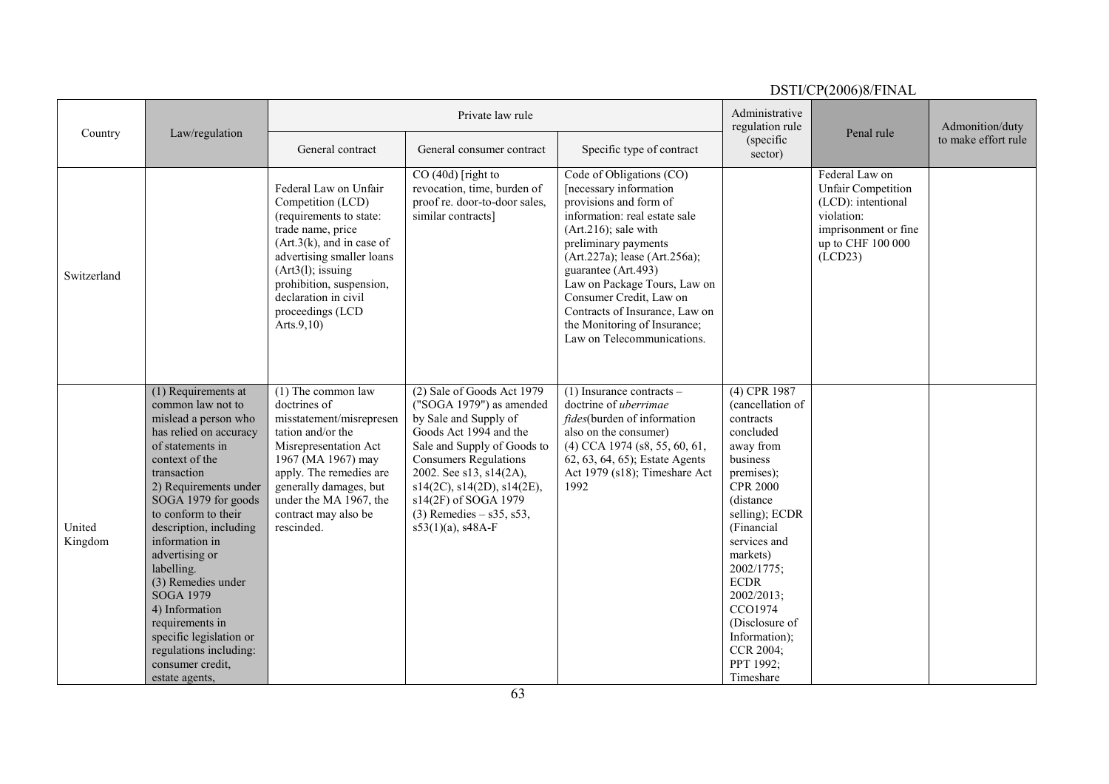| Administrative<br>Private law rule<br>regulation rule<br>Admonition/duty<br>Penal rule<br>Country<br>Law/regulation<br>to make effort rule<br>(specific<br>General contract<br>Specific type of contract<br>General consumer contract<br>sector)<br>Federal Law on<br>$CO(40d)$ [right to<br>Code of Obligations (CO)<br>Federal Law on Unfair<br>[necessary information<br><b>Unfair Competition</b><br>revocation, time, burden of<br>proof re. door-to-door sales,<br>provisions and form of<br>(LCD): intentional<br>Competition (LCD)<br>information: real estate sale<br>violation:<br>similar contracts]<br>(requirements to state:<br>trade name, price<br>imprisonment or fine<br>$(Art.216)$ ; sale with<br>up to CHF 100 000<br>(Art.3(k), and in case of)<br>preliminary payments<br>advertising smaller loans<br>(Art.227a); lease (Art.256a);<br>(LCD23)<br>$(Art3(1))$ ; issuing<br>guarantee (Art.493)<br>Switzerland<br>prohibition, suspension,<br>Law on Package Tours, Law on<br>declaration in civil<br>Consumer Credit, Law on<br>proceedings (LCD<br>Contracts of Insurance, Law on<br>the Monitoring of Insurance;<br>Arts. $9,10$<br>Law on Telecommunications.<br>$(1)$ The common law<br>(4) CPR 1987<br>(1) Requirements at<br>(2) Sale of Goods Act 1979<br>$(1)$ Insurance contracts –<br>common law not to<br>doctrines of<br>("SOGA 1979") as amended<br>doctrine of uberrimae<br>(cancellation of<br>by Sale and Supply of<br>mislead a person who<br>misstatement/misrepresen<br><i>fides</i> (burden of information<br>contracts<br>Goods Act 1994 and the<br>concluded<br>has relied on accuracy<br>tation and/or the<br>also on the consumer)<br>of statements in<br>Misrepresentation Act<br>Sale and Supply of Goods to<br>away from<br>$(4)$ CCA 1974 (s8, 55, 60, 61,<br>1967 (MA 1967) may<br>business<br>context of the<br><b>Consumers Regulations</b><br>62, 63, 64, 65); Estate Agents<br>apply. The remedies are<br>Act 1979 (s18); Timeshare Act<br>premises);<br>transaction<br>2002. See s13, s14(2A),<br>generally damages, but<br><b>CPR 2000</b><br>$s14(2C)$ , $s14(2D)$ , $s14(2E)$ ,<br>1992<br>2) Requirements under<br>SOGA 1979 for goods<br>under the MA 1967, the<br>s14(2F) of SOGA 1979<br>(distance<br>to conform to their<br>contract may also be<br>$(3)$ Remedies – s35, s53,<br>selling); ECDR<br>United<br>description, including<br>rescinded.<br>$s53(1)(a)$ , s48A-F<br>(Financial<br>information in<br>services and<br>Kingdom<br>advertising or<br>markets)<br>labelling.<br>2002/1775;<br>(3) Remedies under<br><b>ECDR</b><br><b>SOGA 1979</b><br>2002/2013;<br>CCO1974<br>4) Information<br>(Disclosure of<br>requirements in<br>Information);<br>specific legislation or<br>regulations including:<br>CCR 2004;<br>PPT 1992;<br>consumer credit,<br>Timeshare<br>estate agents.<br>63 |  |  |  | DSTI/CP(2006)8/FINAL |  |
|---------------------------------------------------------------------------------------------------------------------------------------------------------------------------------------------------------------------------------------------------------------------------------------------------------------------------------------------------------------------------------------------------------------------------------------------------------------------------------------------------------------------------------------------------------------------------------------------------------------------------------------------------------------------------------------------------------------------------------------------------------------------------------------------------------------------------------------------------------------------------------------------------------------------------------------------------------------------------------------------------------------------------------------------------------------------------------------------------------------------------------------------------------------------------------------------------------------------------------------------------------------------------------------------------------------------------------------------------------------------------------------------------------------------------------------------------------------------------------------------------------------------------------------------------------------------------------------------------------------------------------------------------------------------------------------------------------------------------------------------------------------------------------------------------------------------------------------------------------------------------------------------------------------------------------------------------------------------------------------------------------------------------------------------------------------------------------------------------------------------------------------------------------------------------------------------------------------------------------------------------------------------------------------------------------------------------------------------------------------------------------------------------------------------------------------------------------------------------------------------------------------------------------------------------------------------------------------------------------------------------------------------------------------------------------------------------------------------------------------------------------------------------------------------------------------------------------------------------------------------|--|--|--|----------------------|--|
|                                                                                                                                                                                                                                                                                                                                                                                                                                                                                                                                                                                                                                                                                                                                                                                                                                                                                                                                                                                                                                                                                                                                                                                                                                                                                                                                                                                                                                                                                                                                                                                                                                                                                                                                                                                                                                                                                                                                                                                                                                                                                                                                                                                                                                                                                                                                                                                                                                                                                                                                                                                                                                                                                                                                                                                                                                                                     |  |  |  |                      |  |
|                                                                                                                                                                                                                                                                                                                                                                                                                                                                                                                                                                                                                                                                                                                                                                                                                                                                                                                                                                                                                                                                                                                                                                                                                                                                                                                                                                                                                                                                                                                                                                                                                                                                                                                                                                                                                                                                                                                                                                                                                                                                                                                                                                                                                                                                                                                                                                                                                                                                                                                                                                                                                                                                                                                                                                                                                                                                     |  |  |  |                      |  |
|                                                                                                                                                                                                                                                                                                                                                                                                                                                                                                                                                                                                                                                                                                                                                                                                                                                                                                                                                                                                                                                                                                                                                                                                                                                                                                                                                                                                                                                                                                                                                                                                                                                                                                                                                                                                                                                                                                                                                                                                                                                                                                                                                                                                                                                                                                                                                                                                                                                                                                                                                                                                                                                                                                                                                                                                                                                                     |  |  |  |                      |  |
|                                                                                                                                                                                                                                                                                                                                                                                                                                                                                                                                                                                                                                                                                                                                                                                                                                                                                                                                                                                                                                                                                                                                                                                                                                                                                                                                                                                                                                                                                                                                                                                                                                                                                                                                                                                                                                                                                                                                                                                                                                                                                                                                                                                                                                                                                                                                                                                                                                                                                                                                                                                                                                                                                                                                                                                                                                                                     |  |  |  |                      |  |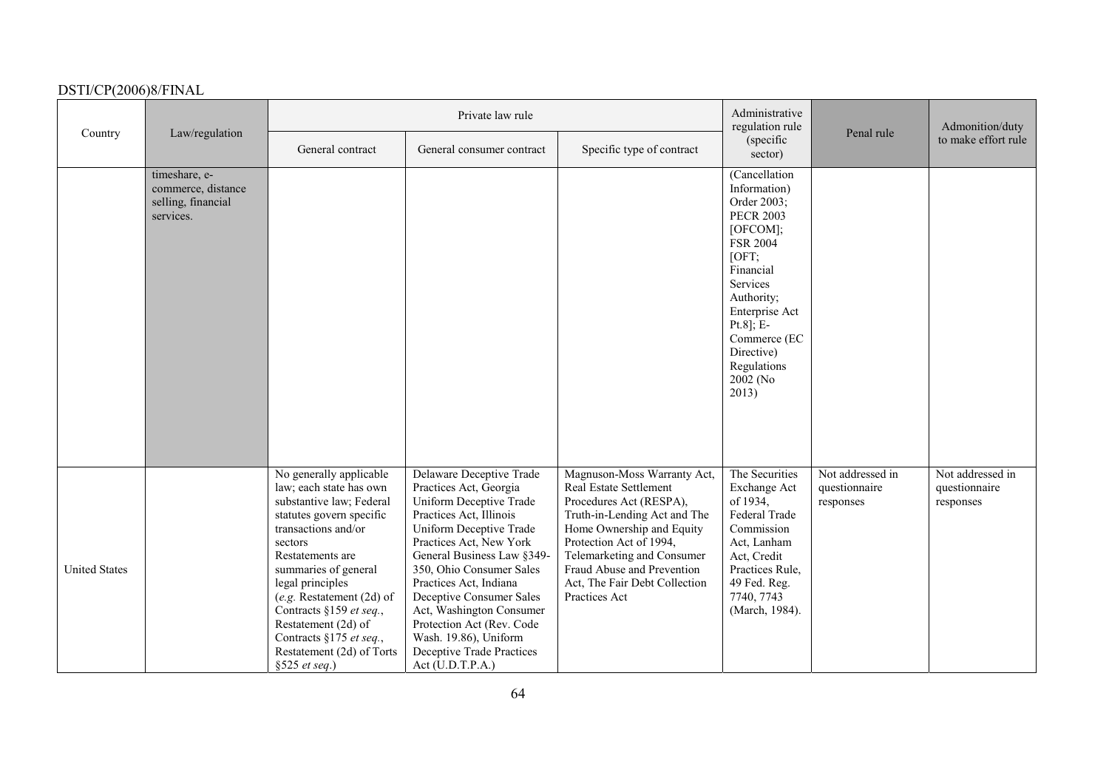|                      |                                                                        |                                                                                                                                                                                                                                                                                                                                                                          | Private law rule                                                                                                                                                                                                                                                                                                                                                                                                  |                                                                                                                                                                                                                                                                                        | Administrative<br>regulation rule                                                                                                                                                                                                                   |                                                | Admonition/duty<br>to make effort rule         |
|----------------------|------------------------------------------------------------------------|--------------------------------------------------------------------------------------------------------------------------------------------------------------------------------------------------------------------------------------------------------------------------------------------------------------------------------------------------------------------------|-------------------------------------------------------------------------------------------------------------------------------------------------------------------------------------------------------------------------------------------------------------------------------------------------------------------------------------------------------------------------------------------------------------------|----------------------------------------------------------------------------------------------------------------------------------------------------------------------------------------------------------------------------------------------------------------------------------------|-----------------------------------------------------------------------------------------------------------------------------------------------------------------------------------------------------------------------------------------------------|------------------------------------------------|------------------------------------------------|
| Country              | Law/regulation                                                         | General contract                                                                                                                                                                                                                                                                                                                                                         | General consumer contract                                                                                                                                                                                                                                                                                                                                                                                         | Specific type of contract                                                                                                                                                                                                                                                              | (specific<br>sector)                                                                                                                                                                                                                                | Penal rule                                     |                                                |
|                      | timeshare, e-<br>commerce, distance<br>selling, financial<br>services. |                                                                                                                                                                                                                                                                                                                                                                          |                                                                                                                                                                                                                                                                                                                                                                                                                   |                                                                                                                                                                                                                                                                                        | (Cancellation<br>Information)<br>Order 2003;<br><b>PECR 2003</b><br>[OFCOM];<br><b>FSR 2004</b><br>[OFT;<br>Financial<br>Services<br>Authority;<br>Enterprise Act<br>$Pt.8$ ]; E-<br>Commerce (EC<br>Directive)<br>Regulations<br>2002 (No<br>2013) |                                                |                                                |
| <b>United States</b> |                                                                        | No generally applicable<br>law; each state has own<br>substantive law; Federal<br>statutes govern specific<br>transactions and/or<br>sectors<br>Restatements are<br>summaries of general<br>legal principles<br>$(e.g.$ Restatement $(2d)$ of<br>Contracts §159 et seq.,<br>Restatement (2d) of<br>Contracts §175 et seq.,<br>Restatement (2d) of Torts<br>§525 et seq.) | Delaware Deceptive Trade<br>Practices Act, Georgia<br>Uniform Deceptive Trade<br>Practices Act, Illinois<br>Uniform Deceptive Trade<br>Practices Act, New York<br>General Business Law §349-<br>350, Ohio Consumer Sales<br>Practices Act, Indiana<br>Deceptive Consumer Sales<br>Act, Washington Consumer<br>Protection Act (Rev. Code<br>Wash. 19.86), Uniform<br>Deceptive Trade Practices<br>Act (U.D.T.P.A.) | Magnuson-Moss Warranty Act,<br>Real Estate Settlement<br>Procedures Act (RESPA),<br>Truth-in-Lending Act and The<br>Home Ownership and Equity<br>Protection Act of 1994,<br>Telemarketing and Consumer<br>Fraud Abuse and Prevention<br>Act, The Fair Debt Collection<br>Practices Act | The Securities<br>Exchange Act<br>of 1934,<br>Federal Trade<br>Commission<br>Act, Lanham<br>Act, Credit<br>Practices Rule,<br>49 Fed. Reg.<br>7740, 7743<br>(March, 1984).                                                                          | Not addressed in<br>questionnaire<br>responses | Not addressed in<br>questionnaire<br>responses |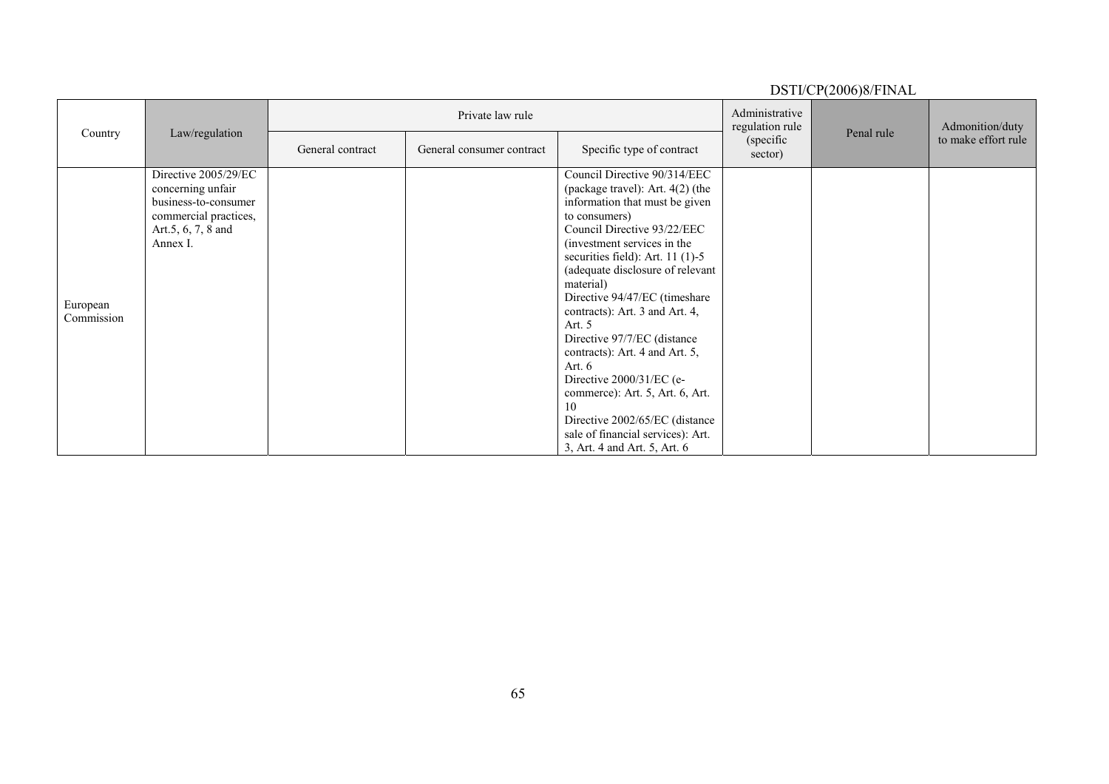|                        |                                                                                                                              |                  |                           |                                                                                                                                                                                                                                                                                                                                                                                                                                                                                                                                                                                                                    |                                   | $1.01 \times 1000$ $\mu$ . In the set |                     |
|------------------------|------------------------------------------------------------------------------------------------------------------------------|------------------|---------------------------|--------------------------------------------------------------------------------------------------------------------------------------------------------------------------------------------------------------------------------------------------------------------------------------------------------------------------------------------------------------------------------------------------------------------------------------------------------------------------------------------------------------------------------------------------------------------------------------------------------------------|-----------------------------------|---------------------------------------|---------------------|
| Country                | Law/regulation                                                                                                               |                  | Private law rule          |                                                                                                                                                                                                                                                                                                                                                                                                                                                                                                                                                                                                                    | Administrative<br>regulation rule | Penal rule                            | Admonition/duty     |
|                        |                                                                                                                              | General contract | General consumer contract | Specific type of contract                                                                                                                                                                                                                                                                                                                                                                                                                                                                                                                                                                                          | (specific<br>sector)              |                                       | to make effort rule |
| European<br>Commission | Directive 2005/29/EC<br>concerning unfair<br>business-to-consumer<br>commercial practices,<br>Art.5, 6, 7, 8 and<br>Annex I. |                  |                           | Council Directive 90/314/EEC<br>(package travel): Art. $4(2)$ (the<br>information that must be given<br>to consumers)<br>Council Directive 93/22/EEC<br>(investment services in the<br>securities field): Art. $11$ (1)-5<br>(adequate disclosure of relevant<br>material)<br>Directive 94/47/EC (timeshare<br>contracts): Art. 3 and Art. 4,<br>Art. 5<br>Directive 97/7/EC (distance<br>contracts): Art. 4 and Art. 5,<br>Art. $6$<br>Directive $2000/31/EC$ (e-<br>commerce): Art. 5, Art. 6, Art.<br>10<br>Directive 2002/65/EC (distance<br>sale of financial services): Art.<br>3, Art. 4 and Art. 5, Art. 6 |                                   |                                       |                     |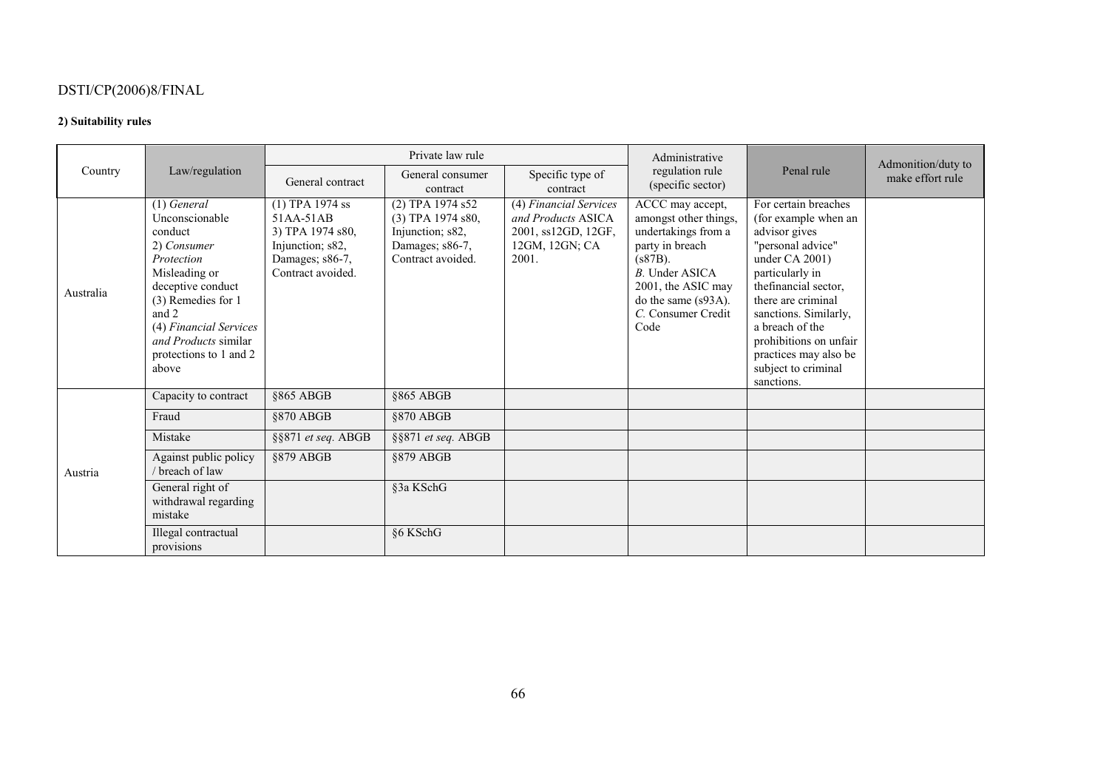#### **2) Suitability rules**

| Country   |                                                                                                                                                                                                                                   |                                                                                                                | Private law rule                                                                                    |                                                                                                | Administrative                                                                                                                                                                                 |                                                                                                                                                                                                                                                                                                               | Admonition/duty to |
|-----------|-----------------------------------------------------------------------------------------------------------------------------------------------------------------------------------------------------------------------------------|----------------------------------------------------------------------------------------------------------------|-----------------------------------------------------------------------------------------------------|------------------------------------------------------------------------------------------------|------------------------------------------------------------------------------------------------------------------------------------------------------------------------------------------------|---------------------------------------------------------------------------------------------------------------------------------------------------------------------------------------------------------------------------------------------------------------------------------------------------------------|--------------------|
|           | Law/regulation                                                                                                                                                                                                                    | General contract                                                                                               | General consumer<br>contract                                                                        | Specific type of<br>contract                                                                   | regulation rule<br>(specific sector)                                                                                                                                                           | Penal rule                                                                                                                                                                                                                                                                                                    | make effort rule   |
| Australia | $(1)$ General<br>Unconscionable<br>conduct<br>2) Consumer<br>Protection<br>Misleading or<br>deceptive conduct<br>(3) Remedies for 1<br>and 2<br>(4) Financial Services<br>and Products similar<br>protections to 1 and 2<br>above | $(1)$ TPA 1974 ss<br>51AA-51AB<br>3) TPA 1974 s80,<br>Injunction; s82,<br>Damages; s86-7,<br>Contract avoided. | (2) TPA 1974 s52<br>$(3)$ TPA 1974 s80,<br>Injunction; s82,<br>Damages; s86-7,<br>Contract avoided. | (4) Financial Services<br>and Products ASICA<br>2001, ss12GD, 12GF,<br>12GM, 12GN; CA<br>2001. | ACCC may accept,<br>amongst other things,<br>undertakings from a<br>party in breach<br>$(s87B)$ .<br>B. Under ASICA<br>2001, the ASIC may<br>do the same (s93A).<br>C. Consumer Credit<br>Code | For certain breaches<br>(for example when an<br>advisor gives<br>"personal advice"<br>under $CA\,2001$ )<br>particularly in<br>thefinancial sector,<br>there are criminal<br>sanctions. Similarly,<br>a breach of the<br>prohibitions on unfair<br>practices may also be<br>subject to criminal<br>sanctions. |                    |
|           | Capacity to contract                                                                                                                                                                                                              | §865 ABGB                                                                                                      | §865 ABGB                                                                                           |                                                                                                |                                                                                                                                                                                                |                                                                                                                                                                                                                                                                                                               |                    |
|           | Fraud                                                                                                                                                                                                                             | §870 ABGB                                                                                                      | §870 ABGB                                                                                           |                                                                                                |                                                                                                                                                                                                |                                                                                                                                                                                                                                                                                                               |                    |
| Austria   | Mistake                                                                                                                                                                                                                           | §§871 et seq. ABGB                                                                                             | §§871 et seq. ABGB                                                                                  |                                                                                                |                                                                                                                                                                                                |                                                                                                                                                                                                                                                                                                               |                    |
|           | Against public policy<br>/ breach of law                                                                                                                                                                                          | §879 ABGB                                                                                                      | §879 ABGB                                                                                           |                                                                                                |                                                                                                                                                                                                |                                                                                                                                                                                                                                                                                                               |                    |
|           | General right of<br>withdrawal regarding<br>mistake                                                                                                                                                                               |                                                                                                                | §3a KSchG                                                                                           |                                                                                                |                                                                                                                                                                                                |                                                                                                                                                                                                                                                                                                               |                    |
|           | Illegal contractual<br>provisions                                                                                                                                                                                                 |                                                                                                                | §6 KSchG                                                                                            |                                                                                                |                                                                                                                                                                                                |                                                                                                                                                                                                                                                                                                               |                    |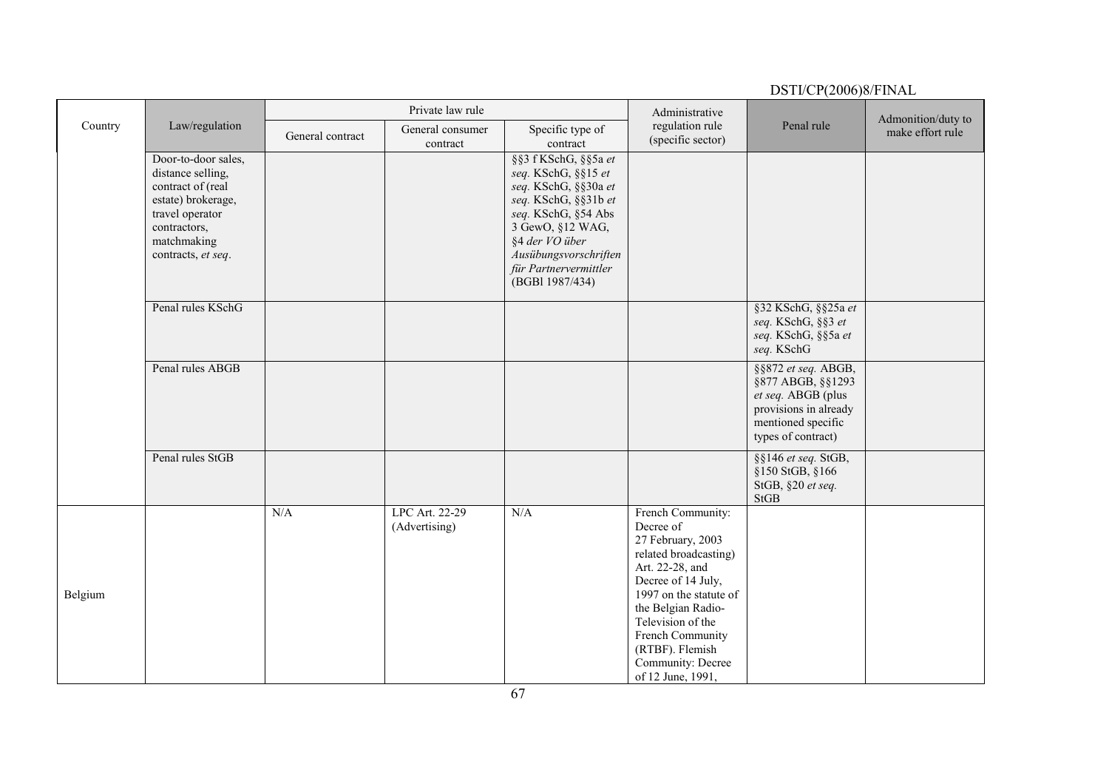|         |                                                                                                                                                             |                  | Private law rule                |                                                                                                                                                                                                                               | Administrative                                                                                                                                                                                                                                                              |                                                                                                                                     | Admonition/duty to |
|---------|-------------------------------------------------------------------------------------------------------------------------------------------------------------|------------------|---------------------------------|-------------------------------------------------------------------------------------------------------------------------------------------------------------------------------------------------------------------------------|-----------------------------------------------------------------------------------------------------------------------------------------------------------------------------------------------------------------------------------------------------------------------------|-------------------------------------------------------------------------------------------------------------------------------------|--------------------|
| Country | Law/regulation                                                                                                                                              | General contract | General consumer<br>contract    | Specific type of<br>contract                                                                                                                                                                                                  | regulation rule<br>(specific sector)                                                                                                                                                                                                                                        | Penal rule                                                                                                                          | make effort rule   |
|         | Door-to-door sales,<br>distance selling,<br>contract of (real<br>estate) brokerage,<br>travel operator<br>contractors,<br>matchmaking<br>contracts, et seq. |                  |                                 | §§3 f KSchG, §§5a et<br>seq. KSchG, §§15 et<br>seq. KSchG, §§30a et<br>seq. KSchG, §§31b et<br>seq. KSchG, §54 Abs<br>3 GewO, §12 WAG,<br>§4 der VO über<br>Ausübungsvorschriften<br>für Partnervermittler<br>(BGBI 1987/434) |                                                                                                                                                                                                                                                                             |                                                                                                                                     |                    |
|         | Penal rules KSchG                                                                                                                                           |                  |                                 |                                                                                                                                                                                                                               |                                                                                                                                                                                                                                                                             | §32 KSchG, §§25a et<br>seq. KSchG, §§3 et<br>seq. KSchG, §§5a et<br>seq. KSchG                                                      |                    |
|         | Penal rules ABGB                                                                                                                                            |                  |                                 |                                                                                                                                                                                                                               |                                                                                                                                                                                                                                                                             | §§872 et seq. ABGB,<br>§877 ABGB, §§1293<br>et seq. ABGB (plus<br>provisions in already<br>mentioned specific<br>types of contract) |                    |
|         | Penal rules StGB                                                                                                                                            |                  |                                 |                                                                                                                                                                                                                               |                                                                                                                                                                                                                                                                             | §§146 et seq. StGB,<br>§150 StGB, §166<br>StGB, §20 et seq.<br><b>StGB</b>                                                          |                    |
| Belgium |                                                                                                                                                             | N/A              | LPC Art. 22-29<br>(Advertising) | N/A                                                                                                                                                                                                                           | French Community:<br>Decree of<br>27 February, 2003<br>related broadcasting)<br>Art. 22-28, and<br>Decree of 14 July,<br>1997 on the statute of<br>the Belgian Radio-<br>Television of the<br>French Community<br>(RTBF). Flemish<br>Community: Decree<br>of 12 June, 1991, |                                                                                                                                     |                    |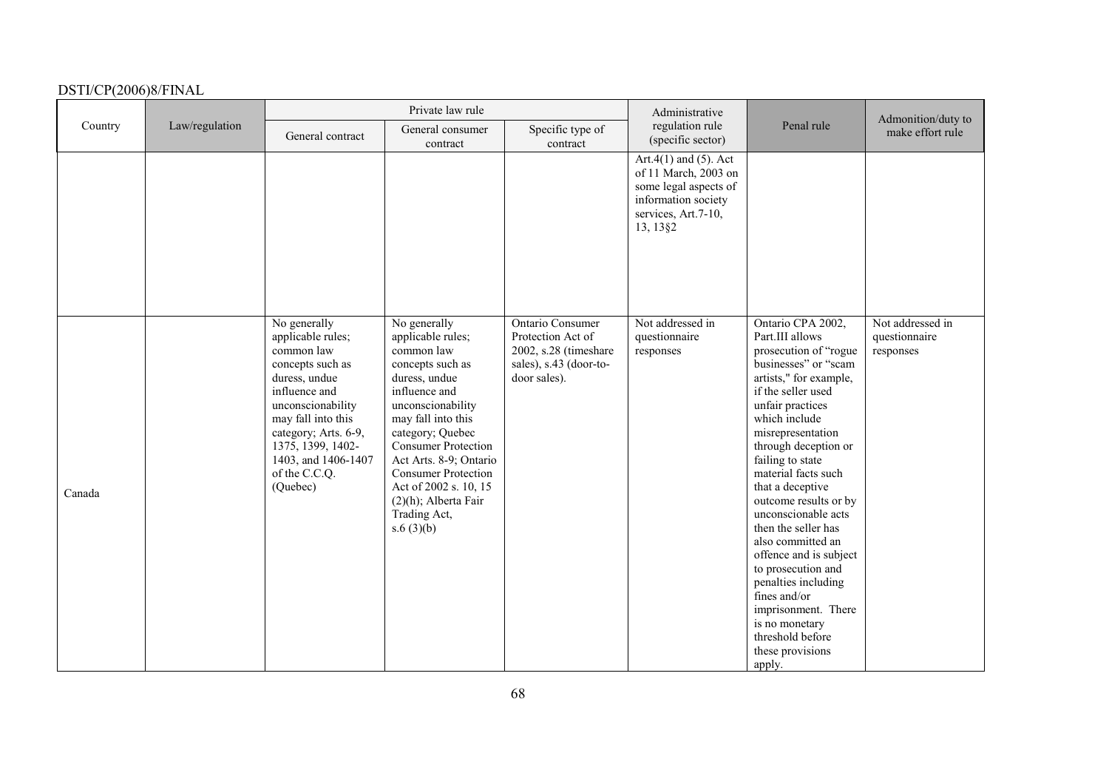| Country |                |                                                                                                                                                                                                                                                   | Private law rule                                                                                                                                                                                                                                                                                                                            |                                                                                                          | Administrative                                                                                                                           |                                                                                                                                                                                                                                                                                                                                                                                                                                                                                                                                                                       | Admonition/duty to                             |
|---------|----------------|---------------------------------------------------------------------------------------------------------------------------------------------------------------------------------------------------------------------------------------------------|---------------------------------------------------------------------------------------------------------------------------------------------------------------------------------------------------------------------------------------------------------------------------------------------------------------------------------------------|----------------------------------------------------------------------------------------------------------|------------------------------------------------------------------------------------------------------------------------------------------|-----------------------------------------------------------------------------------------------------------------------------------------------------------------------------------------------------------------------------------------------------------------------------------------------------------------------------------------------------------------------------------------------------------------------------------------------------------------------------------------------------------------------------------------------------------------------|------------------------------------------------|
|         | Law/regulation | General contract                                                                                                                                                                                                                                  | General consumer<br>contract                                                                                                                                                                                                                                                                                                                | Specific type of<br>contract                                                                             | regulation rule<br>(specific sector)                                                                                                     | Penal rule                                                                                                                                                                                                                                                                                                                                                                                                                                                                                                                                                            | make effort rule                               |
|         |                |                                                                                                                                                                                                                                                   |                                                                                                                                                                                                                                                                                                                                             |                                                                                                          | Art.4 $(1)$ and $(5)$ . Act<br>of 11 March, 2003 on<br>some legal aspects of<br>information society<br>services, Art.7-10,<br>13, 13 § 2 |                                                                                                                                                                                                                                                                                                                                                                                                                                                                                                                                                                       |                                                |
| Canada  |                | No generally<br>applicable rules;<br>common law<br>concepts such as<br>duress, undue<br>influence and<br>unconscionability<br>may fall into this<br>category; Arts. 6-9,<br>1375, 1399, 1402-<br>1403, and 1406-1407<br>of the C.C.Q.<br>(Quebec) | No generally<br>applicable rules;<br>common law<br>concepts such as<br>duress, undue<br>influence and<br>unconscionability<br>may fall into this<br>category; Quebec<br><b>Consumer Protection</b><br>Act Arts. 8-9; Ontario<br><b>Consumer Protection</b><br>Act of 2002 s. 10, 15<br>$(2)(h)$ ; Alberta Fair<br>Trading Act,<br>s.6(3)(b) | Ontario Consumer<br>Protection Act of<br>2002, s.28 (timeshare<br>sales), s.43 (door-to-<br>door sales). | Not addressed in<br>questionnaire<br>responses                                                                                           | Ontario CPA 2002,<br>Part.III allows<br>prosecution of "rogue"<br>businesses" or "scam<br>artists," for example,<br>if the seller used<br>unfair practices<br>which include<br>misrepresentation<br>through deception or<br>failing to state<br>material facts such<br>that a deceptive<br>outcome results or by<br>unconscionable acts<br>then the seller has<br>also committed an<br>offence and is subject<br>to prosecution and<br>penalties including<br>fines and/or<br>imprisonment. There<br>is no monetary<br>threshold before<br>these provisions<br>apply. | Not addressed in<br>questionnaire<br>responses |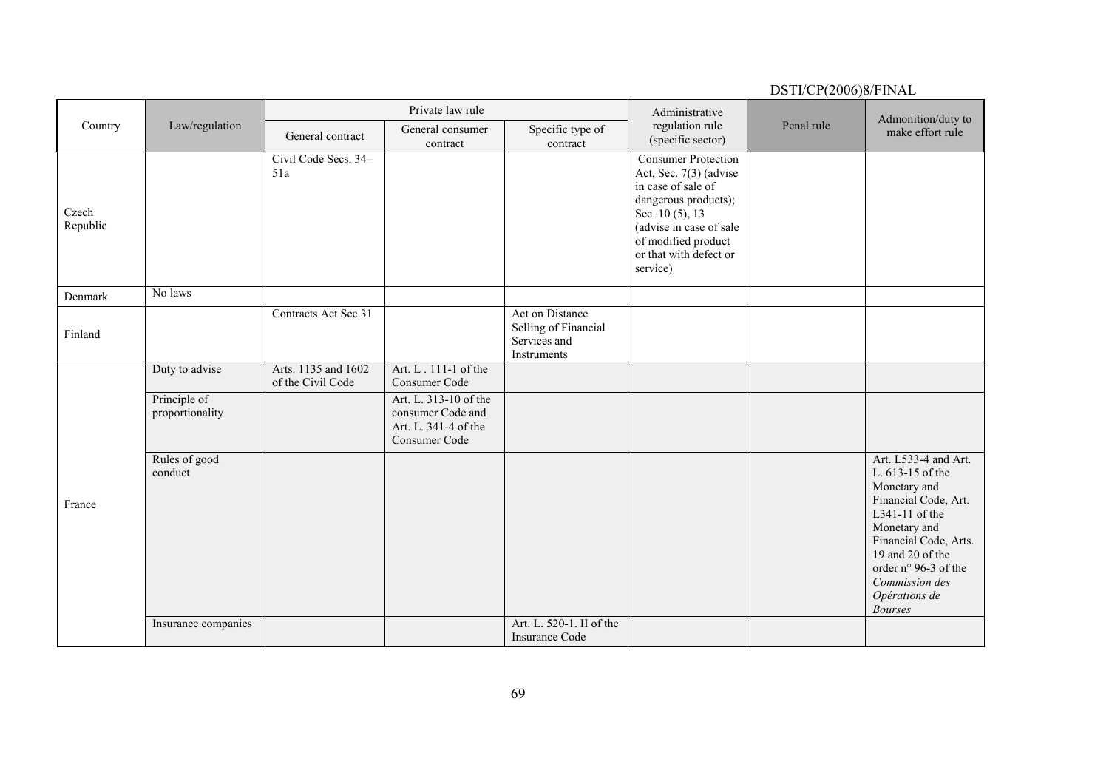| Country           |                                 |                                          | Private law rule                                                                    |                                                                        | Administrative                                                                                                                                                                                                | Penal rule | Admonition/duty to                                                                                                                                                                                                                           |
|-------------------|---------------------------------|------------------------------------------|-------------------------------------------------------------------------------------|------------------------------------------------------------------------|---------------------------------------------------------------------------------------------------------------------------------------------------------------------------------------------------------------|------------|----------------------------------------------------------------------------------------------------------------------------------------------------------------------------------------------------------------------------------------------|
|                   | Law/regulation                  | General contract                         | General consumer<br>contract                                                        | Specific type of<br>contract                                           | regulation rule<br>(specific sector)                                                                                                                                                                          |            | make effort rule                                                                                                                                                                                                                             |
| Czech<br>Republic |                                 | Civil Code Secs. 34-<br>51a              |                                                                                     |                                                                        | <b>Consumer Protection</b><br>Act, Sec. 7(3) (advise<br>in case of sale of<br>dangerous products);<br>Sec. 10 (5), 13<br>(advise in case of sale<br>of modified product<br>or that with defect or<br>service) |            |                                                                                                                                                                                                                                              |
| Denmark           | No laws                         |                                          |                                                                                     |                                                                        |                                                                                                                                                                                                               |            |                                                                                                                                                                                                                                              |
| Finland           |                                 | Contracts Act Sec.31                     |                                                                                     | Act on Distance<br>Selling of Financial<br>Services and<br>Instruments |                                                                                                                                                                                                               |            |                                                                                                                                                                                                                                              |
|                   | Duty to advise                  | Arts. 1135 and 1602<br>of the Civil Code | Art. L. 111-1 of the<br>Consumer Code                                               |                                                                        |                                                                                                                                                                                                               |            |                                                                                                                                                                                                                                              |
| France            | Principle of<br>proportionality |                                          | Art. L. 313-10 of the<br>consumer Code and<br>Art. L. 341-4 of the<br>Consumer Code |                                                                        |                                                                                                                                                                                                               |            |                                                                                                                                                                                                                                              |
|                   | Rules of good<br>conduct        |                                          |                                                                                     |                                                                        |                                                                                                                                                                                                               |            | Art. L533-4 and Art.<br>L. 613-15 of the<br>Monetary and<br>Financial Code, Art.<br>L341-11 of the<br>Monetary and<br>Financial Code, Arts.<br>19 and 20 of the<br>order n° 96-3 of the<br>Commission des<br>Opérations de<br><b>Bourses</b> |
|                   | Insurance companies             |                                          |                                                                                     | Art. L. 520-1. II of the<br><b>Insurance Code</b>                      |                                                                                                                                                                                                               |            |                                                                                                                                                                                                                                              |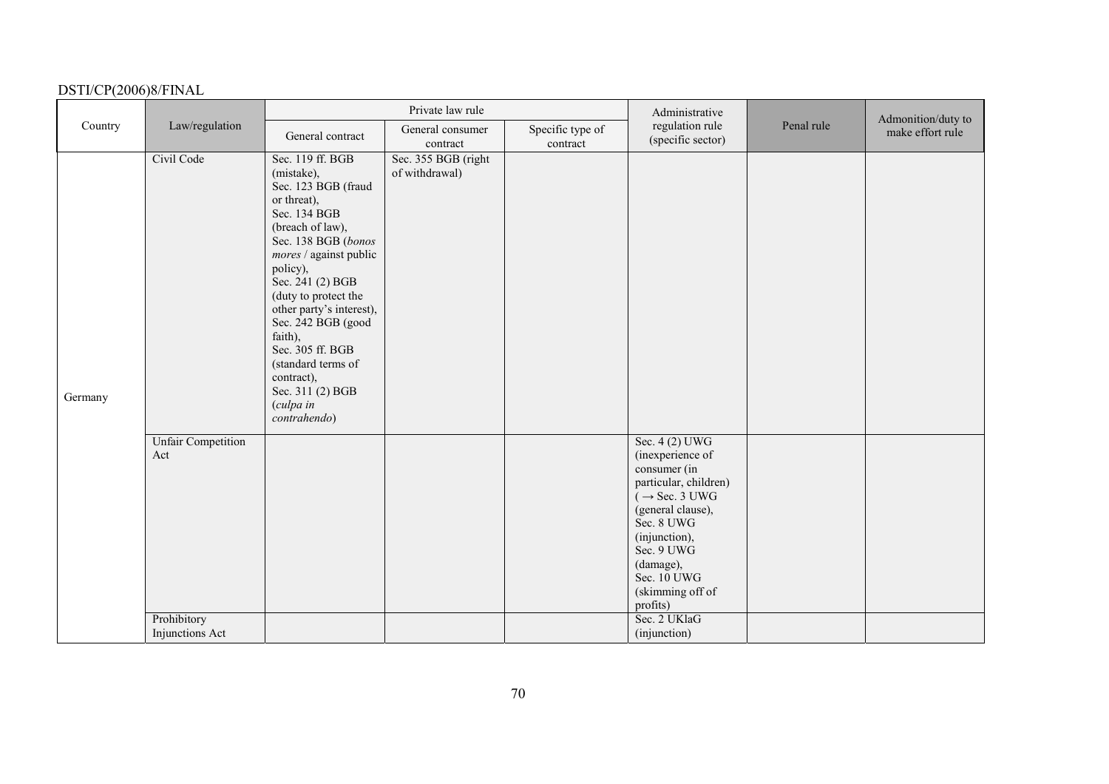|         |                                  |                                                                                                                                                                                                                                                                                                                                                                                         | Private law rule                      |                              | Administrative                                                                                                                                                                                                                         |            | Admonition/duty to |
|---------|----------------------------------|-----------------------------------------------------------------------------------------------------------------------------------------------------------------------------------------------------------------------------------------------------------------------------------------------------------------------------------------------------------------------------------------|---------------------------------------|------------------------------|----------------------------------------------------------------------------------------------------------------------------------------------------------------------------------------------------------------------------------------|------------|--------------------|
| Country | Law/regulation                   | General contract                                                                                                                                                                                                                                                                                                                                                                        | General consumer<br>contract          | Specific type of<br>contract | regulation rule<br>(specific sector)                                                                                                                                                                                                   | Penal rule | make effort rule   |
| Germany | Civil Code                       | Sec. 119 ff. BGB<br>(mistake),<br>Sec. 123 BGB (fraud<br>or threat),<br>Sec. 134 BGB<br>(breach of law),<br>Sec. 138 BGB (bonos<br>mores / against public<br>policy),<br>Sec. 241 (2) BGB<br>(duty to protect the<br>other party's interest),<br>Sec. 242 BGB (good<br>faith),<br>Sec. 305 ff. BGB<br>(standard terms of<br>contract),<br>Sec. 311 (2) BGB<br>(culpa in<br>contrahendo) | Sec. 355 BGB (right<br>of withdrawal) |                              |                                                                                                                                                                                                                                        |            |                    |
|         | <b>Unfair Competition</b><br>Act |                                                                                                                                                                                                                                                                                                                                                                                         |                                       |                              | Sec. 4 (2) UWG<br>(inexperience of<br>consumer (in<br>particular, children)<br>$(\rightarrow$ Sec. 3 UWG<br>(general clause),<br>Sec. 8 UWG<br>(injunction),<br>Sec. 9 UWG<br>(damage),<br>Sec. 10 UWG<br>(skimming off of<br>profits) |            |                    |
|         | Prohibitory<br>Injunctions Act   |                                                                                                                                                                                                                                                                                                                                                                                         |                                       |                              | Sec. 2 UKlaG<br>(injunction)                                                                                                                                                                                                           |            |                    |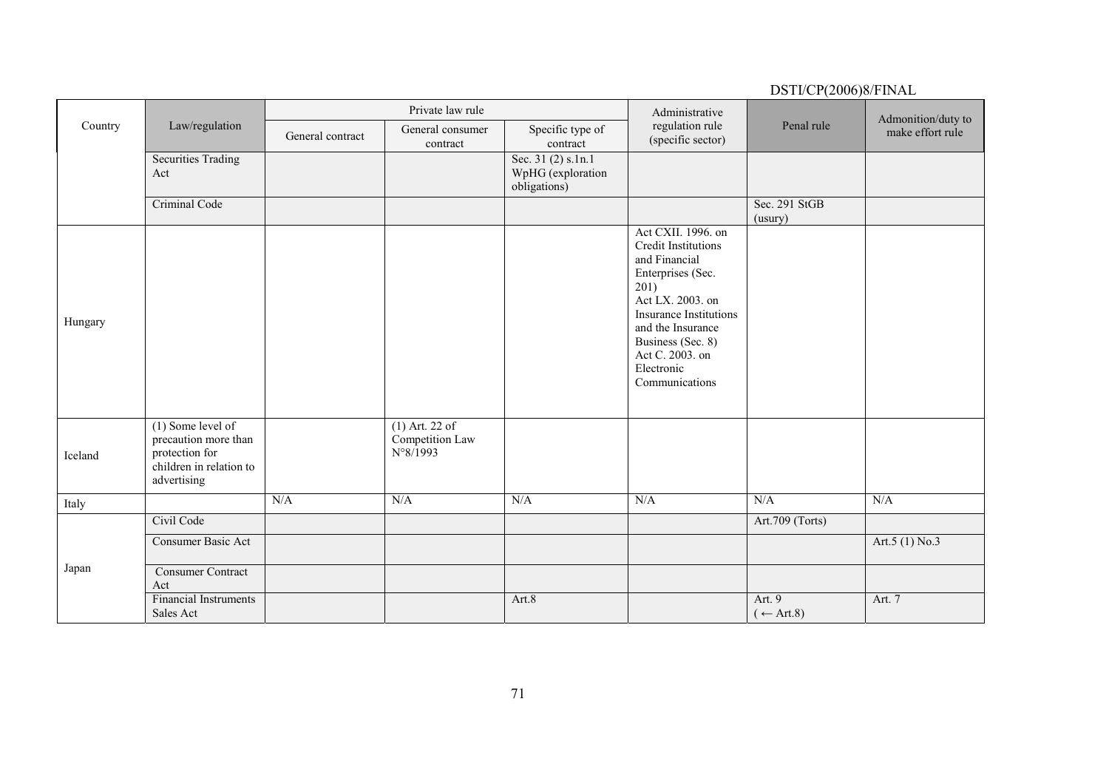|         |                                                                                                         |                  | Private law rule                                         |                                                         | Administrative                                                                                                                                                                                                                                   |                                       | Admonition/duty to |
|---------|---------------------------------------------------------------------------------------------------------|------------------|----------------------------------------------------------|---------------------------------------------------------|--------------------------------------------------------------------------------------------------------------------------------------------------------------------------------------------------------------------------------------------------|---------------------------------------|--------------------|
| Country | Law/regulation                                                                                          | General contract | General consumer<br>contract                             | Specific type of<br>contract                            | regulation rule<br>(specific sector)                                                                                                                                                                                                             | Penal rule                            | make effort rule   |
|         | <b>Securities Trading</b><br>Act                                                                        |                  |                                                          | Sec. 31 (2) s.1n.1<br>WpHG (exploration<br>obligations) |                                                                                                                                                                                                                                                  |                                       |                    |
|         | Criminal Code                                                                                           |                  |                                                          |                                                         |                                                                                                                                                                                                                                                  | Sec. 291 StGB<br>(usury)              |                    |
| Hungary |                                                                                                         |                  |                                                          |                                                         | Act CXII. 1996. on<br><b>Credit Institutions</b><br>and Financial<br>Enterprises (Sec.<br>201)<br>Act LX. 2003. on<br><b>Insurance Institutions</b><br>and the Insurance<br>Business (Sec. 8)<br>Act C. 2003. on<br>Electronic<br>Communications |                                       |                    |
| Iceland | $(1)$ Some level of<br>precaution more than<br>protection for<br>children in relation to<br>advertising |                  | $(1)$ Art. 22 of<br>Competition Law<br>$N^{\circ}8/1993$ |                                                         |                                                                                                                                                                                                                                                  |                                       |                    |
| Italy   |                                                                                                         | N/A              | N/A                                                      | N/A                                                     | N/A                                                                                                                                                                                                                                              | N/A                                   | N/A                |
| Japan   | Civil Code<br>Consumer Basic Act<br><b>Consumer Contract</b>                                            |                  |                                                          |                                                         |                                                                                                                                                                                                                                                  | Art.709 (Torts)                       | Art.5 $(1)$ No.3   |
|         | Act<br><b>Financial Instruments</b><br>Sales Act                                                        |                  |                                                          | Art.8                                                   |                                                                                                                                                                                                                                                  | Art. 9<br>$(\leftarrow \text{Art.8})$ | Art. 7             |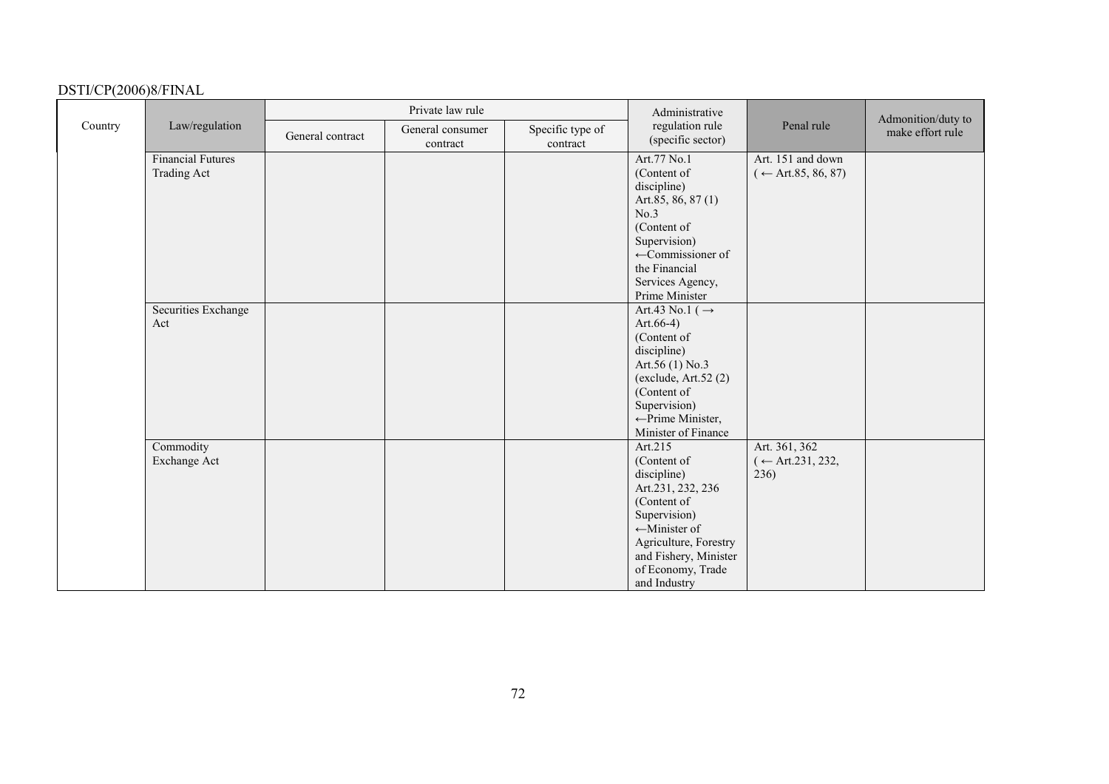|         |                                                | Private law rule |                              |                              | Administrative                                                                                                                                                                                               |                                                    | Admonition/duty to |
|---------|------------------------------------------------|------------------|------------------------------|------------------------------|--------------------------------------------------------------------------------------------------------------------------------------------------------------------------------------------------------------|----------------------------------------------------|--------------------|
| Country | Law/regulation                                 | General contract | General consumer<br>contract | Specific type of<br>contract | regulation rule<br>(specific sector)                                                                                                                                                                         | Penal rule                                         | make effort rule   |
|         | <b>Financial Futures</b><br><b>Trading Act</b> |                  |                              |                              | Art.77 No.1<br>(Content of<br>discipline)<br>Art.85, 86, 87(1)<br>No.3<br>(Content of<br>Supervision)<br>$\leftarrow$ Commissioner of<br>the Financial<br>Services Agency,<br>Prime Minister                 | Art. 151 and down<br>$(\leftarrow$ Art.85, 86, 87) |                    |
|         | Securities Exchange<br>Act                     |                  |                              |                              | Art.43 No.1 ( $\rightarrow$<br>Art. $66-4$ )<br>(Content of<br>discipline)<br>Art.56 (1) No.3<br>(exclude, Art.52(2)<br>(Content of<br>Supervision)<br>$\leftarrow$ Prime Minister,<br>Minister of Finance   |                                                    |                    |
|         | Commodity<br>Exchange Act                      |                  |                              |                              | Art.215<br>(Content of<br>discipline)<br>Art.231, 232, 236<br>(Content of<br>Supervision)<br>$\leftarrow$ Minister of<br>Agriculture, Forestry<br>and Fishery, Minister<br>of Economy, Trade<br>and Industry | Art. 361, 362<br>$($ ← Art.231, 232,<br>236)       |                    |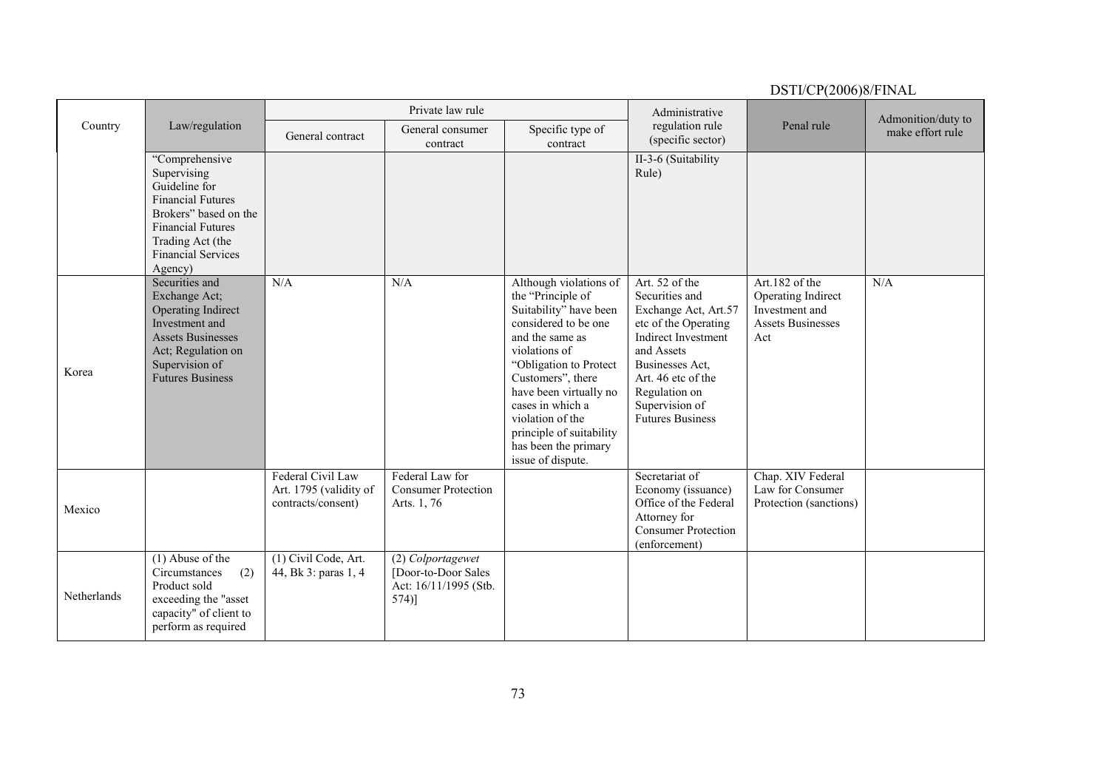|             |                                                                                                                                                                                             | Private law rule                                                  |                                                                              |                                                                                                                                                                                                                                                                                                                             | Administrative                                                                                                                                                                                                                      |                                                                                           | Admonition/duty to |
|-------------|---------------------------------------------------------------------------------------------------------------------------------------------------------------------------------------------|-------------------------------------------------------------------|------------------------------------------------------------------------------|-----------------------------------------------------------------------------------------------------------------------------------------------------------------------------------------------------------------------------------------------------------------------------------------------------------------------------|-------------------------------------------------------------------------------------------------------------------------------------------------------------------------------------------------------------------------------------|-------------------------------------------------------------------------------------------|--------------------|
| Country     | Law/regulation                                                                                                                                                                              | General contract                                                  | General consumer<br>contract                                                 | Specific type of<br>contract                                                                                                                                                                                                                                                                                                | regulation rule<br>(specific sector)                                                                                                                                                                                                | Penal rule                                                                                | make effort rule   |
|             | "Comprehensive<br>Supervising<br>Guideline for<br><b>Financial Futures</b><br>Brokers" based on the<br><b>Financial Futures</b><br>Trading Act (the<br><b>Financial Services</b><br>Agency) |                                                                   |                                                                              |                                                                                                                                                                                                                                                                                                                             | II-3-6 (Suitability<br>Rule)                                                                                                                                                                                                        |                                                                                           |                    |
| Korea       | Securities and<br>Exchange Act;<br>Operating Indirect<br>Investment and<br><b>Assets Businesses</b><br>Act; Regulation on<br>Supervision of<br><b>Futures Business</b>                      | N/A                                                               | N/A                                                                          | Although violations of<br>the "Principle of<br>Suitability" have been<br>considered to be one<br>and the same as<br>violations of<br>"Obligation to Protect<br>Customers", there<br>have been virtually no<br>cases in which a<br>violation of the<br>principle of suitability<br>has been the primary<br>issue of dispute. | Art. 52 of the<br>Securities and<br>Exchange Act, Art.57<br>etc of the Operating<br><b>Indirect Investment</b><br>and Assets<br>Businesses Act.<br>Art. 46 etc of the<br>Regulation on<br>Supervision of<br><b>Futures Business</b> | Art.182 of the<br>Operating Indirect<br>Investment and<br><b>Assets Businesses</b><br>Act | N/A                |
| Mexico      |                                                                                                                                                                                             | Federal Civil Law<br>Art. 1795 (validity of<br>contracts/consent) | Federal Law for<br><b>Consumer Protection</b><br>Arts. 1, 76                 |                                                                                                                                                                                                                                                                                                                             | Secretariat of<br>Economy (issuance)<br>Office of the Federal<br>Attorney for<br><b>Consumer Protection</b><br>(enforcement)                                                                                                        | Chap. XIV Federal<br>Law for Consumer<br>Protection (sanctions)                           |                    |
| Netherlands | $(1)$ Abuse of the<br>(2)<br>Circumstances<br>Product sold<br>exceeding the "asset<br>capacity" of client to<br>perform as required                                                         | (1) Civil Code, Art.<br>44, Bk 3: paras 1, 4                      | (2) Colportagewet<br>[Door-to-Door Sales<br>Act: 16/11/1995 (Stb.<br>$574$ ] |                                                                                                                                                                                                                                                                                                                             |                                                                                                                                                                                                                                     |                                                                                           |                    |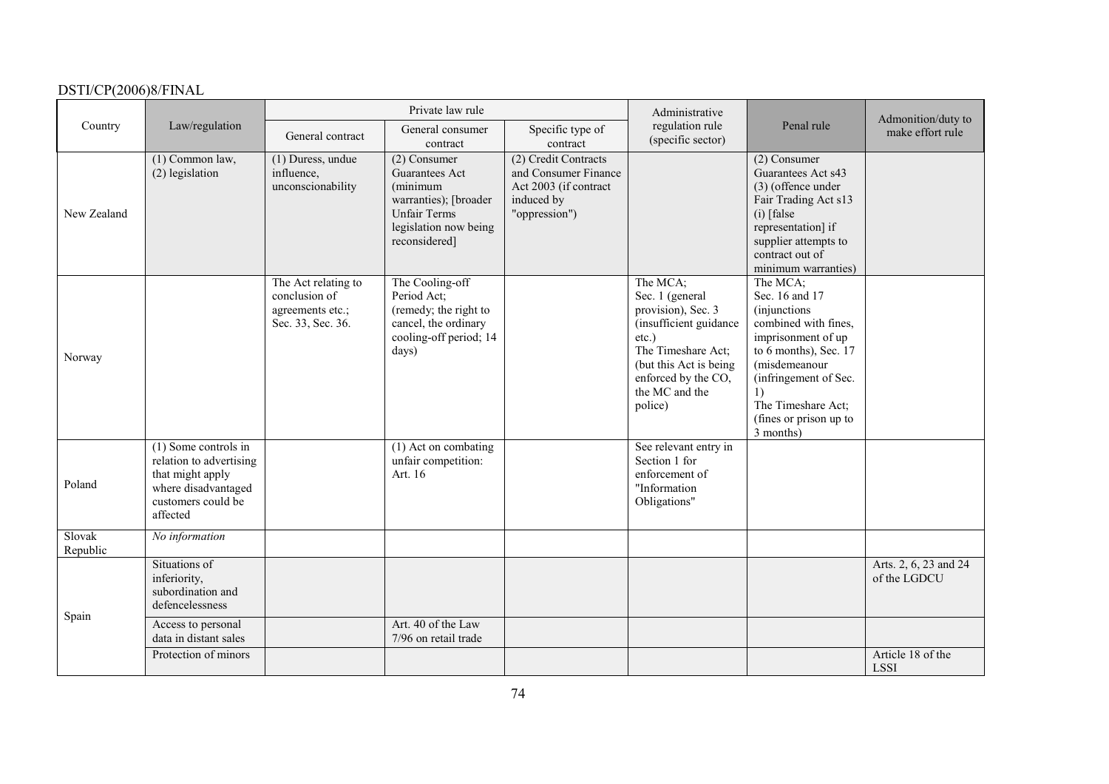|                    |                                                                                                                              |                                                                               | Private law rule                                                                                                                            |                                                                                                      | Administrative                                                                                                                                                                               |                                                                                                                                                                                                                                        | Admonition/duty to                    |
|--------------------|------------------------------------------------------------------------------------------------------------------------------|-------------------------------------------------------------------------------|---------------------------------------------------------------------------------------------------------------------------------------------|------------------------------------------------------------------------------------------------------|----------------------------------------------------------------------------------------------------------------------------------------------------------------------------------------------|----------------------------------------------------------------------------------------------------------------------------------------------------------------------------------------------------------------------------------------|---------------------------------------|
| Country            | Law/regulation                                                                                                               | General contract                                                              | General consumer<br>contract                                                                                                                | Specific type of<br>contract                                                                         | regulation rule<br>(specific sector)                                                                                                                                                         | Penal rule                                                                                                                                                                                                                             | make effort rule                      |
| New Zealand        | $(1)$ Common law,<br>(2) legislation                                                                                         | $(1)$ Duress, undue<br>influence,<br>unconscionability                        | (2) Consumer<br><b>Guarantees Act</b><br>(minimum<br>warranties); [broader<br><b>Unfair Terms</b><br>legislation now being<br>reconsidered] | (2) Credit Contracts<br>and Consumer Finance<br>Act 2003 (if contract<br>induced by<br>"oppression") |                                                                                                                                                                                              | (2) Consumer<br>Guarantees Act s43<br>$(3)$ (offence under<br>Fair Trading Act s13<br>$(i)$ [false<br>representation] if<br>supplier attempts to<br>contract out of<br>minimum warranties)                                             |                                       |
| Norway             |                                                                                                                              | The Act relating to<br>conclusion of<br>agreements etc.;<br>Sec. 33, Sec. 36. | The Cooling-off<br>Period Act;<br>(remedy; the right to<br>cancel, the ordinary<br>cooling-off period; 14<br>days)                          |                                                                                                      | The MCA;<br>Sec. 1 (general<br>provision), Sec. 3<br>(insufficient guidance<br>$etc.$ )<br>The Timeshare Act;<br>(but this Act is being)<br>enforced by the CO,<br>the MC and the<br>police) | The MCA;<br>Sec. 16 and 17<br><i>(injunctions)</i><br>combined with fines,<br>imprisonment of up<br>to 6 months), Sec. 17<br>(misdemeanour<br>(infringement of Sec.<br>1)<br>The Timeshare Act;<br>(fines or prison up to<br>3 months) |                                       |
| Poland             | (1) Some controls in<br>relation to advertising<br>that might apply<br>where disadvantaged<br>customers could be<br>affected |                                                                               | $(1)$ Act on combating<br>unfair competition:<br>Art. 16                                                                                    |                                                                                                      | See relevant entry in<br>Section 1 for<br>enforcement of<br>"Information<br>Obligations"                                                                                                     |                                                                                                                                                                                                                                        |                                       |
| Slovak<br>Republic | No information                                                                                                               |                                                                               |                                                                                                                                             |                                                                                                      |                                                                                                                                                                                              |                                                                                                                                                                                                                                        |                                       |
|                    | Situations of<br>inferiority,<br>subordination and<br>defencelessness                                                        |                                                                               |                                                                                                                                             |                                                                                                      |                                                                                                                                                                                              |                                                                                                                                                                                                                                        | Arts. 2, 6, 23 and 24<br>of the LGDCU |
| Spain              | Access to personal<br>data in distant sales                                                                                  |                                                                               | Art. 40 of the Law<br>7/96 on retail trade                                                                                                  |                                                                                                      |                                                                                                                                                                                              |                                                                                                                                                                                                                                        |                                       |
|                    | Protection of minors                                                                                                         |                                                                               |                                                                                                                                             |                                                                                                      |                                                                                                                                                                                              |                                                                                                                                                                                                                                        | Article 18 of the<br><b>LSSI</b>      |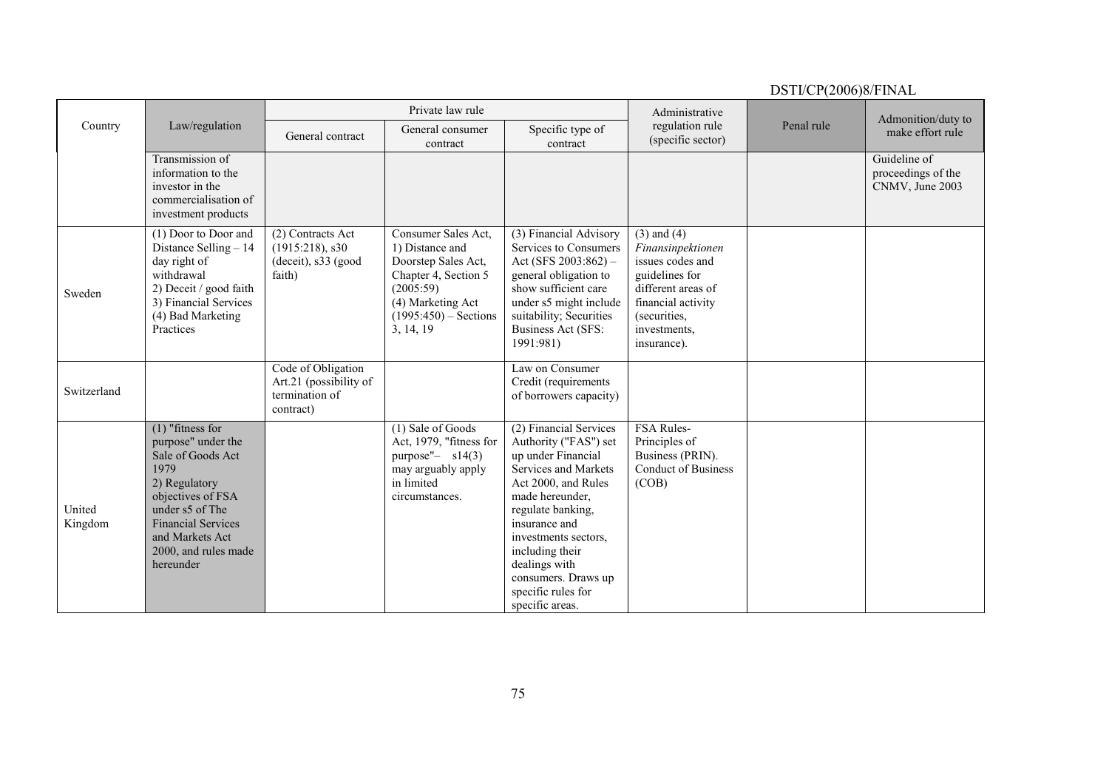|                   |                                                                                                                                                                                                                     | Private law rule                                                            |                                                                                                                                                                 |                                                                                                                                                                                                                                                                                                           | Administrative                                                                                                                                                        |            | Admonition/duty to                                    |
|-------------------|---------------------------------------------------------------------------------------------------------------------------------------------------------------------------------------------------------------------|-----------------------------------------------------------------------------|-----------------------------------------------------------------------------------------------------------------------------------------------------------------|-----------------------------------------------------------------------------------------------------------------------------------------------------------------------------------------------------------------------------------------------------------------------------------------------------------|-----------------------------------------------------------------------------------------------------------------------------------------------------------------------|------------|-------------------------------------------------------|
| Country           | Law/regulation                                                                                                                                                                                                      | General contract                                                            | General consumer<br>contract                                                                                                                                    | Specific type of<br>contract                                                                                                                                                                                                                                                                              | regulation rule<br>(specific sector)                                                                                                                                  | Penal rule | make effort rule                                      |
|                   | Transmission of<br>information to the<br>investor in the<br>commercialisation of<br>investment products                                                                                                             |                                                                             |                                                                                                                                                                 |                                                                                                                                                                                                                                                                                                           |                                                                                                                                                                       |            | Guideline of<br>proceedings of the<br>CNMV, June 2003 |
| Sweden            | (1) Door to Door and<br>Distance Selling $-14$<br>day right of<br>withdrawal<br>2) Deceit / good faith<br>3) Financial Services<br>(4) Bad Marketing<br>Practices                                                   | (2) Contracts Act<br>$(1915:218)$ , s30<br>(deceit), s33 (good)<br>faith)   | Consumer Sales Act,<br>1) Distance and<br>Doorstep Sales Act,<br>Chapter 4, Section 5<br>(2005:59)<br>(4) Marketing Act<br>$(1995:450)$ – Sections<br>3, 14, 19 | (3) Financial Advisory<br>Services to Consumers<br>Act (SFS $2003:862$ ) –<br>general obligation to<br>show sufficient care<br>under s5 might include<br>suitability; Securities<br><b>Business Act (SFS:</b><br>1991:981)                                                                                | $(3)$ and $(4)$<br>Finansinpektionen<br>issues codes and<br>guidelines for<br>different areas of<br>financial activity<br>(securities,<br>investments,<br>insurance). |            |                                                       |
| Switzerland       |                                                                                                                                                                                                                     | Code of Obligation<br>Art.21 (possibility of<br>termination of<br>contract) |                                                                                                                                                                 | Law on Consumer<br>Credit (requirements<br>of borrowers capacity)                                                                                                                                                                                                                                         |                                                                                                                                                                       |            |                                                       |
| United<br>Kingdom | $(1)$ "fitness for<br>purpose" under the<br>Sale of Goods Act<br>1979<br>2) Regulatory<br>objectives of FSA<br>under s5 of The<br><b>Financial Services</b><br>and Markets Act<br>2000, and rules made<br>hereunder |                                                                             | (1) Sale of Goods<br>Act, 1979, "fitness for<br>purpose"- $s14(3)$<br>may arguably apply<br>in limited<br>circumstances.                                        | (2) Financial Services<br>Authority ("FAS") set<br>up under Financial<br>Services and Markets<br>Act 2000, and Rules<br>made hereunder,<br>regulate banking,<br>insurance and<br>investments sectors.<br>including their<br>dealings with<br>consumers. Draws up<br>specific rules for<br>specific areas. | FSA Rules-<br>Principles of<br>Business (PRIN).<br>Conduct of Business<br>(COB)                                                                                       |            |                                                       |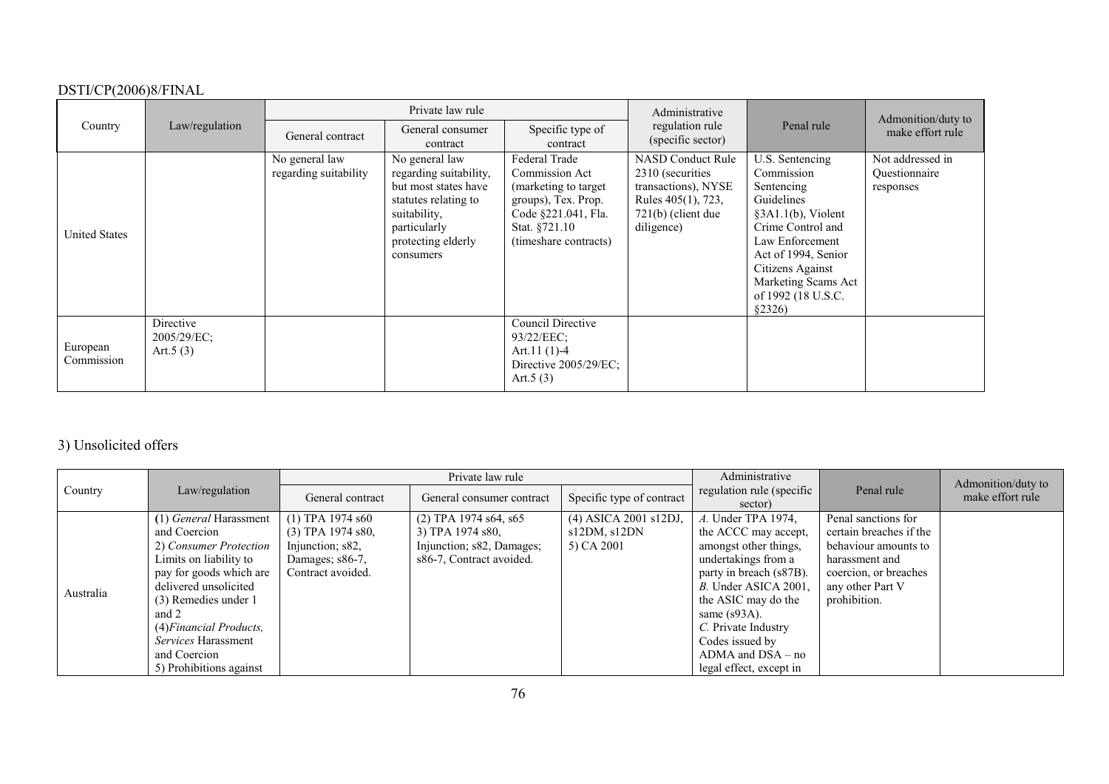| Country                |                                            | Private law rule                        |                                                                                                                                                             |                                                                                                                                                  | Administrative                                                                                                                  |                                                                                                                                                                                                                               | Admonition/duty to                             |
|------------------------|--------------------------------------------|-----------------------------------------|-------------------------------------------------------------------------------------------------------------------------------------------------------------|--------------------------------------------------------------------------------------------------------------------------------------------------|---------------------------------------------------------------------------------------------------------------------------------|-------------------------------------------------------------------------------------------------------------------------------------------------------------------------------------------------------------------------------|------------------------------------------------|
|                        | Law/regulation                             | General contract                        | General consumer<br>contract                                                                                                                                | Specific type of<br>contract                                                                                                                     | regulation rule<br>(specific sector)                                                                                            | Penal rule                                                                                                                                                                                                                    | make effort rule                               |
| <b>United States</b>   |                                            | No general law<br>regarding suitability | No general law<br>regarding suitability,<br>but most states have<br>statutes relating to<br>suitability,<br>particularly<br>protecting elderly<br>consumers | Federal Trade<br>Commission Act<br>(marketing to target)<br>groups), Tex. Prop.<br>Code §221.041, Fla.<br>Stat. §721.10<br>(timeshare contracts) | <b>NASD Conduct Rule</b><br>2310 (securities<br>transactions), NYSE<br>Rules 405(1), 723,<br>$721(b)$ (client due<br>diligence) | U.S. Sentencing<br>Commission<br>Sentencing<br>Guidelines<br>$§3A1.1(b)$ , Violent<br>Crime Control and<br>Law Enforcement<br>Act of 1994, Senior<br>Citizens Against<br>Marketing Scams Act<br>of 1992 (18 U.S.C.<br>\$2326) | Not addressed in<br>Questionnaire<br>responses |
| European<br>Commission | Directive<br>$2005/29/EC$ ;<br>Art. $5(3)$ |                                         |                                                                                                                                                             | Council Directive<br>93/22/EEC:<br>Art.11 $(1)-4$<br>Directive 2005/29/EC;<br>Art. $5(3)$                                                        |                                                                                                                                 |                                                                                                                                                                                                                               |                                                |

# 3) Unsolicited offers

|           |                            |                     | Private law rule          |                           | Administrative                       |                         | Admonition/duty to |
|-----------|----------------------------|---------------------|---------------------------|---------------------------|--------------------------------------|-------------------------|--------------------|
| Country   | Law/regulation             | General contract    | General consumer contract | Specific type of contract | regulation rule (specific<br>sector) | Penal rule              | make effort rule   |
|           | (1) General Harassment     | $(1)$ TPA 1974 s60  | $(2)$ TPA 1974 s64, s65   | (4) ASICA 2001 s12DJ,     | A. Under TPA 1974,                   | Penal sanctions for     |                    |
|           | and Coercion               | $(3)$ TPA 1974 s80. | 3) TPA 1974 s80.          | sl2DM, sl2DN              | the ACCC may accept,                 | certain breaches if the |                    |
|           | 2) Consumer Protection     | Injunction; s82,    | Injunction; s82, Damages; | 5) CA 2001                | amongst other things,                | behaviour amounts to    |                    |
|           | Limits on liability to     | Damages; s86-7,     | s86-7, Contract avoided.  |                           | undertakings from a                  | harassment and          |                    |
|           | pay for goods which are    | Contract avoided.   |                           |                           | party in breach (s87B).              | coercion, or breaches   |                    |
| Australia | delivered unsolicited      |                     |                           |                           | B. Under ASICA 2001,                 | any other Part V        |                    |
|           | (3) Remedies under 1       |                     |                           |                           | the ASIC may do the                  | prohibition.            |                    |
|           | and 2                      |                     |                           |                           | same $(s93A)$ .                      |                         |                    |
|           | $(4) Financial$ Products,  |                     |                           |                           | C. Private Industry                  |                         |                    |
|           | <i>Services</i> Harassment |                     |                           |                           | Codes issued by                      |                         |                    |
|           | and Coercion               |                     |                           |                           | $ADMA$ and $DSA - no$                |                         |                    |
|           | 5) Prohibitions against    |                     |                           |                           | legal effect, except in              |                         |                    |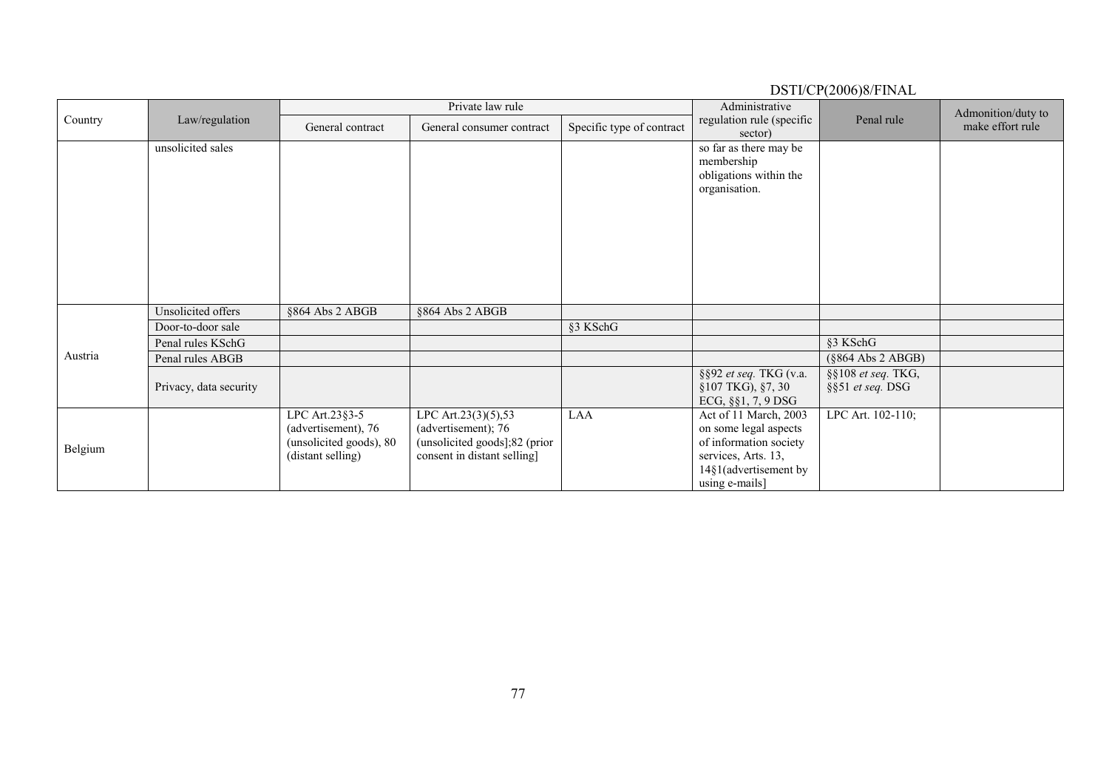|         |                        |                                                                                       | Private law rule                                                                                           |                           | Administrative                                                                                                                             |                                        | Admonition/duty to |
|---------|------------------------|---------------------------------------------------------------------------------------|------------------------------------------------------------------------------------------------------------|---------------------------|--------------------------------------------------------------------------------------------------------------------------------------------|----------------------------------------|--------------------|
| Country | Law/regulation         | General contract                                                                      | General consumer contract                                                                                  | Specific type of contract | regulation rule (specific<br>sector)                                                                                                       | Penal rule                             | make effort rule   |
|         | unsolicited sales      |                                                                                       |                                                                                                            |                           | so far as there may be<br>membership<br>obligations within the<br>organisation.                                                            |                                        |                    |
|         | Unsolicited offers     | §864 Abs 2 ABGB                                                                       | §864 Abs 2 ABGB                                                                                            |                           |                                                                                                                                            |                                        |                    |
|         | Door-to-door sale      |                                                                                       |                                                                                                            | §3 KSchG                  |                                                                                                                                            |                                        |                    |
|         | Penal rules KSchG      |                                                                                       |                                                                                                            |                           |                                                                                                                                            | §3 KSchG                               |                    |
| Austria | Penal rules ABGB       |                                                                                       |                                                                                                            |                           |                                                                                                                                            | $(\$864$ Abs 2 ABGB)                   |                    |
|         | Privacy, data security |                                                                                       |                                                                                                            |                           | §§92 et seq. TKG (v.a.<br>$§107$ TKG), $§7, 30$<br>ECG, §§1, 7, 9 DSG                                                                      | §§108 et seq. TKG,<br>§§51 et seq. DSG |                    |
| Belgium |                        | LPC Art.23§3-5<br>(advertisement), 76<br>(unsolicited goods), 80<br>(distant selling) | LPC Art.23(3)(5),53<br>(advertisement); 76<br>(unsolicited goods];82 (prior<br>consent in distant selling] | LAA                       | Act of 11 March, 2003<br>on some legal aspects<br>of information society<br>services, Arts. 13,<br>14§1(advertisement by<br>using e-mails] | LPC Art. 102-110;                      |                    |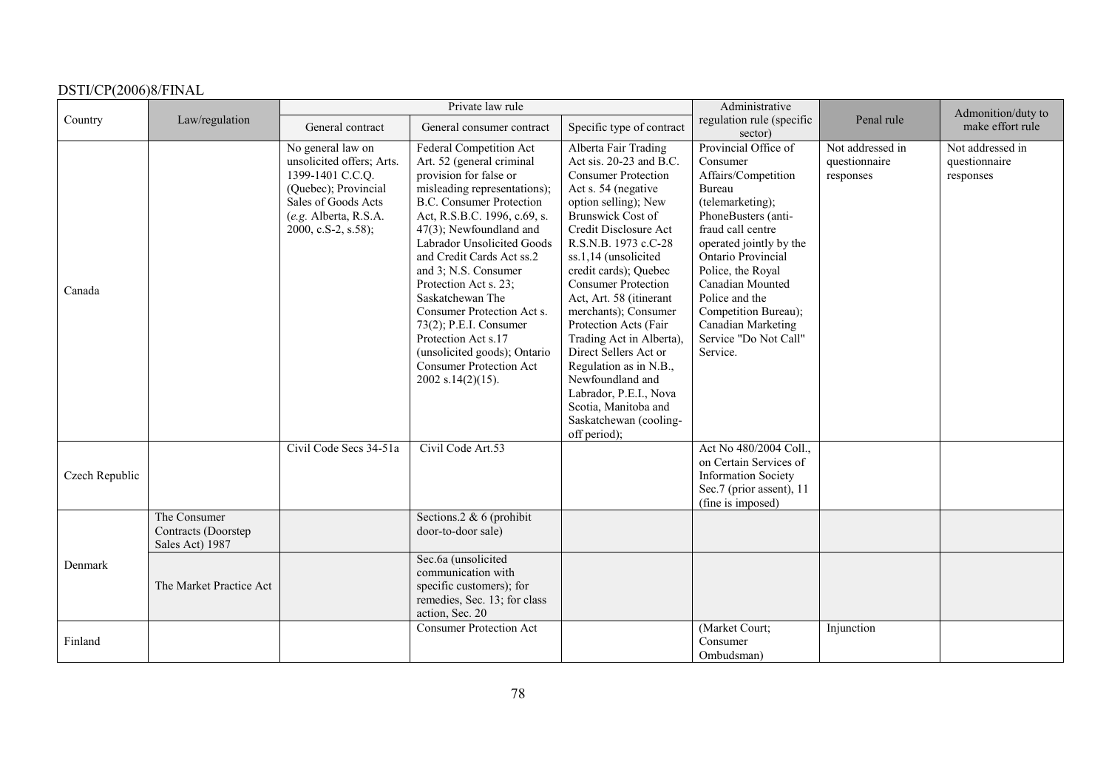|                |                                                        | Private law rule                                                                                                                                                  |                                                                                                                                                                                                                                                                                                                                                                                                                                                                                                                      |                                                                                                                                                                                                                                                                                                                                                                                                                                                                                                                                                              | Administrative                                                                                                                                                                                                                                                                                                                          |                                                | Admonition/duty to                             |
|----------------|--------------------------------------------------------|-------------------------------------------------------------------------------------------------------------------------------------------------------------------|----------------------------------------------------------------------------------------------------------------------------------------------------------------------------------------------------------------------------------------------------------------------------------------------------------------------------------------------------------------------------------------------------------------------------------------------------------------------------------------------------------------------|--------------------------------------------------------------------------------------------------------------------------------------------------------------------------------------------------------------------------------------------------------------------------------------------------------------------------------------------------------------------------------------------------------------------------------------------------------------------------------------------------------------------------------------------------------------|-----------------------------------------------------------------------------------------------------------------------------------------------------------------------------------------------------------------------------------------------------------------------------------------------------------------------------------------|------------------------------------------------|------------------------------------------------|
| Country        | Law/regulation                                         | General contract                                                                                                                                                  | General consumer contract                                                                                                                                                                                                                                                                                                                                                                                                                                                                                            | Specific type of contract                                                                                                                                                                                                                                                                                                                                                                                                                                                                                                                                    | regulation rule (specific<br>sector)                                                                                                                                                                                                                                                                                                    | Penal rule                                     | make effort rule                               |
| Canada         |                                                        | No general law on<br>unsolicited offers; Arts.<br>1399-1401 C.C.Q.<br>(Quebec); Provincial<br>Sales of Goods Acts<br>(e.g. Alberta, R.S.A.<br>2000, c.S-2, s.58); | Federal Competition Act<br>Art. 52 (general criminal<br>provision for false or<br>misleading representations);<br><b>B.C. Consumer Protection</b><br>Act, R.S.B.C. 1996, c.69, s.<br>47(3); Newfoundland and<br>Labrador Unsolicited Goods<br>and Credit Cards Act ss.2<br>and 3; N.S. Consumer<br>Protection Act s. 23;<br>Saskatchewan The<br>Consumer Protection Act s.<br>73(2); P.E.I. Consumer<br>Protection Act s.17<br>(unsolicited goods); Ontario<br><b>Consumer Protection Act</b><br>$2002$ s.14(2)(15). | Alberta Fair Trading<br>Act sis. 20-23 and B.C.<br><b>Consumer Protection</b><br>Act s. 54 (negative<br>option selling); New<br>Brunswick Cost of<br>Credit Disclosure Act<br>R.S.N.B. 1973 c.C-28<br>ss.1,14 (unsolicited<br>credit cards); Quebec<br><b>Consumer Protection</b><br>Act, Art. 58 (itinerant<br>merchants); Consumer<br>Protection Acts (Fair<br>Trading Act in Alberta),<br>Direct Sellers Act or<br>Regulation as in N.B.,<br>Newfoundland and<br>Labrador, P.E.I., Nova<br>Scotia, Manitoba and<br>Saskatchewan (cooling-<br>off period); | Provincial Office of<br>Consumer<br>Affairs/Competition<br><b>Bureau</b><br>(telemarketing);<br>PhoneBusters (anti-<br>fraud call centre<br>operated jointly by the<br>Ontario Provincial<br>Police, the Royal<br>Canadian Mounted<br>Police and the<br>Competition Bureau);<br>Canadian Marketing<br>Service "Do Not Call"<br>Service. | Not addressed in<br>questionnaire<br>responses | Not addressed in<br>questionnaire<br>responses |
| Czech Republic |                                                        | Civil Code Secs 34-51a                                                                                                                                            | Civil Code Art.53                                                                                                                                                                                                                                                                                                                                                                                                                                                                                                    |                                                                                                                                                                                                                                                                                                                                                                                                                                                                                                                                                              | Act No 480/2004 Coll.,<br>on Certain Services of<br><b>Information Society</b><br>Sec.7 (prior assent), 11<br>(fine is imposed)                                                                                                                                                                                                         |                                                |                                                |
| Denmark        | The Consumer<br>Contracts (Doorstep<br>Sales Act) 1987 |                                                                                                                                                                   | Sections.2 & 6 (prohibit<br>door-to-door sale)                                                                                                                                                                                                                                                                                                                                                                                                                                                                       |                                                                                                                                                                                                                                                                                                                                                                                                                                                                                                                                                              |                                                                                                                                                                                                                                                                                                                                         |                                                |                                                |
|                | The Market Practice Act                                |                                                                                                                                                                   | Sec.6a (unsolicited<br>communication with<br>specific customers); for<br>remedies, Sec. 13; for class<br>action, Sec. 20                                                                                                                                                                                                                                                                                                                                                                                             |                                                                                                                                                                                                                                                                                                                                                                                                                                                                                                                                                              |                                                                                                                                                                                                                                                                                                                                         |                                                |                                                |
| Finland        |                                                        |                                                                                                                                                                   | <b>Consumer Protection Act</b>                                                                                                                                                                                                                                                                                                                                                                                                                                                                                       |                                                                                                                                                                                                                                                                                                                                                                                                                                                                                                                                                              | (Market Court;<br>Consumer<br>Ombudsman)                                                                                                                                                                                                                                                                                                | Injunction                                     |                                                |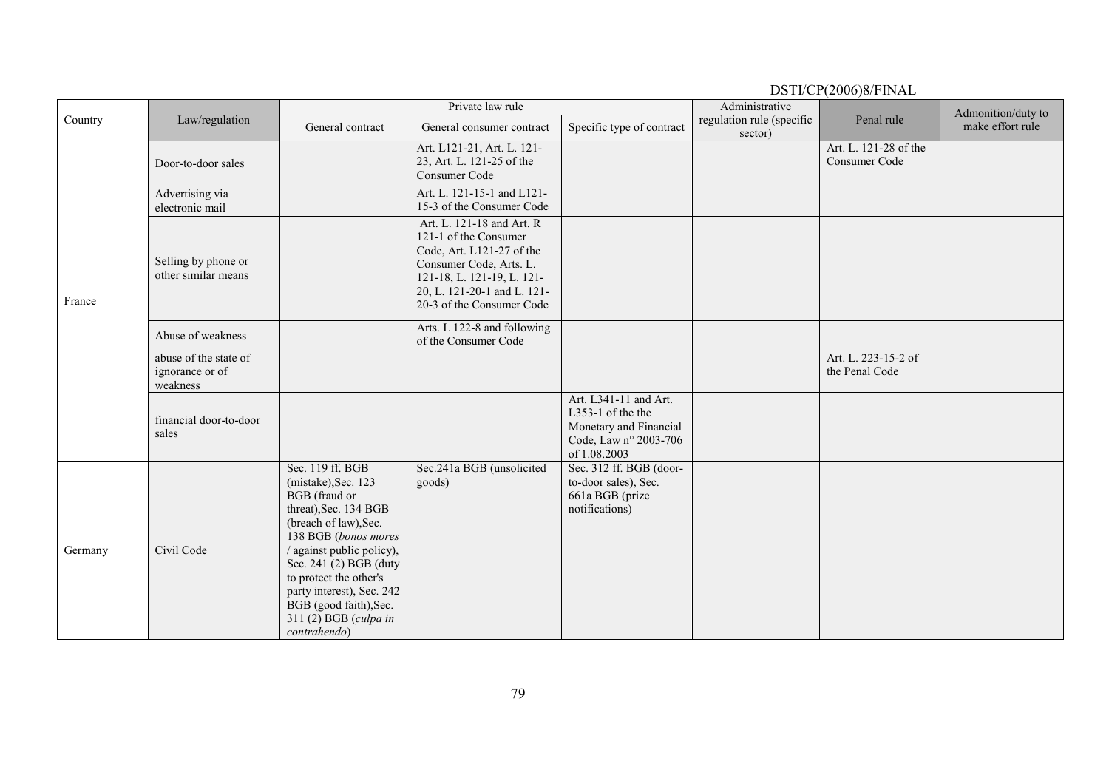| Country |                                                      |                                                                                                                                                                                                                                                                                                                     | Private law rule                                                                                                                                                                                     |                                                                                                               | Administrative                       | $25.11$ , $21.700$ , $21.71$           | Admonition/duty to |
|---------|------------------------------------------------------|---------------------------------------------------------------------------------------------------------------------------------------------------------------------------------------------------------------------------------------------------------------------------------------------------------------------|------------------------------------------------------------------------------------------------------------------------------------------------------------------------------------------------------|---------------------------------------------------------------------------------------------------------------|--------------------------------------|----------------------------------------|--------------------|
|         | Law/regulation                                       | General contract                                                                                                                                                                                                                                                                                                    | General consumer contract                                                                                                                                                                            | Specific type of contract                                                                                     | regulation rule (specific<br>sector) | Penal rule                             | make effort rule   |
| France  | Door-to-door sales                                   |                                                                                                                                                                                                                                                                                                                     | Art. L121-21, Art. L. 121-<br>23, Art. L. 121-25 of the<br>Consumer Code                                                                                                                             |                                                                                                               |                                      | Art. L. 121-28 of the<br>Consumer Code |                    |
|         | Advertising via<br>electronic mail                   |                                                                                                                                                                                                                                                                                                                     | Art. L. 121-15-1 and L121-<br>15-3 of the Consumer Code                                                                                                                                              |                                                                                                               |                                      |                                        |                    |
|         | Selling by phone or<br>other similar means           |                                                                                                                                                                                                                                                                                                                     | Art. L. 121-18 and Art. R<br>121-1 of the Consumer<br>Code, Art. L121-27 of the<br>Consumer Code, Arts. L.<br>121-18, L. 121-19, L. 121-<br>20, L. 121-20-1 and L. 121-<br>20-3 of the Consumer Code |                                                                                                               |                                      |                                        |                    |
|         | Abuse of weakness                                    |                                                                                                                                                                                                                                                                                                                     | Arts. L 122-8 and following<br>of the Consumer Code                                                                                                                                                  |                                                                                                               |                                      |                                        |                    |
|         | abuse of the state of<br>ignorance or of<br>weakness |                                                                                                                                                                                                                                                                                                                     |                                                                                                                                                                                                      |                                                                                                               |                                      | Art. L. 223-15-2 of<br>the Penal Code  |                    |
|         | financial door-to-door<br>sales                      |                                                                                                                                                                                                                                                                                                                     |                                                                                                                                                                                                      | Art. L341-11 and Art.<br>L353-1 of the the<br>Monetary and Financial<br>Code, Law nº 2003-706<br>of 1.08.2003 |                                      |                                        |                    |
| Germany | Civil Code                                           | Sec. 119 ff. BGB<br>(mistake), Sec. 123<br>BGB (fraud or<br>threat), Sec. 134 BGB<br>(breach of law), Sec.<br>138 BGB (bonos mores<br>/ against public policy),<br>Sec. 241 (2) BGB (duty<br>to protect the other's<br>party interest), Sec. 242<br>BGB (good faith), Sec.<br>311 (2) BGB (culpa in<br>contrahendo) | Sec.241a BGB (unsolicited<br>goods)                                                                                                                                                                  | Sec. 312 ff. BGB (door-<br>to-door sales), Sec.<br>661a BGB (prize<br>notifications)                          |                                      |                                        |                    |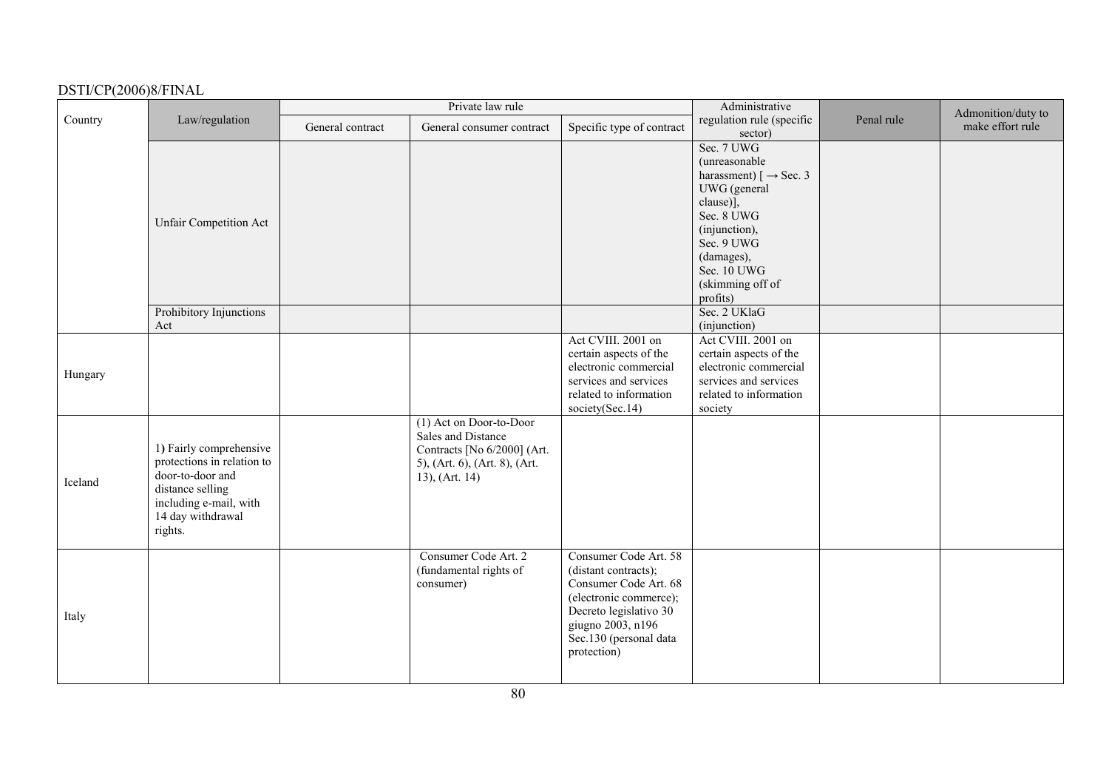|         |                                                                                                                                                         |                  | Private law rule                                                                                                                |                                                                                                                                                                                          | Administrative                                                                                                                                                                                                               |            | Admonition/duty to |
|---------|---------------------------------------------------------------------------------------------------------------------------------------------------------|------------------|---------------------------------------------------------------------------------------------------------------------------------|------------------------------------------------------------------------------------------------------------------------------------------------------------------------------------------|------------------------------------------------------------------------------------------------------------------------------------------------------------------------------------------------------------------------------|------------|--------------------|
| Country | Law/regulation                                                                                                                                          | General contract | General consumer contract                                                                                                       | Specific type of contract                                                                                                                                                                | regulation rule (specific<br>sector)                                                                                                                                                                                         | Penal rule | make effort rule   |
|         | <b>Unfair Competition Act</b>                                                                                                                           |                  |                                                                                                                                 |                                                                                                                                                                                          | Sec. 7 UWG<br>(unreasonable<br>harassment) $\lceil \rightarrow \text{Sec. } 3 \rceil$<br>UWG (general<br>clause)],<br>Sec. 8 UWG<br>(injunction),<br>Sec. 9 UWG<br>(damages),<br>Sec. 10 UWG<br>(skimming off of<br>profits) |            |                    |
|         | Prohibitory Injunctions<br>Act                                                                                                                          |                  |                                                                                                                                 |                                                                                                                                                                                          | Sec. 2 UKlaG<br>(injunction)                                                                                                                                                                                                 |            |                    |
| Hungary |                                                                                                                                                         |                  |                                                                                                                                 | Act CVIII. 2001 on<br>certain aspects of the<br>electronic commercial<br>services and services<br>related to information<br>society(Sec.14)                                              | Act CVIII. 2001 on<br>certain aspects of the<br>electronic commercial<br>services and services<br>related to information<br>society                                                                                          |            |                    |
| Iceland | 1) Fairly comprehensive<br>protections in relation to<br>door-to-door and<br>distance selling<br>including e-mail, with<br>14 day withdrawal<br>rights. |                  | (1) Act on Door-to-Door<br>Sales and Distance<br>Contracts [No 6/2000] (Art.<br>5), (Art. 6), (Art. 8), (Art.<br>13), (Art. 14) |                                                                                                                                                                                          |                                                                                                                                                                                                                              |            |                    |
| Italy   |                                                                                                                                                         |                  | Consumer Code Art. 2<br>(fundamental rights of<br>consumer)                                                                     | Consumer Code Art. 58<br>(distant contracts);<br>Consumer Code Art. 68<br>(electronic commerce);<br>Decreto legislativo 30<br>giugno 2003, n196<br>Sec.130 (personal data<br>protection) |                                                                                                                                                                                                                              |            |                    |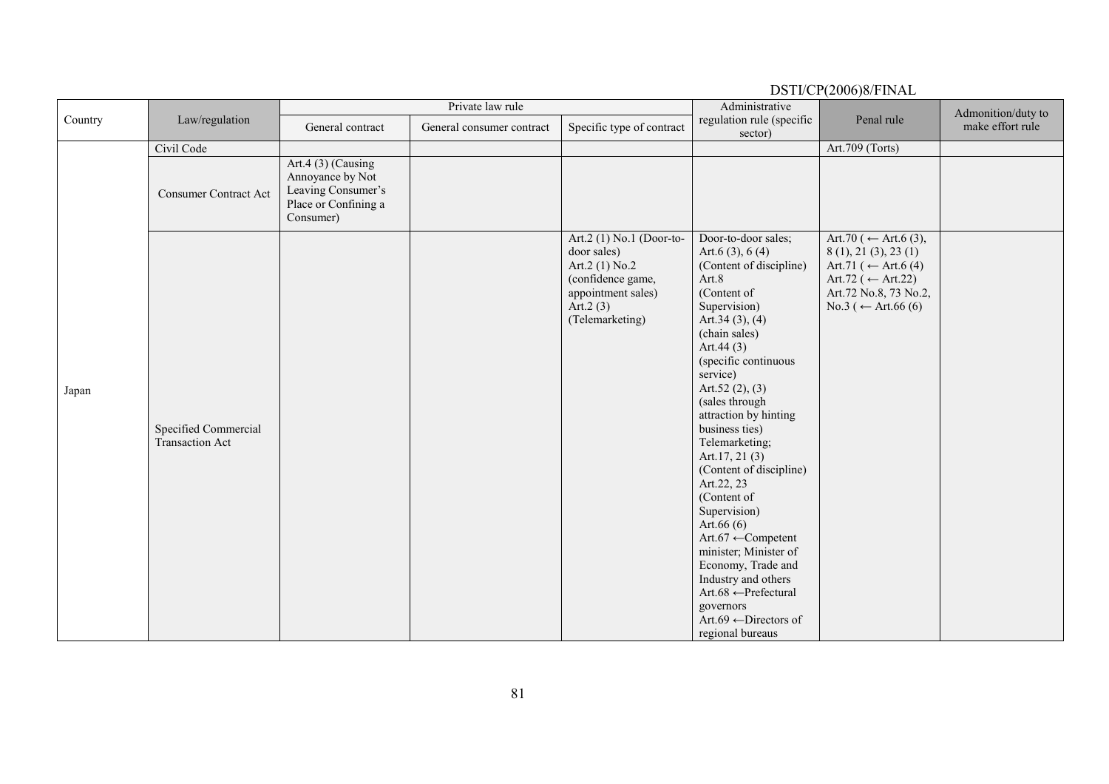|         |                                                |                                                                                                   | DSTI/CP(2006)8/FINAL      |                                                                                                                                          |                                                                                                                                                                                                                                                                                                                                                                                                                                                                                                                                                                                                                               |                                                                                                                                                   |                    |  |  |  |
|---------|------------------------------------------------|---------------------------------------------------------------------------------------------------|---------------------------|------------------------------------------------------------------------------------------------------------------------------------------|-------------------------------------------------------------------------------------------------------------------------------------------------------------------------------------------------------------------------------------------------------------------------------------------------------------------------------------------------------------------------------------------------------------------------------------------------------------------------------------------------------------------------------------------------------------------------------------------------------------------------------|---------------------------------------------------------------------------------------------------------------------------------------------------|--------------------|--|--|--|
| Country |                                                |                                                                                                   | Private law rule          |                                                                                                                                          | Administrative                                                                                                                                                                                                                                                                                                                                                                                                                                                                                                                                                                                                                |                                                                                                                                                   | Admonition/duty to |  |  |  |
|         | Law/regulation                                 | General contract                                                                                  | General consumer contract | Specific type of contract                                                                                                                | regulation rule (specific<br>sector)                                                                                                                                                                                                                                                                                                                                                                                                                                                                                                                                                                                          | Penal rule                                                                                                                                        | make effort rule   |  |  |  |
|         | Civil Code                                     |                                                                                                   |                           |                                                                                                                                          |                                                                                                                                                                                                                                                                                                                                                                                                                                                                                                                                                                                                                               | Art.709 (Torts)                                                                                                                                   |                    |  |  |  |
|         | <b>Consumer Contract Act</b>                   | Art.4 (3) (Causing<br>Annoyance by Not<br>Leaving Consumer's<br>Place or Confining a<br>Consumer) |                           |                                                                                                                                          |                                                                                                                                                                                                                                                                                                                                                                                                                                                                                                                                                                                                                               |                                                                                                                                                   |                    |  |  |  |
| Japan   | Specified Commercial<br><b>Transaction Act</b> |                                                                                                   |                           | Art.2 (1) No.1 (Door-to-<br>door sales)<br>Art.2 $(1)$ No.2<br>(confidence game,<br>appointment sales)<br>Art. $2(3)$<br>(Telemarketing) | Door-to-door sales;<br>Art.6 $(3)$ , 6 $(4)$<br>(Content of discipline)<br>Art.8<br>(Content of<br>Supervision)<br>Art.34 $(3)$ , $(4)$<br>(chain sales)<br>Art.44 $(3)$<br>(specific continuous<br>service)<br>Art.52 $(2), (3)$<br>(sales through<br>attraction by hinting<br>business ties)<br>Telemarketing;<br>Art.17, 21(3)<br>(Content of discipline)<br>Art.22, 23<br>(Content of<br>Supervision)<br>Art.66 $(6)$<br>Art.67 $\leftarrow$ Competent<br>minister; Minister of<br>Economy, Trade and<br>Industry and others<br>Art.68 ← Prefectural<br>governors<br>Art.69 $\leftarrow$ Directors of<br>regional bureaus | Art.70 (← Art.6 (3),<br>8(1), 21(3), 23(1)<br>Art.71 (← Art.6 (4)<br>Art.72 ( $\leftarrow$ Art.22)<br>Art.72 No.8, 73 No.2,<br>No.3 (← Art.66 (6) |                    |  |  |  |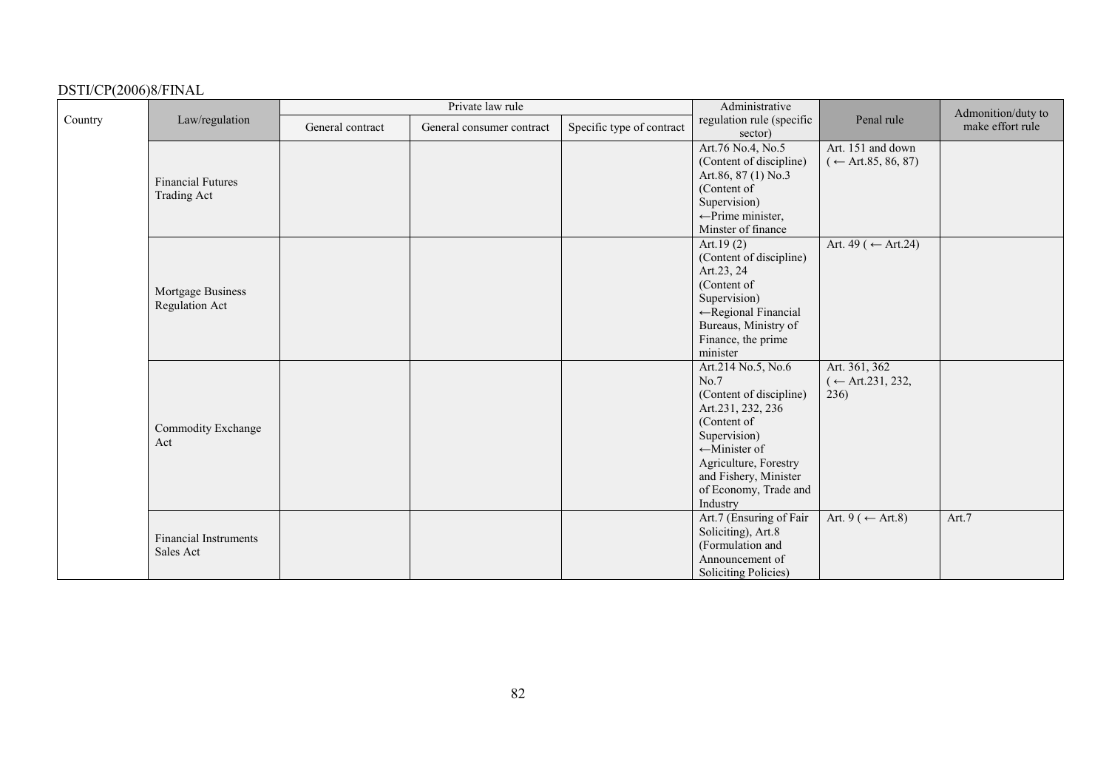|         |                                                |                  | Private law rule          |                           | Administrative                                                                                                                                                                                                               |                                                    | Admonition/duty to |
|---------|------------------------------------------------|------------------|---------------------------|---------------------------|------------------------------------------------------------------------------------------------------------------------------------------------------------------------------------------------------------------------------|----------------------------------------------------|--------------------|
| Country | Law/regulation                                 | General contract | General consumer contract | Specific type of contract | regulation rule (specific<br>sector)                                                                                                                                                                                         | Penal rule                                         | make effort rule   |
|         | <b>Financial Futures</b><br><b>Trading Act</b> |                  |                           |                           | Art.76 No.4, No.5<br>(Content of discipline)<br>Art.86, 87 (1) No.3<br>(Content of<br>Supervision)<br>$\leftarrow$ Prime minister,<br>Minster of finance                                                                     | Art. 151 and down<br>$(\leftarrow$ Art.85, 86, 87) |                    |
|         | Mortgage Business<br>Regulation Act            |                  |                           |                           | Art.19 $(2)$<br>(Content of discipline)<br>Art.23, 24<br>(Content of<br>Supervision)<br>←Regional Financial<br>Bureaus, Ministry of<br>Finance, the prime<br>minister                                                        | Art. 49 ( $\leftarrow$ Art. 24)                    |                    |
|         | Commodity Exchange<br>Act                      |                  |                           |                           | Art.214 No.5, No.6<br>No.7<br>(Content of discipline)<br>Art.231, 232, 236<br>(Content of<br>Supervision)<br>$\leftarrow$ Minister of<br>Agriculture, Forestry<br>and Fishery, Minister<br>of Economy, Trade and<br>Industry | Art. 361, 362<br>$($ ← Art.231, 232,<br>236)       |                    |
|         | <b>Financial Instruments</b><br>Sales Act      |                  |                           |                           | Art.7 (Ensuring of Fair<br>Soliciting), Art.8<br>(Formulation and<br>Announcement of<br>Soliciting Policies)                                                                                                                 | Art. 9 ( $\leftarrow$ Art.8)                       | Art.7              |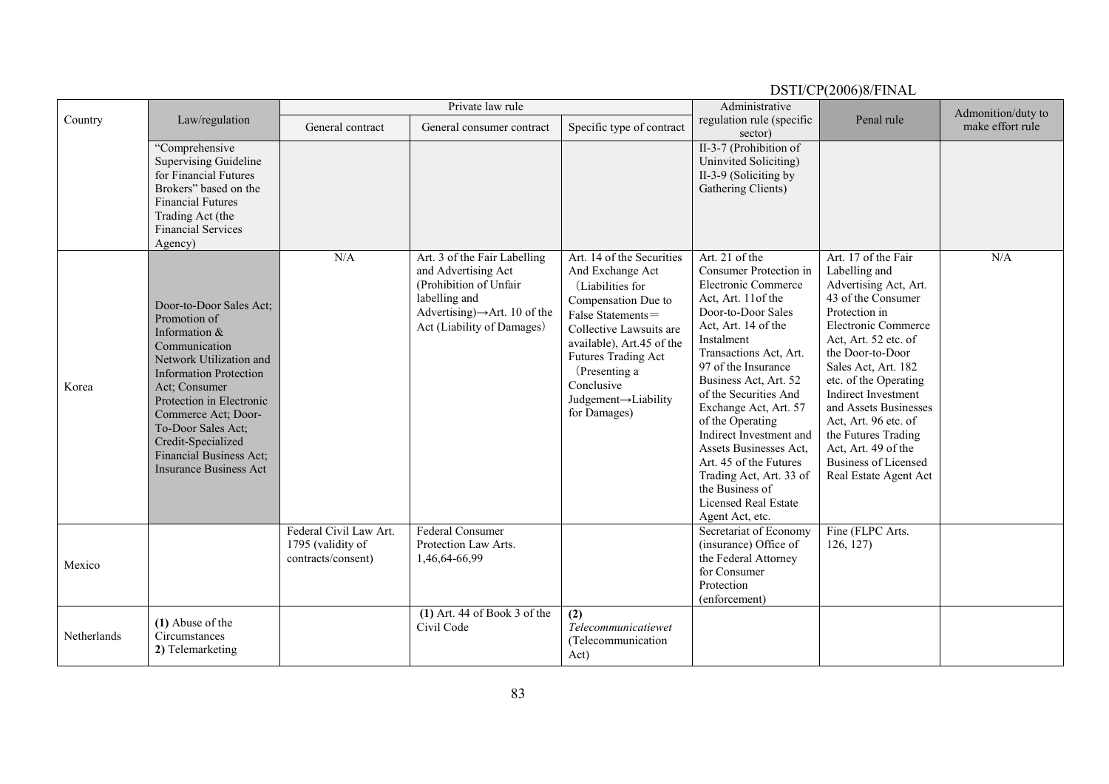DSTI/CP(2006)8/FINAL Country Law/regulation Private law rule Administrative regulation rule (specific sector) Penal rule and rule and rule and rule of the contract of the contract General contract General contract General consumer contract Specific type of contract egulation calcometer make effort rule ìComprehensive Supervising Guideline for Financial Futures Brokers" based on the Financial Futures Trading Act (the Financial Services Agency) II-3-7 (Prohibition of Uninvited Soliciting) II-3-9 (Soliciting by Gathering Clients) Korea Door-to-Door Sales Act; Promotion of Information & Communication Network Utilization and Information Protection Act; Consumer Protection in Electronic Commerce Act; Door-To-Door Sales Act; Credit-Specialized Financial Business Act; Insurance Business Act N/A Art. 3 of the Fair Labelling and Advertising Act (Prohibition of Unfair labelling and Advertising) $\rightarrow$ Art. 10 of the Act (Liability of Damages) Art. 14 of the Securities And Exchange Act (Liabilities for Compensation Due to False Statements=Collective Lawsuits are available), Art.45 of the Futures Trading Act (Presenting a Conclusive Judgement <sup>→</sup>Liability for Damages) Art. 21 of the Consumer Protection in Electronic Commerce Act, Art. 11of the Door-to-Door Sales Act, Art. 14 of the Instalment Transactions Act, Art. 97 of the Insurance Business Act, Art. 52 of the Securities And Exchange Act, Art. 57 of the Operating Indirect Investment and Assets Businesses Act, Art. 45 of the Futures Trading Act, Art. 33 of the Business of Licensed Real Estate Agent Act, etc. Art. 17 of the Fair Labelling and Advertising Act, Art. 43 of the Consumer Protection in Electronic Commerce Act, Art. 52 etc. of the Door-to-Door Sales Act, Art. 182 etc. of the Operating Indirect Investment and Assets Businesses Act, Art. 96 etc. of the Futures Trading Act, Art. 49 of the Business of Licensed Real Estate Agent Act N/A Mexico Federal Civil Law Art. 1795 (validity of contracts/consent) Federal Consumer Protection Law Arts. 1,46,64-66,99 Secretariat of Economy (insurance) Office of the Federal Attorney for Consumer Protection (enforcement) Fine (FLPC Arts. 126, 127) **Netherlands (1)** Abuse of the Circumstances **2)** Telemarketing **(1)** Art. 44 of Book 3 of the Civil Code**(2)**  *Telecommunicatiewet*(Telecommunication Act)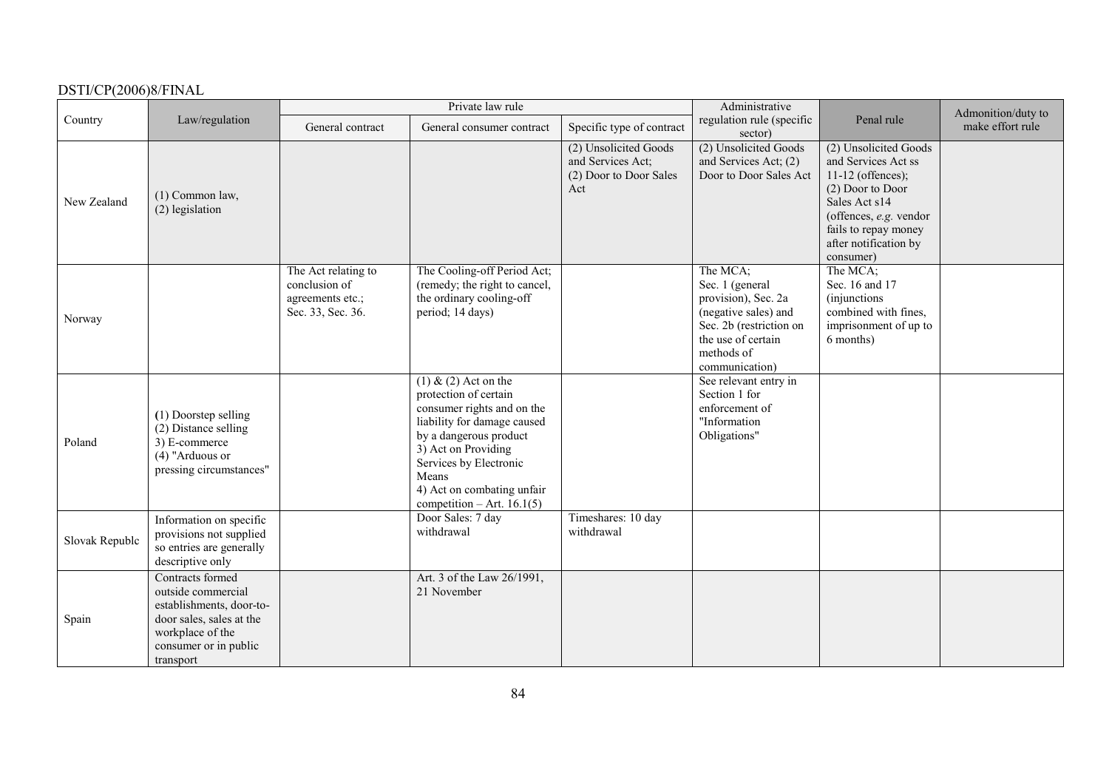|                |                                                                                                                                                          |                                                                               | Private law rule                                                                                                                                                                                                                                               |                                                                             | Administrative                                                                                                                                              |                                                                                                                                                                                                  | Admonition/duty to |
|----------------|----------------------------------------------------------------------------------------------------------------------------------------------------------|-------------------------------------------------------------------------------|----------------------------------------------------------------------------------------------------------------------------------------------------------------------------------------------------------------------------------------------------------------|-----------------------------------------------------------------------------|-------------------------------------------------------------------------------------------------------------------------------------------------------------|--------------------------------------------------------------------------------------------------------------------------------------------------------------------------------------------------|--------------------|
| Country        | Law/regulation                                                                                                                                           | General contract                                                              | General consumer contract                                                                                                                                                                                                                                      | Specific type of contract                                                   | regulation rule (specific<br>sector)                                                                                                                        | Penal rule                                                                                                                                                                                       | make effort rule   |
| New Zealand    | $(1)$ Common law,<br>(2) legislation                                                                                                                     |                                                                               |                                                                                                                                                                                                                                                                | (2) Unsolicited Goods<br>and Services Act;<br>(2) Door to Door Sales<br>Act | (2) Unsolicited Goods<br>and Services Act; (2)<br>Door to Door Sales Act                                                                                    | (2) Unsolicited Goods<br>and Services Act ss<br>$11-12$ (offences);<br>(2) Door to Door<br>Sales Act s14<br>(offences, e.g. vendor<br>fails to repay money<br>after notification by<br>consumer) |                    |
| Norway         |                                                                                                                                                          | The Act relating to<br>conclusion of<br>agreements etc.;<br>Sec. 33, Sec. 36. | The Cooling-off Period Act;<br>(remedy; the right to cancel,<br>the ordinary cooling-off<br>period; 14 days)                                                                                                                                                   |                                                                             | The MCA;<br>Sec. 1 (general<br>provision), Sec. 2a<br>(negative sales) and<br>Sec. 2b (restriction on<br>the use of certain<br>methods of<br>communication) | The MCA;<br>Sec. 16 and 17<br>(injunctions)<br>combined with fines,<br>imprisonment of up to<br>6 months)                                                                                        |                    |
| Poland         | (1) Doorstep selling<br>(2) Distance selling<br>3) E-commerce<br>$(4)$ "Arduous or<br>pressing circumstances"                                            |                                                                               | $(1)$ & $(2)$ Act on the<br>protection of certain<br>consumer rights and on the<br>liability for damage caused<br>by a dangerous product<br>3) Act on Providing<br>Services by Electronic<br>Means<br>4) Act on combating unfair<br>competition – Art. 16.1(5) |                                                                             | See relevant entry in<br>Section 1 for<br>enforcement of<br>"Information<br>Obligations"                                                                    |                                                                                                                                                                                                  |                    |
| Slovak Republc | Information on specific<br>provisions not supplied<br>so entries are generally<br>descriptive only                                                       |                                                                               | Door Sales: 7 day<br>withdrawal                                                                                                                                                                                                                                | Timeshares: 10 day<br>withdrawal                                            |                                                                                                                                                             |                                                                                                                                                                                                  |                    |
| Spain          | Contracts formed<br>outside commercial<br>establishments, door-to-<br>door sales, sales at the<br>workplace of the<br>consumer or in public<br>transport |                                                                               | Art. 3 of the Law 26/1991,<br>21 November                                                                                                                                                                                                                      |                                                                             |                                                                                                                                                             |                                                                                                                                                                                                  |                    |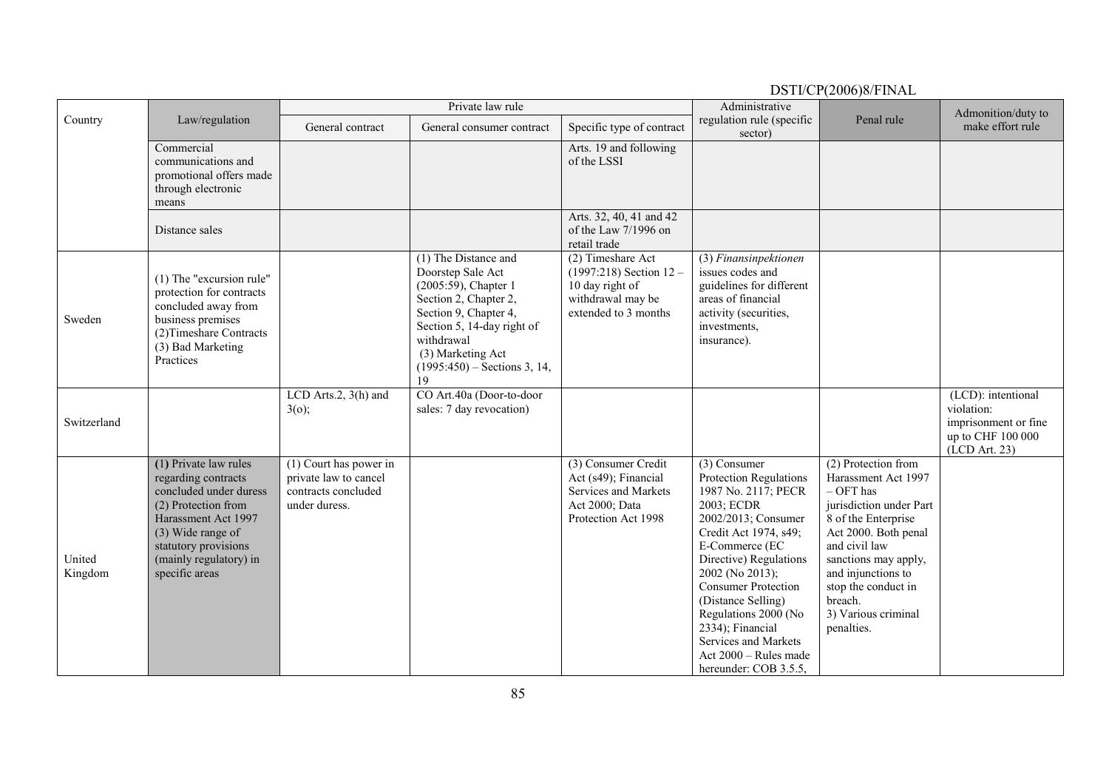|                   |                                                                                                                                                                                                               |                                                                                           | Private law rule                                                                                                                                                                                                             |                                                                                                                  | Administrative                                                                                                                                                                                                                                                                                                                                                         |                                                                                                                                                                                                                                                                           | Admonition/duty to                                                                             |
|-------------------|---------------------------------------------------------------------------------------------------------------------------------------------------------------------------------------------------------------|-------------------------------------------------------------------------------------------|------------------------------------------------------------------------------------------------------------------------------------------------------------------------------------------------------------------------------|------------------------------------------------------------------------------------------------------------------|------------------------------------------------------------------------------------------------------------------------------------------------------------------------------------------------------------------------------------------------------------------------------------------------------------------------------------------------------------------------|---------------------------------------------------------------------------------------------------------------------------------------------------------------------------------------------------------------------------------------------------------------------------|------------------------------------------------------------------------------------------------|
| Country           | Law/regulation                                                                                                                                                                                                | General contract                                                                          | General consumer contract                                                                                                                                                                                                    | Specific type of contract                                                                                        | regulation rule (specific<br>sector)                                                                                                                                                                                                                                                                                                                                   | Penal rule                                                                                                                                                                                                                                                                | make effort rule                                                                               |
|                   | Commercial<br>communications and<br>promotional offers made<br>through electronic<br>means                                                                                                                    |                                                                                           |                                                                                                                                                                                                                              | Arts. 19 and following<br>of the LSSI                                                                            |                                                                                                                                                                                                                                                                                                                                                                        |                                                                                                                                                                                                                                                                           |                                                                                                |
|                   | Distance sales                                                                                                                                                                                                |                                                                                           |                                                                                                                                                                                                                              | Arts. 32, 40, 41 and 42<br>of the Law 7/1996 on<br>retail trade                                                  |                                                                                                                                                                                                                                                                                                                                                                        |                                                                                                                                                                                                                                                                           |                                                                                                |
| Sweden            | $(1)$ The "excursion rule"<br>protection for contracts<br>concluded away from<br>business premises<br>(2) Timeshare Contracts<br>(3) Bad Marketing<br>Practices                                               |                                                                                           | (1) The Distance and<br>Doorstep Sale Act<br>(2005:59), Chapter 1<br>Section 2, Chapter 2,<br>Section 9, Chapter 4,<br>Section 5, 14-day right of<br>withdrawal<br>(3) Marketing Act<br>$(1995:450)$ – Sections 3, 14,<br>19 | (2) Timeshare Act<br>$(1997:218)$ Section $12 -$<br>10 day right of<br>withdrawal may be<br>extended to 3 months | (3) Finansinpektionen<br>issues codes and<br>guidelines for different<br>areas of financial<br>activity (securities,<br>investments,<br>insurance).                                                                                                                                                                                                                    |                                                                                                                                                                                                                                                                           |                                                                                                |
| Switzerland       |                                                                                                                                                                                                               | LCD Arts.2, 3(h) and<br>3(0);                                                             | CO Art.40a (Door-to-door<br>sales: 7 day revocation)                                                                                                                                                                         |                                                                                                                  |                                                                                                                                                                                                                                                                                                                                                                        |                                                                                                                                                                                                                                                                           | (LCD): intentional<br>violation:<br>imprisonment or fine<br>up to CHF 100 000<br>(LCD Art. 23) |
| United<br>Kingdom | (1) Private law rules<br>regarding contracts<br>concluded under duress<br>(2) Protection from<br>Harassment Act 1997<br>(3) Wide range of<br>statutory provisions<br>(mainly regulatory) in<br>specific areas | $(1)$ Court has power in<br>private law to cancel<br>contracts concluded<br>under duress. |                                                                                                                                                                                                                              | (3) Consumer Credit<br>Act (s49); Financial<br>Services and Markets<br>Act 2000; Data<br>Protection Act 1998     | $(3)$ Consumer<br>Protection Regulations<br>1987 No. 2117; PECR<br>2003; ECDR<br>2002/2013; Consumer<br>Credit Act 1974, s49;<br>E-Commerce (EC<br>Directive) Regulations<br>2002 (No 2013);<br><b>Consumer Protection</b><br>(Distance Selling)<br>Regulations 2000 (No<br>2334); Financial<br>Services and Markets<br>Act 2000 - Rules made<br>hereunder: COB 3.5.5, | (2) Protection from<br>Harassment Act 1997<br>$-$ OFT has<br>jurisdiction under Part<br>8 of the Enterprise<br>Act 2000. Both penal<br>and civil law<br>sanctions may apply,<br>and injunctions to<br>stop the conduct in<br>breach.<br>3) Various criminal<br>penalties. |                                                                                                |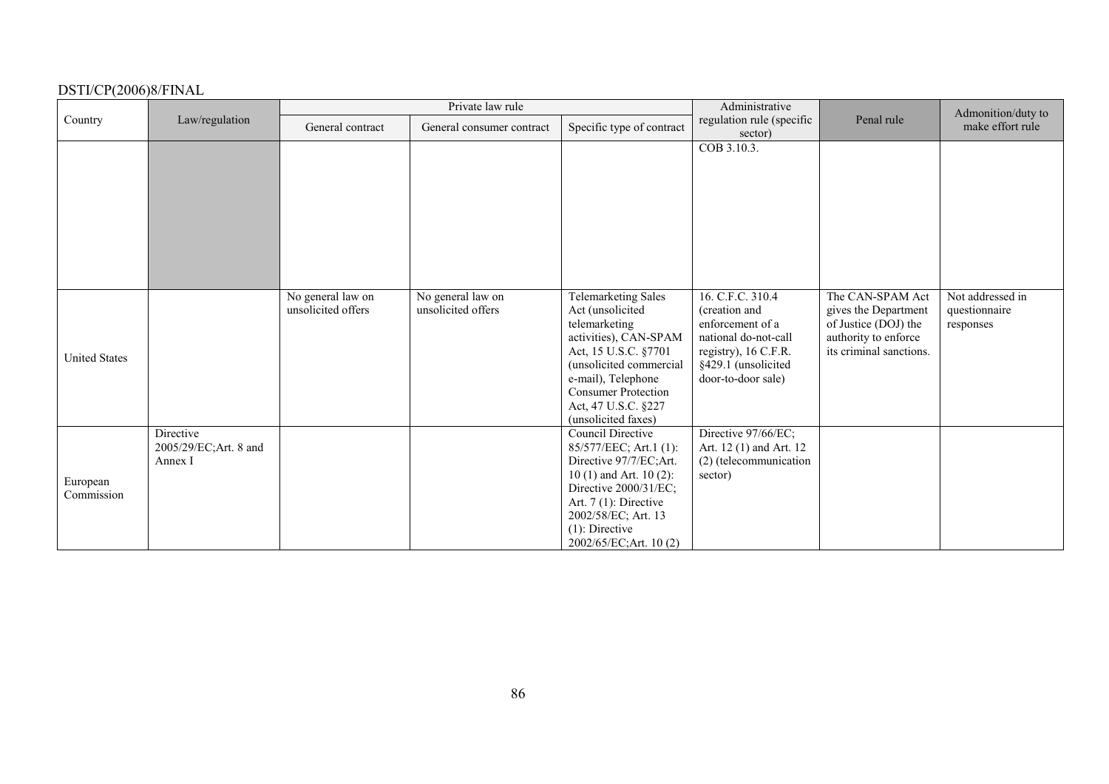|                        |                                  |                    | Private law rule          |                                                  | Administrative                                    |                                              | Admonition/duty to |
|------------------------|----------------------------------|--------------------|---------------------------|--------------------------------------------------|---------------------------------------------------|----------------------------------------------|--------------------|
| Country                | Law/regulation                   | General contract   | General consumer contract | Specific type of contract                        | regulation rule (specific<br>sector)              | Penal rule                                   | make effort rule   |
|                        |                                  |                    |                           |                                                  | COB 3.10.3.                                       |                                              |                    |
|                        |                                  |                    |                           |                                                  |                                                   |                                              |                    |
|                        |                                  |                    |                           |                                                  |                                                   |                                              |                    |
|                        |                                  |                    |                           |                                                  |                                                   |                                              |                    |
|                        |                                  |                    |                           |                                                  |                                                   |                                              |                    |
|                        |                                  |                    |                           |                                                  |                                                   |                                              |                    |
|                        |                                  | No general law on  | No general law on         | <b>Telemarketing Sales</b>                       | 16. C.F.C. 310.4                                  | The CAN-SPAM Act                             | Not addressed in   |
|                        |                                  | unsolicited offers | unsolicited offers        | Act (unsolicited                                 | (creation and                                     | gives the Department                         | questionnaire      |
|                        |                                  |                    |                           | telemarketing<br>activities), CAN-SPAM           | enforcement of a<br>national do-not-call          | of Justice (DOJ) the<br>authority to enforce | responses          |
| <b>United States</b>   |                                  |                    |                           | Act, 15 U.S.C. §7701                             | registry), 16 C.F.R.                              | its criminal sanctions.                      |                    |
|                        |                                  |                    |                           | (unsolicited commercial<br>e-mail), Telephone    | §429.1 (unsolicited<br>door-to-door sale)         |                                              |                    |
|                        |                                  |                    |                           | <b>Consumer Protection</b>                       |                                                   |                                              |                    |
|                        |                                  |                    |                           | Act, 47 U.S.C. §227<br>(unsolicited faxes)       |                                                   |                                              |                    |
|                        | Directive                        |                    |                           | <b>Council Directive</b>                         | Directive 97/66/EC;                               |                                              |                    |
|                        | 2005/29/EC;Art. 8 and<br>Annex I |                    |                           | 85/577/EEC; Art.1 (1):<br>Directive 97/7/EC;Art. | Art. 12 (1) and Art. 12<br>(2) (telecommunication |                                              |                    |
|                        |                                  |                    |                           | 10 $(1)$ and Art. 10 $(2)$ :                     | sector)                                           |                                              |                    |
| European<br>Commission |                                  |                    |                           | Directive 2000/31/EC;                            |                                                   |                                              |                    |
|                        |                                  |                    |                           | Art. $7(1)$ : Directive                          |                                                   |                                              |                    |
|                        |                                  |                    |                           | 2002/58/EC; Art. 13<br>$(1)$ : Directive         |                                                   |                                              |                    |
|                        |                                  |                    |                           | 2002/65/EC;Art. 10(2)                            |                                                   |                                              |                    |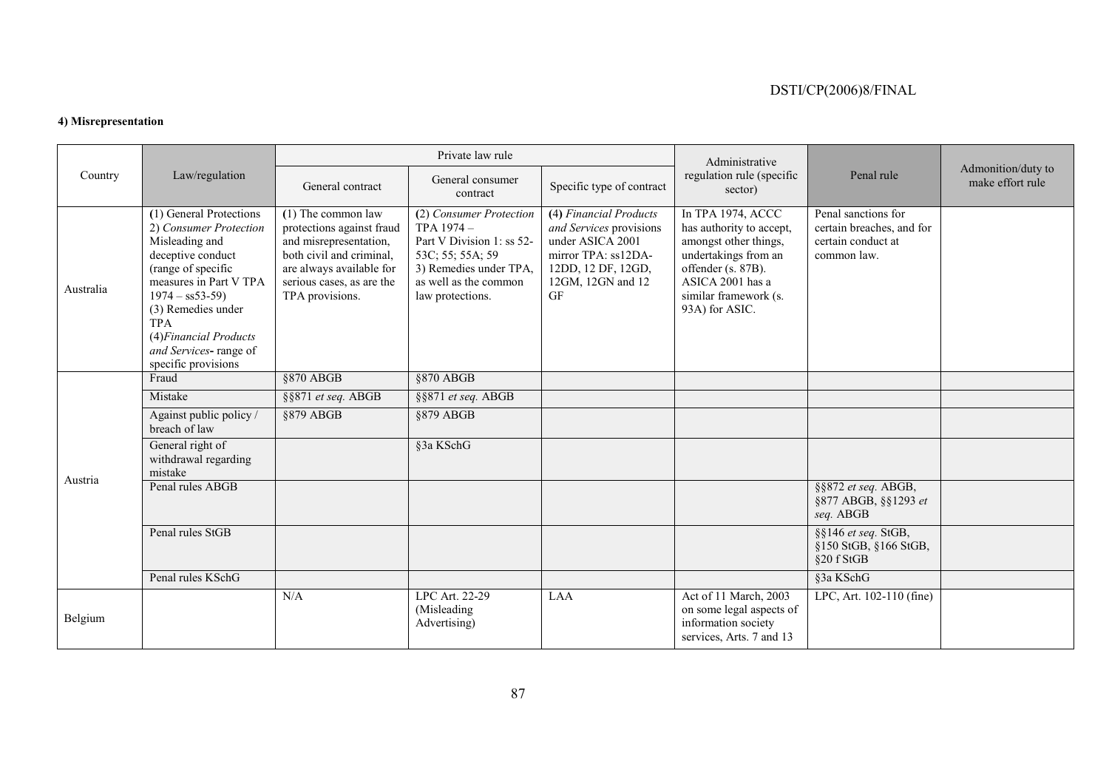### **4) Misrepresentation**

|           |                                                                                                                                                                                                                                                                            |                                                                                                                                                                                     | Private law rule                                                                                                                                                |                                                                                                                                                      | Administrative                                                                                                                                                                      |                                                                                       |                                        |
|-----------|----------------------------------------------------------------------------------------------------------------------------------------------------------------------------------------------------------------------------------------------------------------------------|-------------------------------------------------------------------------------------------------------------------------------------------------------------------------------------|-----------------------------------------------------------------------------------------------------------------------------------------------------------------|------------------------------------------------------------------------------------------------------------------------------------------------------|-------------------------------------------------------------------------------------------------------------------------------------------------------------------------------------|---------------------------------------------------------------------------------------|----------------------------------------|
| Country   | Law/regulation                                                                                                                                                                                                                                                             | General contract                                                                                                                                                                    | General consumer<br>contract                                                                                                                                    | Specific type of contract                                                                                                                            | regulation rule (specific<br>sector)                                                                                                                                                | Penal rule                                                                            | Admonition/duty to<br>make effort rule |
| Australia | (1) General Protections<br>2) Consumer Protection<br>Misleading and<br>deceptive conduct<br>(range of specific<br>measures in Part V TPA<br>$1974 - ss53-59$<br>(3) Remedies under<br><b>TPA</b><br>(4) Financial Products<br>and Services-range of<br>specific provisions | $(1)$ The common law<br>protections against fraud<br>and misrepresentation,<br>both civil and criminal,<br>are always available for<br>serious cases, as are the<br>TPA provisions. | (2) Consumer Protection<br>$TPA 1974 -$<br>Part V Division 1: ss 52-<br>53C; 55; 55A; 59<br>3) Remedies under TPA,<br>as well as the common<br>law protections. | (4) Financial Products<br>and Services provisions<br>under ASICA 2001<br>mirror TPA: ss12DA-<br>12DD, 12 DF, 12GD,<br>12GM, 12GN and 12<br><b>GF</b> | In TPA 1974, ACCC<br>has authority to accept,<br>amongst other things,<br>undertakings from an<br>offender (s. 87B).<br>ASICA 2001 has a<br>similar framework (s.<br>93A) for ASIC. | Penal sanctions for<br>certain breaches, and for<br>certain conduct at<br>common law. |                                        |
|           | Fraud                                                                                                                                                                                                                                                                      | §870 ABGB                                                                                                                                                                           | $§870$ ABGB                                                                                                                                                     |                                                                                                                                                      |                                                                                                                                                                                     |                                                                                       |                                        |
|           | Mistake                                                                                                                                                                                                                                                                    | §§871 et seq. ABGB                                                                                                                                                                  | §§871 et seq. ABGB                                                                                                                                              |                                                                                                                                                      |                                                                                                                                                                                     |                                                                                       |                                        |
|           | Against public policy /<br>breach of law                                                                                                                                                                                                                                   | §879 ABGB                                                                                                                                                                           | §879 ABGB                                                                                                                                                       |                                                                                                                                                      |                                                                                                                                                                                     |                                                                                       |                                        |
| Austria   | General right of<br>withdrawal regarding<br>mistake                                                                                                                                                                                                                        |                                                                                                                                                                                     | §3a KSchG                                                                                                                                                       |                                                                                                                                                      |                                                                                                                                                                                     |                                                                                       |                                        |
|           | Penal rules ABGB                                                                                                                                                                                                                                                           |                                                                                                                                                                                     |                                                                                                                                                                 |                                                                                                                                                      |                                                                                                                                                                                     | §§872 et seq. ABGB,<br>§877 ABGB, §§1293 et<br>seq. ABGB                              |                                        |
|           | Penal rules StGB                                                                                                                                                                                                                                                           |                                                                                                                                                                                     |                                                                                                                                                                 |                                                                                                                                                      |                                                                                                                                                                                     | §§146 et seq. StGB,<br>§150 StGB, §166 StGB,<br>§20 f StGB                            |                                        |
|           | Penal rules KSchG                                                                                                                                                                                                                                                          |                                                                                                                                                                                     |                                                                                                                                                                 |                                                                                                                                                      |                                                                                                                                                                                     | §3a KSchG                                                                             |                                        |
| Belgium   |                                                                                                                                                                                                                                                                            | N/A                                                                                                                                                                                 | LPC Art. 22-29<br>(Misleading<br>Advertising)                                                                                                                   | LAA                                                                                                                                                  | Act of 11 March, 2003<br>on some legal aspects of<br>information society<br>services, Arts. 7 and 13                                                                                | LPC, Art. 102-110 (fine)                                                              |                                        |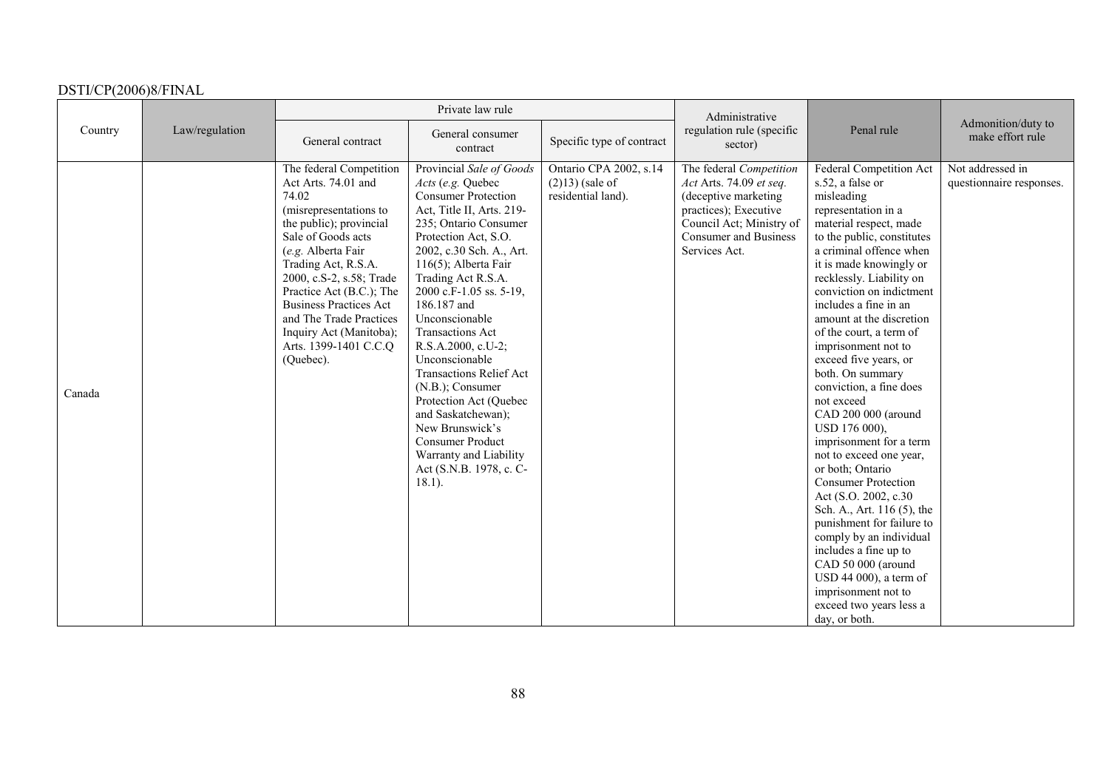|         |                |                                                                                                                                                                                                                                                                                                                                                                      | Private law rule                                                                                                                                                                                                                                                                                                                                                                                                                                                                                                                                                                         |                                                                    | Administrative                                                                                                                                                            |                                                                                                                                                                                                                                                                                                                                                                                                                                                                                                                                                                                                                                                                                                                                                                                                                                                               |                                              |
|---------|----------------|----------------------------------------------------------------------------------------------------------------------------------------------------------------------------------------------------------------------------------------------------------------------------------------------------------------------------------------------------------------------|------------------------------------------------------------------------------------------------------------------------------------------------------------------------------------------------------------------------------------------------------------------------------------------------------------------------------------------------------------------------------------------------------------------------------------------------------------------------------------------------------------------------------------------------------------------------------------------|--------------------------------------------------------------------|---------------------------------------------------------------------------------------------------------------------------------------------------------------------------|---------------------------------------------------------------------------------------------------------------------------------------------------------------------------------------------------------------------------------------------------------------------------------------------------------------------------------------------------------------------------------------------------------------------------------------------------------------------------------------------------------------------------------------------------------------------------------------------------------------------------------------------------------------------------------------------------------------------------------------------------------------------------------------------------------------------------------------------------------------|----------------------------------------------|
| Country | Law/regulation | General contract                                                                                                                                                                                                                                                                                                                                                     | General consumer<br>contract                                                                                                                                                                                                                                                                                                                                                                                                                                                                                                                                                             | Specific type of contract                                          | regulation rule (specific<br>sector)                                                                                                                                      | Penal rule                                                                                                                                                                                                                                                                                                                                                                                                                                                                                                                                                                                                                                                                                                                                                                                                                                                    | Admonition/duty to<br>make effort rule       |
| Canada  |                | The federal Competition<br>Act Arts. 74.01 and<br>74.02<br>(misrepresentations to<br>the public); provincial<br>Sale of Goods acts<br>(e.g. Alberta Fair<br>Trading Act, R.S.A.<br>2000, c.S-2, s.58; Trade<br>Practice Act (B.C.); The<br><b>Business Practices Act</b><br>and The Trade Practices<br>Inquiry Act (Manitoba);<br>Arts. 1399-1401 C.C.Q<br>(Quebec). | Provincial Sale of Goods<br>Acts (e.g. Quebec<br><b>Consumer Protection</b><br>Act, Title II, Arts. 219-<br>235; Ontario Consumer<br>Protection Act, S.O.<br>2002, c.30 Sch. A., Art.<br>116(5); Alberta Fair<br>Trading Act R.S.A.<br>2000 c.F-1.05 ss. 5-19,<br>186.187 and<br>Unconscionable<br><b>Transactions Act</b><br>R.S.A.2000, c.U-2;<br>Unconscionable<br><b>Transactions Relief Act</b><br>(N.B.); Consumer<br>Protection Act (Quebec<br>and Saskatchewan);<br>New Brunswick's<br><b>Consumer Product</b><br>Warranty and Liability<br>Act (S.N.B. 1978, c. C-<br>$18.1$ ). | Ontario CPA 2002, s.14<br>$(2)13$ ) (sale of<br>residential land). | The federal Competition<br>Act Arts. 74.09 et seq.<br>(deceptive marketing<br>practices); Executive<br>Council Act; Ministry of<br>Consumer and Business<br>Services Act. | Federal Competition Act<br>s.52, a false or<br>misleading<br>representation in a<br>material respect, made<br>to the public, constitutes<br>a criminal offence when<br>it is made knowingly or<br>recklessly. Liability on<br>conviction on indictment<br>includes a fine in an<br>amount at the discretion<br>of the court, a term of<br>imprisonment not to<br>exceed five years, or<br>both. On summary<br>conviction, a fine does<br>not exceed<br>CAD 200 000 (around<br>USD 176 000),<br>imprisonment for a term<br>not to exceed one year,<br>or both; Ontario<br><b>Consumer Protection</b><br>Act (S.O. 2002, c.30<br>Sch. A., Art. 116 (5), the<br>punishment for failure to<br>comply by an individual<br>includes a fine up to<br>CAD 50 000 (around<br>USD 44 000), a term of<br>imprisonment not to<br>exceed two years less a<br>day, or both. | Not addressed in<br>questionnaire responses. |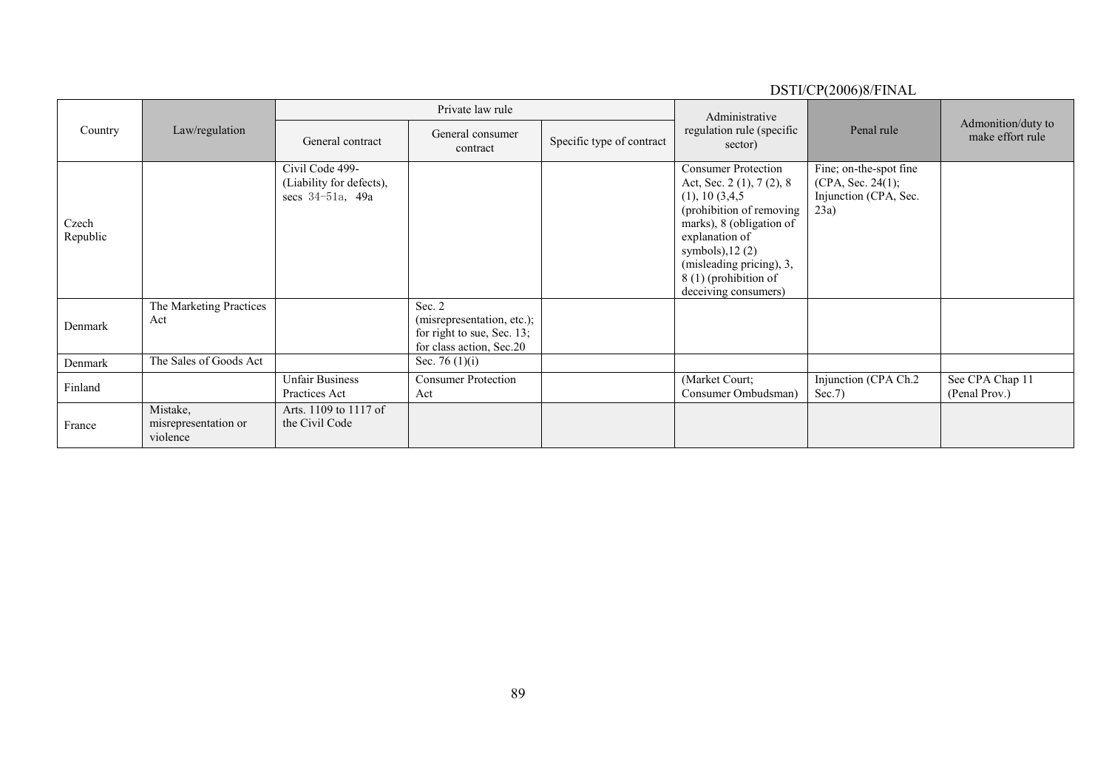#### DSTI/CP(2006)8/FINAL Country Law/regulation Private law rule Administrative regulation rule (specific sector) Penal rule Admonition/duty to<br>make effort rule General contract General consumer Specific type of contract Czech Republic Civil Code 499- (Liability for defects), secs 34-51a, 49a Consumer Protection Act, Sec. 2 (1), 7 (2), 8  $(1), 10$   $(3,4,5)$ (prohibition of removing marks), 8 (obligation of explanation of symbols),  $12(2)$ (misleading pricing), 3,  $8(1)$  (prohibition of deceiving consumers) Fine; on-the-spot fine  $(CPA, Sec. 24(1);$ Injunction (CPA, Sec. 23a) Denmark The Marketing Practices Act Sec. 2 (misrepresentation, etc.); for right to sue, Sec. 13; for class action, Sec. 20<br>Sec. 76 (1)(i) Denmark The Sales of Goods Act Finland | Unfair Business | Consumer Protection | (Market Court; Injunction (CPA Ch.2 See CPA Chap 11 (Penal Prov.) | Consumer Ombudsman) | Sec.7) See CPA Chap 11 (Penal Prov.) France Mistake, misrepresentation or violence Arts. 1109 to 1117 of the Civil Code

# e e seu a constructiva e a constructiva e a constructiva e a constructiva e a constructiva e a constructiva e<br>Estadounidense e a constructiva e a constructiva e a constructiva e a constructiva e a constructiva e a constr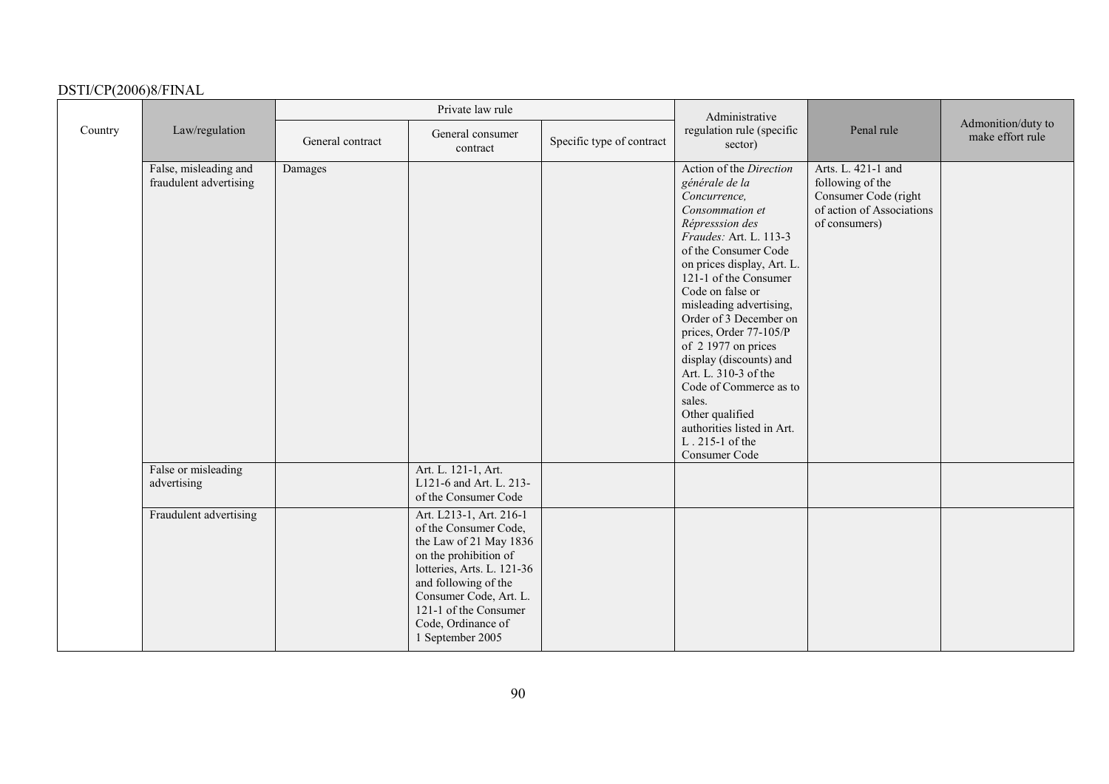|         |                                                 |                  | Private law rule                                                                                                                                                                                                                                       |                           | Administrative                                                                                                                                                                                                                                                                                                                                                                                                                                                                                                 |                                                                                                              |                                        |
|---------|-------------------------------------------------|------------------|--------------------------------------------------------------------------------------------------------------------------------------------------------------------------------------------------------------------------------------------------------|---------------------------|----------------------------------------------------------------------------------------------------------------------------------------------------------------------------------------------------------------------------------------------------------------------------------------------------------------------------------------------------------------------------------------------------------------------------------------------------------------------------------------------------------------|--------------------------------------------------------------------------------------------------------------|----------------------------------------|
| Country | Law/regulation                                  | General contract | General consumer<br>contract                                                                                                                                                                                                                           | Specific type of contract | regulation rule (specific<br>sector)                                                                                                                                                                                                                                                                                                                                                                                                                                                                           | Penal rule                                                                                                   | Admonition/duty to<br>make effort rule |
|         | False, misleading and<br>fraudulent advertising | Damages          |                                                                                                                                                                                                                                                        |                           | Action of the Direction<br>générale de la<br>Concurrence,<br>Consommation et<br>Répresssion des<br>Fraudes: Art. L. 113-3<br>of the Consumer Code<br>on prices display, Art. L.<br>121-1 of the Consumer<br>Code on false or<br>misleading advertising,<br>Order of 3 December on<br>prices, Order 77-105/P<br>of 2 1977 on prices<br>display (discounts) and<br>Art. L. 310-3 of the<br>Code of Commerce as to<br>sales.<br>Other qualified<br>authorities listed in Art.<br>L. 215-1 of the<br>Consumer Code | Arts. L. 421-1 and<br>following of the<br>Consumer Code (right<br>of action of Associations<br>of consumers) |                                        |
|         | False or misleading<br>advertising              |                  | Art. L. 121-1, Art.<br>L121-6 and Art. L. 213-<br>of the Consumer Code                                                                                                                                                                                 |                           |                                                                                                                                                                                                                                                                                                                                                                                                                                                                                                                |                                                                                                              |                                        |
|         | Fraudulent advertising                          |                  | Art. L213-1, Art. 216-1<br>of the Consumer Code,<br>the Law of 21 May 1836<br>on the prohibition of<br>lotteries, Arts. L. 121-36<br>and following of the<br>Consumer Code, Art. L.<br>121-1 of the Consumer<br>Code, Ordinance of<br>1 September 2005 |                           |                                                                                                                                                                                                                                                                                                                                                                                                                                                                                                                |                                                                                                              |                                        |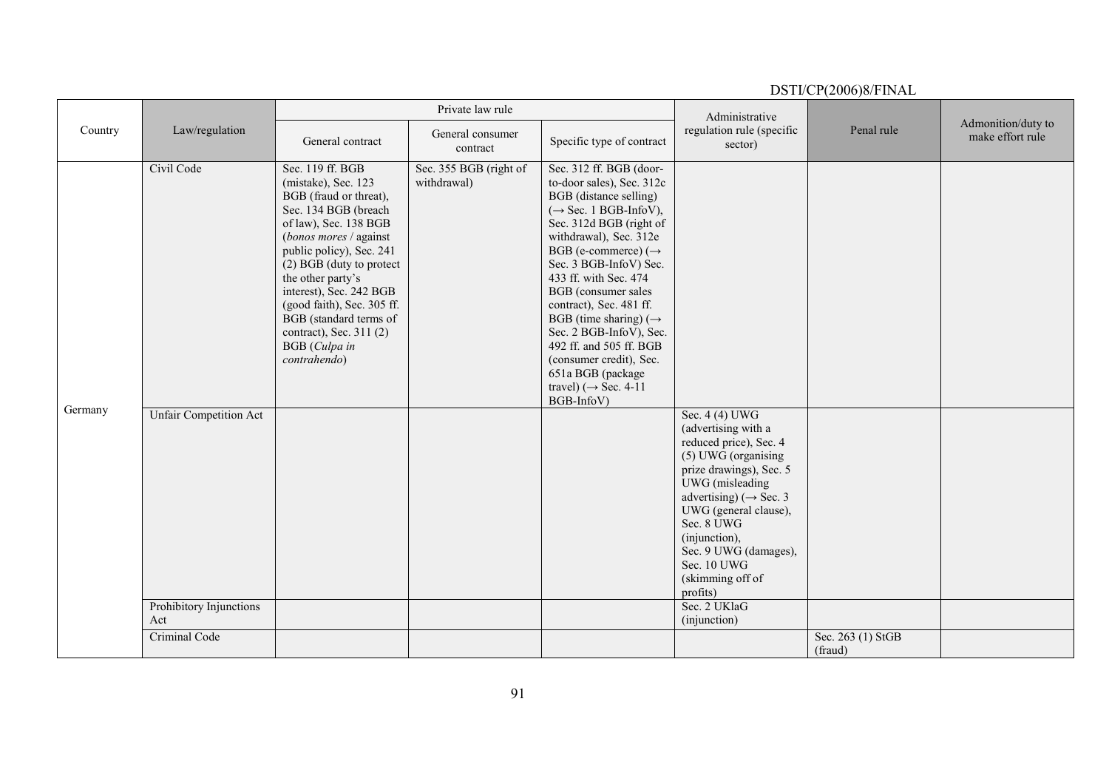|         |                                             |                                                                                                                                                                                                                                                                                                                                                                                 | Private law rule                      |                                                                                                                                                                                                                                                                                                                                                                                                                                                                                                                        | Administrative                                                                                                                                                                                                                                                              |                              |                                        |
|---------|---------------------------------------------|---------------------------------------------------------------------------------------------------------------------------------------------------------------------------------------------------------------------------------------------------------------------------------------------------------------------------------------------------------------------------------|---------------------------------------|------------------------------------------------------------------------------------------------------------------------------------------------------------------------------------------------------------------------------------------------------------------------------------------------------------------------------------------------------------------------------------------------------------------------------------------------------------------------------------------------------------------------|-----------------------------------------------------------------------------------------------------------------------------------------------------------------------------------------------------------------------------------------------------------------------------|------------------------------|----------------------------------------|
| Country | Law/regulation                              | General contract                                                                                                                                                                                                                                                                                                                                                                | General consumer<br>contract          | Specific type of contract                                                                                                                                                                                                                                                                                                                                                                                                                                                                                              | regulation rule (specific<br>sector)                                                                                                                                                                                                                                        | Penal rule                   | Admonition/duty to<br>make effort rule |
| Germany | Civil Code<br><b>Unfair Competition Act</b> | Sec. 119 ff. BGB<br>(mistake), Sec. 123<br>BGB (fraud or threat),<br>Sec. 134 BGB (breach<br>of law), Sec. 138 BGB<br>(bonos mores / against<br>public policy), Sec. 241<br>(2) BGB (duty to protect<br>the other party's<br>interest), Sec. 242 BGB<br>(good faith), Sec. 305 ff.<br>BGB (standard terms of<br>contract), Sec. 311 (2)<br><b>BGB</b> (Culpa in<br>contrahendo) | Sec. 355 BGB (right of<br>withdrawal) | Sec. 312 ff. BGB (door-<br>to-door sales), Sec. 312c<br><b>BGB</b> (distance selling)<br>$(\rightarrow$ Sec. 1 BGB-InfoV),<br>Sec. 312d BGB (right of<br>withdrawal), Sec. 312e<br>BGB (e-commerce) $(\rightarrow$<br>Sec. 3 BGB-InfoV) Sec.<br>433 ff. with Sec. 474<br>BGB (consumer sales<br>contract), Sec. 481 ff.<br>BGB (time sharing) ( $\rightarrow$<br>Sec. 2 BGB-InfoV), Sec.<br>492 ff. and 505 ff. BGB<br>(consumer credit), Sec.<br>651a BGB (package<br>travel) ( $\rightarrow$ Sec. 4-11<br>BGB-InfoV) | Sec. 4 (4) UWG<br>(advertising with a<br>reduced price), Sec. 4<br>(5) UWG (organising<br>prize drawings), Sec. 5<br>UWG (misleading<br>advertising) ( $\rightarrow$ Sec. 3<br>UWG (general clause),<br>Sec. 8 UWG<br>(injunction),<br>Sec. 9 UWG (damages),<br>Sec. 10 UWG |                              |                                        |
|         |                                             |                                                                                                                                                                                                                                                                                                                                                                                 |                                       |                                                                                                                                                                                                                                                                                                                                                                                                                                                                                                                        | (skimming off of<br>profits)                                                                                                                                                                                                                                                |                              |                                        |
|         | Prohibitory Injunctions<br>Act              |                                                                                                                                                                                                                                                                                                                                                                                 |                                       |                                                                                                                                                                                                                                                                                                                                                                                                                                                                                                                        | Sec. 2 UKlaG<br>(injunction)                                                                                                                                                                                                                                                |                              |                                        |
|         | Criminal Code                               |                                                                                                                                                                                                                                                                                                                                                                                 |                                       |                                                                                                                                                                                                                                                                                                                                                                                                                                                                                                                        |                                                                                                                                                                                                                                                                             | Sec. 263 (1) StGB<br>(fraud) |                                        |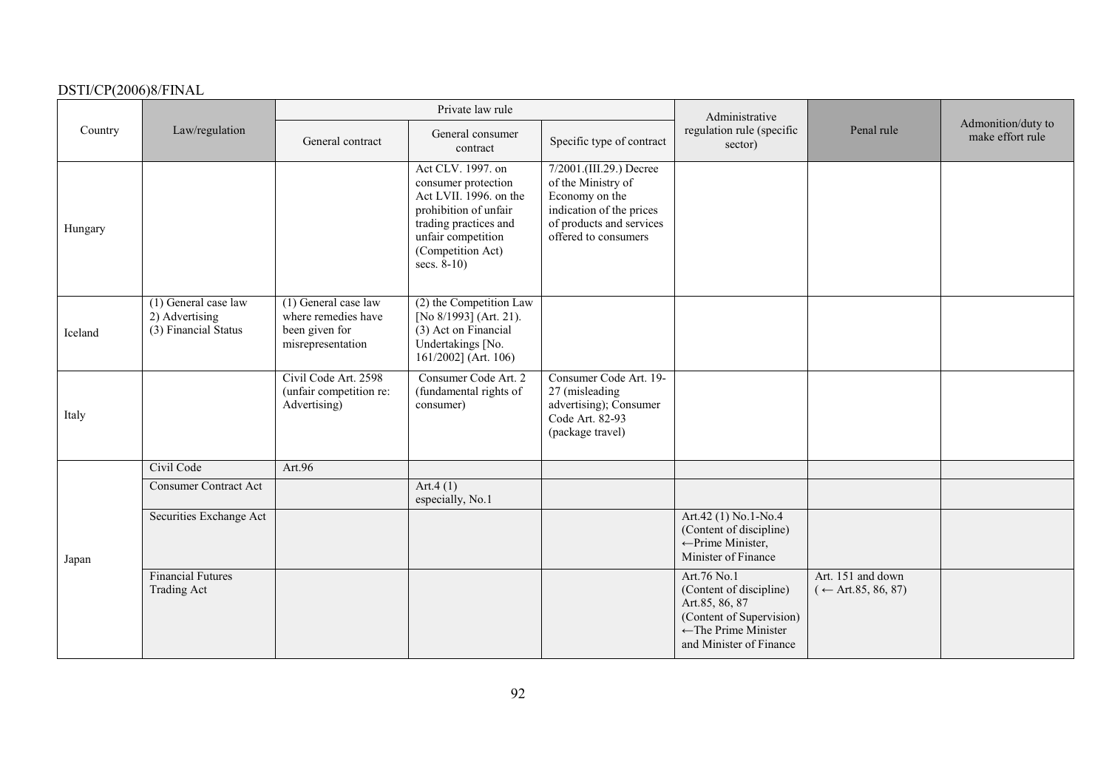|         |                                                                  |                                                                                      | Private law rule                                                                                                                                                                  |                                                                                                                                                 | Administrative                                                                                                                                     |                                                    |                                        |
|---------|------------------------------------------------------------------|--------------------------------------------------------------------------------------|-----------------------------------------------------------------------------------------------------------------------------------------------------------------------------------|-------------------------------------------------------------------------------------------------------------------------------------------------|----------------------------------------------------------------------------------------------------------------------------------------------------|----------------------------------------------------|----------------------------------------|
| Country | Law/regulation                                                   | General contract                                                                     | General consumer<br>contract                                                                                                                                                      | Specific type of contract                                                                                                                       | regulation rule (specific<br>sector)                                                                                                               | Penal rule                                         | Admonition/duty to<br>make effort rule |
| Hungary |                                                                  |                                                                                      | Act CLV. 1997. on<br>consumer protection<br>Act LVII. 1996. on the<br>prohibition of unfair<br>trading practices and<br>unfair competition<br>(Competition Act)<br>secs. $8-10$ ) | 7/2001.(III.29.) Decree<br>of the Ministry of<br>Economy on the<br>indication of the prices<br>of products and services<br>offered to consumers |                                                                                                                                                    |                                                    |                                        |
| Iceland | $(1)$ General case law<br>2) Advertising<br>(3) Financial Status | $(1)$ General case law<br>where remedies have<br>been given for<br>misrepresentation | (2) the Competition Law<br>[No 8/1993] (Art. 21).<br>(3) Act on Financial<br>Undertakings [No.<br>$161/2002$ ] (Art. 106)                                                         |                                                                                                                                                 |                                                                                                                                                    |                                                    |                                        |
| Italy   |                                                                  | Civil Code Art. 2598<br>(unfair competition re:<br>Advertising)                      | Consumer Code Art. 2<br>(fundamental rights of<br>consumer)                                                                                                                       | Consumer Code Art. 19-<br>27 (misleading<br>advertising); Consumer<br>Code Art. 82-93<br>(package travel)                                       |                                                                                                                                                    |                                                    |                                        |
|         | Civil Code                                                       | Art.96                                                                               |                                                                                                                                                                                   |                                                                                                                                                 |                                                                                                                                                    |                                                    |                                        |
|         | <b>Consumer Contract Act</b>                                     |                                                                                      | Art.4 $(1)$<br>especially, No.1                                                                                                                                                   |                                                                                                                                                 |                                                                                                                                                    |                                                    |                                        |
| Japan   | Securities Exchange Act                                          |                                                                                      |                                                                                                                                                                                   |                                                                                                                                                 | Art.42 (1) No.1-No.4<br>(Content of discipline)<br>← Prime Minister,<br>Minister of Finance                                                        |                                                    |                                        |
|         | <b>Financial Futures</b><br><b>Trading Act</b>                   |                                                                                      |                                                                                                                                                                                   |                                                                                                                                                 | Art.76 No.1<br>(Content of discipline)<br>Art.85, 86, 87<br>(Content of Supervision)<br>$\leftarrow$ The Prime Minister<br>and Minister of Finance | Art. 151 and down<br>$(\leftarrow$ Art.85, 86, 87) |                                        |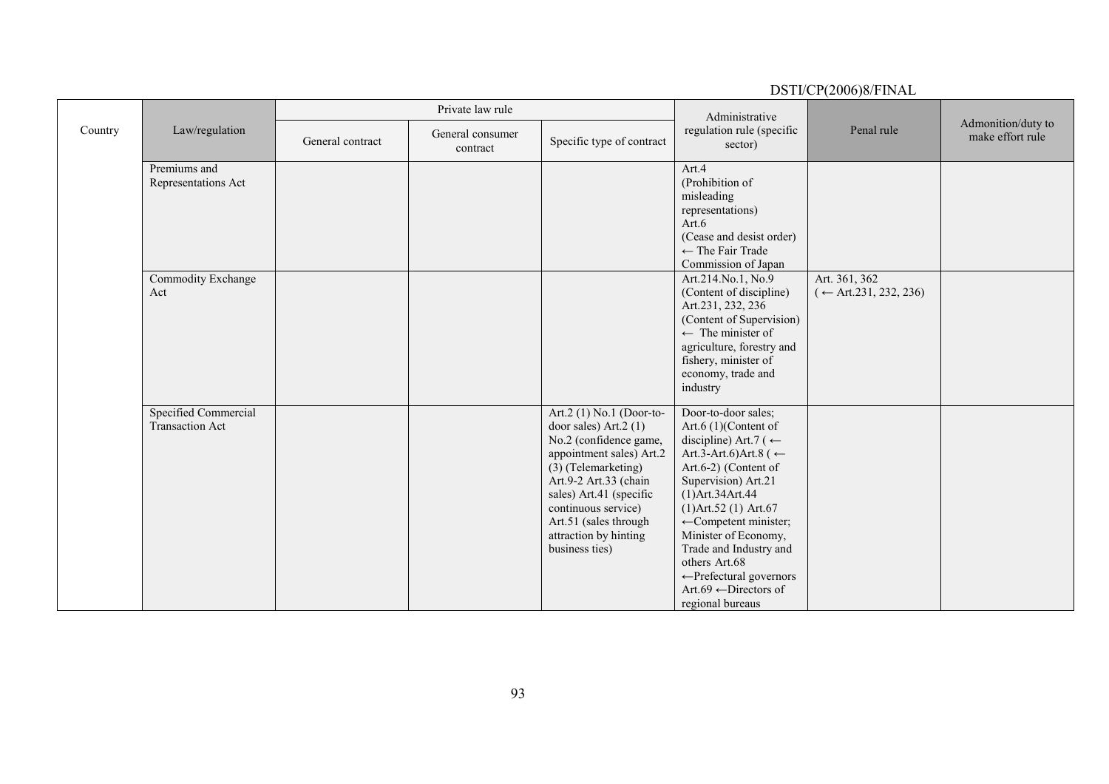### DSTI/CP(2006)8/FINAL Country Law/regulation Private law rule Administrative regulation rule (specific sector) Penal rule Admonition/duty to<br>make effort rule General contract General consumer Specific type of contract Premiums and Representations Act Art.4 (Prohibition of misleading representations) Art.6 (Cease and desist order)  $\leftarrow$  The Fair Trade Commission of Japan Commodity Exchange Act Art.214.No.1, No.9 (Content of discipline) Art.231, 232, 236 (Content of Supervision)  $\leftarrow$  The minister of agriculture, forestry and fishery, minister of economy, trade and industry Art. 361, 362  $(-Art.231, 232, 236)$ Specified Commercial Transaction Act Art.2 (1) No.1 (Door-todoor sales) Art.2 (1) No.2 (confidence game, appointment sales) Art.2 (3) (Telemarketing) Art.9-2 Art.33 (chain sales) Art.41 (specific continuous service) Art.51 (sales through attraction by hinting business ties) Door-to-door sales; Art.6 (1)(Content of discipline) Art.7 ( $\leftarrow$ Art.3-Art.6)Art.8 ( $\leftarrow$ Art.6-2) (Content of Supervision) Art.21 (1)Art.34Art.44 (1)Art.52 (1) Art.67  $\leftarrow$ Competent minister; Minister of Economy, Trade and Industry and others Art.68 <sup>←</sup>Prefectural governors Art.69 ←Directors of regional bureaus

93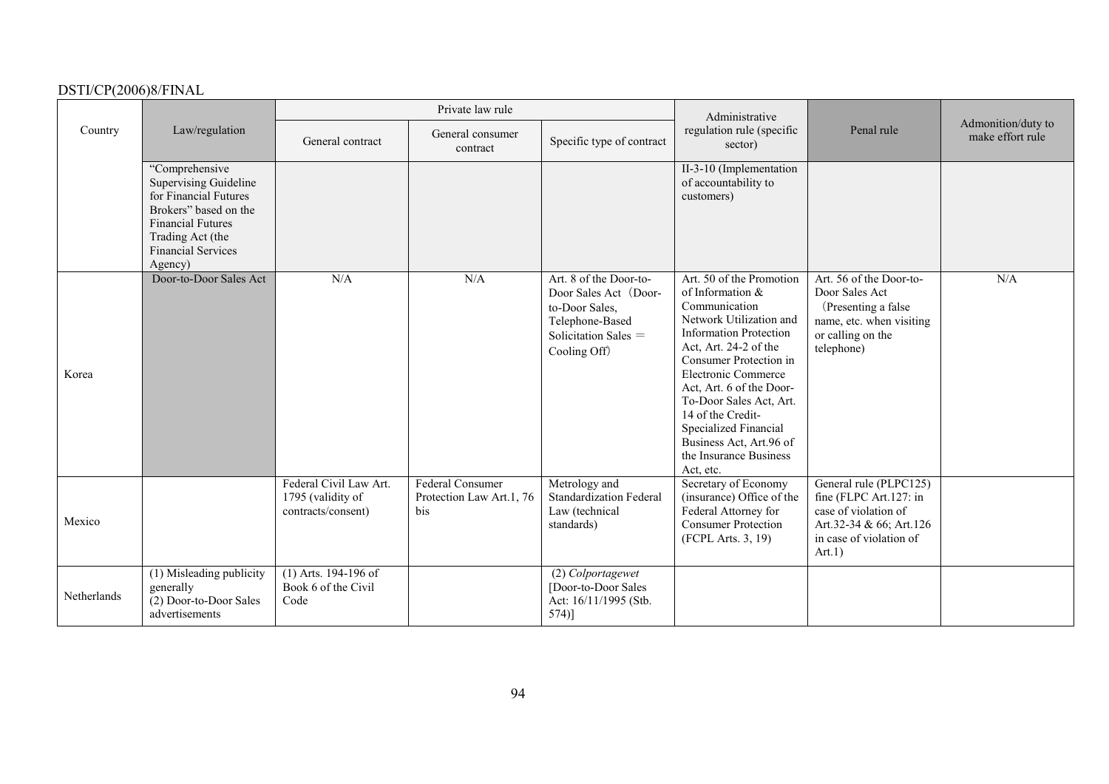|             |                                                                                                                                                                                          |                                                                   | Private law rule                                           |                                                                                                                                | Administrative                                                                                                                                                                                                                                                                                                                                                             |                                                                                                                                          |                                        |
|-------------|------------------------------------------------------------------------------------------------------------------------------------------------------------------------------------------|-------------------------------------------------------------------|------------------------------------------------------------|--------------------------------------------------------------------------------------------------------------------------------|----------------------------------------------------------------------------------------------------------------------------------------------------------------------------------------------------------------------------------------------------------------------------------------------------------------------------------------------------------------------------|------------------------------------------------------------------------------------------------------------------------------------------|----------------------------------------|
| Country     | Law/regulation                                                                                                                                                                           | General contract                                                  | General consumer<br>contract                               | Specific type of contract                                                                                                      | regulation rule (specific<br>sector)                                                                                                                                                                                                                                                                                                                                       | Penal rule                                                                                                                               | Admonition/duty to<br>make effort rule |
|             | "Comprehensive<br><b>Supervising Guideline</b><br>for Financial Futures<br>Brokers" based on the<br><b>Financial Futures</b><br>Trading Act (the<br><b>Financial Services</b><br>Agency) |                                                                   |                                                            |                                                                                                                                | II-3-10 (Implementation<br>of accountability to<br>customers)                                                                                                                                                                                                                                                                                                              |                                                                                                                                          |                                        |
| Korea       | Door-to-Door Sales Act                                                                                                                                                                   | N/A                                                               | N/A                                                        | Art. 8 of the Door-to-<br>Door Sales Act (Door-<br>to-Door Sales,<br>Telephone-Based<br>Solicitation Sales $=$<br>Cooling Off) | Art. 50 of the Promotion<br>of Information &<br>Communication<br>Network Utilization and<br><b>Information Protection</b><br>Act, Art. 24-2 of the<br>Consumer Protection in<br>Electronic Commerce<br>Act, Art. 6 of the Door-<br>To-Door Sales Act, Art.<br>14 of the Credit-<br>Specialized Financial<br>Business Act, Art.96 of<br>the Insurance Business<br>Act, etc. | Art. 56 of the Door-to-<br>Door Sales Act<br>(Presenting a false)<br>name, etc. when visiting<br>or calling on the<br>telephone)         | N/A                                    |
| Mexico      |                                                                                                                                                                                          | Federal Civil Law Art.<br>1795 (validity of<br>contracts/consent) | <b>Federal Consumer</b><br>Protection Law Art.1, 76<br>bis | Metrology and<br><b>Standardization Federal</b><br>Law (technical<br>standards)                                                | Secretary of Economy<br>(insurance) Office of the<br>Federal Attorney for<br><b>Consumer Protection</b><br>(FCPL Arts. 3, 19)                                                                                                                                                                                                                                              | General rule (PLPC125)<br>fine (FLPC Art.127: in<br>case of violation of<br>Art.32-34 & 66; Art.126<br>in case of violation of<br>Art.1) |                                        |
| Netherlands | (1) Misleading publicity<br>generally<br>(2) Door-to-Door Sales<br>advertisements                                                                                                        | $(1)$ Arts. 194-196 of<br>Book 6 of the Civil<br>Code             |                                                            | (2) Colportagewet<br>[Door-to-Door Sales<br>Act: 16/11/1995 (Stb.<br>$574$ ]                                                   |                                                                                                                                                                                                                                                                                                                                                                            |                                                                                                                                          |                                        |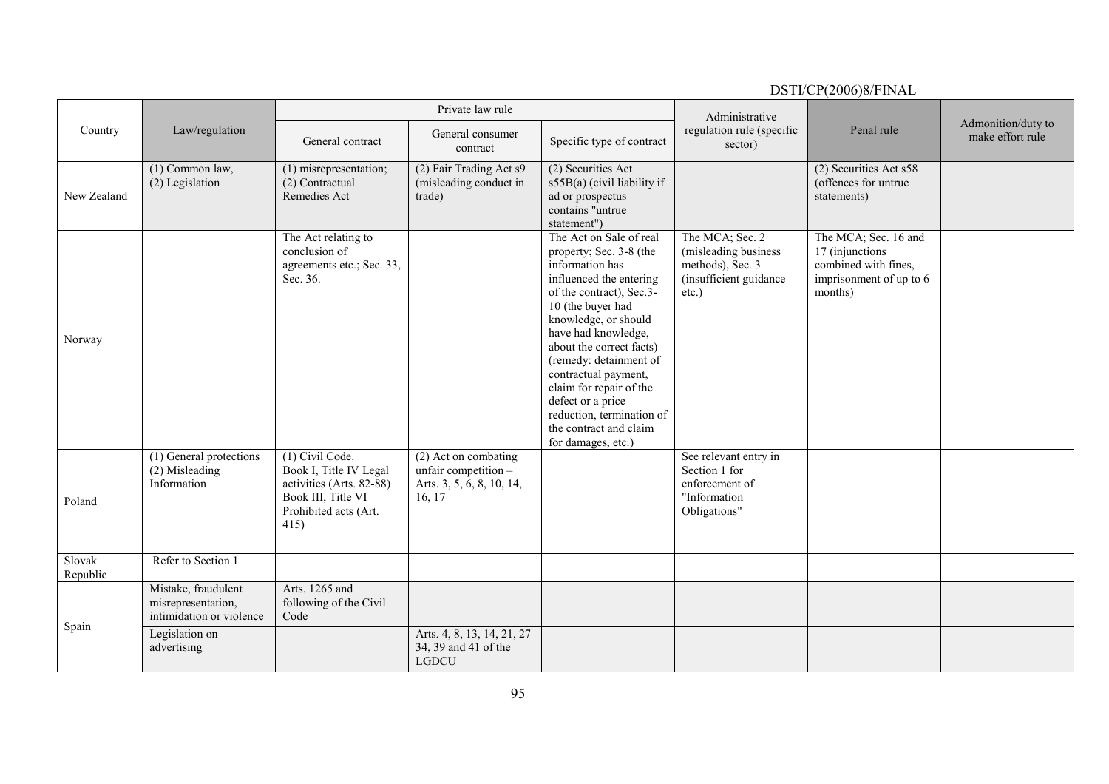#### DSTI/CP(2006)8/FINAL Country Law/regulation Private law rule Administrative regulation rule (specific sector) Penal rule Admonition/duty to<br>make effort rule General contract General consumer Specific type of contract eguiation rule (specific Fenal rule make effort rule sector) New Zealand (1) Common law, (2) Legislation (1) misrepresentation; (2) Contractual Remedies Act (2) Fair Trading Act s9 (misleading conduct in trade) (2) Securities Act s55B(a) (civil liability if ad or prospectus contains "untrue statement") (2) Securities Act s58 (offences for untrue statements) Norway The Act relating to conclusion of agreements etc.; Sec. 33, Sec. 36. The Act on Sale of real property; Sec. 3-8 (the information has influenced the entering of the contract), Sec.3- 10 (the buyer had knowledge, or should have had knowledge, about the correct facts) (remedy: detainment of contractual payment, claim for repair of the defect or a price reduction, termination of the contract and claim for damages, etc.) The MCA; Sec. 2 (misleading business methods), Sec. 3 (insufficient guidance etc.) The MCA; Sec. 16 and 17 (injunctions combined with fines, imprisonment of up to 6 months) Poland (1) General protections (2) Misleading Information (1) Civil Code. Book I, Title IV Legal activities (Arts. 82-88) Book III, Title VI Prohibited acts (Art. 415) (2) Act on combating unfair competition  $-\frac{1}{2}$ Arts. 3, 5, 6, 8, 10, 14, 16, 17 See relevant entry in Section 1 for enforcement of "Information Obligations" Slovak Republic Refer to Section 1 Spain Mistake, fraudulent misrepresentation, intimidation or violence Arts. 1265 and following of the Civil Code Legislation on advertising Arts. 4, 8, 13, 14, 21, 27 34, 39 and 41 of the LGDCU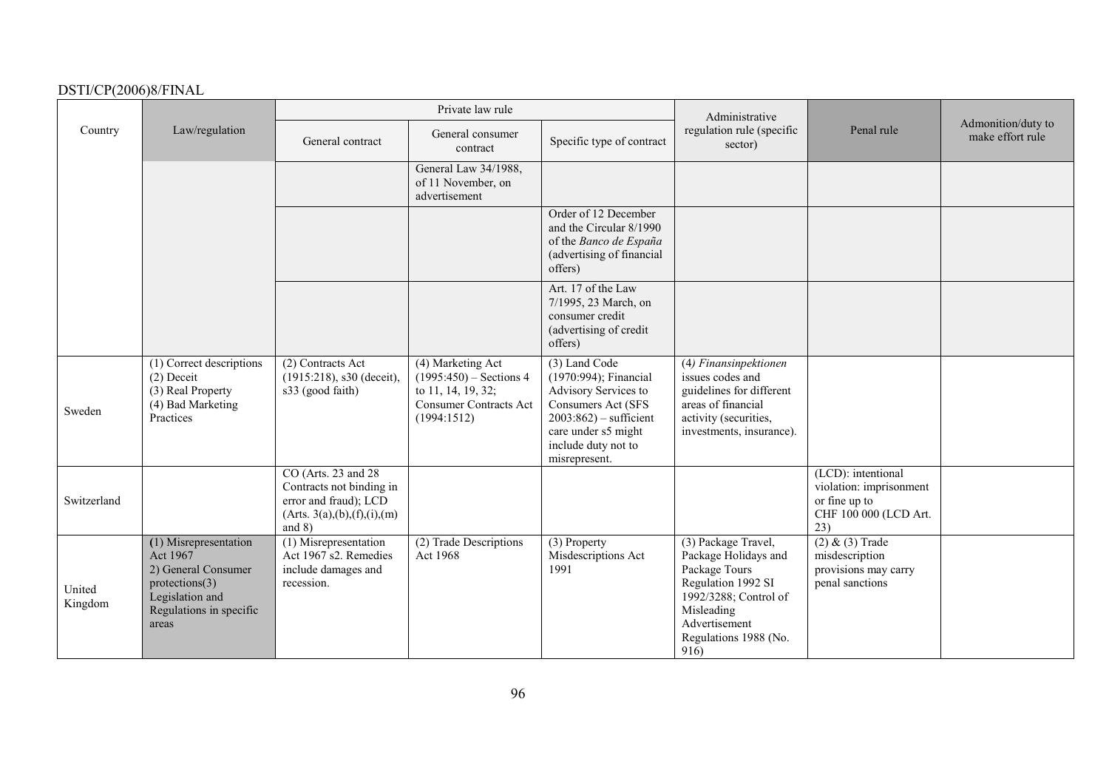|                   |                                                                                                                                   |                                                                                                                          | Private law rule                                                                                                     |                                                                                                                                                                                  | Administrative                                                                                                                                                              |                                                                                                |                                        |
|-------------------|-----------------------------------------------------------------------------------------------------------------------------------|--------------------------------------------------------------------------------------------------------------------------|----------------------------------------------------------------------------------------------------------------------|----------------------------------------------------------------------------------------------------------------------------------------------------------------------------------|-----------------------------------------------------------------------------------------------------------------------------------------------------------------------------|------------------------------------------------------------------------------------------------|----------------------------------------|
| Country           | Law/regulation                                                                                                                    | General contract                                                                                                         | General consumer<br>contract                                                                                         | Specific type of contract                                                                                                                                                        | regulation rule (specific<br>sector)                                                                                                                                        | Penal rule                                                                                     | Admonition/duty to<br>make effort rule |
|                   |                                                                                                                                   |                                                                                                                          | General Law 34/1988,<br>of 11 November, on<br>advertisement                                                          |                                                                                                                                                                                  |                                                                                                                                                                             |                                                                                                |                                        |
|                   |                                                                                                                                   |                                                                                                                          |                                                                                                                      | Order of 12 December<br>and the Circular 8/1990<br>of the Banco de España<br>(advertising of financial<br>offers)                                                                |                                                                                                                                                                             |                                                                                                |                                        |
|                   |                                                                                                                                   |                                                                                                                          |                                                                                                                      | Art. 17 of the Law<br>7/1995, 23 March, on<br>consumer credit<br>(advertising of credit<br>offers)                                                                               |                                                                                                                                                                             |                                                                                                |                                        |
| Sweden            | (1) Correct descriptions<br>$(2)$ Deceit<br>(3) Real Property<br>(4) Bad Marketing<br>Practices                                   | (2) Contracts Act<br>$(1915:218)$ , s30 (deceit),<br>s33 (good faith)                                                    | (4) Marketing Act<br>$(1995:450)$ – Sections 4<br>to 11, 14, 19, 32;<br><b>Consumer Contracts Act</b><br>(1994:1512) | (3) Land Code<br>(1970:994); Financial<br>Advisory Services to<br>Consumers Act (SFS<br>$2003:862$ ) – sufficient<br>care under s5 might<br>include duty not to<br>misrepresent. | (4) Finansinpektionen<br>issues codes and<br>guidelines for different<br>areas of financial<br>activity (securities,<br>investments, insurance).                            |                                                                                                |                                        |
| Switzerland       |                                                                                                                                   | CO (Arts. 23 and 28)<br>Contracts not binding in<br>error and fraud); LCD<br>(Arts. 3(a), (b), (f), (i), (m)<br>and $8)$ |                                                                                                                      |                                                                                                                                                                                  |                                                                                                                                                                             | (LCD): intentional<br>violation: imprisonment<br>or fine up to<br>CHF 100 000 (LCD Art.<br>23) |                                        |
| United<br>Kingdom | (1) Misrepresentation<br>Act 1967<br>2) General Consumer<br>protections(3)<br>Legislation and<br>Regulations in specific<br>areas | $\overline{(1)}$ Misrepresentation<br>Act 1967 s2. Remedies<br>include damages and<br>recession.                         | (2) Trade Descriptions<br>Act 1968                                                                                   | (3) Property<br>Misdescriptions Act<br>1991                                                                                                                                      | (3) Package Travel,<br>Package Holidays and<br>Package Tours<br>Regulation 1992 SI<br>1992/3288; Control of<br>Misleading<br>Advertisement<br>Regulations 1988 (No.<br>916) | $(2) & (3)$ Trade<br>misdescription<br>provisions may carry<br>penal sanctions                 |                                        |